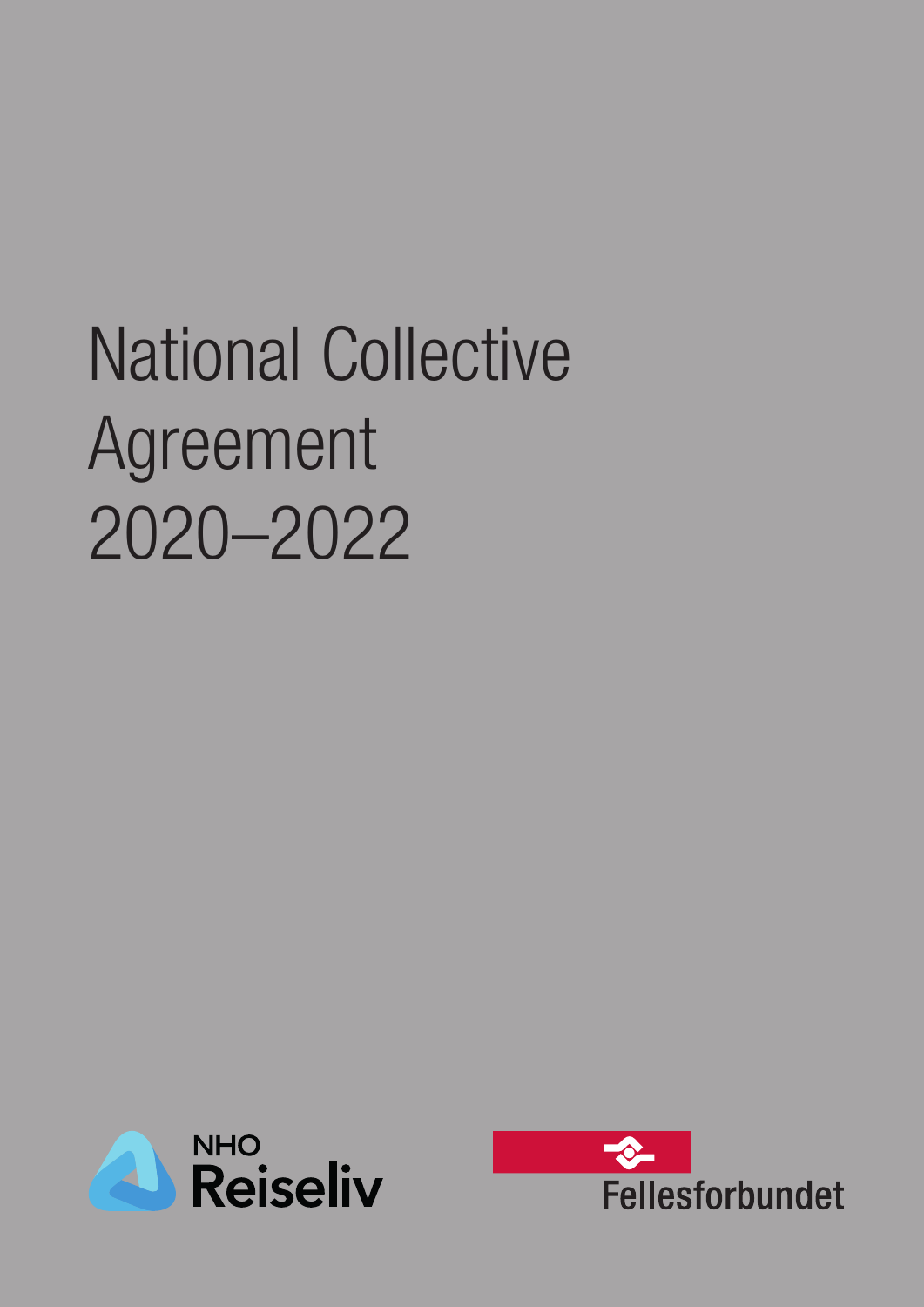# National Collective Agreement 2020–2022



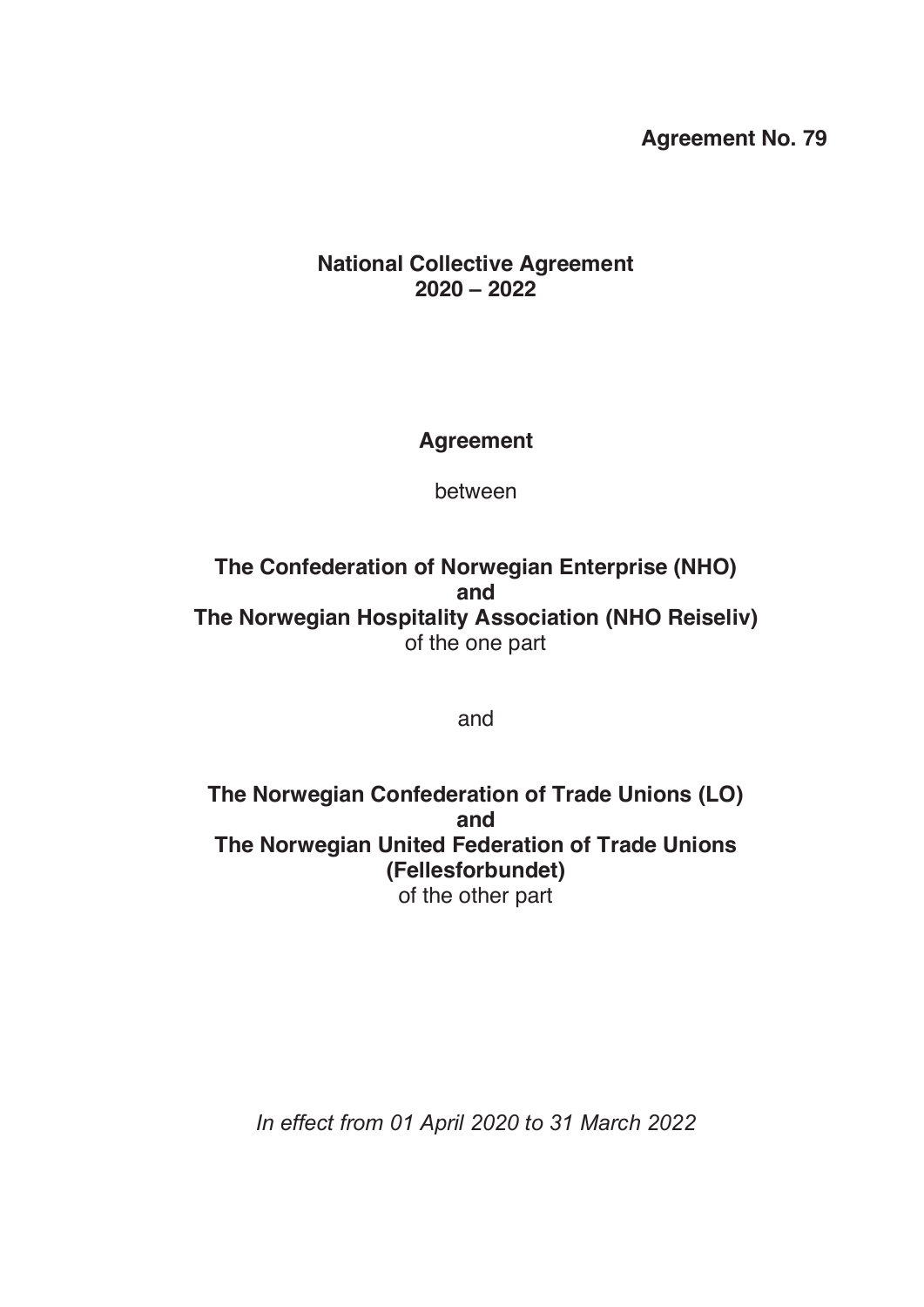#### **Agreement No. 79**

#### **National Collective Agreement 2020 – 2022**

#### **Agreement**

between

**The Confederation of Norwegian Enterprise (NHO) and The Norwegian Hospitality Association (NHO Reiseliv)** of the one part

and

**The Norwegian Confederation of Trade Unions (LO) and The Norwegian United Federation of Trade Unions (Fellesforbundet)** of the other part

*In effect from 01 April 2020 to 31 March 2022*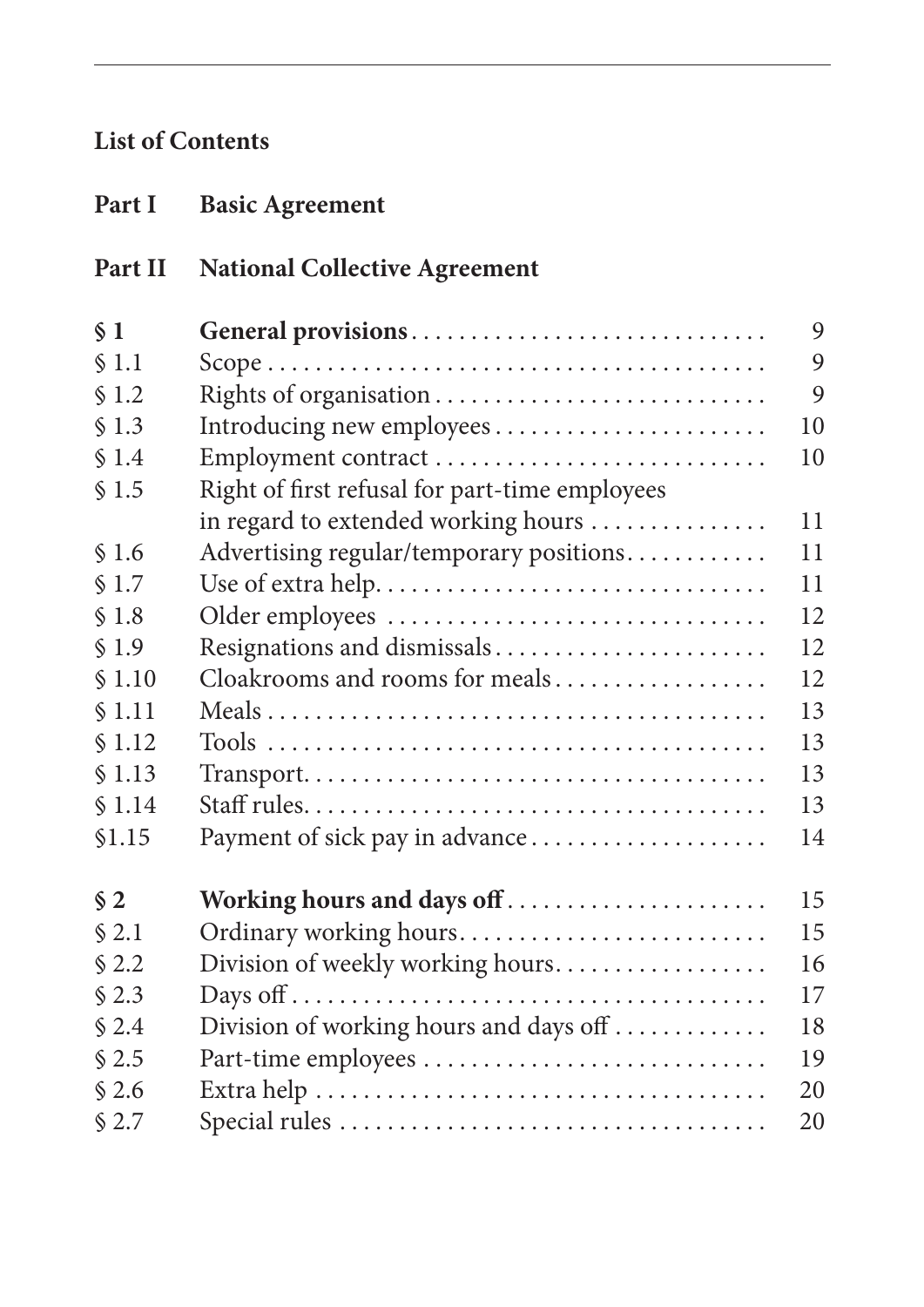# **List of Contents**

| Part I  | <b>Basic Agreement</b>                         |    |
|---------|------------------------------------------------|----|
| Part II | <b>National Collective Agreement</b>           |    |
| $\S$ 1  | General provisions                             | 9  |
| \$1.1   |                                                | 9  |
| \$1.2   |                                                | 9  |
| \$1.3   | Introducing new employees                      | 10 |
| \$1.4   |                                                | 10 |
| \$1.5   | Right of first refusal for part-time employees |    |
|         | in regard to extended working hours            | 11 |
| \$1.6   | Advertising regular/temporary positions        | 11 |
| \$1.7   |                                                | 11 |
| \$1.8   |                                                | 12 |
| \$1.9   | Resignations and dismissals                    | 12 |
| \$1.10  | Cloakrooms and rooms for meals                 | 12 |
| \$1.11  |                                                | 13 |
| \$1.12  |                                                | 13 |
| \$1.13  |                                                | 13 |
| \$1.14  |                                                | 13 |
| \$1.15  | Payment of sick pay in advance                 | 14 |
| $\S 2$  | Working hours and days off                     | 15 |
| \$2.1   | Ordinary working hours                         | 15 |
| \$2.2   | Division of weekly working hours               | 16 |
| \$2.3   |                                                | 17 |
| \$2.4   | Division of working hours and days off         | 18 |
| \$2.5   | Part-time employees                            | 19 |
| \$2.6   |                                                | 20 |
| \$2.7   |                                                | 20 |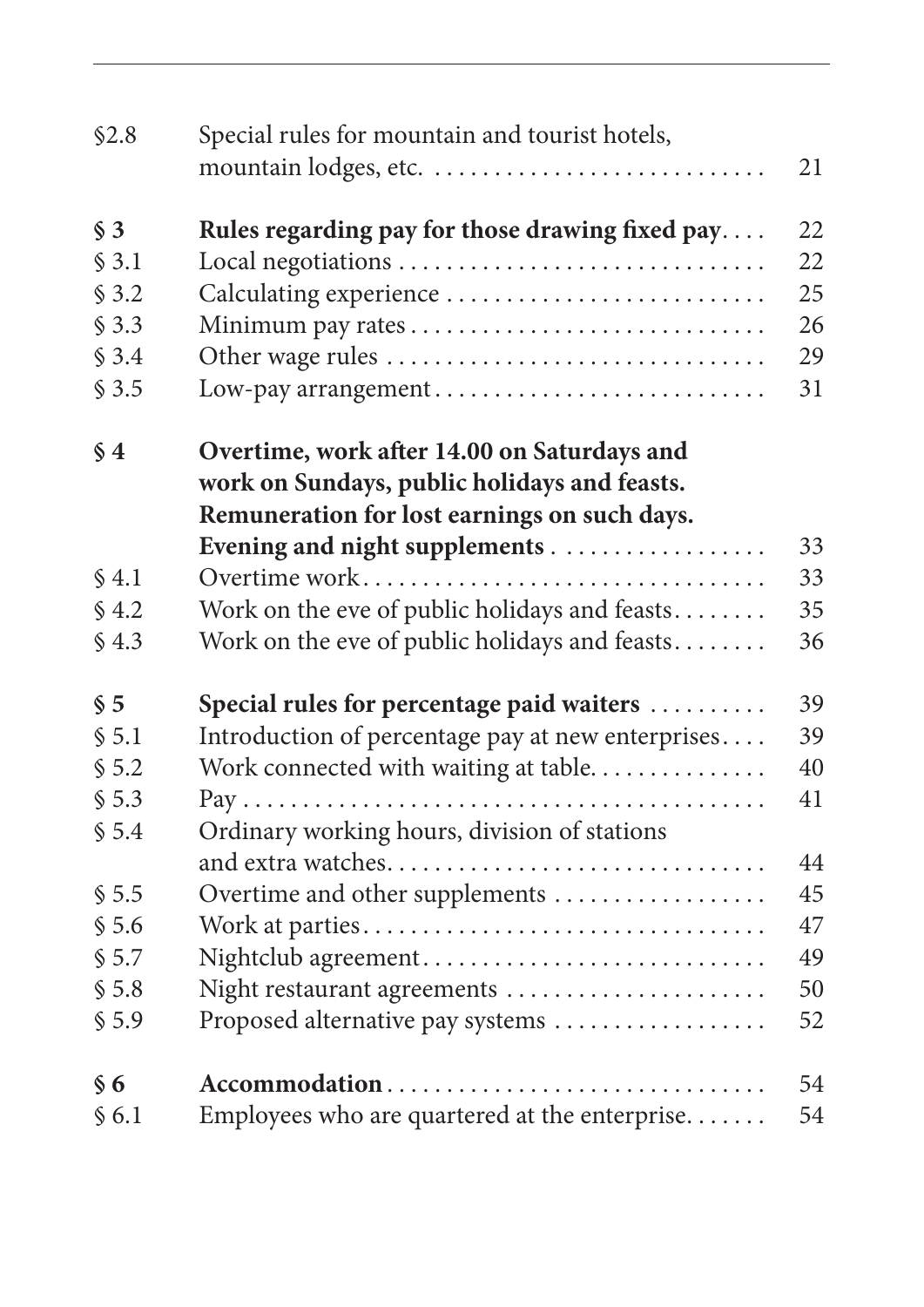| \$2.8            | Special rules for mountain and tourist hotels,    | 21 |
|------------------|---------------------------------------------------|----|
| $\S$ 3           | Rules regarding pay for those drawing fixed pay   | 22 |
| \$3.1            |                                                   | 22 |
| \$3.2            | Calculating experience                            | 25 |
| \$3.3            |                                                   | 26 |
| \$3.4            |                                                   | 29 |
| \$3.5            | Low-pay arrangement                               | 31 |
| $\S 4$           | Overtime, work after 14.00 on Saturdays and       |    |
|                  | work on Sundays, public holidays and feasts.      |    |
|                  | Remuneration for lost earnings on such days.      |    |
|                  |                                                   | 33 |
| $\text{\AA}$ 4.1 |                                                   | 33 |
| $\S$ 4.2         | Work on the eve of public holidays and feasts     | 35 |
| \$4.3            | Work on the eve of public holidays and feasts     | 36 |
| $\S$ 5           | Special rules for percentage paid waiters         | 39 |
| \$5.1            | Introduction of percentage pay at new enterprises | 39 |
| \$5.2            | Work connected with waiting at table              | 40 |
| \$5.3            |                                                   | 41 |
| \$5.4            | Ordinary working hours, division of stations      |    |
|                  |                                                   | 44 |
| \$5.5            | Overtime and other supplements                    | 45 |
| \$5.6            |                                                   | 47 |
| \$5.7            | Nightclub agreement                               | 49 |
| \$5.8            | Night restaurant agreements                       | 50 |
| \$5.9            | Proposed alternative pay systems                  | 52 |
| $\S 6$           | Accommodation                                     | 54 |
| $\S$ 6.1         | Employees who are quartered at the enterprise     | 54 |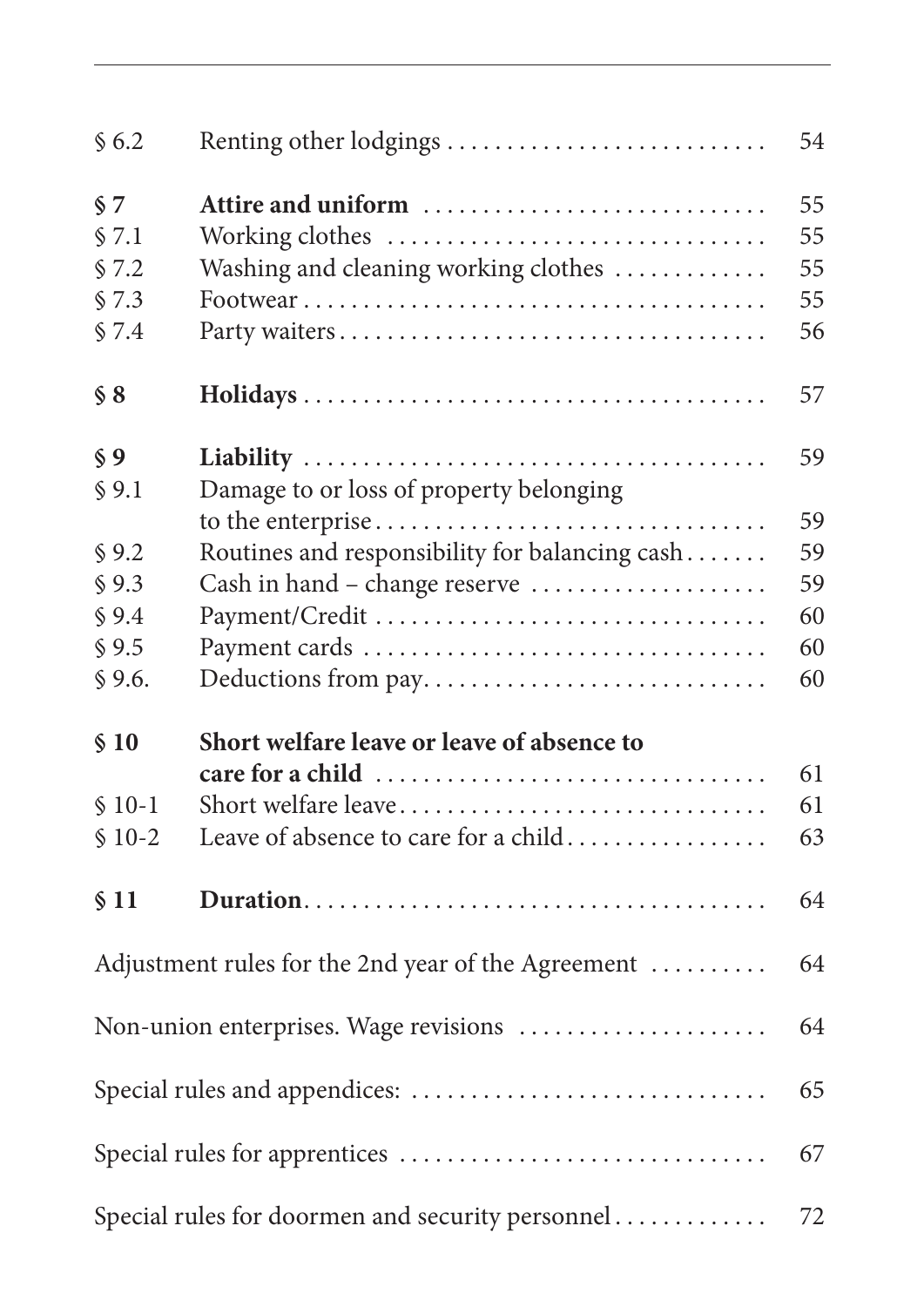| \$6.2   | Renting other lodgings                             | 54 |
|---------|----------------------------------------------------|----|
| $\S$ 7  | Attire and uniform                                 | 55 |
| \$7.1   | Working clothes                                    | 55 |
| \$7.2   | Washing and cleaning working clothes               | 55 |
| \$7.3   |                                                    | 55 |
| \$7.4   |                                                    | 56 |
| $\S 8$  |                                                    | 57 |
| $\S 9$  |                                                    | 59 |
| \$9.1   | Damage to or loss of property belonging            |    |
|         | to the enterprise                                  | 59 |
| \$9.2   | Routines and responsibility for balancing cash     | 59 |
| \$9.3   | Cash in hand – change reserve                      | 59 |
| \$9.4   | Payment/Credit                                     | 60 |
| \$9.5   |                                                    | 60 |
| \$9.6.  | Deductions from pay                                | 60 |
| \$10    | Short welfare leave or leave of absence to         |    |
|         |                                                    | 61 |
| $$10-1$ | Short welfare leave                                | 61 |
| $$10-2$ | Leave of absence to care for a child               | 63 |
| \$11    |                                                    | 64 |
|         | Adjustment rules for the 2nd year of the Agreement | 64 |
|         | Non-union enterprises. Wage revisions              | 64 |
|         |                                                    | 65 |
|         |                                                    | 67 |
|         | Special rules for doormen and security personnel   | 72 |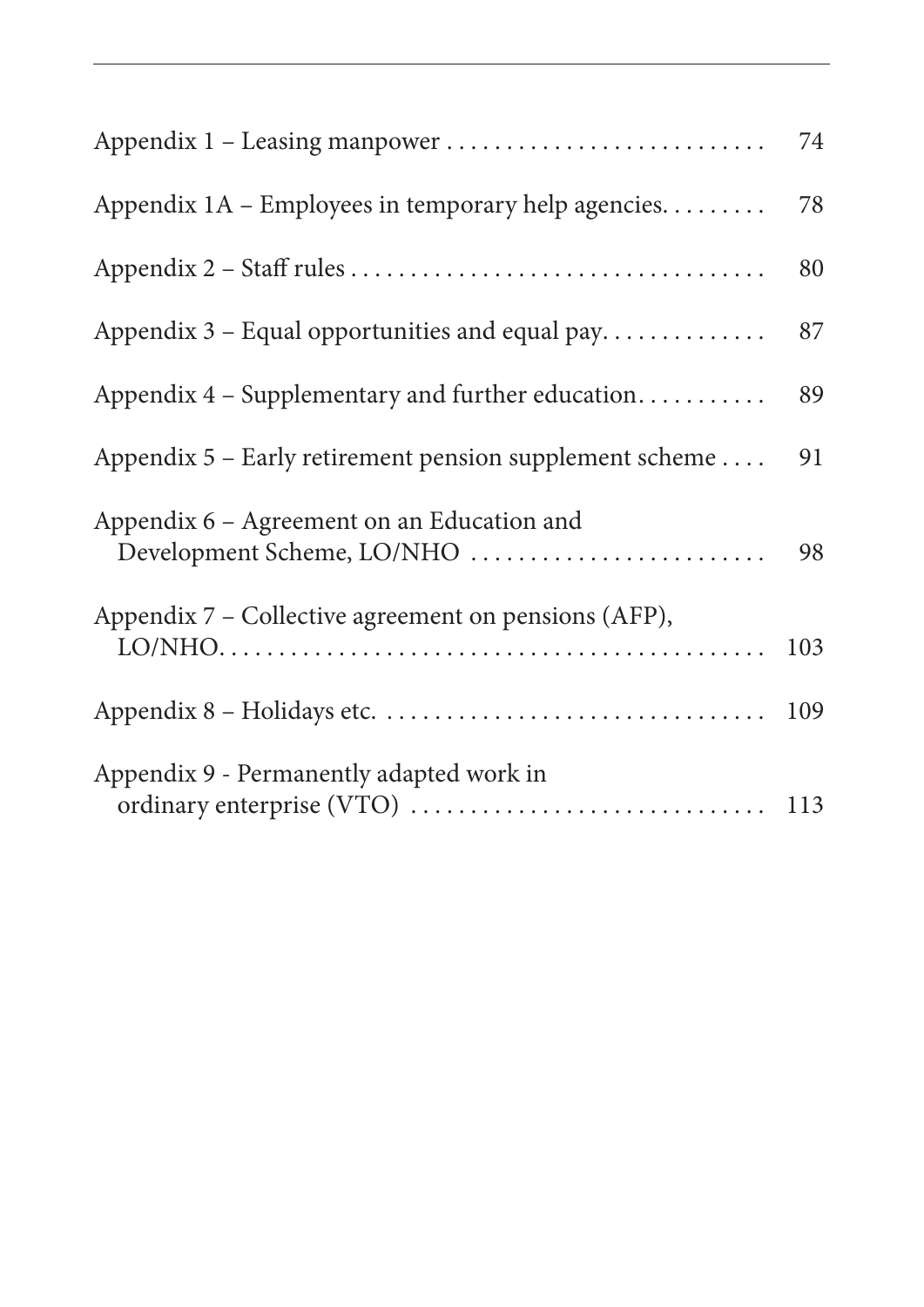|                                                                          | 74  |
|--------------------------------------------------------------------------|-----|
| Appendix 1A - Employees in temporary help agencies                       | 78  |
|                                                                          | 80  |
| Appendix 3 - Equal opportunities and equal pay                           | 87  |
| Appendix 4 – Supplementary and further education                         | 89  |
| Appendix $5$ – Early retirement pension supplement scheme                | 91  |
| Appendix 6 – Agreement on an Education and<br>Development Scheme, LO/NHO | 98  |
| Appendix 7 – Collective agreement on pensions (AFP),                     | 103 |
|                                                                          | 109 |
| Appendix 9 - Permanently adapted work in                                 |     |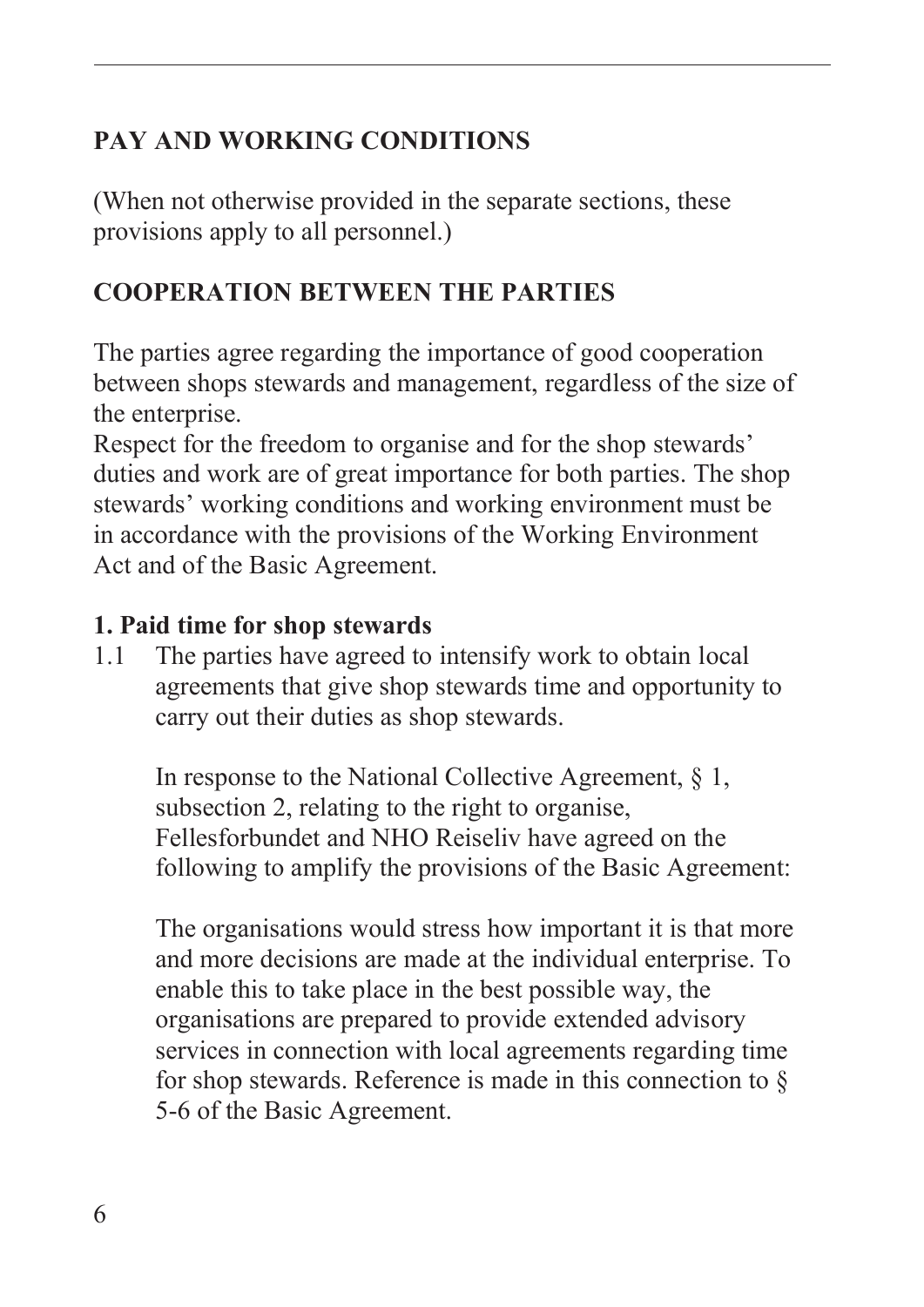# **PAY AND WORKING CONDITIONS**

(When not otherwise provided in the separate sections, these provisions apply to all personnel.)

## **COOPERATION BETWEEN THE PARTIES**

The parties agree regarding the importance of good cooperation between shops stewards and management, regardless of the size of the enterprise.

Respect for the freedom to organise and for the shop stewards' duties and work are of great importance for both parties. The shop stewards' working conditions and working environment must be in accordance with the provisions of the Working Environment Act and of the Basic Agreement.

#### **1. Paid time for shop stewards**

1.1 The parties have agreed to intensify work to obtain local agreements that give shop stewards time and opportunity to carry out their duties as shop stewards.

In response to the National Collective Agreement, § 1, subsection 2, relating to the right to organise, Fellesforbundet and NHO Reiseliv have agreed on the following to amplify the provisions of the Basic Agreement:

The organisations would stress how important it is that more and more decisions are made at the individual enterprise. To enable this to take place in the best possible way, the organisations are prepared to provide extended advisory services in connection with local agreements regarding time for shop stewards. Reference is made in this connection to  $\S$ 5-6 of the Basic Agreement.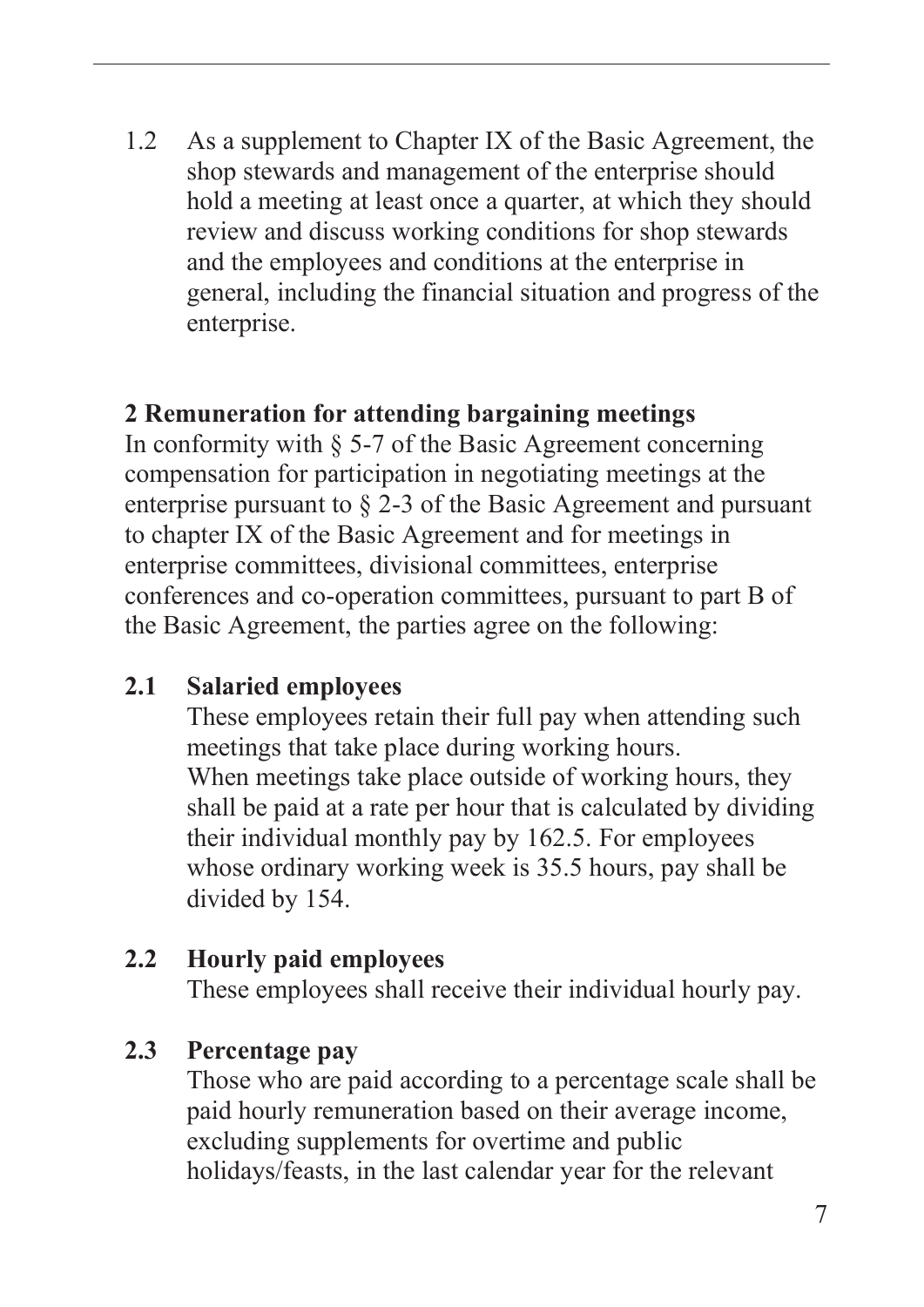1.2 As a supplement to Chapter IX of the Basic Agreement, the shop stewards and management of the enterprise should hold a meeting at least once a quarter, at which they should review and discuss working conditions for shop stewards and the employees and conditions at the enterprise in general, including the financial situation and progress of the enterprise.

#### **2 Remuneration for attending bargaining meetings**

In conformity with § 5-7 of the Basic Agreement concerning compensation for participation in negotiating meetings at the enterprise pursuant to § 2-3 of the Basic Agreement and pursuant to chapter IX of the Basic Agreement and for meetings in enterprise committees, divisional committees, enterprise conferences and co-operation committees, pursuant to part B of the Basic Agreement, the parties agree on the following:

#### **2.1 Salaried employees**

These employees retain their full pay when attending such meetings that take place during working hours. When meetings take place outside of working hours, they shall be paid at a rate per hour that is calculated by dividing their individual monthly pay by 162.5. For employees whose ordinary working week is 35.5 hours, pay shall be divided by 154.

#### **2.2 Hourly paid employees**

These employees shall receive their individual hourly pay.

#### **2.3 Percentage pay**

Those who are paid according to a percentage scale shall be paid hourly remuneration based on their average income, excluding supplements for overtime and public holidays/feasts, in the last calendar year for the relevant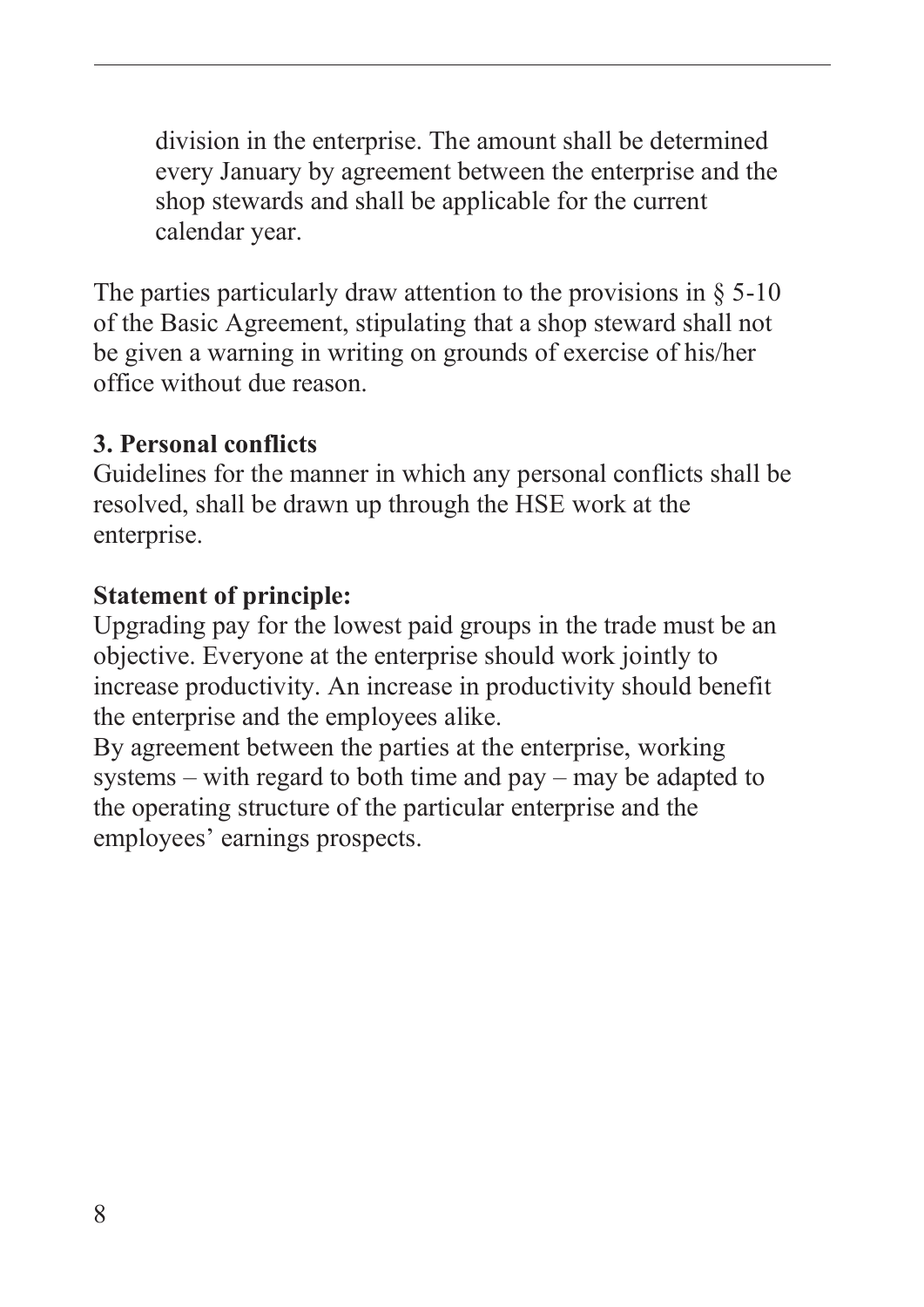division in the enterprise. The amount shall be determined every January by agreement between the enterprise and the shop stewards and shall be applicable for the current calendar year.

The parties particularly draw attention to the provisions in  $\S$  5-10 of the Basic Agreement, stipulating that a shop steward shall not be given a warning in writing on grounds of exercise of his/her office without due reason.

#### **3. Personal conflicts**

Guidelines for the manner in which any personal conflicts shall be resolved, shall be drawn up through the HSE work at the enterprise.

#### **Statement of principle:**

Upgrading pay for the lowest paid groups in the trade must be an objective. Everyone at the enterprise should work jointly to increase productivity. An increase in productivity should benefit the enterprise and the employees alike.

By agreement between the parties at the enterprise, working systems – with regard to both time and pay – may be adapted to the operating structure of the particular enterprise and the employees' earnings prospects.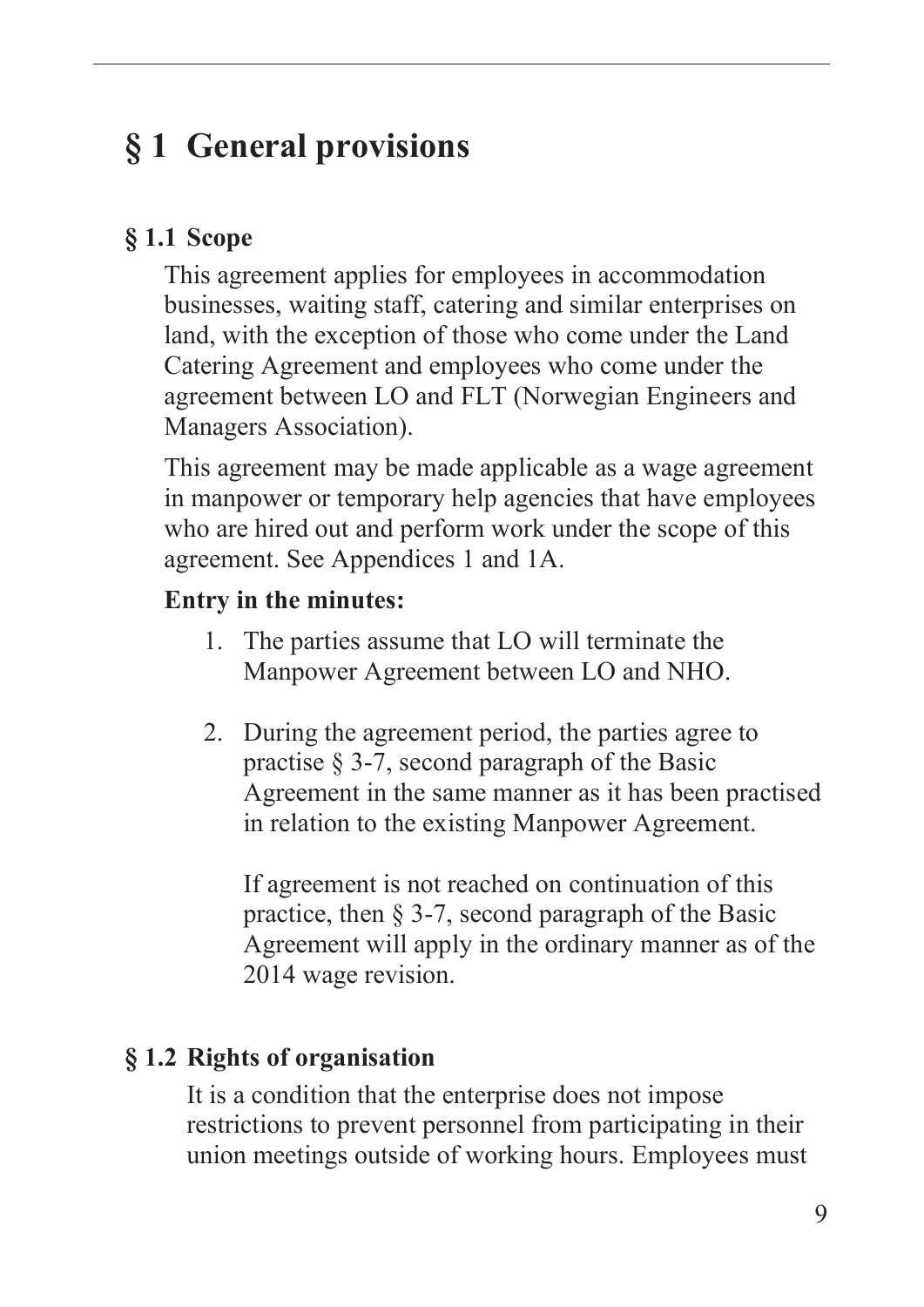# <span id="page-10-0"></span>**§ 1 General provisions**

## **§ 1.1 Scope**

This agreement applies for employees in accommodation businesses, waiting staff, catering and similar enterprises on land, with the exception of those who come under the Land Catering Agreement and employees who come under the agreement between LO and FLT (Norwegian Engineers and Managers Association).

This agreement may be made applicable as a wage agreement in manpower or temporary help agencies that have employees who are hired out and perform work under the scope of this agreement. See Appendices 1 and 1A.

#### **Entry in the minutes:**

- 1. The parties assume that LO will terminate the Manpower Agreement between LO and NHO.
- 2. During the agreement period, the parties agree to practise § 3-7, second paragraph of the Basic Agreement in the same manner as it has been practised in relation to the existing Manpower Agreement.

If agreement is not reached on continuation of this practice, then § 3-7, second paragraph of the Basic Agreement will apply in the ordinary manner as of the 2014 wage revision.

# **§ 1.2 Rights of organisation**

It is a condition that the enterprise does not impose restrictions to prevent personnel from participating in their union meetings outside of working hours. Employees must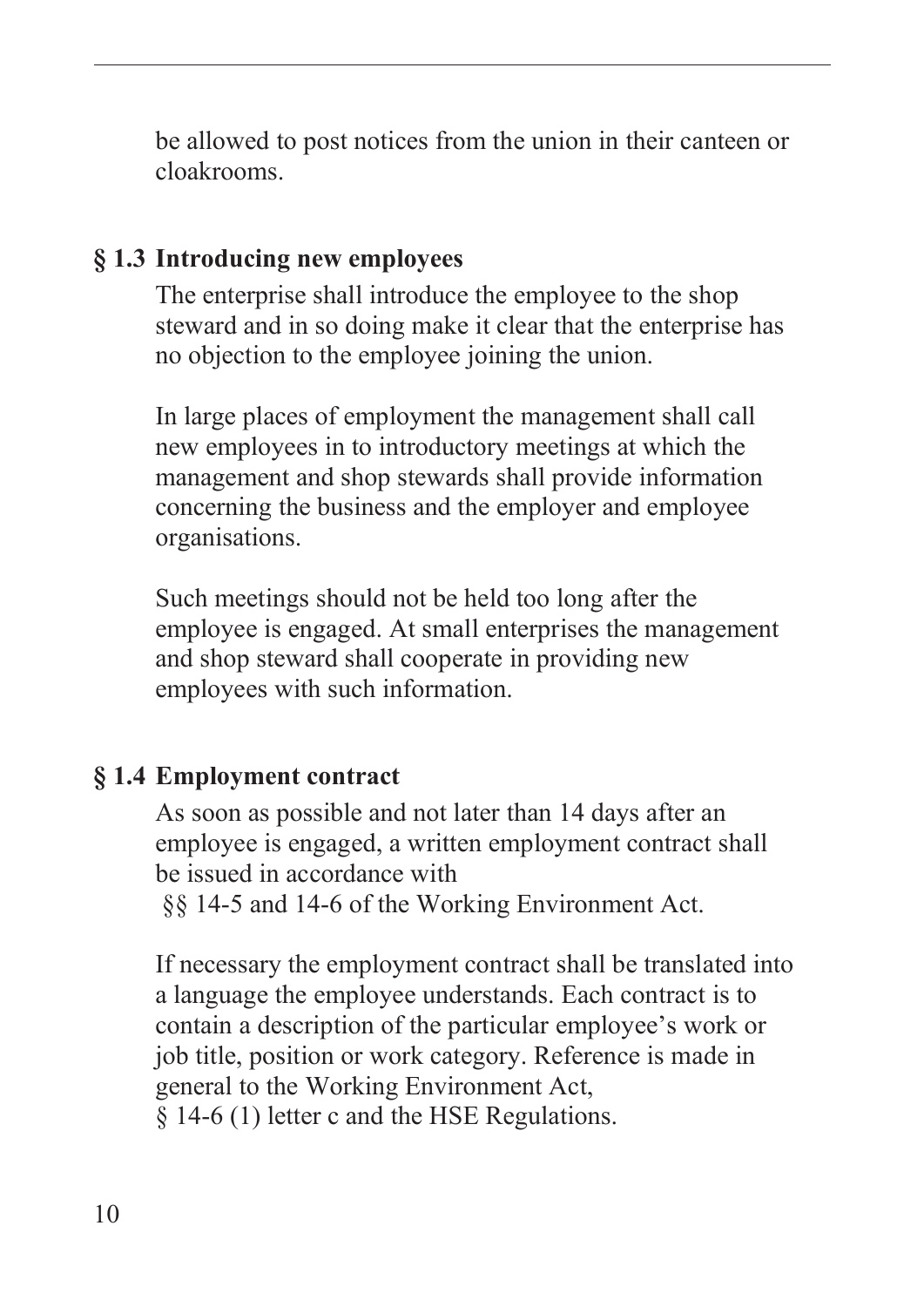<span id="page-11-0"></span>be allowed to post notices from the union in their canteen or cloakrooms.

#### **§ 1.3 Introducing new employees**

The enterprise shall introduce the employee to the shop steward and in so doing make it clear that the enterprise has no objection to the employee joining the union.

In large places of employment the management shall call new employees in to introductory meetings at which the management and shop stewards shall provide information concerning the business and the employer and employee organisations.

Such meetings should not be held too long after the employee is engaged. At small enterprises the management and shop steward shall cooperate in providing new employees with such information.

#### **§ 1.4 Employment contract**

As soon as possible and not later than 14 days after an employee is engaged, a written employment contract shall be issued in accordance with

§§ 14-5 and 14-6 of the Working Environment Act.

If necessary the employment contract shall be translated into a language the employee understands. Each contract is to contain a description of the particular employee's work or job title, position or work category. Reference is made in general to the Working Environment Act, § 14-6 (1) letter c and the HSE Regulations.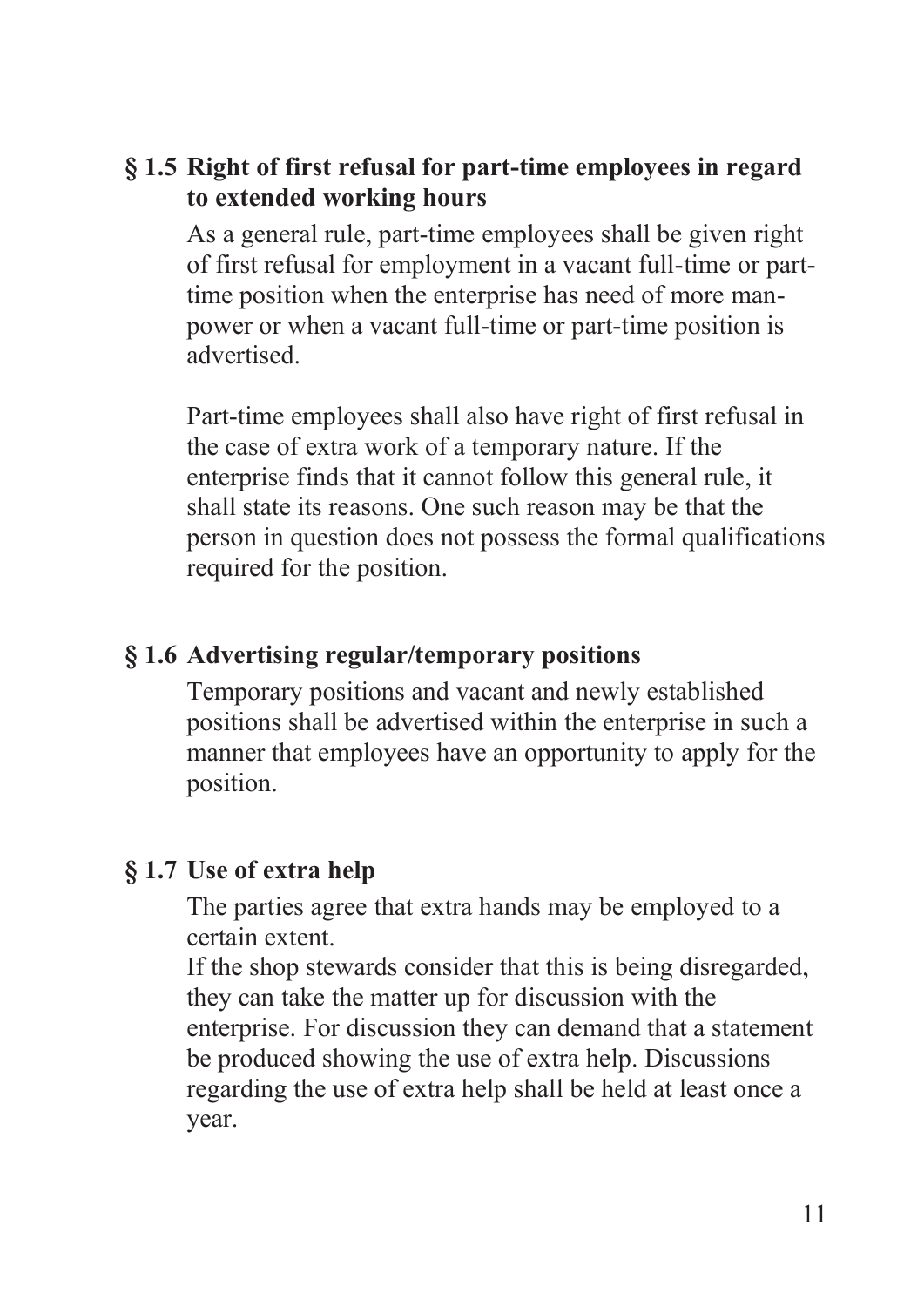#### <span id="page-12-0"></span>**§ 1.5 Right of first refusal for part-time employees in regard to extended working hours**

As a general rule, part-time employees shall be given right of first refusal for employment in a vacant full-time or parttime position when the enterprise has need of more manpower or when a vacant full-time or part-time position is advertised.

Part-time employees shall also have right of first refusal in the case of extra work of a temporary nature. If the enterprise finds that it cannot follow this general rule, it shall state its reasons. One such reason may be that the person in question does not possess the formal qualifications required for the position.

#### **§ 1.6 Advertising regular/temporary positions**

Temporary positions and vacant and newly established positions shall be advertised within the enterprise in such a manner that employees have an opportunity to apply for the position.

#### **§ 1.7 Use of extra help**

The parties agree that extra hands may be employed to a certain extent.

If the shop stewards consider that this is being disregarded, they can take the matter up for discussion with the enterprise. For discussion they can demand that a statement be produced showing the use of extra help. Discussions regarding the use of extra help shall be held at least once a year.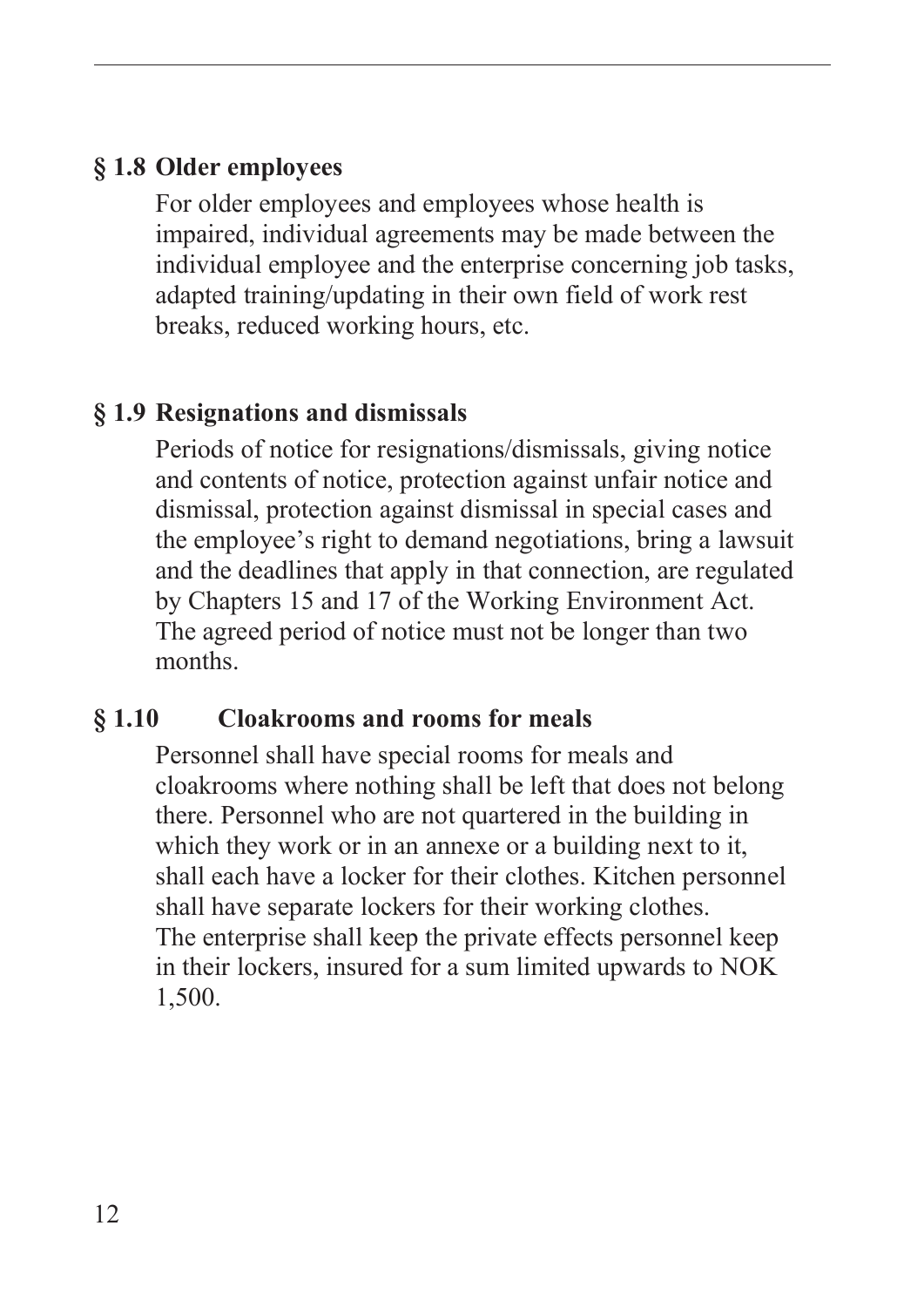#### <span id="page-13-0"></span>**§ 1.8 Older employees**

For older employees and employees whose health is impaired, individual agreements may be made between the individual employee and the enterprise concerning job tasks, adapted training/updating in their own field of work rest breaks, reduced working hours, etc.

#### **§ 1.9 Resignations and dismissals**

Periods of notice for resignations/dismissals, giving notice and contents of notice, protection against unfair notice and dismissal, protection against dismissal in special cases and the employee's right to demand negotiations, bring a lawsuit and the deadlines that apply in that connection, are regulated by Chapters 15 and 17 of the Working Environment Act. The agreed period of notice must not be longer than two months.

#### **§ 1.10 Cloakrooms and rooms for meals**

Personnel shall have special rooms for meals and cloakrooms where nothing shall be left that does not belong there. Personnel who are not quartered in the building in which they work or in an annexe or a building next to it, shall each have a locker for their clothes. Kitchen personnel shall have separate lockers for their working clothes. The enterprise shall keep the private effects personnel keep in their lockers, insured for a sum limited upwards to NOK 1,500.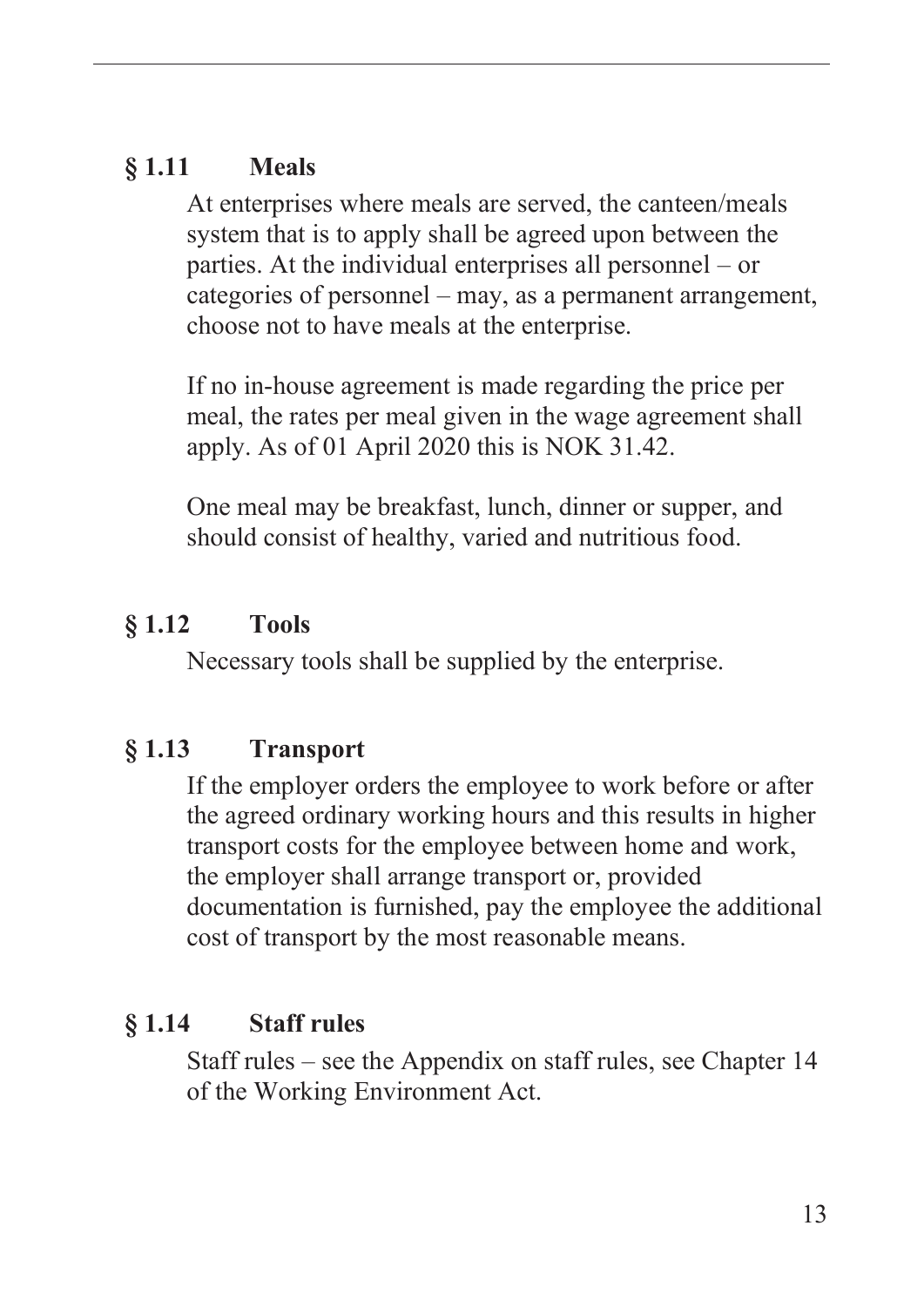#### <span id="page-14-0"></span>**§ 1.11 Meals**

At enterprises where meals are served, the canteen/meals system that is to apply shall be agreed upon between the parties. At the individual enterprises all personnel – or categories of personnel – may, as a permanent arrangement, choose not to have meals at the enterprise.

If no in-house agreement is made regarding the price per meal, the rates per meal given in the wage agreement shall apply. As of 01 April 2020 this is NOK 31.42.

One meal may be breakfast, lunch, dinner or supper, and should consist of healthy, varied and nutritious food.

#### **§ 1.12 Tools**

Necessary tools shall be supplied by the enterprise.

#### **§ 1.13 Transport**

If the employer orders the employee to work before or after the agreed ordinary working hours and this results in higher transport costs for the employee between home and work, the employer shall arrange transport or, provided documentation is furnished, pay the employee the additional cost of transport by the most reasonable means.

#### **§ 1.14 Staff rules**

Staff rules – see the Appendix on staff rules, see Chapter 14 of the Working Environment Act.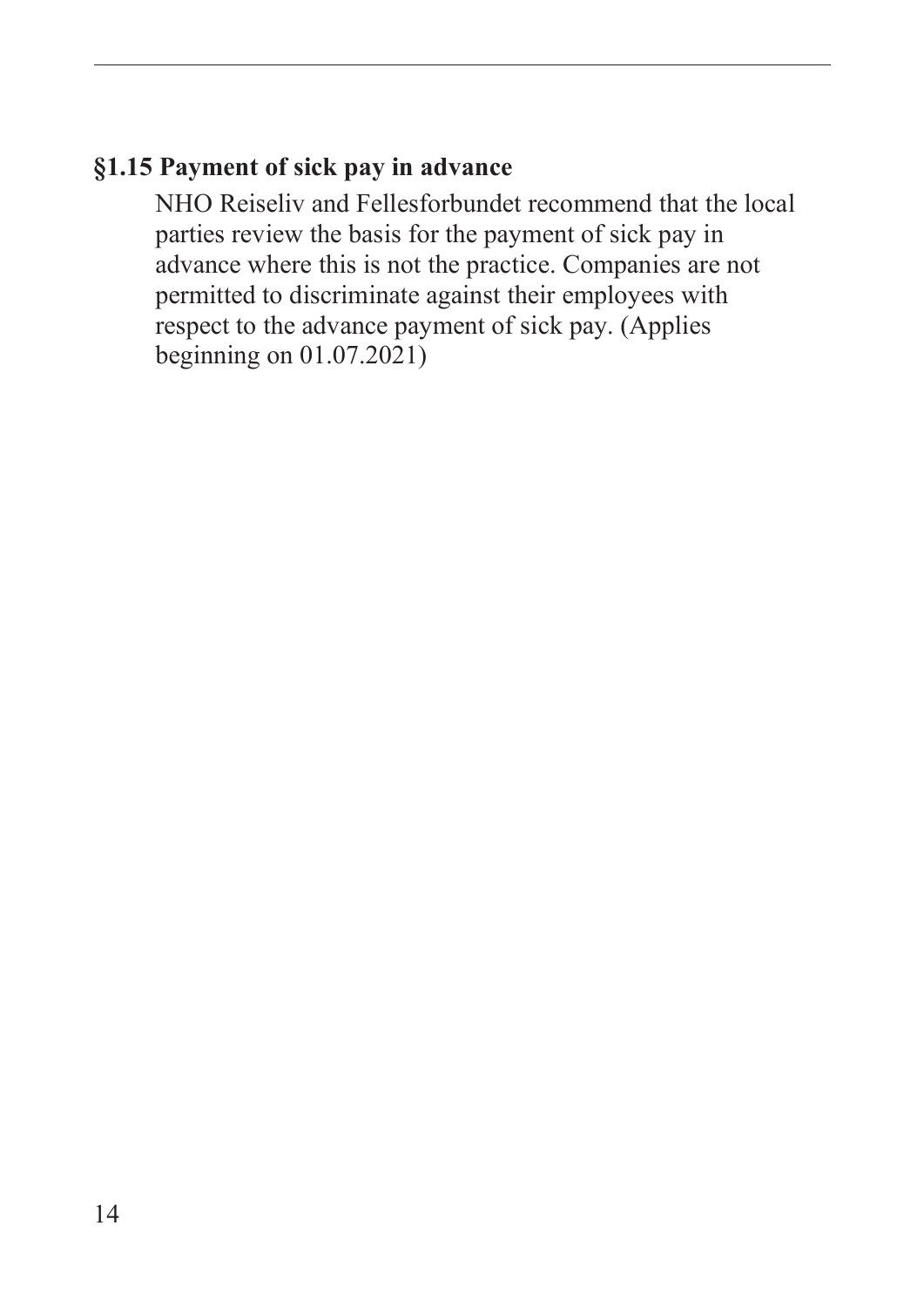#### <span id="page-15-0"></span>**§1.15 Payment of sick pay in advance**

NHO Reiseliv and Fellesforbundet recommend that the local parties review the basis for the payment of sick pay in advance where this is not the practice. Companies are not permitted to discriminate against their employees with respect to the advance payment of sick pay. (Applies beginning on 01.07.2021)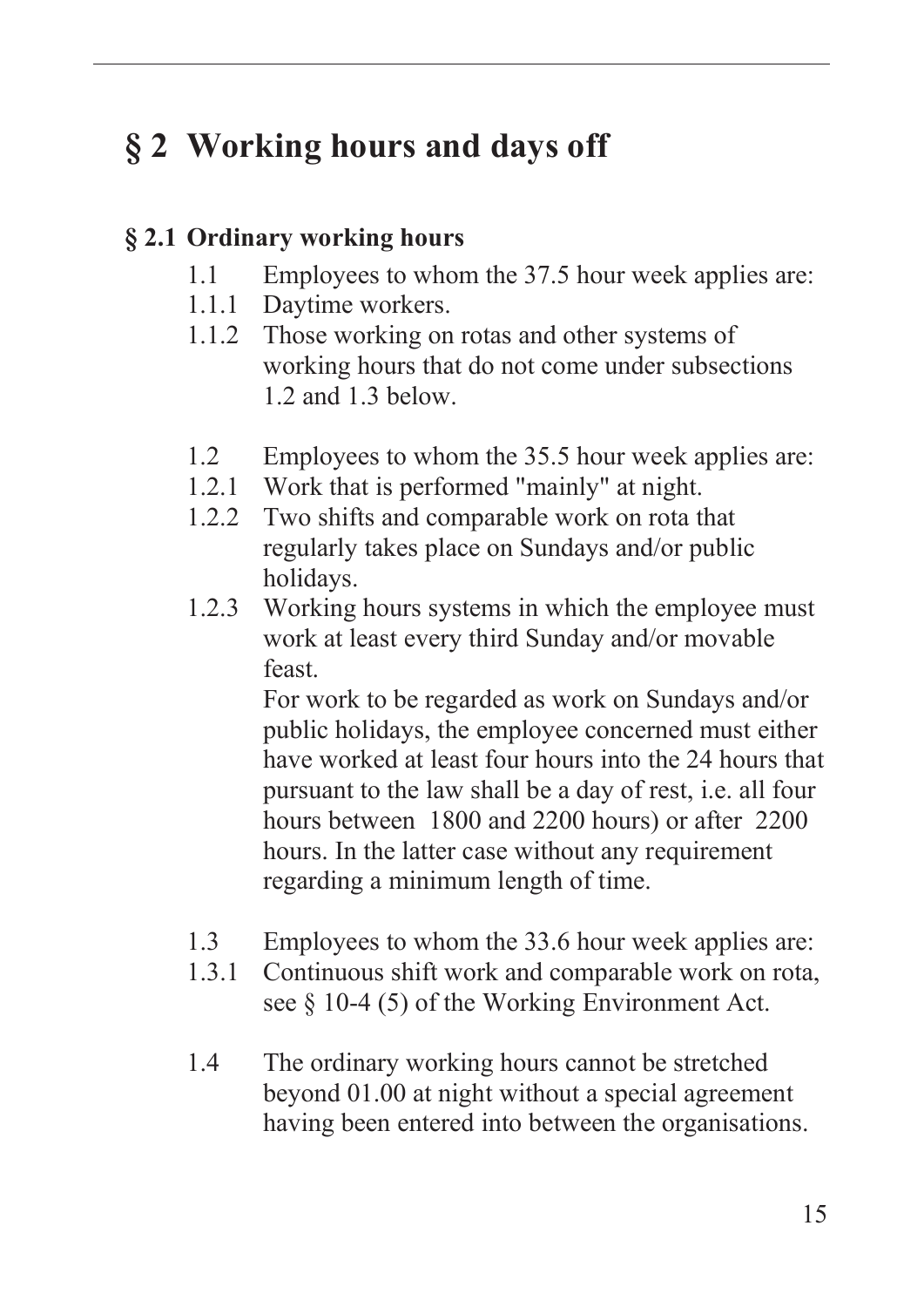# <span id="page-16-0"></span>**§ 2 Working hours and days off**

#### **§ 2.1 Ordinary working hours**

- 1.1 Employees to whom the 37.5 hour week applies are:
- 1.1.1 Daytime workers.
- 1.1.2 Those working on rotas and other systems of working hours that do not come under subsections 1.2 and 1.3 below.
- 1.2 Employees to whom the 35.5 hour week applies are:
- 1.2.1 Work that is performed "mainly" at night.
- 1.2.2 Two shifts and comparable work on rota that regularly takes place on Sundays and/or public holidays.
- 1.2.3 Working hours systems in which the employee must work at least every third Sunday and/or movable feast.

For work to be regarded as work on Sundays and/or public holidays, the employee concerned must either have worked at least four hours into the 24 hours that pursuant to the law shall be a day of rest, i.e. all four hours between 1800 and 2200 hours) or after 2200 hours. In the latter case without any requirement regarding a minimum length of time.

- 1.3 Employees to whom the 33.6 hour week applies are:
- 1.3.1 Continuous shift work and comparable work on rota, see § 10-4 (5) of the Working Environment Act.
- 1.4 The ordinary working hours cannot be stretched beyond 01.00 at night without a special agreement having been entered into between the organisations.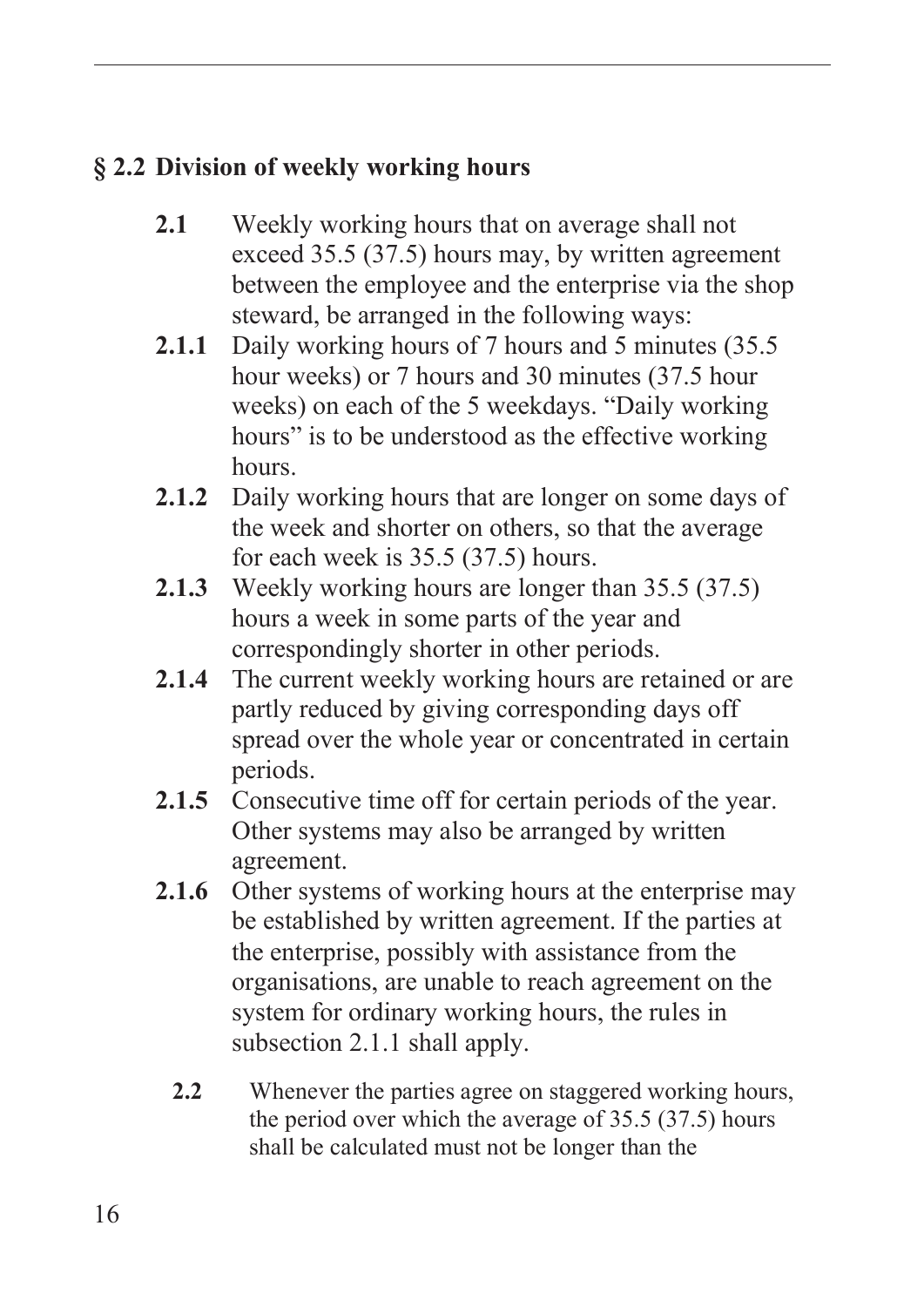## <span id="page-17-0"></span>**§ 2.2 Division of weekly working hours**

- **2.1** Weekly working hours that on average shall not exceed 35.5 (37.5) hours may, by written agreement between the employee and the enterprise via the shop steward, be arranged in the following ways:
- **2.1.1** Daily working hours of 7 hours and 5 minutes (35.5 hour weeks) or 7 hours and 30 minutes (37.5 hour weeks) on each of the 5 weekdays. "Daily working hours" is to be understood as the effective working hours.
- **2.1.2** Daily working hours that are longer on some days of the week and shorter on others, so that the average for each week is 35.5 (37.5) hours.
- **2.1.3** Weekly working hours are longer than 35.5 (37.5) hours a week in some parts of the year and correspondingly shorter in other periods.
- **2.1.4** The current weekly working hours are retained or are partly reduced by giving corresponding days off spread over the whole year or concentrated in certain periods.
- **2.1.5** Consecutive time off for certain periods of the year. Other systems may also be arranged by written agreement.
- **2.1.6** Other systems of working hours at the enterprise may be established by written agreement. If the parties at the enterprise, possibly with assistance from the organisations, are unable to reach agreement on the system for ordinary working hours, the rules in subsection 2.1.1 shall apply.
	- **2.2** Whenever the parties agree on staggered working hours, the period over which the average of 35.5 (37.5) hours shall be calculated must not be longer than the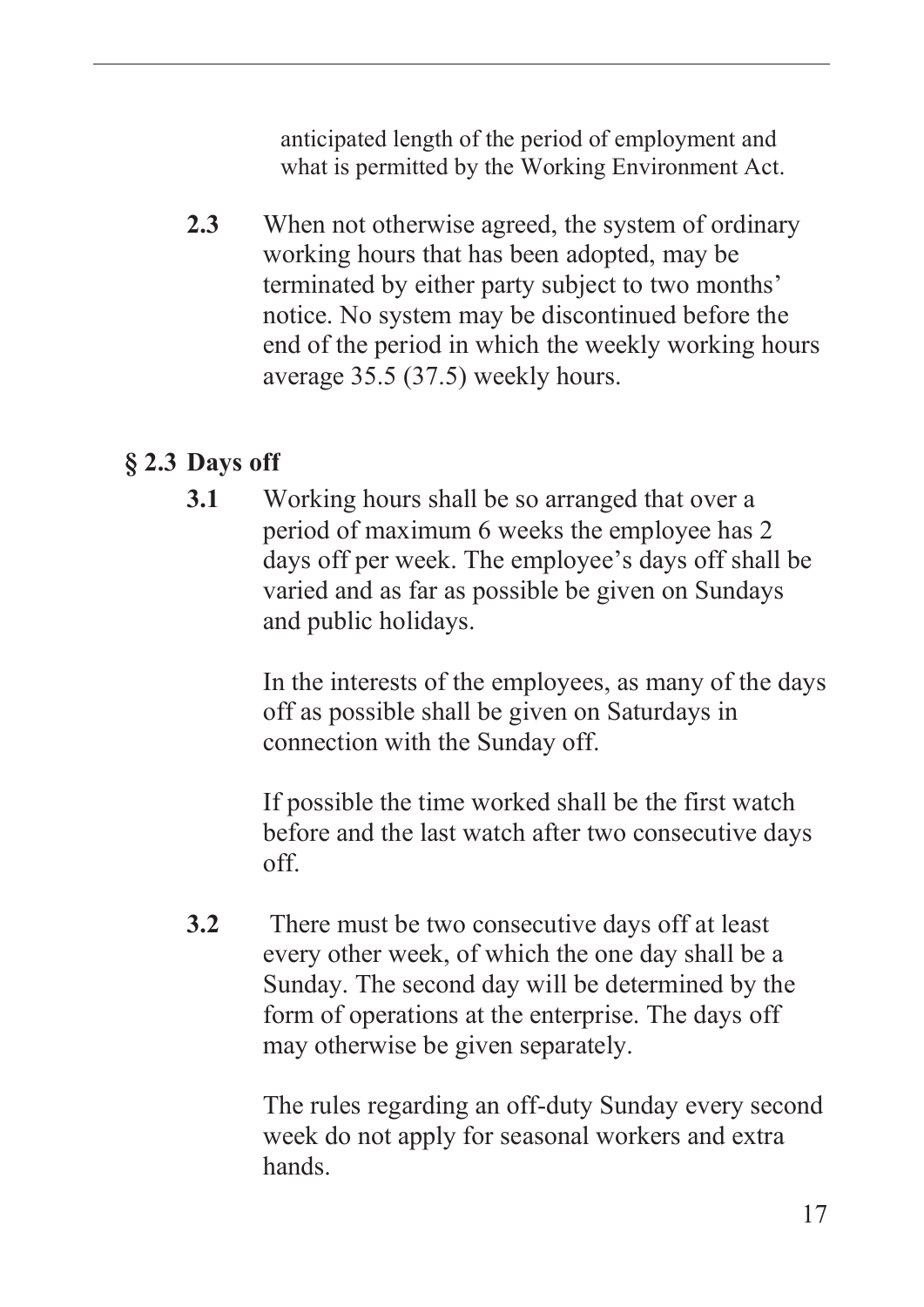anticipated length of the period of employment and what is permitted by the Working Environment Act.

<span id="page-18-0"></span>**2.3** When not otherwise agreed, the system of ordinary working hours that has been adopted, may be terminated by either party subject to two months' notice. No system may be discontinued before the end of the period in which the weekly working hours average 35.5 (37.5) weekly hours.

#### **§ 2.3 Days off**

**3.1** Working hours shall be so arranged that over a period of maximum 6 weeks the employee has 2 days off per week. The employee's days off shall be varied and as far as possible be given on Sundays and public holidays.

> In the interests of the employees, as many of the days off as possible shall be given on Saturdays in connection with the Sunday off.

If possible the time worked shall be the first watch before and the last watch after two consecutive days off.

**3.2** There must be two consecutive days off at least every other week, of which the one day shall be a Sunday. The second day will be determined by the form of operations at the enterprise. The days off may otherwise be given separately.

> The rules regarding an off-duty Sunday every second week do not apply for seasonal workers and extra hands.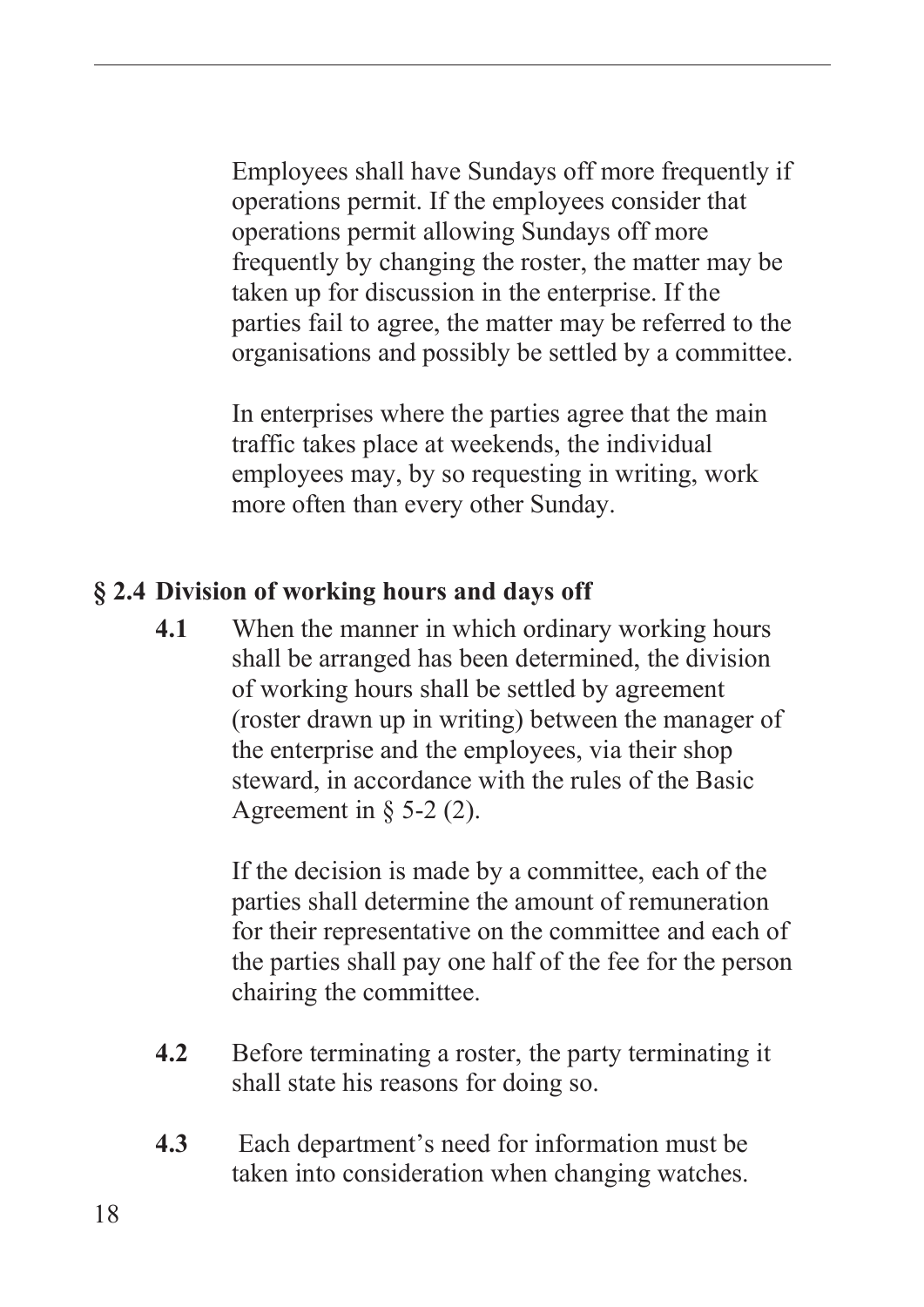<span id="page-19-0"></span>Employees shall have Sundays off more frequently if operations permit. If the employees consider that operations permit allowing Sundays off more frequently by changing the roster, the matter may be taken up for discussion in the enterprise. If the parties fail to agree, the matter may be referred to the organisations and possibly be settled by a committee.

In enterprises where the parties agree that the main traffic takes place at weekends, the individual employees may, by so requesting in writing, work more often than every other Sunday.

#### **§ 2.4 Division of working hours and days off**

**4.1** When the manner in which ordinary working hours shall be arranged has been determined, the division of working hours shall be settled by agreement (roster drawn up in writing) between the manager of the enterprise and the employees, via their shop steward, in accordance with the rules of the Basic Agreement in  $\S$  5-2 (2).

> If the decision is made by a committee, each of the parties shall determine the amount of remuneration for their representative on the committee and each of the parties shall pay one half of the fee for the person chairing the committee.

- **4.2** Before terminating a roster, the party terminating it shall state his reasons for doing so.
- **4.3** Each department's need for information must be taken into consideration when changing watches.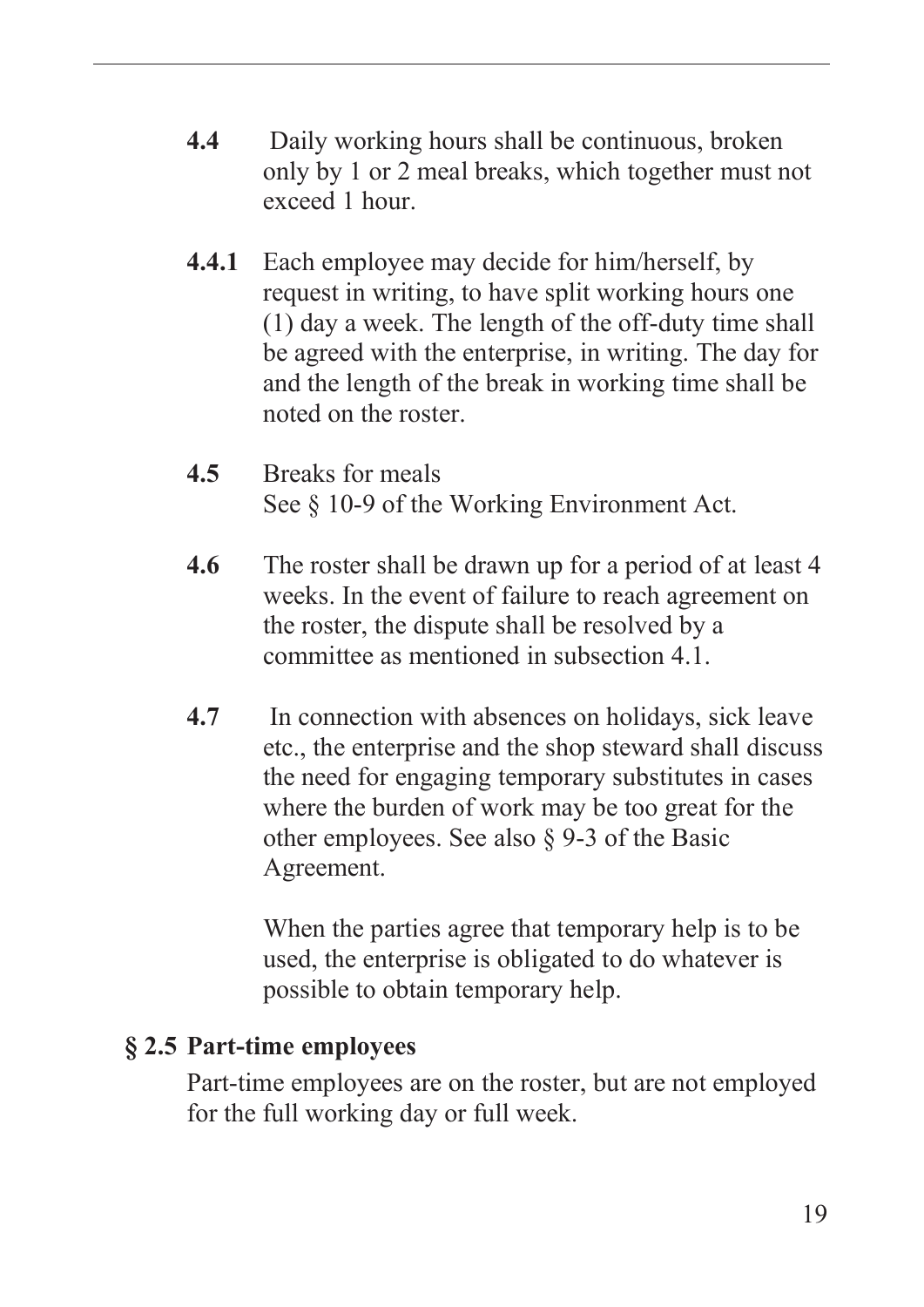- <span id="page-20-0"></span>**4.4** Daily working hours shall be continuous, broken only by 1 or 2 meal breaks, which together must not exceed 1 hour.
- **4.4.1** Each employee may decide for him/herself, by request in writing, to have split working hours one (1) day a week. The length of the off-duty time shall be agreed with the enterprise, in writing. The day for and the length of the break in working time shall be noted on the roster.
- **4.5** Breaks for meals See § 10-9 of the Working Environment Act.
- **4.6** The roster shall be drawn up for a period of at least 4 weeks. In the event of failure to reach agreement on the roster, the dispute shall be resolved by a committee as mentioned in subsection 4.1.
- **4.7** In connection with absences on holidays, sick leave etc., the enterprise and the shop steward shall discuss the need for engaging temporary substitutes in cases where the burden of work may be too great for the other employees. See also § 9-3 of the Basic Agreement.

When the parties agree that temporary help is to be used, the enterprise is obligated to do whatever is possible to obtain temporary help.

#### **§ 2.5 Part-time employees**

Part-time employees are on the roster, but are not employed for the full working day or full week.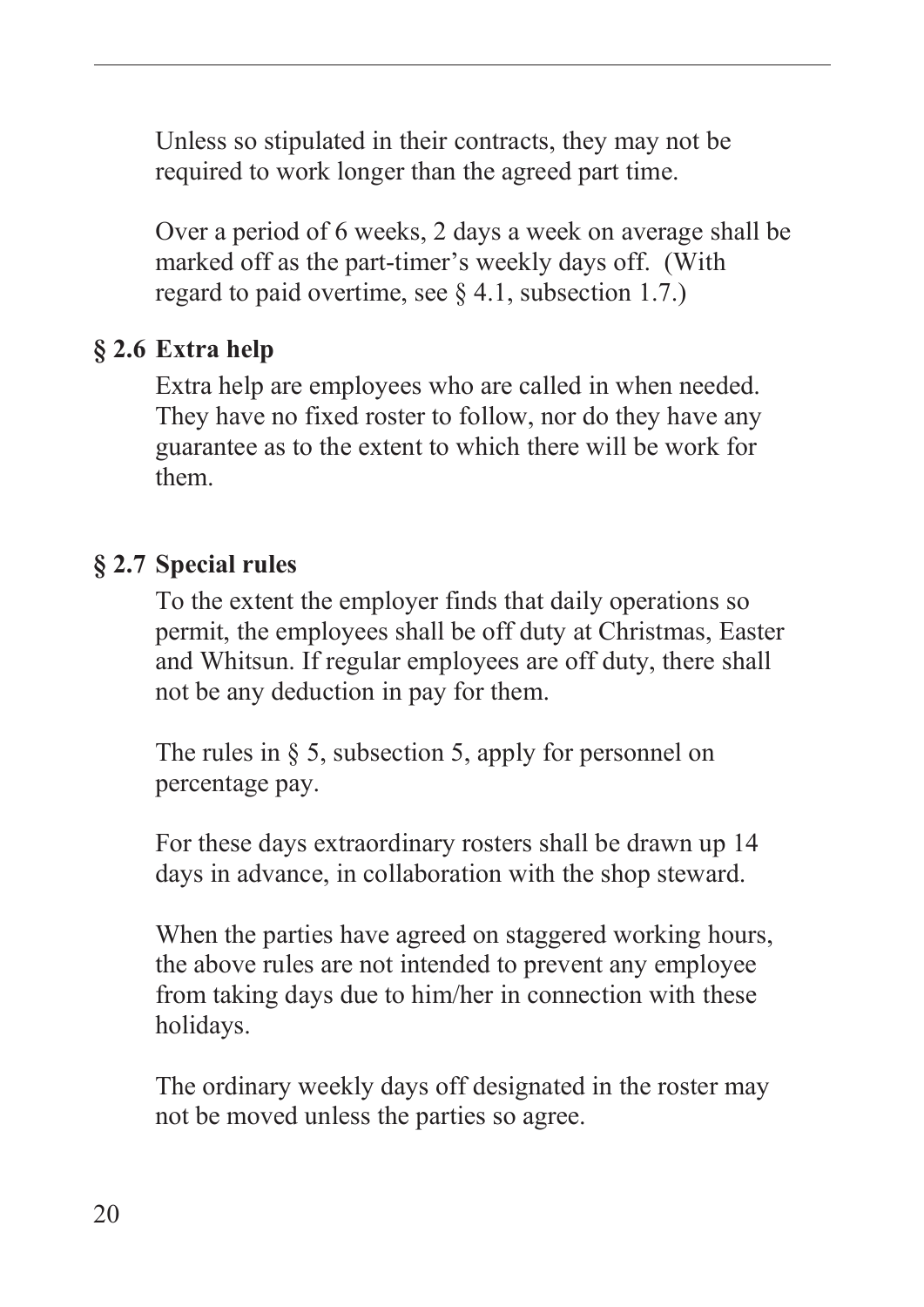<span id="page-21-0"></span>Unless so stipulated in their contracts, they may not be required to work longer than the agreed part time.

Over a period of 6 weeks, 2 days a week on average shall be marked off as the part-timer's weekly days off. (With regard to paid overtime, see  $\S 4.1$ , subsection 1.7.)

## **§ 2.6 Extra help**

Extra help are employees who are called in when needed. They have no fixed roster to follow, nor do they have any guarantee as to the extent to which there will be work for them.

#### **§ 2.7 Special rules**

To the extent the employer finds that daily operations so permit, the employees shall be off duty at Christmas, Easter and Whitsun. If regular employees are off duty, there shall not be any deduction in pay for them.

The rules in  $\delta$  5, subsection 5, apply for personnel on percentage pay.

For these days extraordinary rosters shall be drawn up 14 days in advance, in collaboration with the shop steward.

When the parties have agreed on staggered working hours, the above rules are not intended to prevent any employee from taking days due to him/her in connection with these holidays.

The ordinary weekly days off designated in the roster may not be moved unless the parties so agree.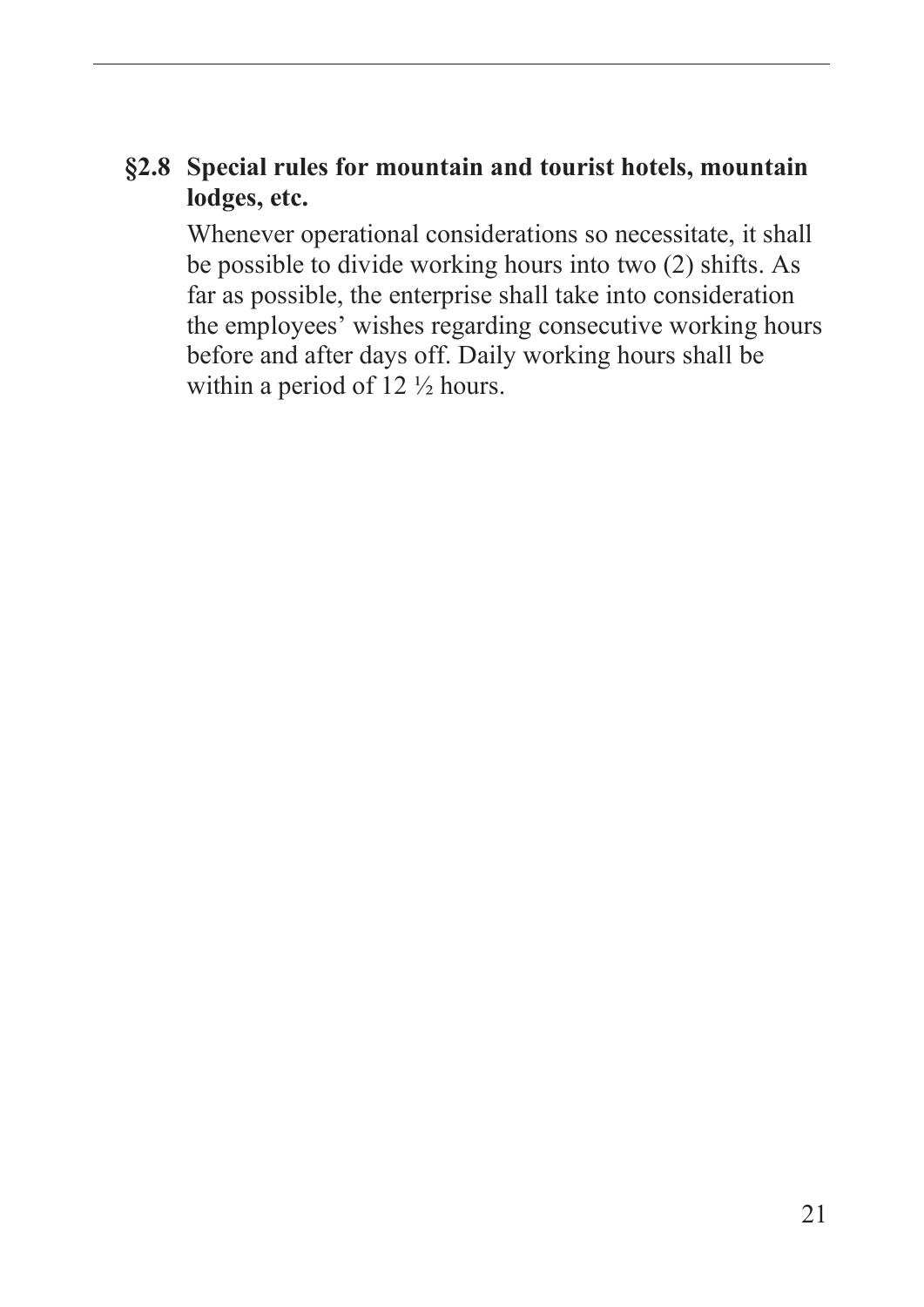#### <span id="page-22-0"></span>**§2.8 Special rules for mountain and tourist hotels, mountain lodges, etc.**

Whenever operational considerations so necessitate, it shall be possible to divide working hours into two (2) shifts. As far as possible, the enterprise shall take into consideration the employees' wishes regarding consecutive working hours before and after days off. Daily working hours shall be within a period of 12 ½ hours.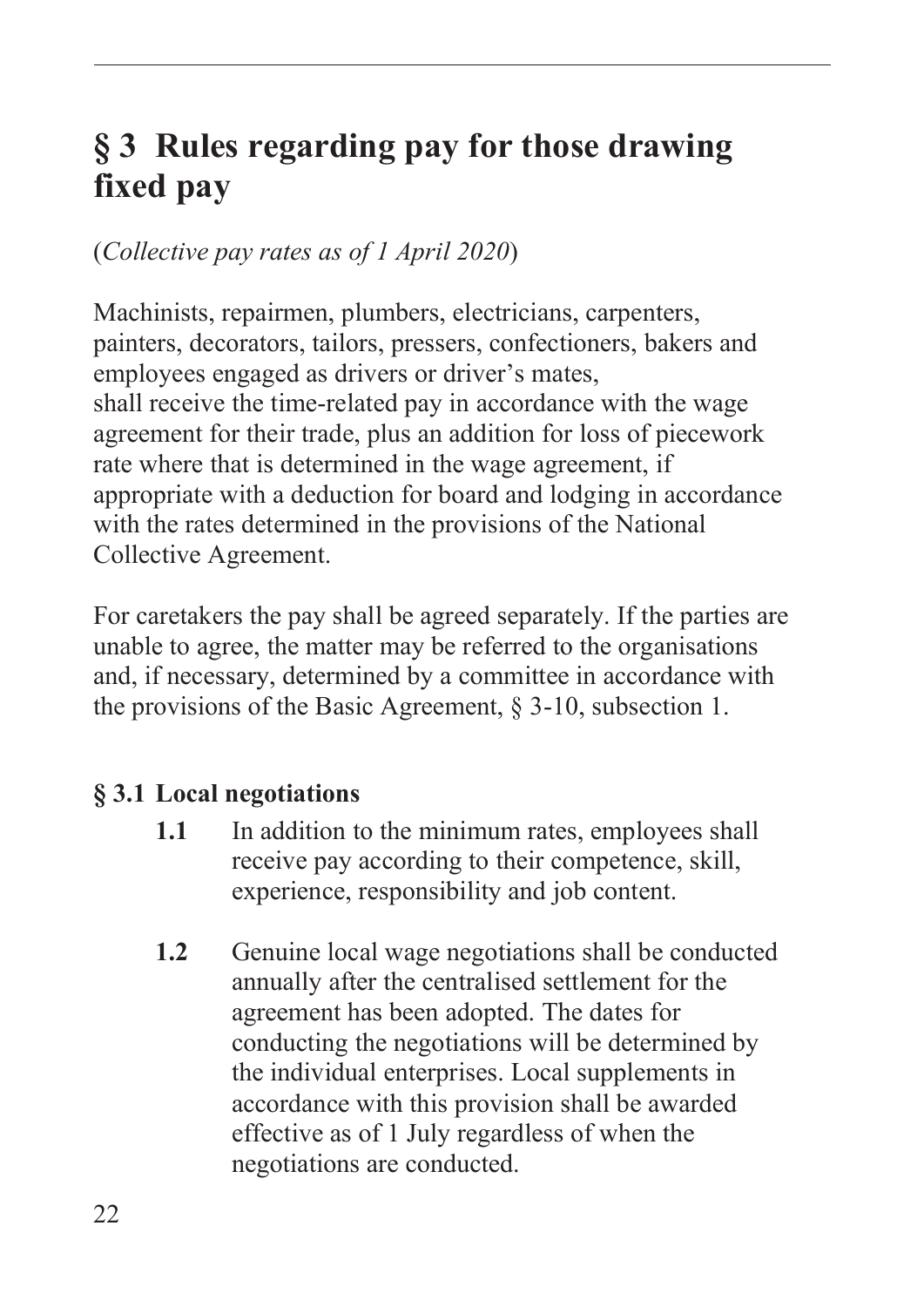# <span id="page-23-0"></span>**§ 3 Rules regarding pay for those drawing fixed pay**

#### (*Collective pay rates as of 1 April 2020*)

Machinists, repairmen, plumbers, electricians, carpenters, painters, decorators, tailors, pressers, confectioners, bakers and employees engaged as drivers or driver's mates, shall receive the time-related pay in accordance with the wage agreement for their trade, plus an addition for loss of piecework rate where that is determined in the wage agreement, if appropriate with a deduction for board and lodging in accordance with the rates determined in the provisions of the National Collective Agreement.

For caretakers the pay shall be agreed separately. If the parties are unable to agree, the matter may be referred to the organisations and, if necessary, determined by a committee in accordance with the provisions of the Basic Agreement, § 3-10, subsection 1.

#### **§ 3.1 Local negotiations**

- **1.1** In addition to the minimum rates, employees shall receive pay according to their competence, skill, experience, responsibility and job content.
- **1.2** Genuine local wage negotiations shall be conducted annually after the centralised settlement for the agreement has been adopted. The dates for conducting the negotiations will be determined by the individual enterprises. Local supplements in accordance with this provision shall be awarded effective as of 1 July regardless of when the negotiations are conducted.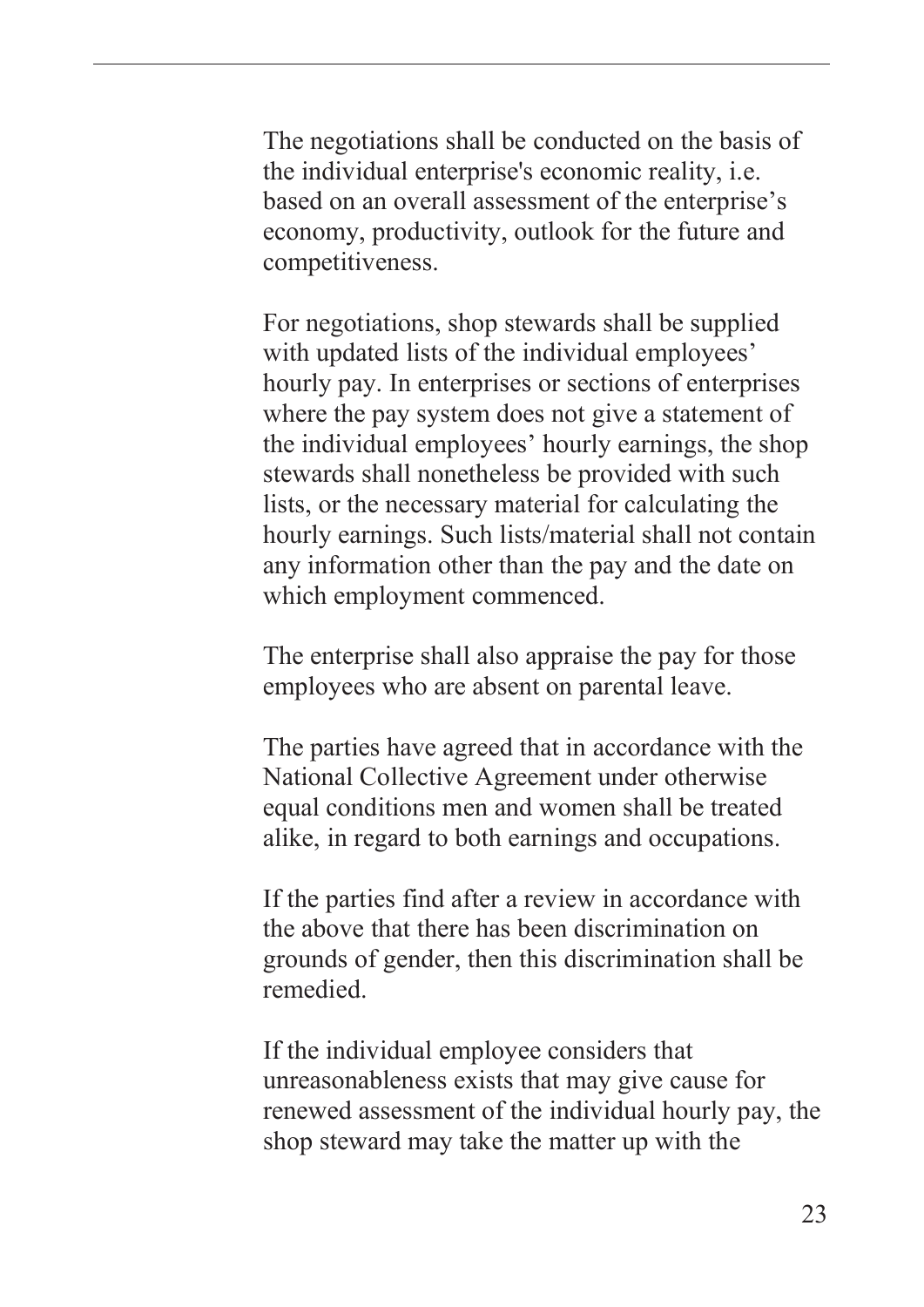The negotiations shall be conducted on the basis of the individual enterprise's economic reality, i.e. based on an overall assessment of the enterprise's economy, productivity, outlook for the future and competitiveness.

For negotiations, shop stewards shall be supplied with updated lists of the individual employees' hourly pay. In enterprises or sections of enterprises where the pay system does not give a statement of the individual employees' hourly earnings, the shop stewards shall nonetheless be provided with such lists, or the necessary material for calculating the hourly earnings. Such lists/material shall not contain any information other than the pay and the date on which employment commenced.

The enterprise shall also appraise the pay for those employees who are absent on parental leave.

The parties have agreed that in accordance with the National Collective Agreement under otherwise equal conditions men and women shall be treated alike, in regard to both earnings and occupations.

If the parties find after a review in accordance with the above that there has been discrimination on grounds of gender, then this discrimination shall be remedied.

If the individual employee considers that unreasonableness exists that may give cause for renewed assessment of the individual hourly pay, the shop steward may take the matter up with the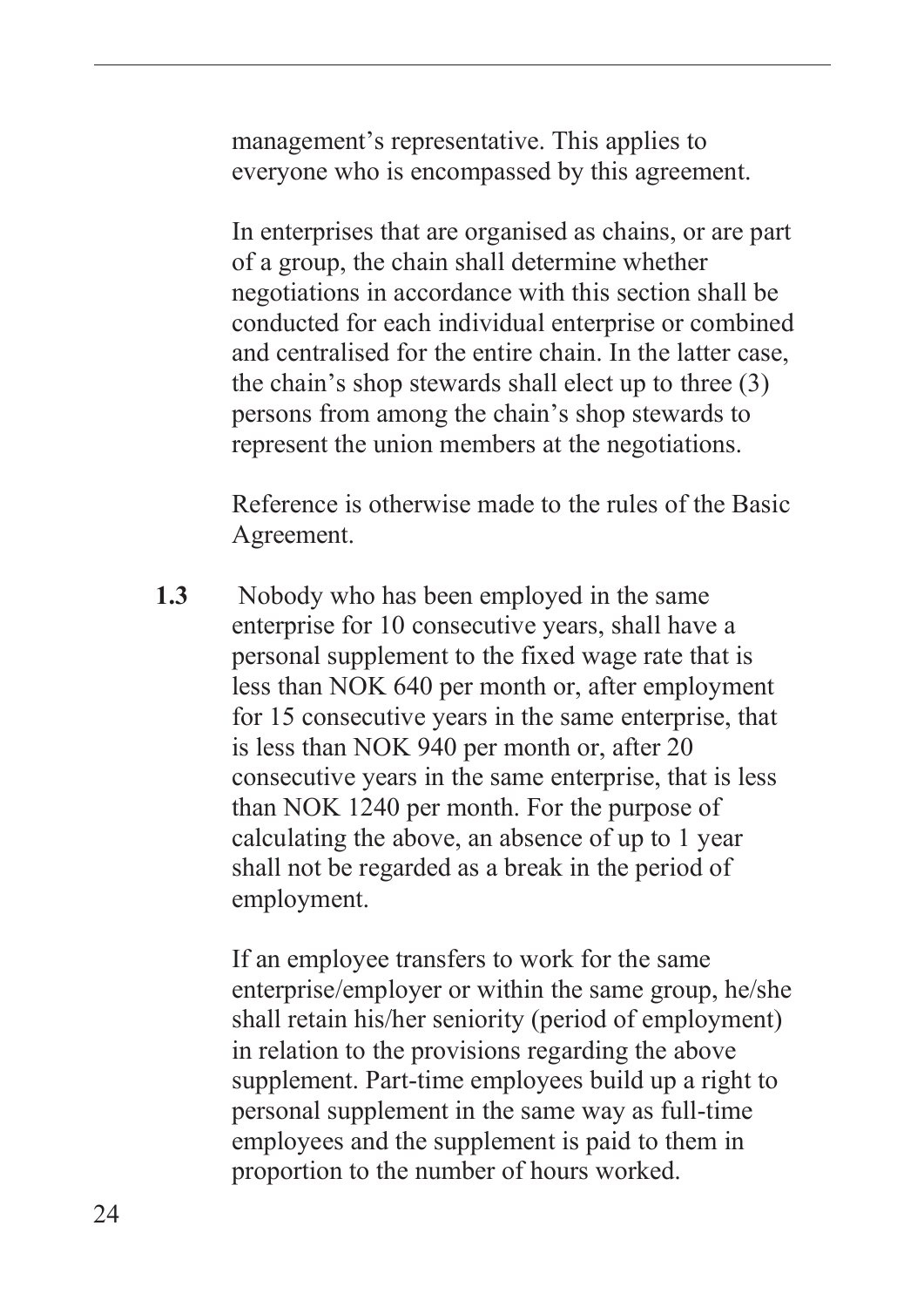management's representative. This applies to everyone who is encompassed by this agreement.

 In enterprises that are organised as chains, or are part of a group, the chain shall determine whether negotiations in accordance with this section shall be conducted for each individual enterprise or combined and centralised for the entire chain. In the latter case, the chain's shop stewards shall elect up to three (3) persons from among the chain's shop stewards to represent the union members at the negotiations.

Reference is otherwise made to the rules of the Basic Agreement.

**1.3** Nobody who has been employed in the same enterprise for 10 consecutive years, shall have a personal supplement to the fixed wage rate that is less than NOK 640 per month or, after employment for 15 consecutive years in the same enterprise, that is less than NOK 940 per month or, after 20 consecutive years in the same enterprise, that is less than NOK 1240 per month. For the purpose of calculating the above, an absence of up to 1 year shall not be regarded as a break in the period of employment.

> If an employee transfers to work for the same enterprise/employer or within the same group, he/she shall retain his/her seniority (period of employment) in relation to the provisions regarding the above supplement. Part-time employees build up a right to personal supplement in the same way as full-time employees and the supplement is paid to them in proportion to the number of hours worked.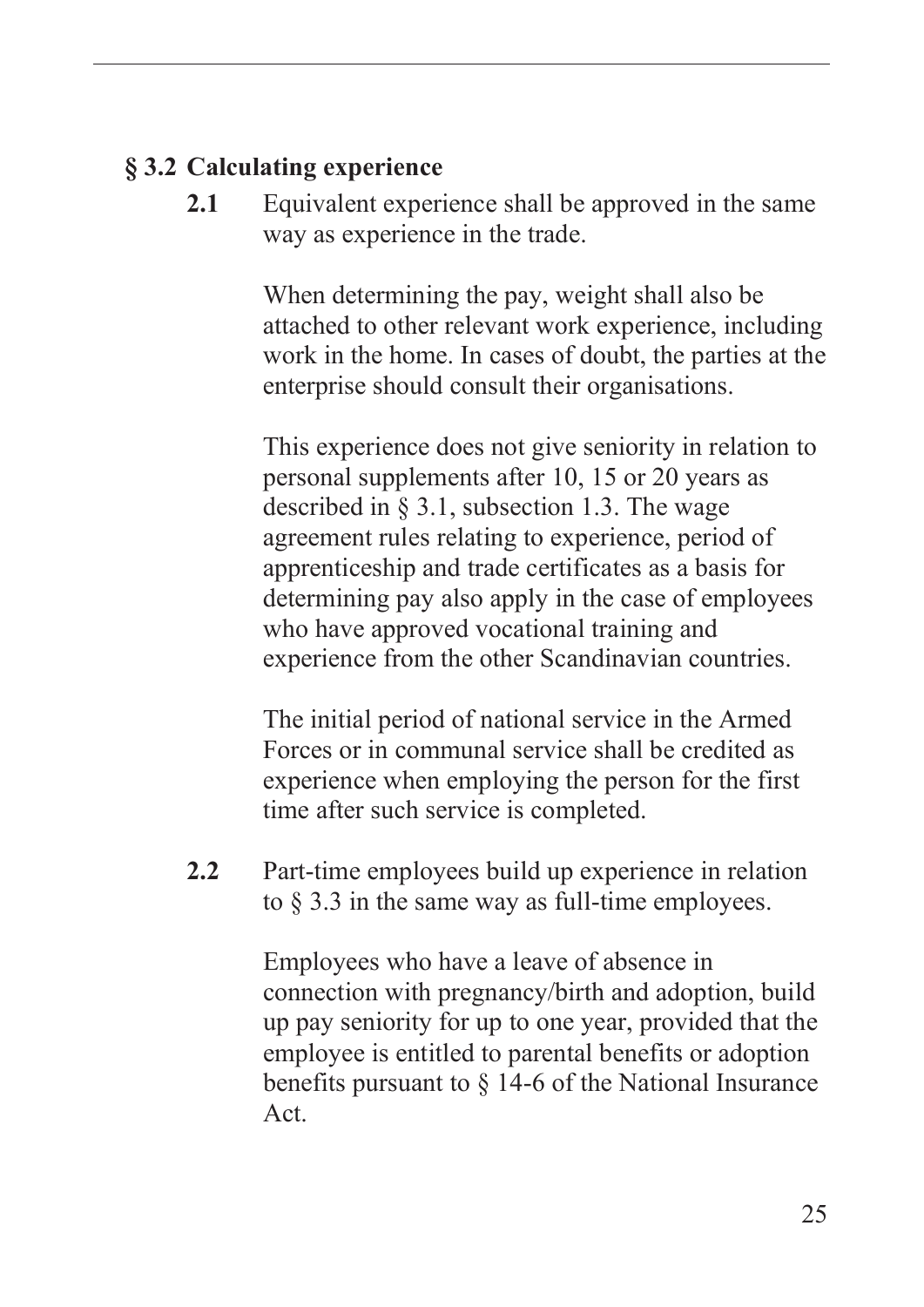#### <span id="page-26-0"></span>**§ 3.2 Calculating experience**

**2.1** Equivalent experience shall be approved in the same way as experience in the trade.

> When determining the pay, weight shall also be attached to other relevant work experience, including work in the home. In cases of doubt, the parties at the enterprise should consult their organisations.

This experience does not give seniority in relation to personal supplements after 10, 15 or 20 years as described in § 3.1, subsection 1.3. The wage agreement rules relating to experience, period of apprenticeship and trade certificates as a basis for determining pay also apply in the case of employees who have approved vocational training and experience from the other Scandinavian countries.

The initial period of national service in the Armed Forces or in communal service shall be credited as experience when employing the person for the first time after such service is completed.

**2.2** Part-time employees build up experience in relation to § 3.3 in the same way as full-time employees.

> Employees who have a leave of absence in connection with pregnancy/birth and adoption, build up pay seniority for up to one year, provided that the employee is entitled to parental benefits or adoption benefits pursuant to § 14-6 of the National Insurance Act.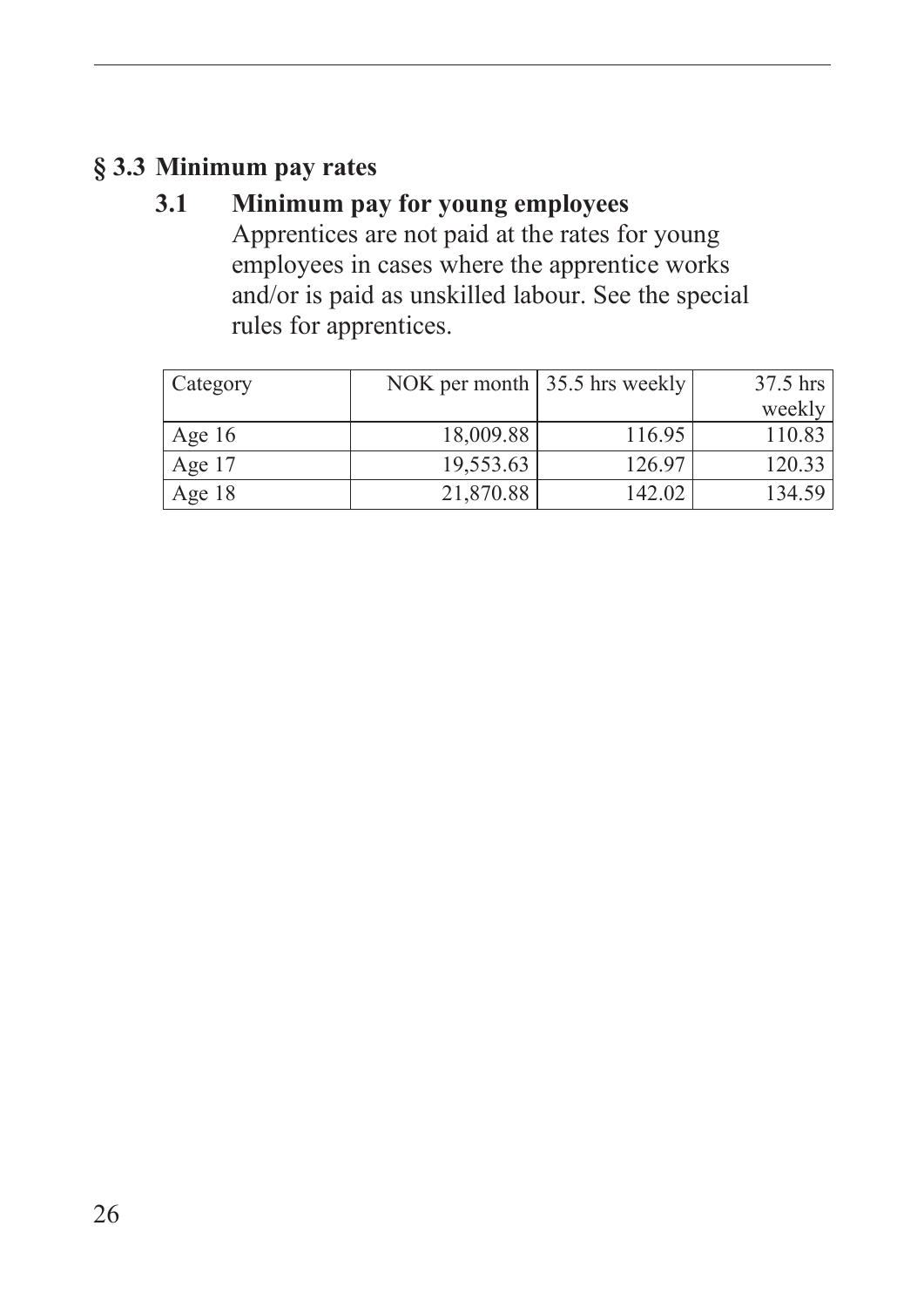# <span id="page-27-0"></span>**§ 3.3 Minimum pay rates**

#### **3.1 Minimum pay for young employees**  Apprentices are not paid at the rates for young employees in cases where the apprentice works and/or is paid as unskilled labour. See the special rules for apprentices.

| Category |           | NOK per month   35.5 hrs weekly | 37.5 hrs |
|----------|-----------|---------------------------------|----------|
|          |           |                                 | weekly   |
| Age $16$ | 18,009.88 | 116.95                          | 110.83   |
| Age 17   | 19,553.63 | 126.97                          | 120.33   |
| Age 18   | 21,870.88 | 142.02                          | 134.59   |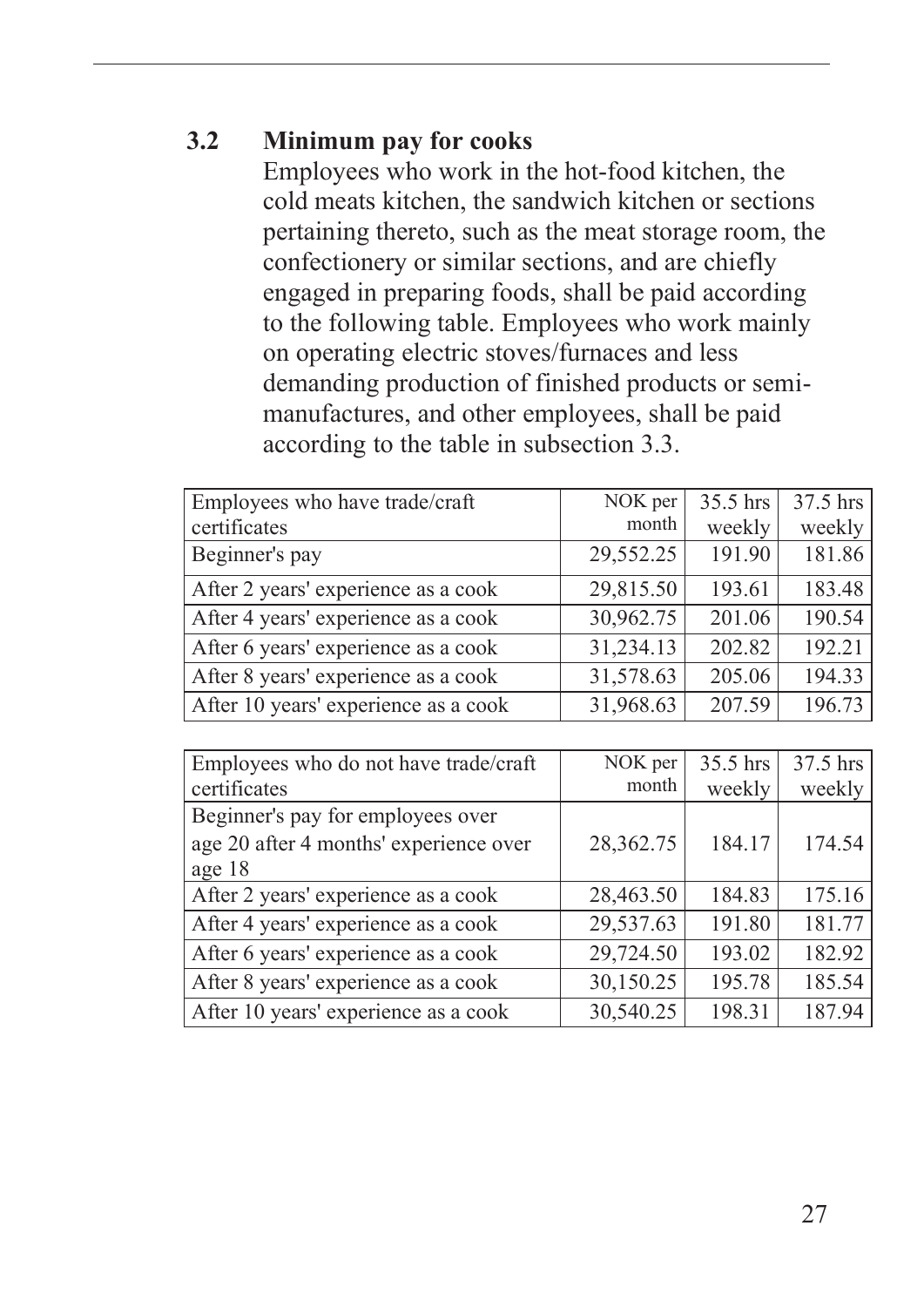#### **3.2 Minimum pay for cooks**

Employees who work in the hot-food kitchen, the cold meats kitchen, the sandwich kitchen or sections pertaining thereto, such as the meat storage room, the confectionery or similar sections, and are chiefly engaged in preparing foods, shall be paid according to the following table. Employees who work mainly on operating electric stoves/furnaces and less demanding production of finished products or semimanufactures, and other employees, shall be paid according to the table in subsection 3.3.

| Employees who have trade/craft       | NOK per   | 35.5 hrs | 37.5 hrs |
|--------------------------------------|-----------|----------|----------|
| certificates                         | month     | weekly   | weekly   |
| Beginner's pay                       | 29,552.25 | 191.90   | 181.86   |
| After 2 years' experience as a cook  | 29,815.50 | 193.61   | 183.48   |
| After 4 years' experience as a cook  | 30,962.75 | 201.06   | 190.54   |
| After 6 years' experience as a cook  | 31,234.13 | 202.82   | 192.21   |
| After 8 years' experience as a cook  | 31,578.63 | 205.06   | 194.33   |
| After 10 years' experience as a cook | 31,968.63 | 207.59   | 196.73   |

| Employees who do not have trade/craft  | NOK per   | 35.5 hrs | 37.5 hrs |
|----------------------------------------|-----------|----------|----------|
| certificates                           | month     | weekly   | weekly   |
| Beginner's pay for employees over      |           |          |          |
| age 20 after 4 months' experience over | 28,362.75 | 184.17   | 174.54   |
| age 18                                 |           |          |          |
| After 2 years' experience as a cook    | 28,463.50 | 184.83   | 175.16   |
| After 4 years' experience as a cook    | 29,537.63 | 191.80   | 181.77   |
| After 6 years' experience as a cook    | 29,724.50 | 193.02   | 182.92   |
| After 8 years' experience as a cook    | 30,150.25 | 195.78   | 185.54   |
| After 10 years' experience as a cook   | 30,540.25 | 198.31   | 187.94   |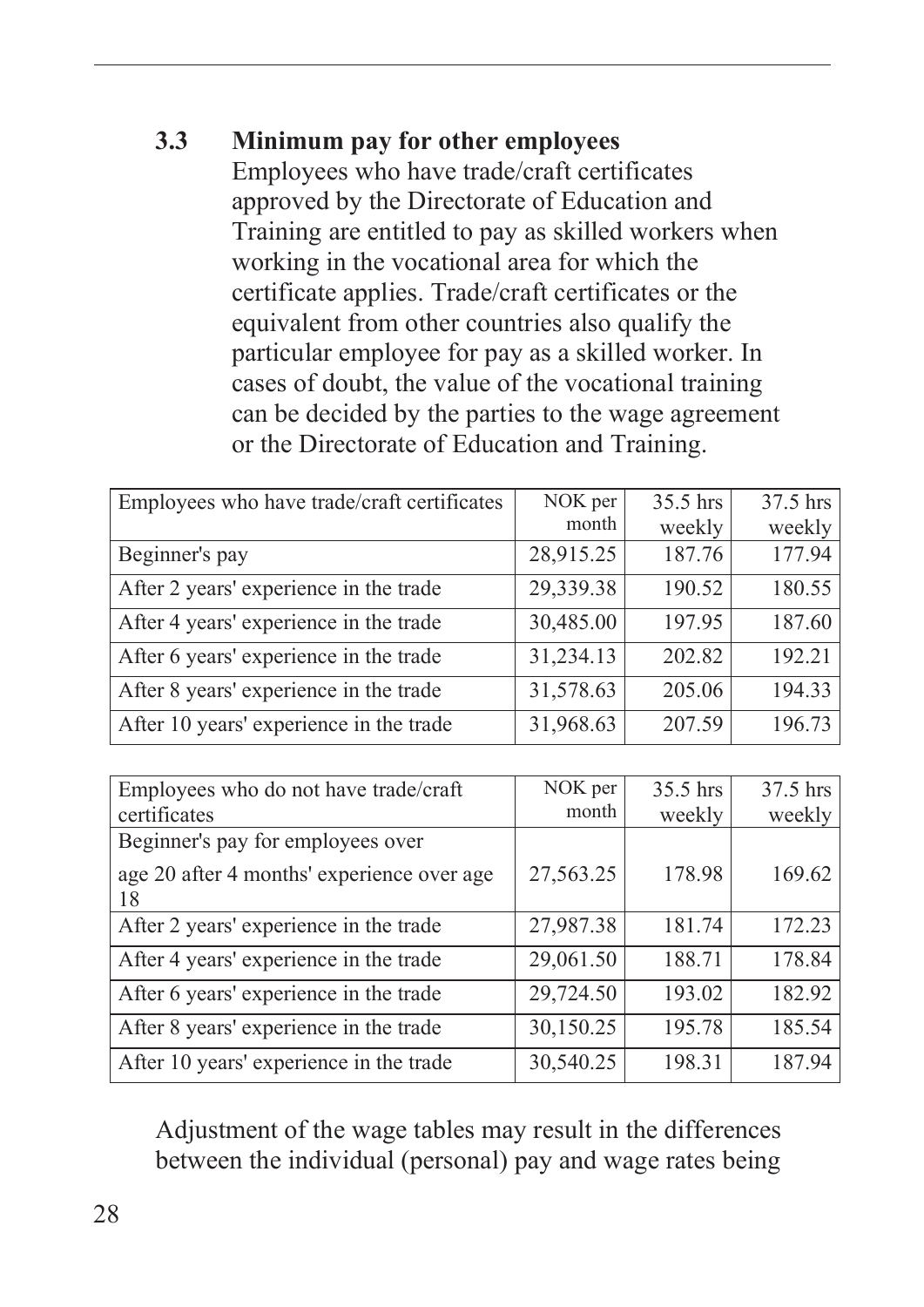#### **3.3 Minimum pay for other employees**

Employees who have trade/craft certificates approved by the Directorate of Education and Training are entitled to pay as skilled workers when working in the vocational area for which the certificate applies. Trade/craft certificates or the equivalent from other countries also qualify the particular employee for pay as a skilled worker. In cases of doubt, the value of the vocational training can be decided by the parties to the wage agreement or the Directorate of Education and Training.

| Employees who have trade/craft certificates | NOK per   | 35.5 hrs | 37.5 hrs |
|---------------------------------------------|-----------|----------|----------|
|                                             | month     | weekly   | weekly   |
| Beginner's pay                              | 28,915.25 | 187.76   | 177.94   |
| After 2 years' experience in the trade      | 29,339.38 | 190.52   | 180.55   |
| After 4 years' experience in the trade      | 30,485.00 | 197.95   | 187.60   |
| After 6 years' experience in the trade      | 31,234.13 | 202.82   | 192.21   |
| After 8 years' experience in the trade      | 31,578.63 | 205.06   | 194.33   |
| After 10 years' experience in the trade     | 31,968.63 | 207.59   | 196.73   |

| Employees who do not have trade/craft            | NOK per   | 35.5 hrs | 37.5 hrs |
|--------------------------------------------------|-----------|----------|----------|
| certificates                                     | month     | weekly   | weekly   |
| Beginner's pay for employees over                |           |          |          |
| age 20 after 4 months' experience over age<br>18 | 27,563.25 | 178.98   | 169.62   |
| After 2 years' experience in the trade           | 27,987.38 | 181.74   | 172.23   |
| After 4 years' experience in the trade           | 29,061.50 | 188.71   | 178.84   |
| After 6 years' experience in the trade           | 29,724.50 | 193.02   | 182.92   |
| After 8 years' experience in the trade           | 30,150.25 | 195.78   | 185.54   |
| After 10 years' experience in the trade          | 30,540.25 | 198.31   | 187.94   |

Adjustment of the wage tables may result in the differences between the individual (personal) pay and wage rates being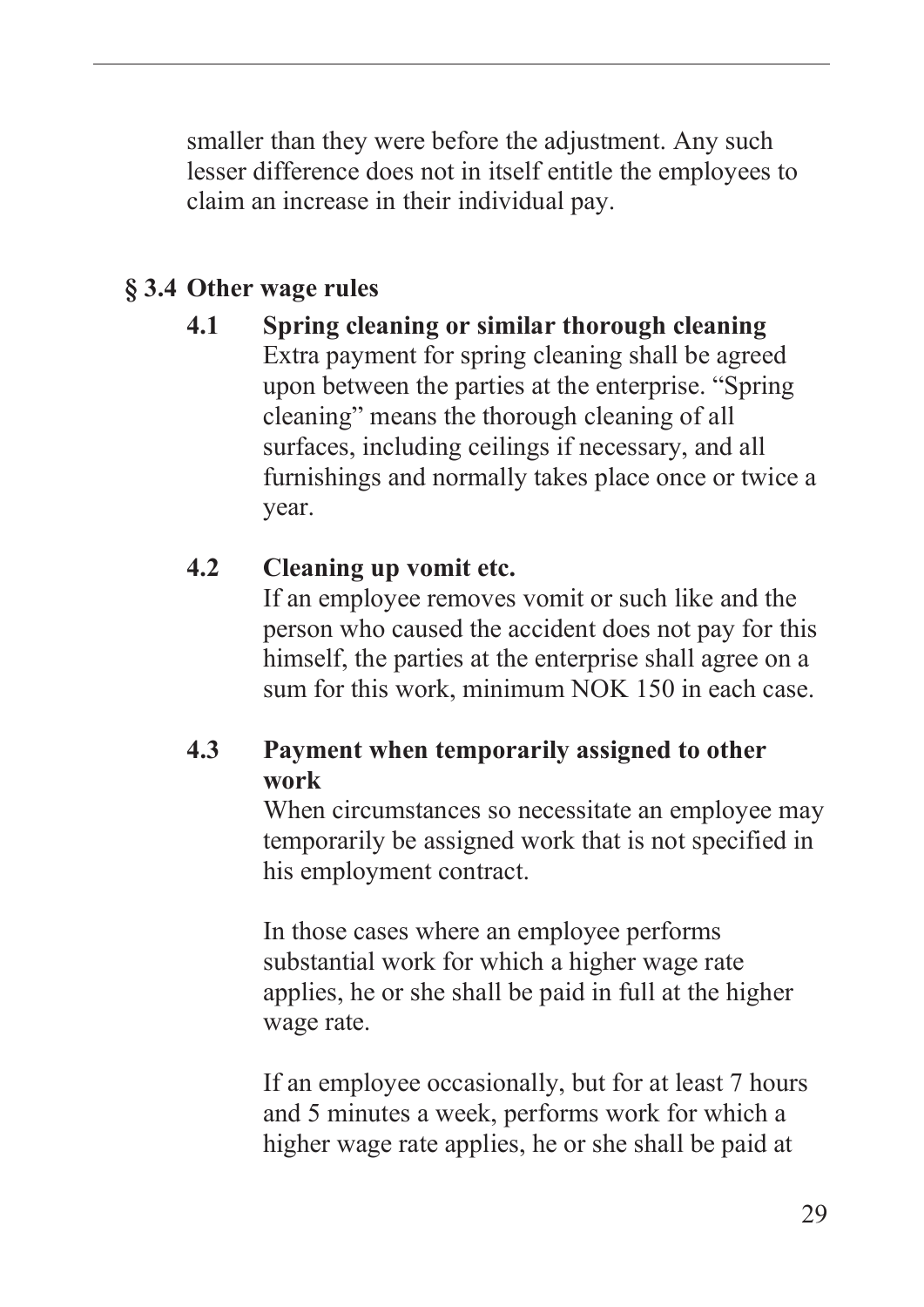<span id="page-30-0"></span>smaller than they were before the adjustment. Any such lesser difference does not in itself entitle the employees to claim an increase in their individual pay.

## **§ 3.4 Other wage rules**

**4.1 Spring cleaning or similar thorough cleaning** Extra payment for spring cleaning shall be agreed upon between the parties at the enterprise. "Spring cleaning" means the thorough cleaning of all surfaces, including ceilings if necessary, and all furnishings and normally takes place once or twice a year.

#### **4.2 Cleaning up vomit etc.**

If an employee removes vomit or such like and the person who caused the accident does not pay for this himself, the parties at the enterprise shall agree on a sum for this work, minimum NOK 150 in each case.

## **4.3 Payment when temporarily assigned to other work**

When circumstances so necessitate an employee may temporarily be assigned work that is not specified in his employment contract.

In those cases where an employee performs substantial work for which a higher wage rate applies, he or she shall be paid in full at the higher wage rate.

If an employee occasionally, but for at least 7 hours and 5 minutes a week, performs work for which a higher wage rate applies, he or she shall be paid at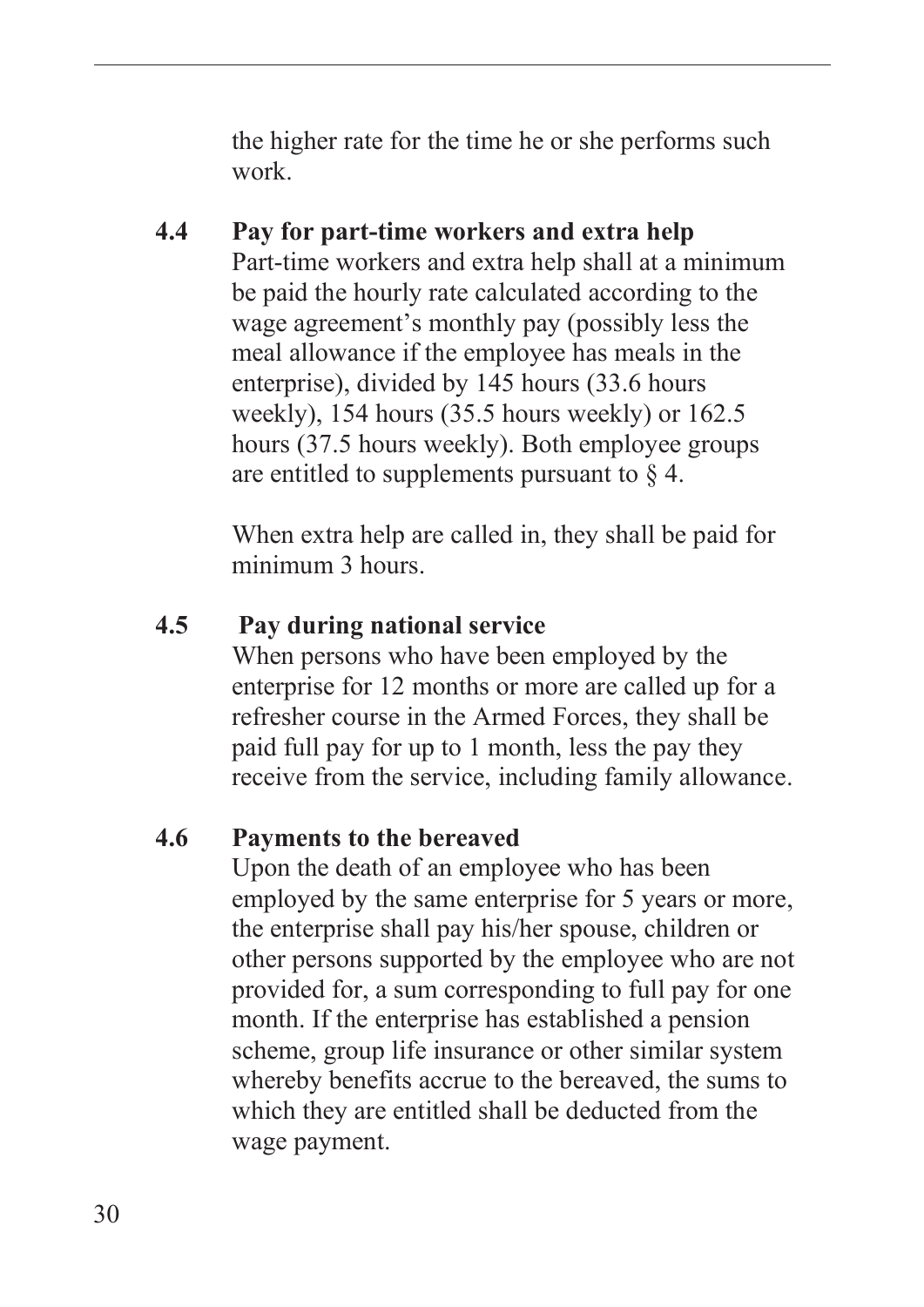the higher rate for the time he or she performs such work.

#### **4.4 Pay for part-time workers and extra help** Part-time workers and extra help shall at a minimum be paid the hourly rate calculated according to the wage agreement's monthly pay (possibly less the meal allowance if the employee has meals in the enterprise), divided by 145 hours (33.6 hours weekly), 154 hours (35.5 hours weekly) or 162.5 hours (37.5 hours weekly). Both employee groups are entitled to supplements pursuant to  $\S$  4.

When extra help are called in, they shall be paid for minimum 3 hours.

#### **4.5 Pay during national service**

When persons who have been employed by the enterprise for 12 months or more are called up for a refresher course in the Armed Forces, they shall be paid full pay for up to 1 month, less the pay they receive from the service, including family allowance.

#### **4.6 Payments to the bereaved**

Upon the death of an employee who has been employed by the same enterprise for 5 years or more, the enterprise shall pay his/her spouse, children or other persons supported by the employee who are not provided for, a sum corresponding to full pay for one month. If the enterprise has established a pension scheme, group life insurance or other similar system whereby benefits accrue to the bereaved, the sums to which they are entitled shall be deducted from the wage payment.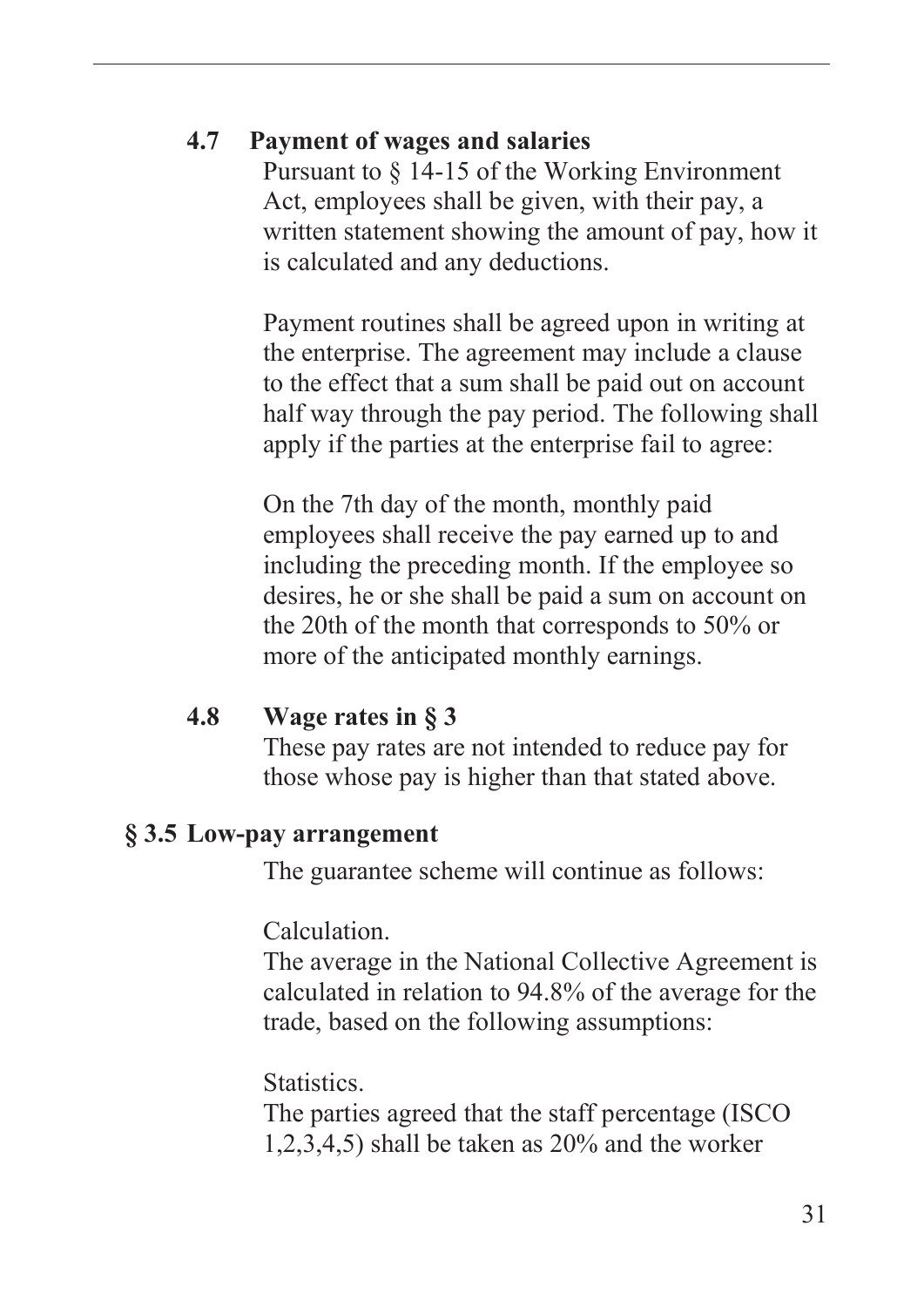#### <span id="page-32-0"></span>**4.7 Payment of wages and salaries**

Pursuant to § 14-15 of the Working Environment Act, employees shall be given, with their pay, a written statement showing the amount of pay, how it is calculated and any deductions.

Payment routines shall be agreed upon in writing at the enterprise. The agreement may include a clause to the effect that a sum shall be paid out on account half way through the pay period. The following shall apply if the parties at the enterprise fail to agree:

On the 7th day of the month, monthly paid employees shall receive the pay earned up to and including the preceding month. If the employee so desires, he or she shall be paid a sum on account on the 20th of the month that corresponds to 50% or more of the anticipated monthly earnings.

#### **4.8 Wage rates in § 3**

These pay rates are not intended to reduce pay for those whose pay is higher than that stated above.

#### **§ 3.5 Low-pay arrangement**

The guarantee scheme will continue as follows:

Calculation.

The average in the National Collective Agreement is calculated in relation to 94.8% of the average for the trade, based on the following assumptions:

**Statistics** 

The parties agreed that the staff percentage (ISCO 1,2,3,4,5) shall be taken as 20% and the worker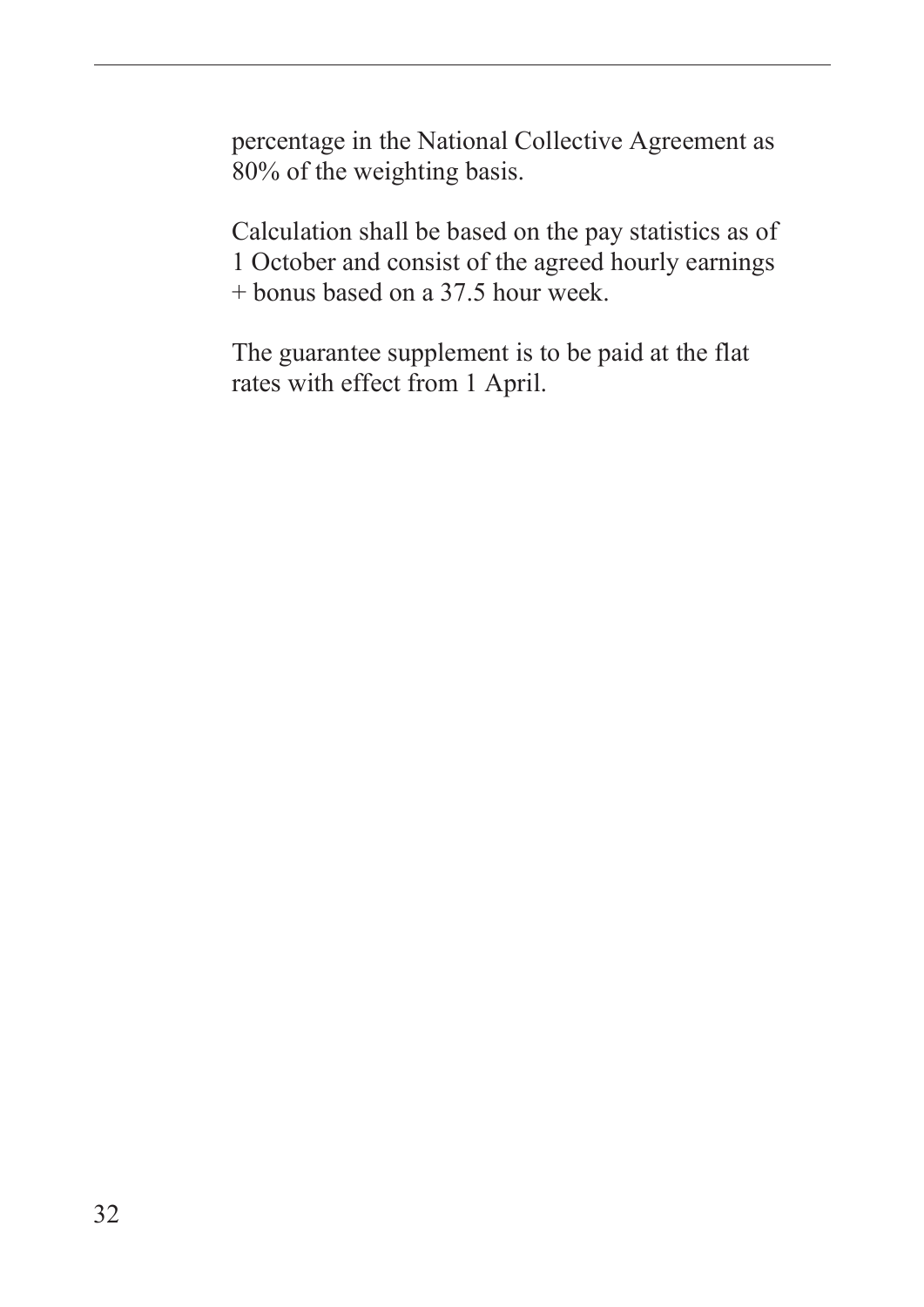percentage in the National Collective Agreement as 80% of the weighting basis.

Calculation shall be based on the pay statistics as of 1 October and consist of the agreed hourly earnings + bonus based on a 37.5 hour week.

The guarantee supplement is to be paid at the flat rates with effect from 1 April.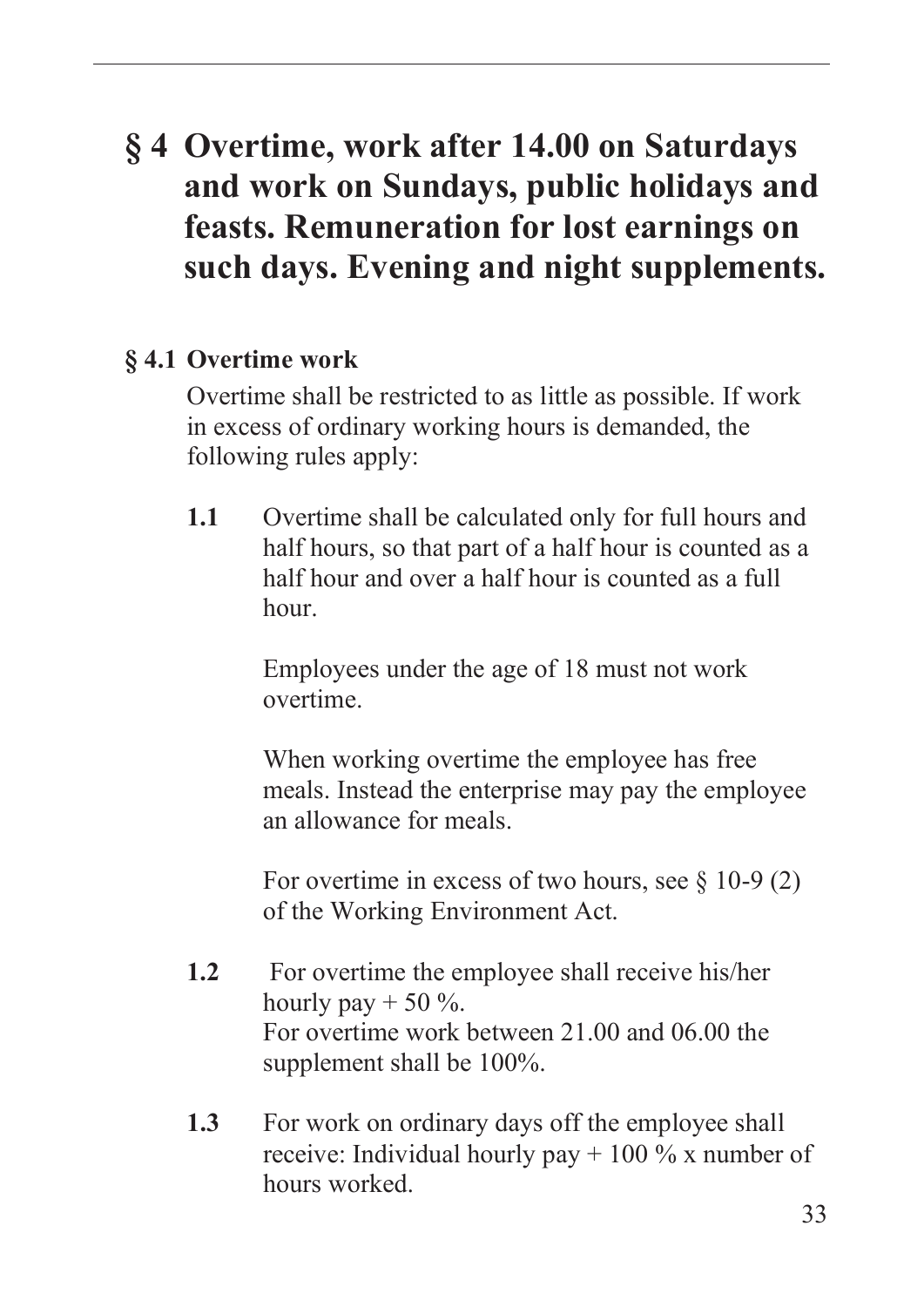# <span id="page-34-0"></span>**§ 4 Overtime, work after 14.00 on Saturdays and work on Sundays, public holidays and feasts. Remuneration for lost earnings on such days. Evening and night supplements.**

#### **§ 4.1 Overtime work**

Overtime shall be restricted to as little as possible. If work in excess of ordinary working hours is demanded, the following rules apply:

**1.1** Overtime shall be calculated only for full hours and half hours, so that part of a half hour is counted as a half hour and over a half hour is counted as a full hour.

> Employees under the age of 18 must not work overtime.

When working overtime the employee has free meals. Instead the enterprise may pay the employee an allowance for meals.

For overtime in excess of two hours, see  $\S$  10-9 (2) of the Working Environment Act.

- **1.2** For overtime the employee shall receive his/her hourly pay  $+ 50 \%$ . For overtime work between 21.00 and 06.00 the supplement shall be 100%.
- **1.3** For work on ordinary days off the employee shall receive: Individual hourly pay  $+100\%$  x number of hours worked.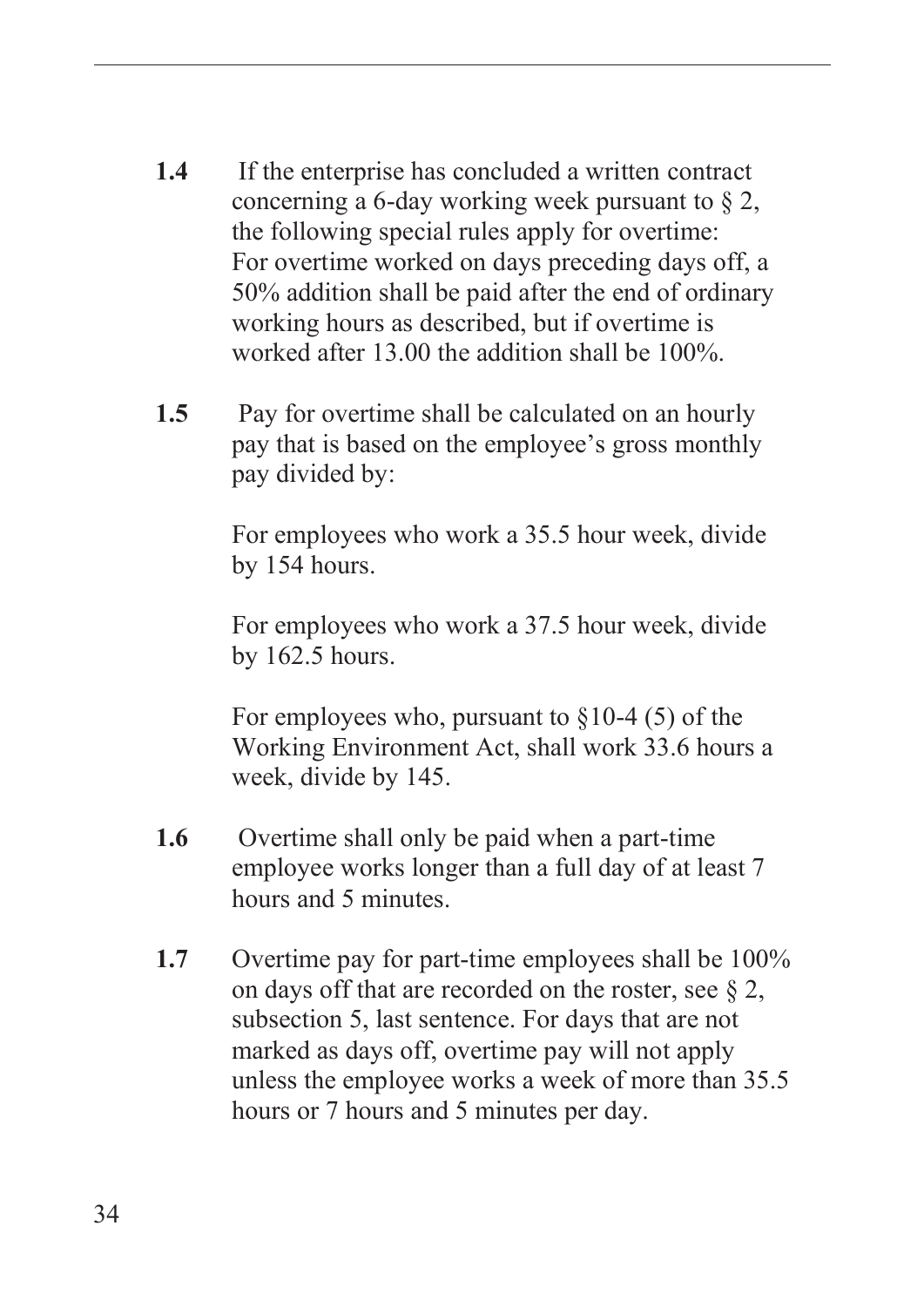- **1.4** If the enterprise has concluded a written contract concerning a 6-day working week pursuant to § 2, the following special rules apply for overtime: For overtime worked on days preceding days off, a 50% addition shall be paid after the end of ordinary working hours as described, but if overtime is worked after 13.00 the addition shall be 100%.
- **1.5** Pay for overtime shall be calculated on an hourly pay that is based on the employee's gross monthly pay divided by:

For employees who work a 35.5 hour week, divide by 154 hours.

For employees who work a 37.5 hour week, divide by 162.5 hours.

For employees who, pursuant to  $\S 10-4$  (5) of the Working Environment Act, shall work 33.6 hours a week, divide by 145.

- **1.6** Overtime shall only be paid when a part-time employee works longer than a full day of at least 7 hours and 5 minutes.
- **1.7** Overtime pay for part-time employees shall be 100% on days off that are recorded on the roster, see § 2, subsection 5, last sentence. For days that are not marked as days off, overtime pay will not apply unless the employee works a week of more than 35.5 hours or 7 hours and 5 minutes per day.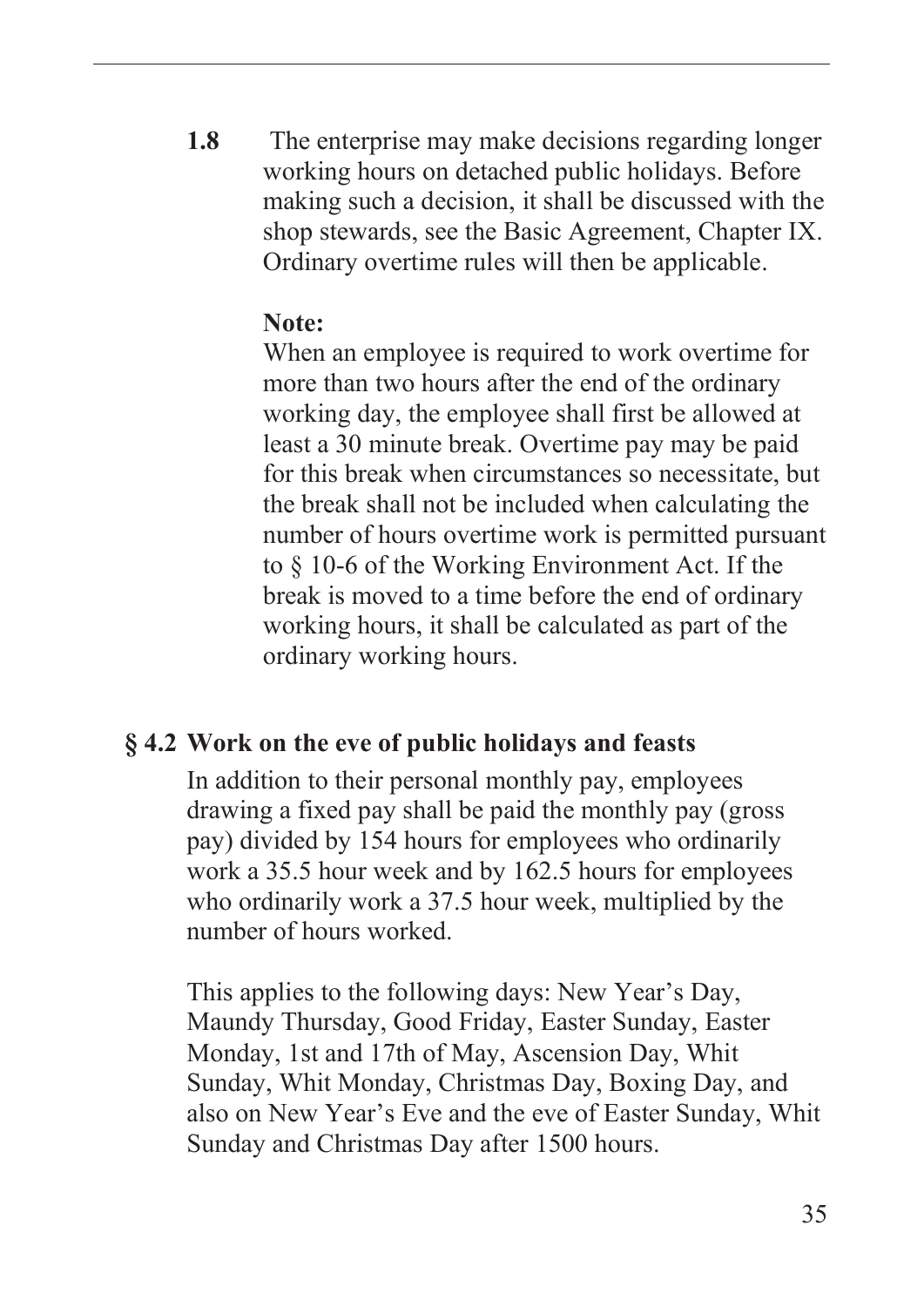**1.8** The enterprise may make decisions regarding longer working hours on detached public holidays. Before making such a decision, it shall be discussed with the shop stewards, see the Basic Agreement, Chapter IX. Ordinary overtime rules will then be applicable.

#### **Note:**

When an employee is required to work overtime for more than two hours after the end of the ordinary working day, the employee shall first be allowed at least a 30 minute break. Overtime pay may be paid for this break when circumstances so necessitate, but the break shall not be included when calculating the number of hours overtime work is permitted pursuant to § 10-6 of the Working Environment Act. If the break is moved to a time before the end of ordinary working hours, it shall be calculated as part of the ordinary working hours.

#### **§ 4.2 Work on the eve of public holidays and feasts**

In addition to their personal monthly pay, employees drawing a fixed pay shall be paid the monthly pay (gross pay) divided by 154 hours for employees who ordinarily work a 35.5 hour week and by 162.5 hours for employees who ordinarily work a 37.5 hour week, multiplied by the number of hours worked.

This applies to the following days: New Year's Day, Maundy Thursday, Good Friday, Easter Sunday, Easter Monday, 1st and 17th of May, Ascension Day, Whit Sunday, Whit Monday, Christmas Day, Boxing Day, and also on New Year's Eve and the eve of Easter Sunday, Whit Sunday and Christmas Day after 1500 hours.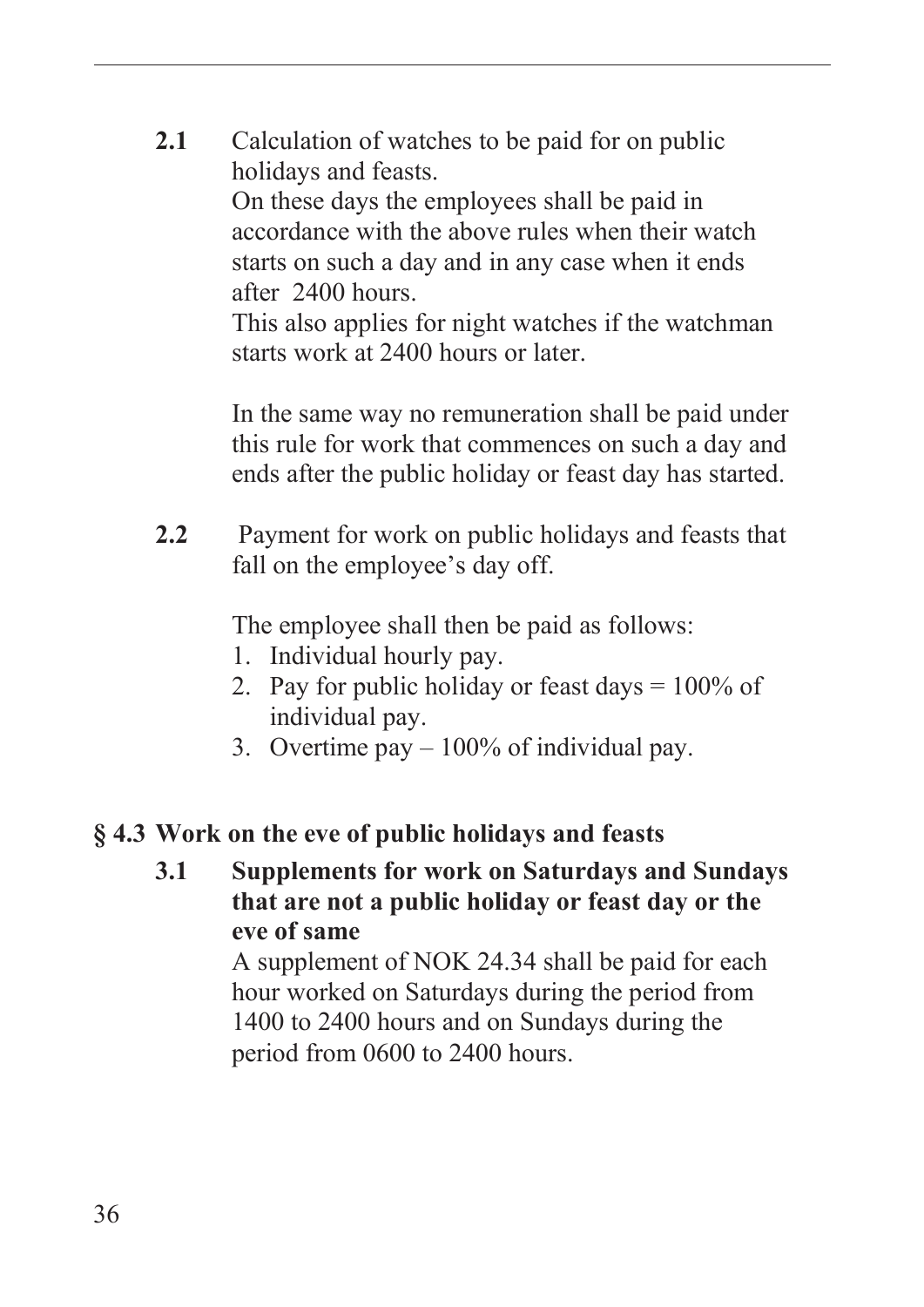**2.1** Calculation of watches to be paid for on public holidays and feasts.

> On these days the employees shall be paid in accordance with the above rules when their watch starts on such a day and in any case when it ends after 2400 hours.

This also applies for night watches if the watchman starts work at 2400 hours or later.

In the same way no remuneration shall be paid under this rule for work that commences on such a day and ends after the public holiday or feast day has started.

**2.2** Payment for work on public holidays and feasts that fall on the employee's day off.

The employee shall then be paid as follows:

- 1. Individual hourly pay.
- 2. Pay for public holiday or feast days  $= 100\%$  of individual pay.
- 3. Overtime pay 100% of individual pay.

#### **§ 4.3 Work on the eve of public holidays and feasts**

**3.1 Supplements for work on Saturdays and Sundays that are not a public holiday or feast day or the eve of same** 

> A supplement of NOK 24.34 shall be paid for each hour worked on Saturdays during the period from 1400 to 2400 hours and on Sundays during the period from 0600 to 2400 hours.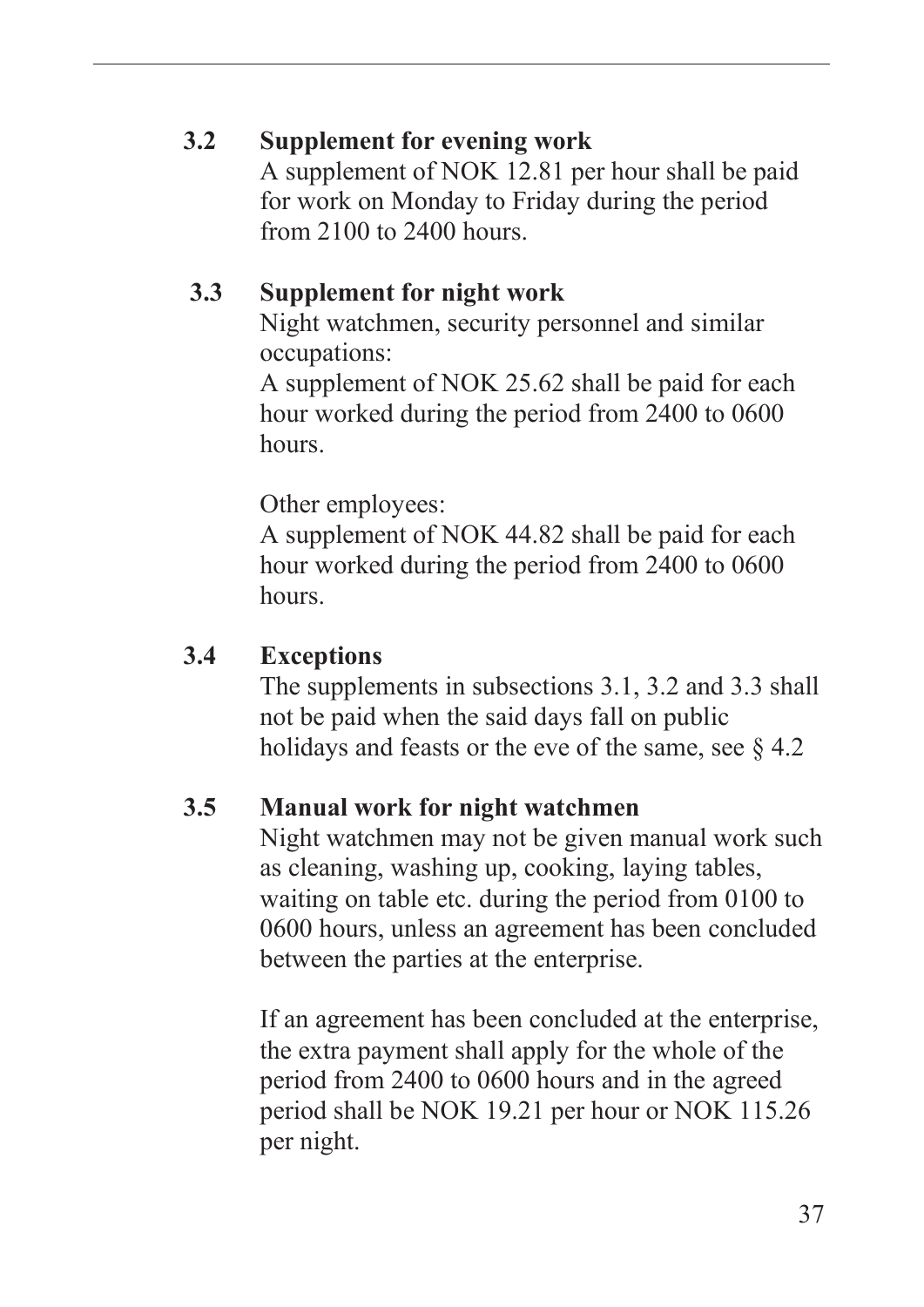#### **3.2 Supplement for evening work**

A supplement of NOK 12.81 per hour shall be paid for work on Monday to Friday during the period from 2100 to 2400 hours.

#### **3.3 Supplement for night work**

Night watchmen, security personnel and similar occupations:

A supplement of NOK 25.62 shall be paid for each hour worked during the period from 2400 to 0600 hours.

Other employees:

A supplement of NOK 44.82 shall be paid for each hour worked during the period from 2400 to 0600 hours.

#### **3.4 Exceptions**

The supplements in subsections 3.1, 3.2 and 3.3 shall not be paid when the said days fall on public holidays and feasts or the eve of the same, see  $\S 4.2$ 

#### **3.5 Manual work for night watchmen**

Night watchmen may not be given manual work such as cleaning, washing up, cooking, laying tables, waiting on table etc. during the period from 0100 to 0600 hours, unless an agreement has been concluded between the parties at the enterprise.

If an agreement has been concluded at the enterprise, the extra payment shall apply for the whole of the period from 2400 to 0600 hours and in the agreed period shall be NOK 19.21 per hour or NOK 115.26 per night.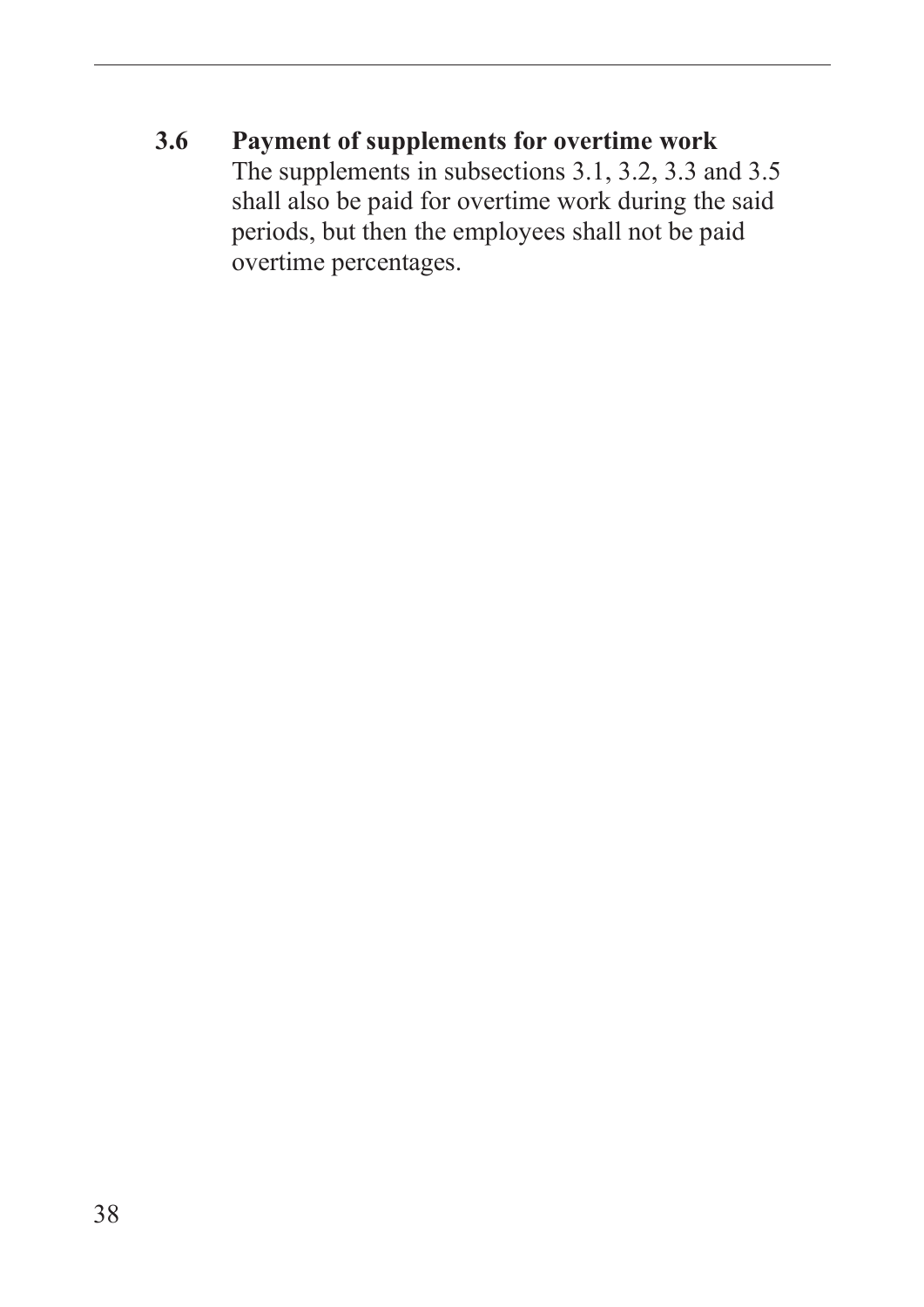**3.6 Payment of supplements for overtime work**  The supplements in subsections 3.1, 3.2, 3.3 and 3.5 shall also be paid for overtime work during the said periods, but then the employees shall not be paid overtime percentages.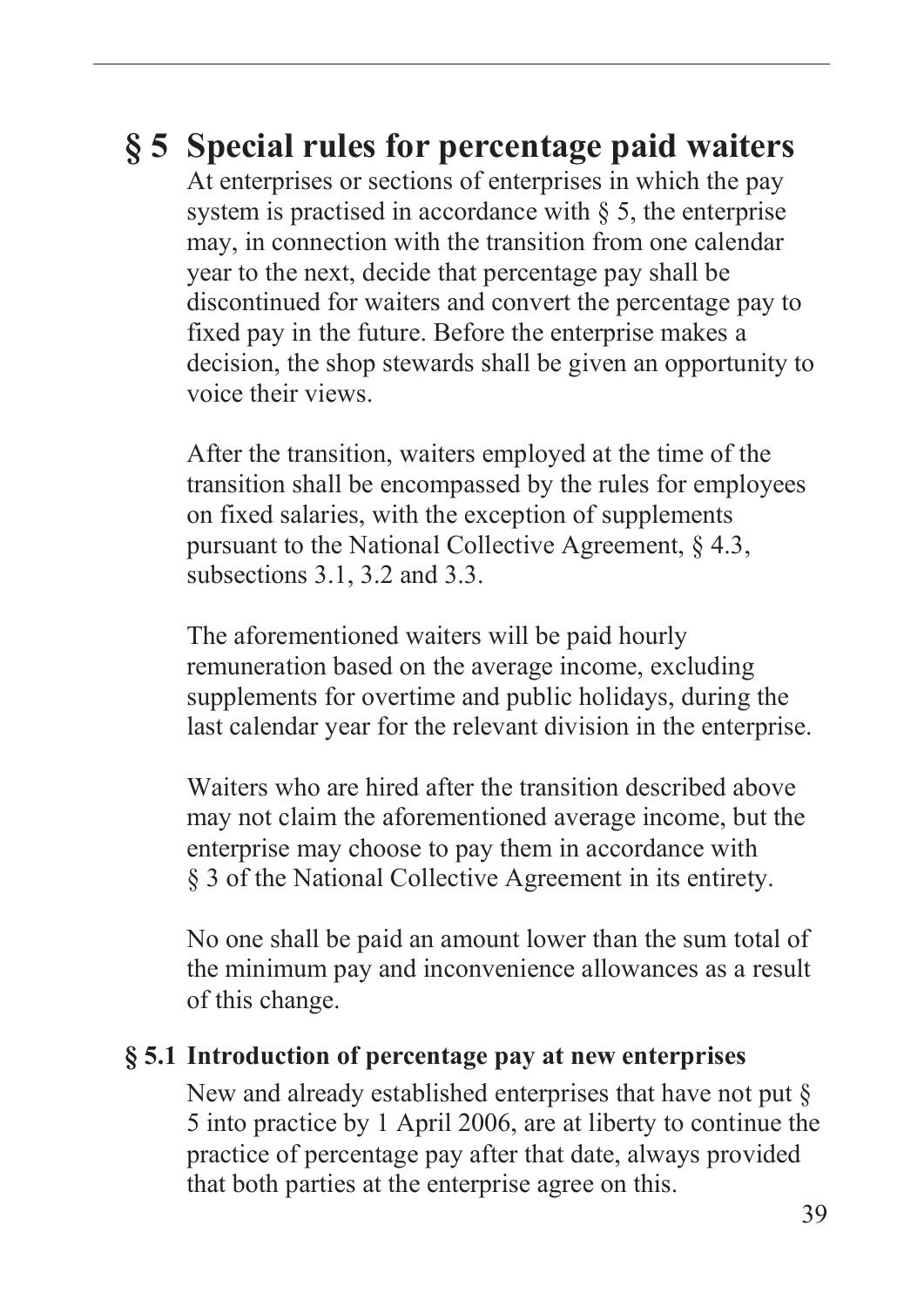## **§ 5 Special rules for percentage paid waiters**

At enterprises or sections of enterprises in which the pay system is practised in accordance with  $\S$  5, the enterprise may, in connection with the transition from one calendar year to the next, decide that percentage pay shall be discontinued for waiters and convert the percentage pay to fixed pay in the future. Before the enterprise makes a decision, the shop stewards shall be given an opportunity to voice their views.

After the transition, waiters employed at the time of the transition shall be encompassed by the rules for employees on fixed salaries, with the exception of supplements pursuant to the National Collective Agreement, § 4.3, subsections 3.1, 3.2 and 3.3.

The aforementioned waiters will be paid hourly remuneration based on the average income, excluding supplements for overtime and public holidays, during the last calendar year for the relevant division in the enterprise.

Waiters who are hired after the transition described above may not claim the aforementioned average income, but the enterprise may choose to pay them in accordance with § 3 of the National Collective Agreement in its entirety.

No one shall be paid an amount lower than the sum total of the minimum pay and inconvenience allowances as a result of this change.

#### **§ 5.1 Introduction of percentage pay at new enterprises**

New and already established enterprises that have not put § 5 into practice by 1 April 2006, are at liberty to continue the practice of percentage pay after that date, always provided that both parties at the enterprise agree on this.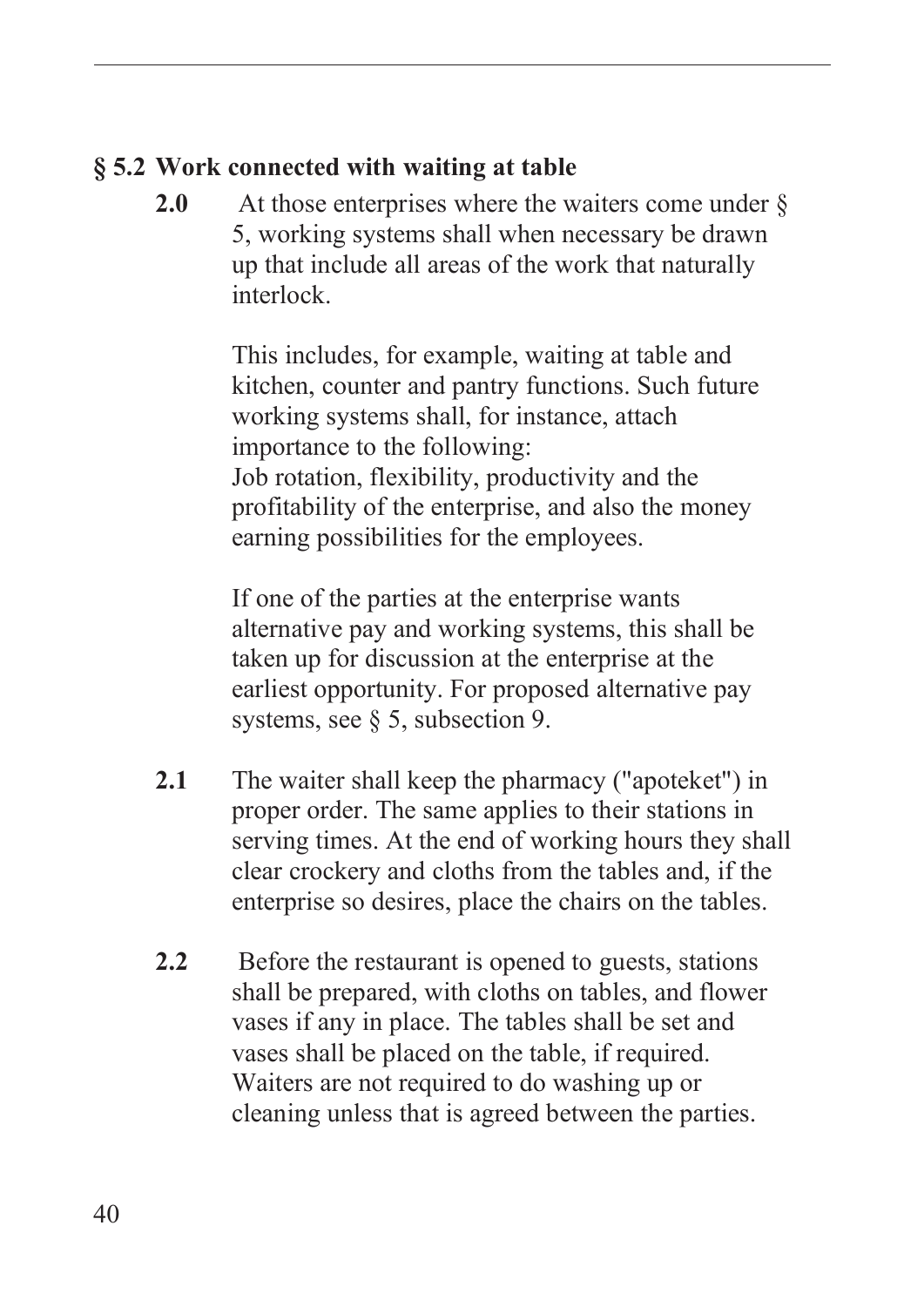## **§ 5.2 Work connected with waiting at table**

2.0 At those enterprises where the waiters come under  $\delta$ 5, working systems shall when necessary be drawn up that include all areas of the work that naturally interlock.

> This includes, for example, waiting at table and kitchen, counter and pantry functions. Such future working systems shall, for instance, attach importance to the following: Job rotation, flexibility, productivity and the profitability of the enterprise, and also the money earning possibilities for the employees.

If one of the parties at the enterprise wants alternative pay and working systems, this shall be taken up for discussion at the enterprise at the earliest opportunity. For proposed alternative pay systems, see § 5, subsection 9.

- **2.1** The waiter shall keep the pharmacy ("apoteket") in proper order. The same applies to their stations in serving times. At the end of working hours they shall clear crockery and cloths from the tables and, if the enterprise so desires, place the chairs on the tables.
- 2.2 Before the restaurant is opened to guests, stations shall be prepared, with cloths on tables, and flower vases if any in place. The tables shall be set and vases shall be placed on the table, if required. Waiters are not required to do washing up or cleaning unless that is agreed between the parties.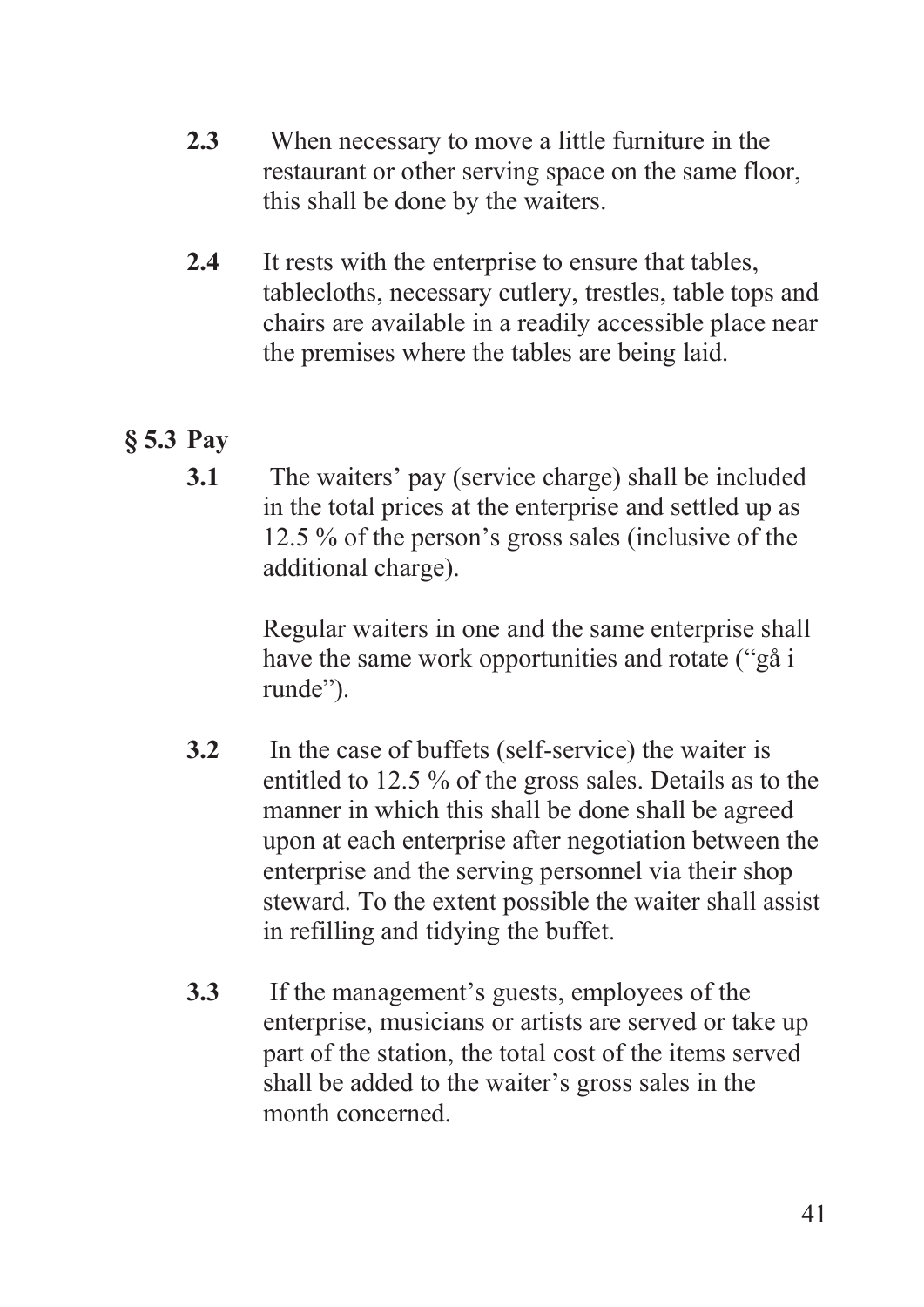- **2.3** When necessary to move a little furniture in the restaurant or other serving space on the same floor, this shall be done by the waiters.
- **2.4** It rests with the enterprise to ensure that tables, tablecloths, necessary cutlery, trestles, table tops and chairs are available in a readily accessible place near the premises where the tables are being laid.

## **§ 5.3 Pay**

**3.1** The waiters' pay (service charge) shall be included in the total prices at the enterprise and settled up as 12.5 % of the person's gross sales (inclusive of the additional charge).

> Regular waiters in one and the same enterprise shall have the same work opportunities and rotate ("gå i runde").

- **3.2** In the case of buffets (self-service) the waiter is entitled to 12.5 % of the gross sales. Details as to the manner in which this shall be done shall be agreed upon at each enterprise after negotiation between the enterprise and the serving personnel via their shop steward. To the extent possible the waiter shall assist in refilling and tidying the buffet.
- **3.3** If the management's guests, employees of the enterprise, musicians or artists are served or take up part of the station, the total cost of the items served shall be added to the waiter's gross sales in the month concerned.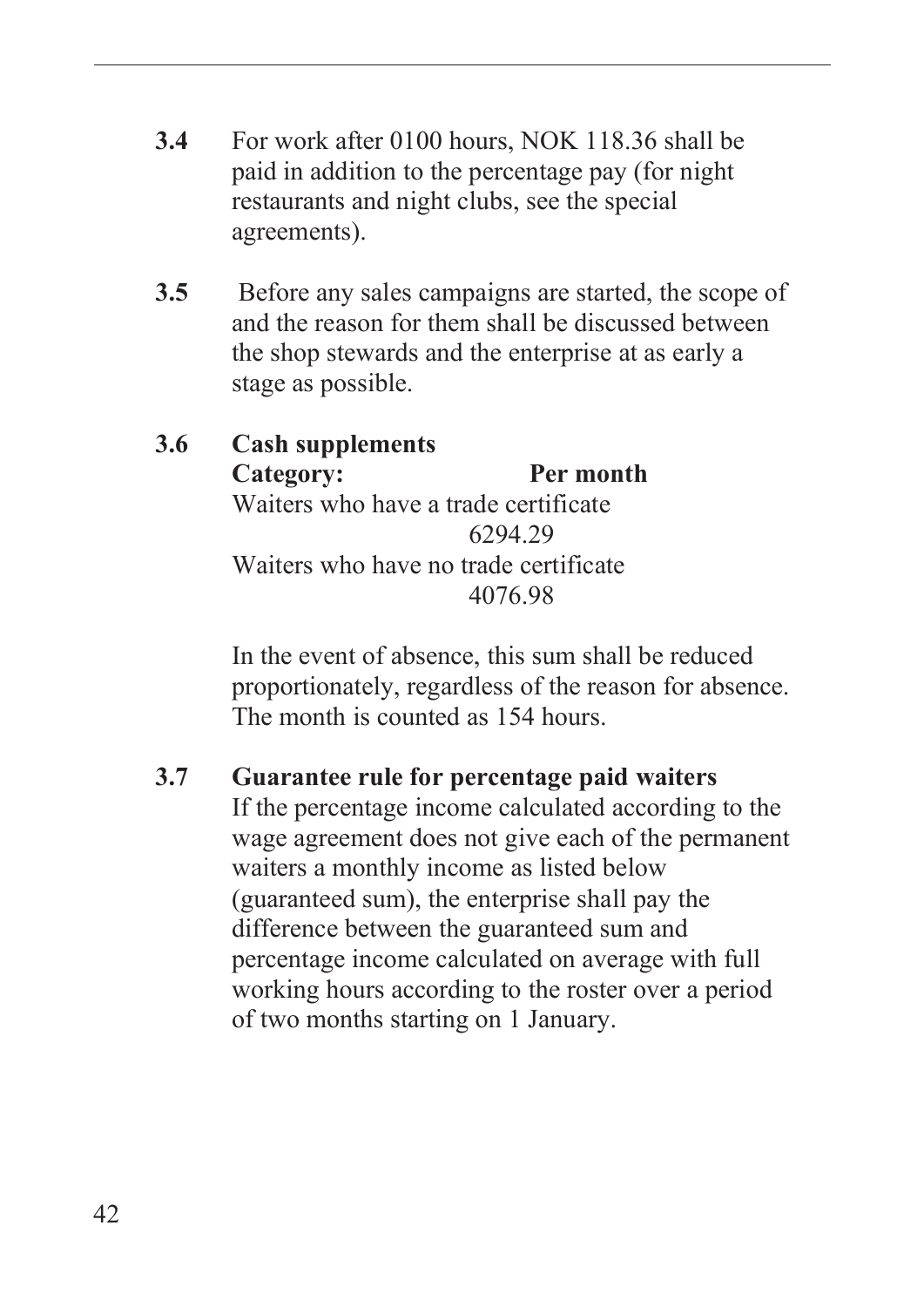- **3.4** For work after 0100 hours, NOK 118.36 shall be paid in addition to the percentage pay (for night restaurants and night clubs, see the special agreements).
- **3.5** Before any sales campaigns are started, the scope of and the reason for them shall be discussed between the shop stewards and the enterprise at as early a stage as possible.

#### **3.6 Cash supplements Category: Per month** Waiters who have a trade certificate 6294.29 Waiters who have no trade certificate 4076.98

In the event of absence, this sum shall be reduced proportionately, regardless of the reason for absence. The month is counted as 154 hours.

## **3.7 Guarantee rule for percentage paid waiters**

If the percentage income calculated according to the wage agreement does not give each of the permanent waiters a monthly income as listed below (guaranteed sum), the enterprise shall pay the difference between the guaranteed sum and percentage income calculated on average with full working hours according to the roster over a period of two months starting on 1 January.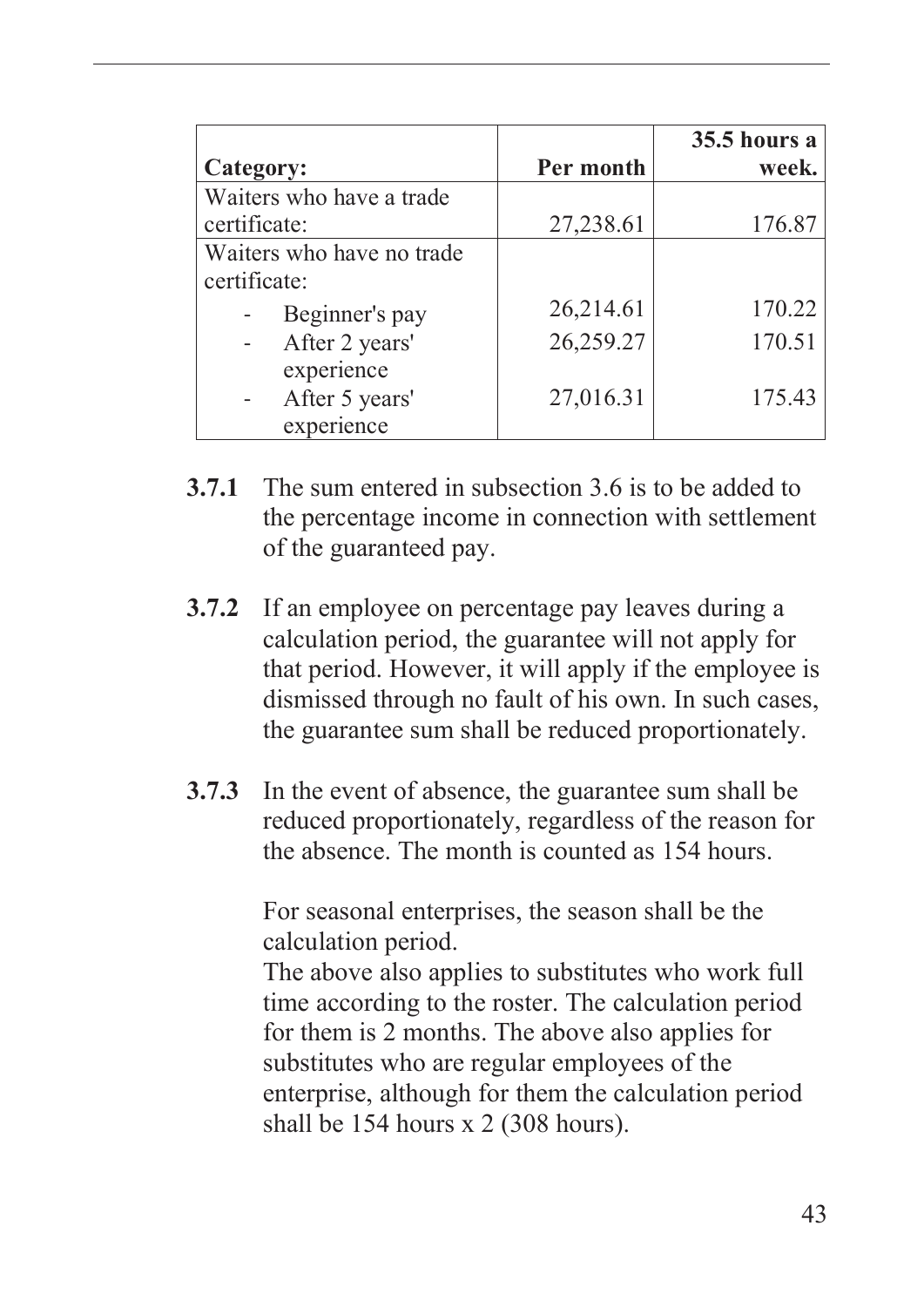|                           |           | <b>35.5 hours a</b> |
|---------------------------|-----------|---------------------|
| Category:                 | Per month | week.               |
| Waiters who have a trade  |           |                     |
| certificate:              | 27,238.61 | 176.87              |
| Waiters who have no trade |           |                     |
| certificate:              |           |                     |
| Beginner's pay            | 26,214.61 | 170.22              |
| After 2 years'            | 26,259.27 | 170.51              |
| experience                |           |                     |
| After 5 years'            | 27,016.31 | 175.43              |
| experience                |           |                     |

- **3.7.1** The sum entered in subsection 3.6 is to be added to the percentage income in connection with settlement of the guaranteed pay.
- **3.7.2** If an employee on percentage pay leaves during a calculation period, the guarantee will not apply for that period. However, it will apply if the employee is dismissed through no fault of his own. In such cases, the guarantee sum shall be reduced proportionately.
- **3.7.3** In the event of absence, the guarantee sum shall be reduced proportionately, regardless of the reason for the absence. The month is counted as 154 hours.

For seasonal enterprises, the season shall be the calculation period.

The above also applies to substitutes who work full time according to the roster. The calculation period for them is 2 months. The above also applies for substitutes who are regular employees of the enterprise, although for them the calculation period shall be 154 hours x 2 (308 hours).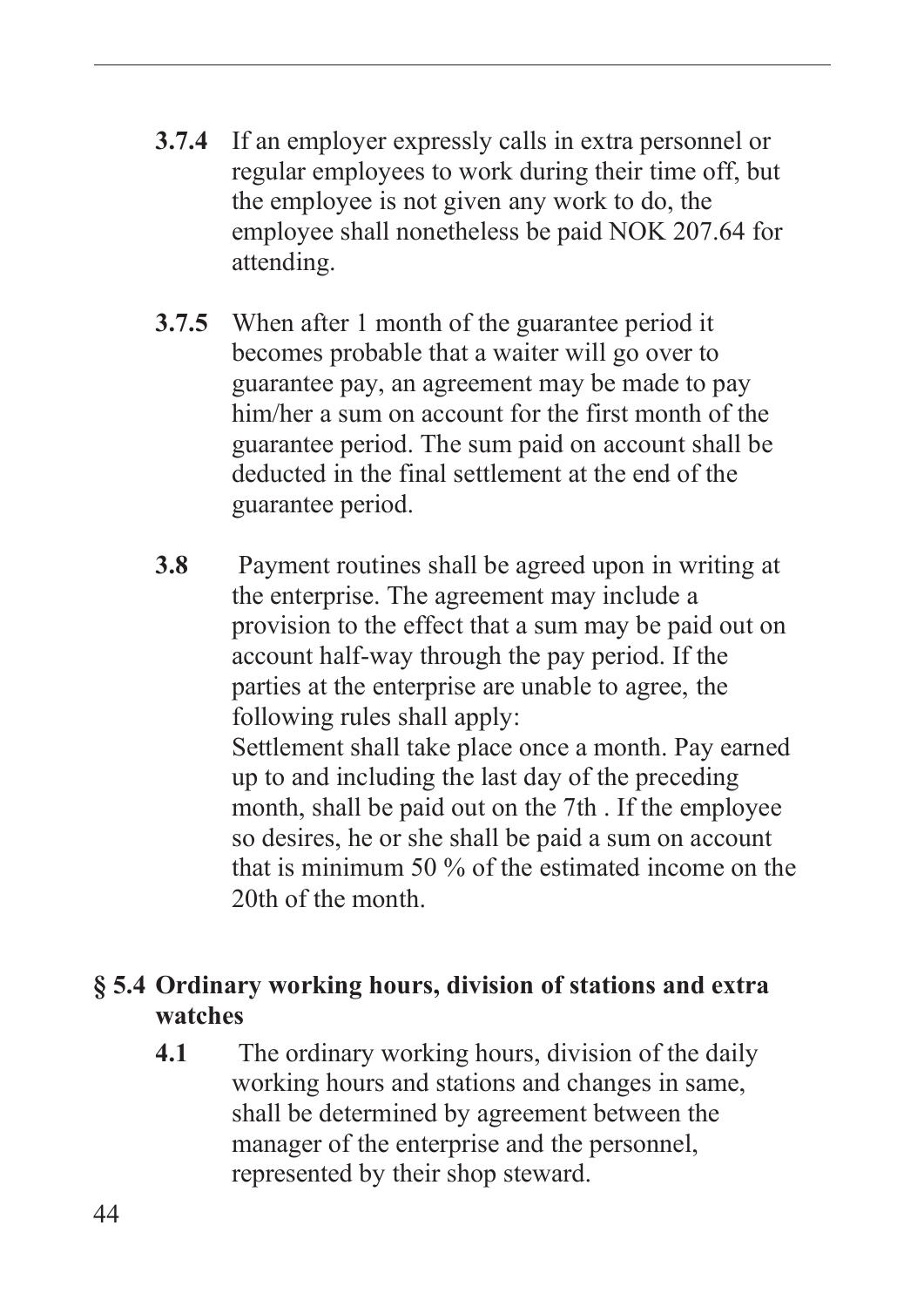- **3.7.4** If an employer expressly calls in extra personnel or regular employees to work during their time off, but the employee is not given any work to do, the employee shall nonetheless be paid NOK 207.64 for attending.
- **3.7.5** When after 1 month of the guarantee period it becomes probable that a waiter will go over to guarantee pay, an agreement may be made to pay him/her a sum on account for the first month of the guarantee period. The sum paid on account shall be deducted in the final settlement at the end of the guarantee period.
- **3.8** Payment routines shall be agreed upon in writing at the enterprise. The agreement may include a provision to the effect that a sum may be paid out on account half-way through the pay period. If the parties at the enterprise are unable to agree, the following rules shall apply: Settlement shall take place once a month. Pay earned up to and including the last day of the preceding month, shall be paid out on the 7th . If the employee so desires, he or she shall be paid a sum on account that is minimum 50 % of the estimated income on the

20th of the month.

#### **§ 5.4 Ordinary working hours, division of stations and extra watches**

**4.1** The ordinary working hours, division of the daily working hours and stations and changes in same, shall be determined by agreement between the manager of the enterprise and the personnel, represented by their shop steward.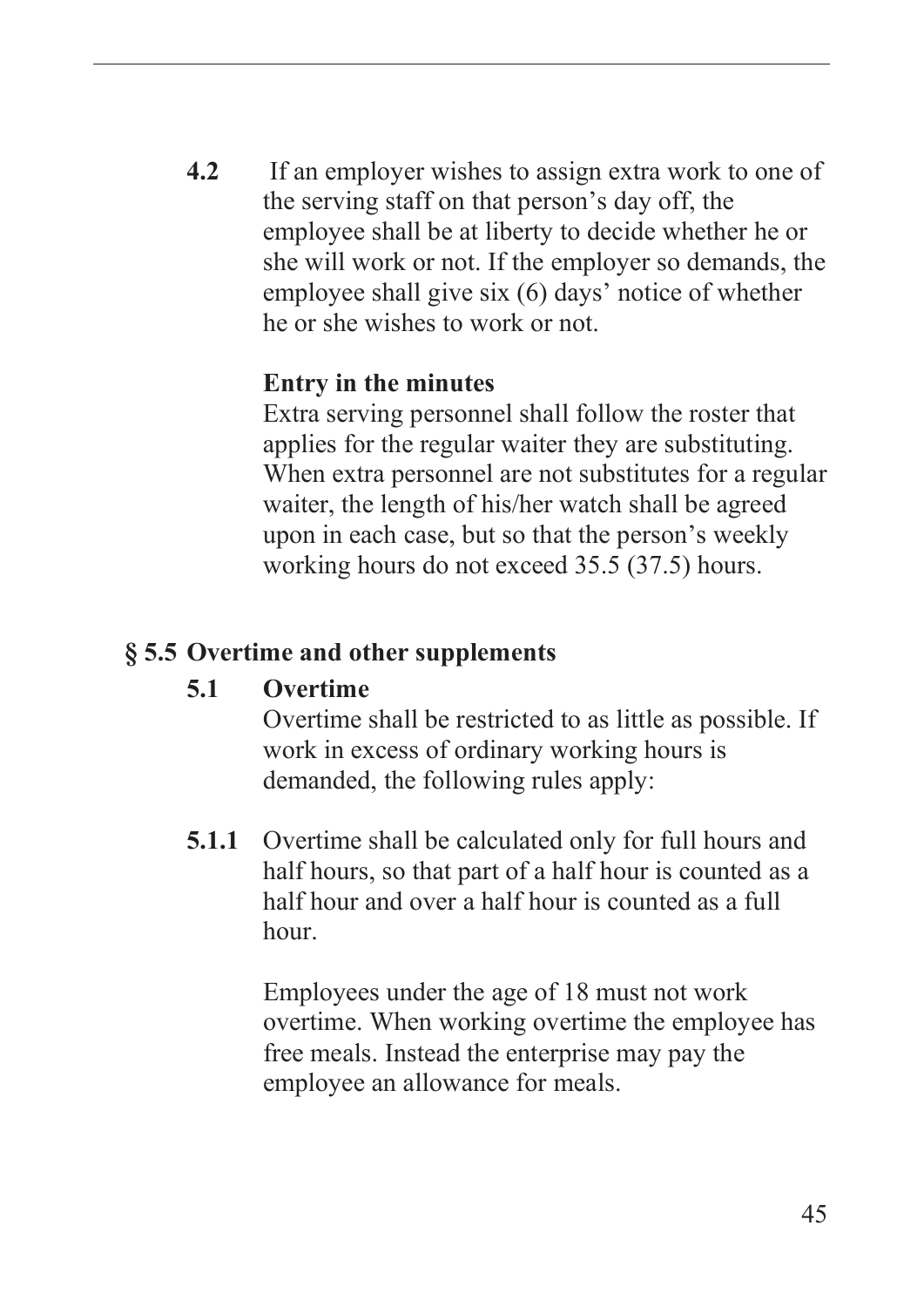**4.2** If an employer wishes to assign extra work to one of the serving staff on that person's day off, the employee shall be at liberty to decide whether he or she will work or not. If the employer so demands, the employee shall give six (6) days' notice of whether he or she wishes to work or not.

#### **Entry in the minutes**

Extra serving personnel shall follow the roster that applies for the regular waiter they are substituting. When extra personnel are not substitutes for a regular waiter, the length of his/her watch shall be agreed upon in each case, but so that the person's weekly working hours do not exceed 35.5 (37.5) hours.

#### **§ 5.5 Overtime and other supplements**

#### **5.1 Overtime**

Overtime shall be restricted to as little as possible. If work in excess of ordinary working hours is demanded, the following rules apply:

**5.1.1** Overtime shall be calculated only for full hours and half hours, so that part of a half hour is counted as a half hour and over a half hour is counted as a full hour.

> Employees under the age of 18 must not work overtime. When working overtime the employee has free meals. Instead the enterprise may pay the employee an allowance for meals.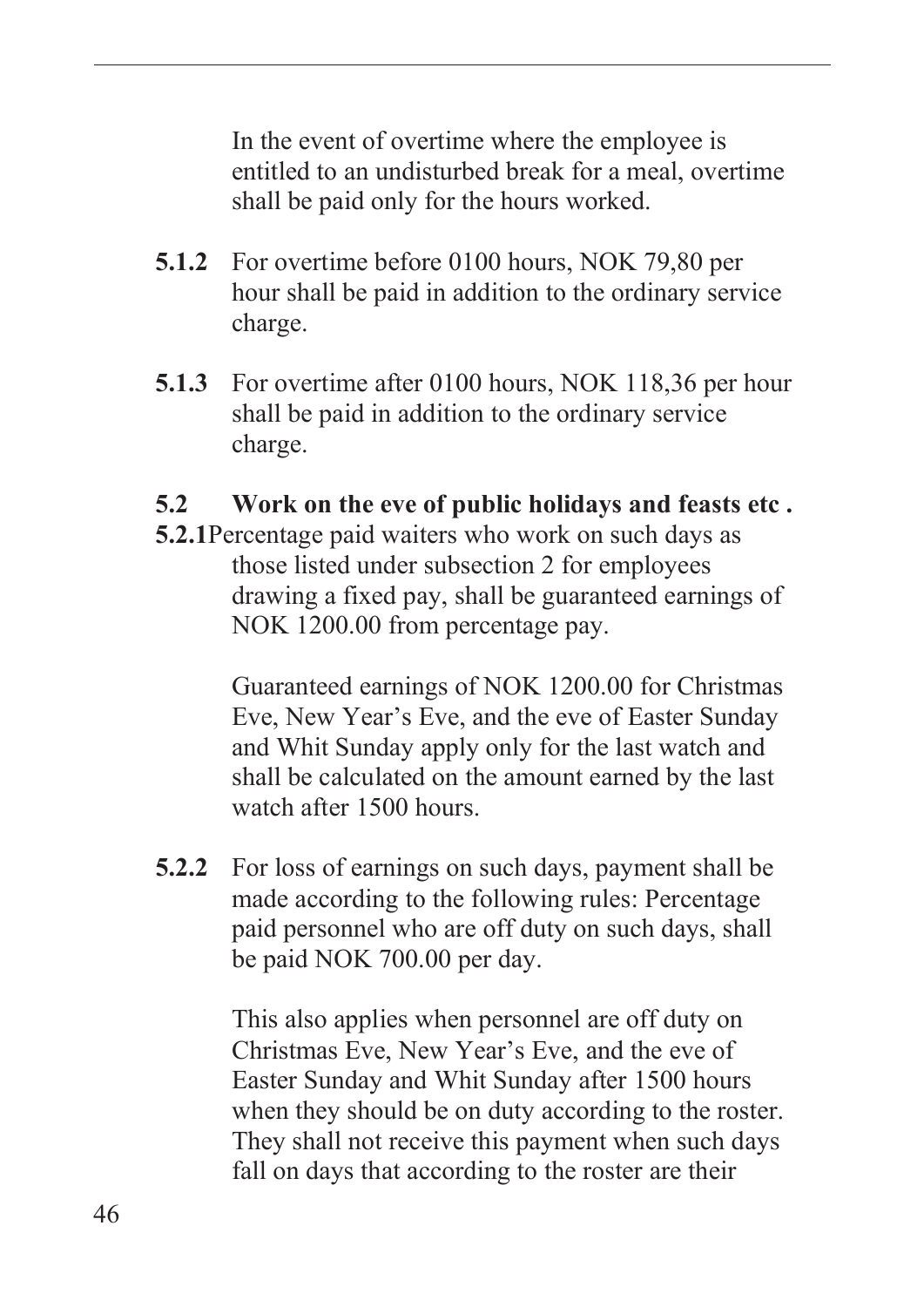In the event of overtime where the employee is entitled to an undisturbed break for a meal, overtime shall be paid only for the hours worked.

- **5.1.2** For overtime before 0100 hours, NOK 79,80 per hour shall be paid in addition to the ordinary service charge.
- **5.1.3** For overtime after 0100 hours, NOK 118,36 per hour shall be paid in addition to the ordinary service charge.

#### **5.2 Work on the eve of public holidays and feasts etc .**

**5.2.1**Percentage paid waiters who work on such days as those listed under subsection 2 for employees drawing a fixed pay, shall be guaranteed earnings of NOK 1200.00 from percentage pay.

> Guaranteed earnings of NOK 1200.00 for Christmas Eve, New Year's Eve, and the eve of Easter Sunday and Whit Sunday apply only for the last watch and shall be calculated on the amount earned by the last watch after 1500 hours.

**5.2.2** For loss of earnings on such days, payment shall be made according to the following rules: Percentage paid personnel who are off duty on such days, shall be paid NOK 700.00 per day.

> This also applies when personnel are off duty on Christmas Eve, New Year's Eve, and the eve of Easter Sunday and Whit Sunday after 1500 hours when they should be on duty according to the roster. They shall not receive this payment when such days fall on days that according to the roster are their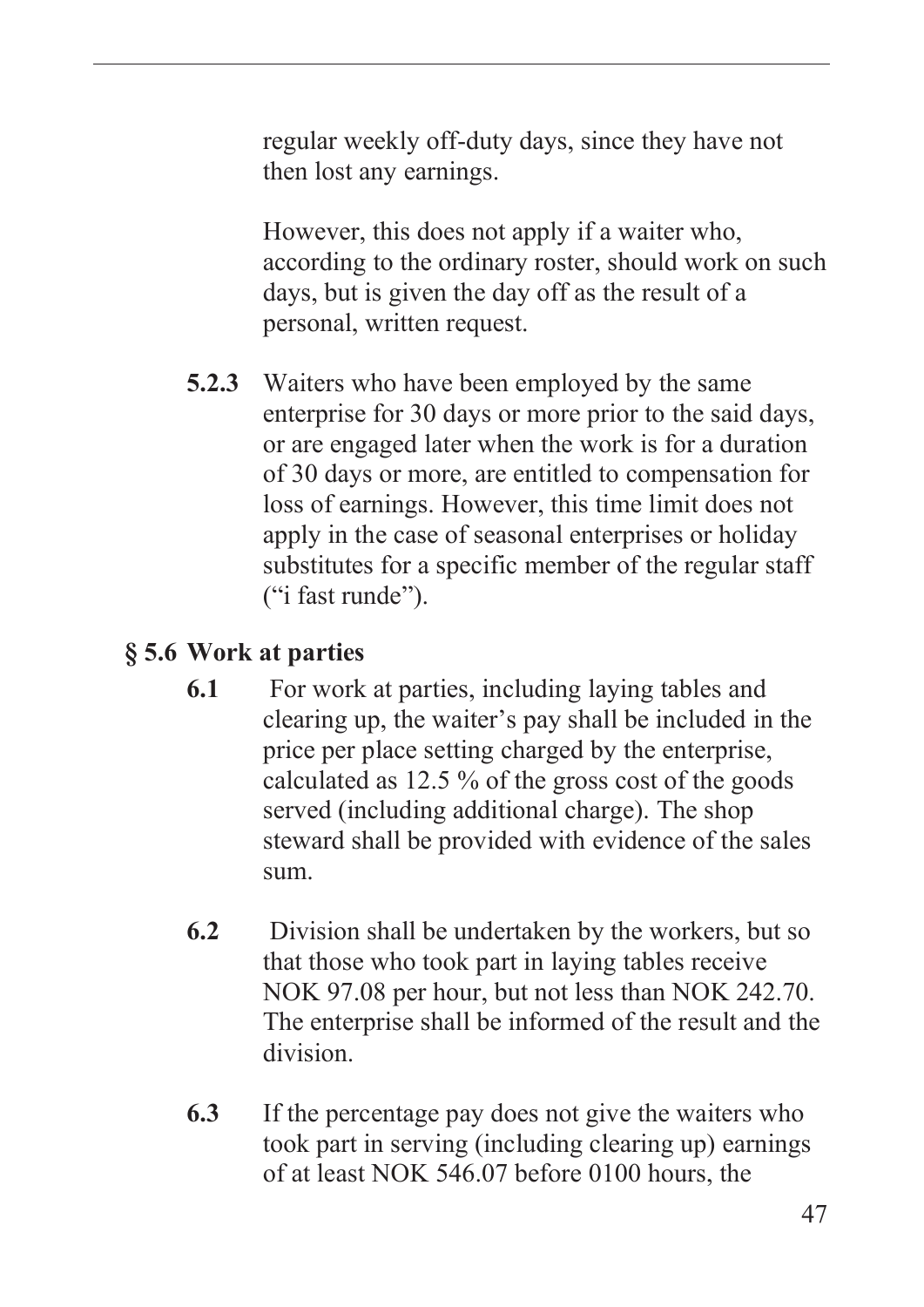regular weekly off-duty days, since they have not then lost any earnings.

However, this does not apply if a waiter who, according to the ordinary roster, should work on such days, but is given the day off as the result of a personal, written request.

**5.2.3** Waiters who have been employed by the same enterprise for 30 days or more prior to the said days, or are engaged later when the work is for a duration of 30 days or more, are entitled to compensation for loss of earnings. However, this time limit does not apply in the case of seasonal enterprises or holiday substitutes for a specific member of the regular staff ("i fast runde").

### **§ 5.6 Work at parties**

- **6.1** For work at parties, including laying tables and clearing up, the waiter's pay shall be included in the price per place setting charged by the enterprise, calculated as 12.5 % of the gross cost of the goods served (including additional charge). The shop steward shall be provided with evidence of the sales sum.
- **6.2** Division shall be undertaken by the workers, but so that those who took part in laying tables receive NOK 97.08 per hour, but not less than NOK 242.70. The enterprise shall be informed of the result and the division.
- **6.3** If the percentage pay does not give the waiters who took part in serving (including clearing up) earnings of at least NOK 546.07 before 0100 hours, the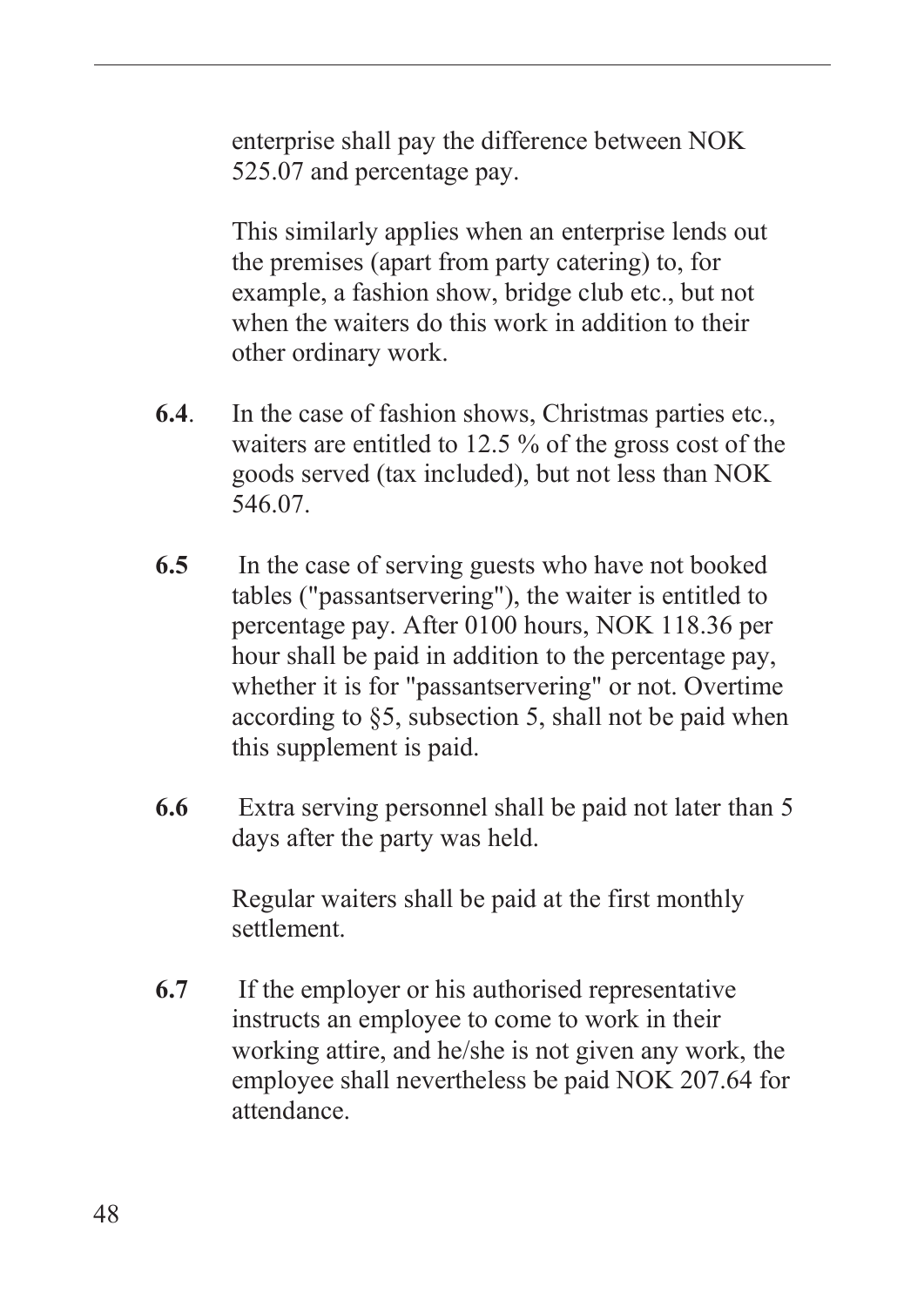enterprise shall pay the difference between NOK 525.07 and percentage pay.

This similarly applies when an enterprise lends out the premises (apart from party catering) to, for example, a fashion show, bridge club etc., but not when the waiters do this work in addition to their other ordinary work.

- **6.4**. In the case of fashion shows, Christmas parties etc., waiters are entitled to 12.5 % of the gross cost of the goods served (tax included), but not less than NOK 546.07.
- **6.5** In the case of serving guests who have not booked tables ("passantservering"), the waiter is entitled to percentage pay. After 0100 hours, NOK 118.36 per hour shall be paid in addition to the percentage pay, whether it is for "passantservering" or not. Overtime according to §5, subsection 5, shall not be paid when this supplement is paid.
- **6.6** Extra serving personnel shall be paid not later than 5 days after the party was held.

Regular waiters shall be paid at the first monthly settlement.

**6.7** If the employer or his authorised representative instructs an employee to come to work in their working attire, and he/she is not given any work, the employee shall nevertheless be paid NOK 207.64 for attendance.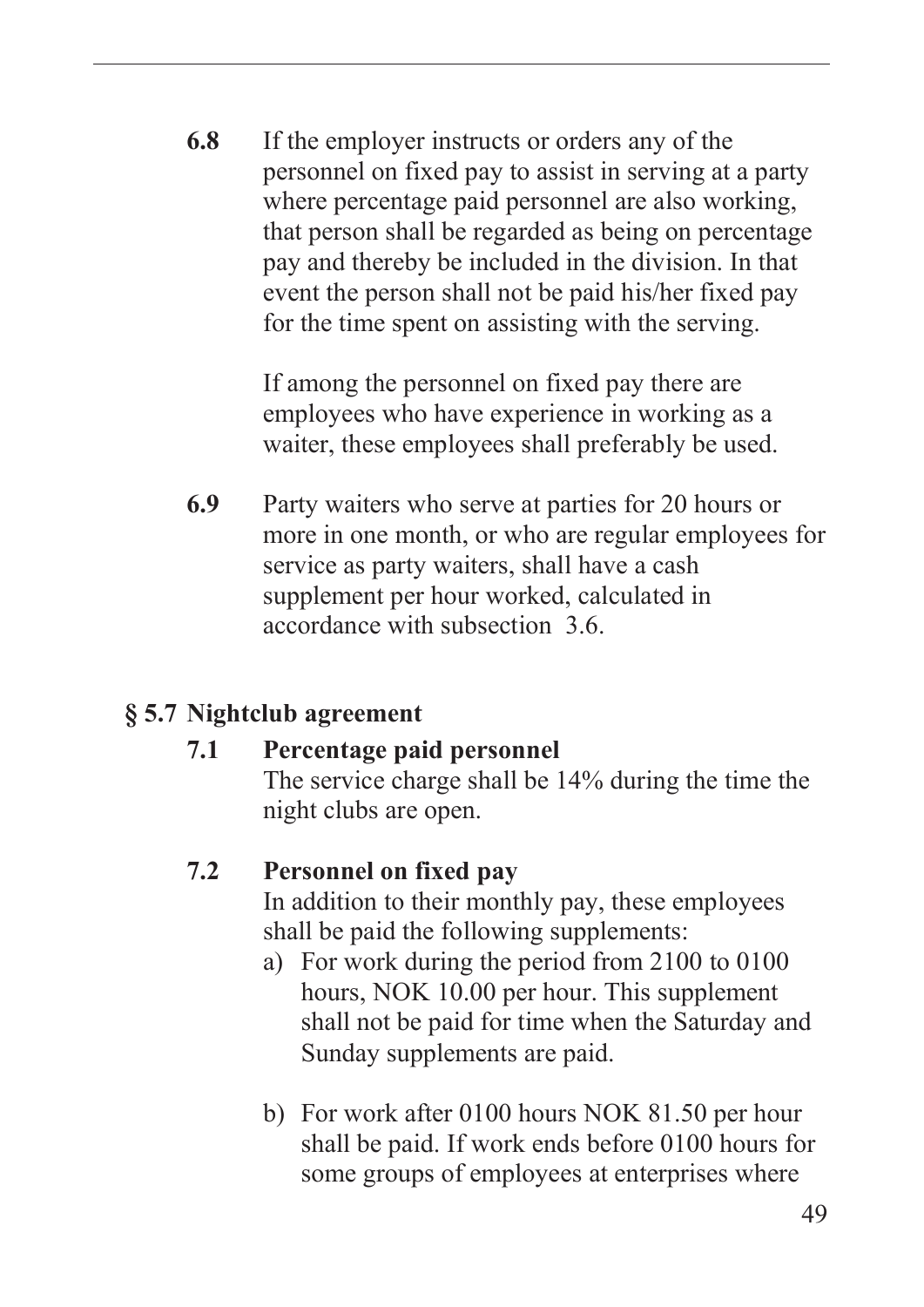**6.8** If the employer instructs or orders any of the personnel on fixed pay to assist in serving at a party where percentage paid personnel are also working, that person shall be regarded as being on percentage pay and thereby be included in the division. In that event the person shall not be paid his/her fixed pay for the time spent on assisting with the serving.

> If among the personnel on fixed pay there are employees who have experience in working as a waiter, these employees shall preferably be used.

**6.9** Party waiters who serve at parties for 20 hours or more in one month, or who are regular employees for service as party waiters, shall have a cash supplement per hour worked, calculated in accordance with subsection 3.6.

#### **§ 5.7 Nightclub agreement**

#### **7.1 Percentage paid personnel**  The service charge shall be 14% during the time the night clubs are open.

#### **7.2 Personnel on fixed pay**

In addition to their monthly pay, these employees shall be paid the following supplements:

- a) For work during the period from 2100 to 0100 hours, NOK 10.00 per hour. This supplement shall not be paid for time when the Saturday and Sunday supplements are paid.
- b) For work after 0100 hours NOK 81.50 per hour shall be paid. If work ends before 0100 hours for some groups of employees at enterprises where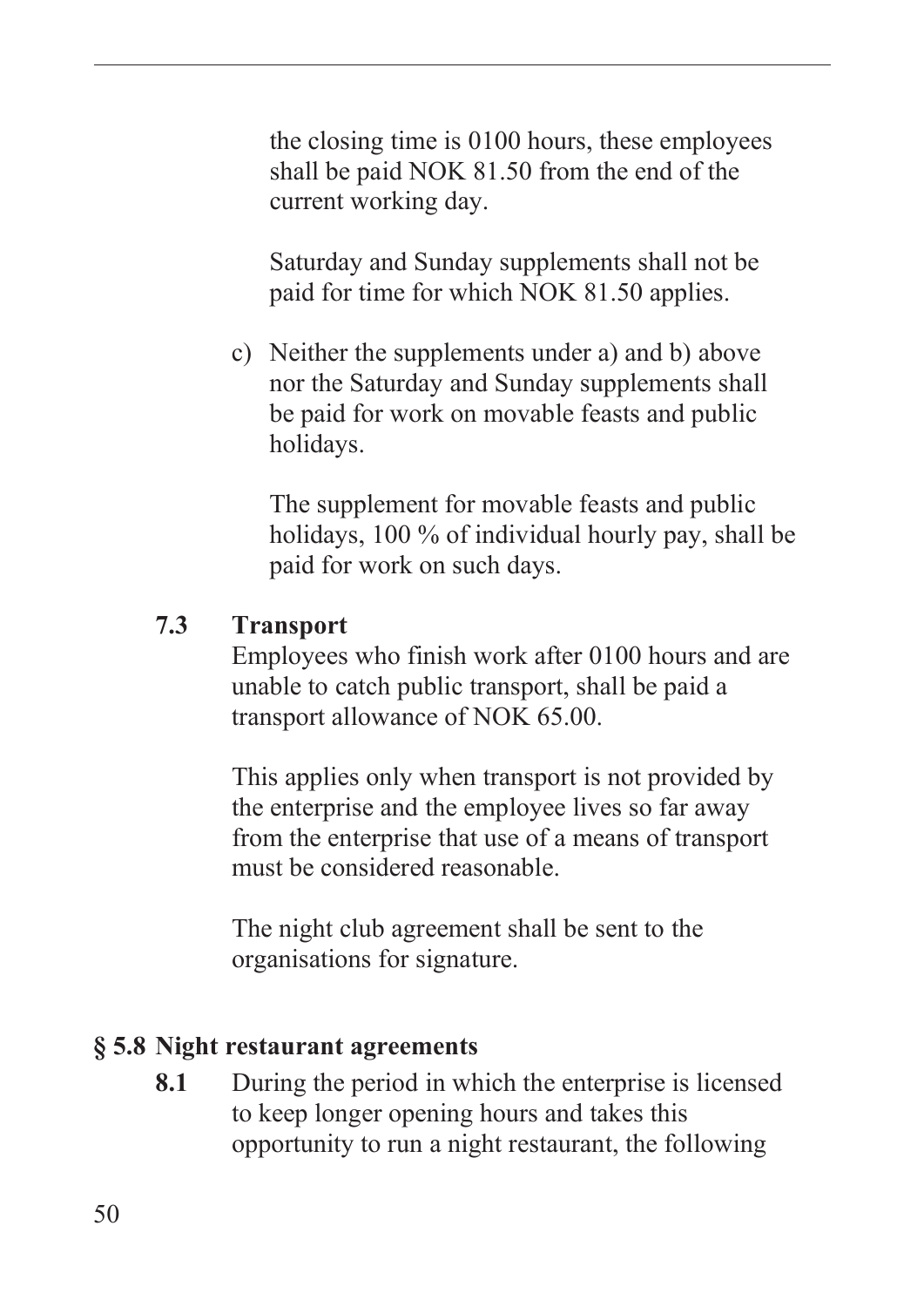the closing time is 0100 hours, these employees shall be paid NOK 81.50 from the end of the current working day.

Saturday and Sunday supplements shall not be paid for time for which NOK 81.50 applies.

c) Neither the supplements under a) and b) above nor the Saturday and Sunday supplements shall be paid for work on movable feasts and public holidays.

The supplement for movable feasts and public holidays, 100 % of individual hourly pay, shall be paid for work on such days.

#### **7.3 Transport**

Employees who finish work after 0100 hours and are unable to catch public transport, shall be paid a transport allowance of NOK 65.00.

This applies only when transport is not provided by the enterprise and the employee lives so far away from the enterprise that use of a means of transport must be considered reasonable.

The night club agreement shall be sent to the organisations for signature.

#### **§ 5.8 Night restaurant agreements**

**8.1** During the period in which the enterprise is licensed to keep longer opening hours and takes this opportunity to run a night restaurant, the following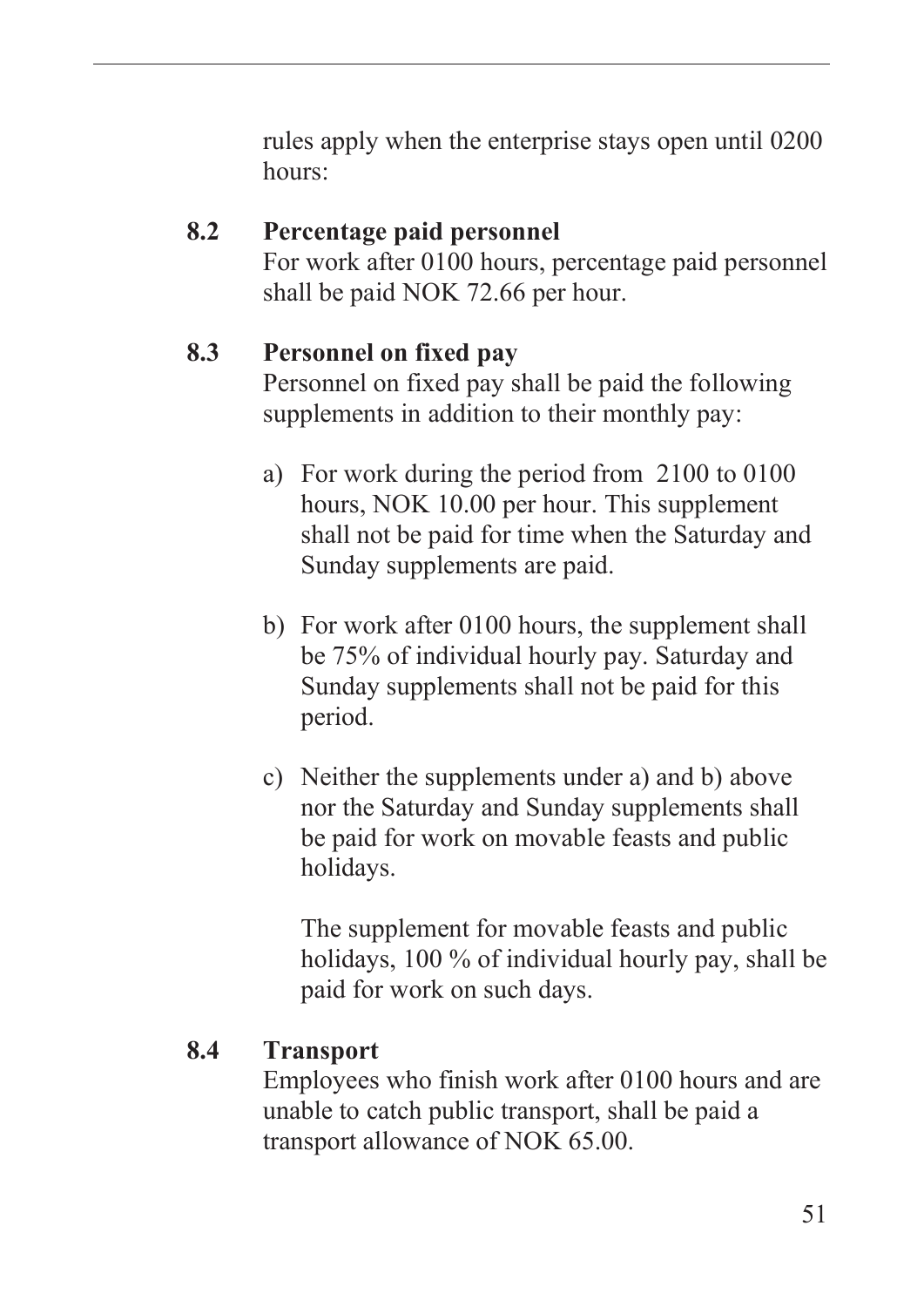rules apply when the enterprise stays open until 0200 hours:

#### **8.2 Percentage paid personnel**  For work after 0100 hours, percentage paid personnel shall be paid NOK 72.66 per hour.

#### **8.3 Personnel on fixed pay**

Personnel on fixed pay shall be paid the following supplements in addition to their monthly pay:

- a) For work during the period from 2100 to 0100 hours, NOK 10.00 per hour. This supplement shall not be paid for time when the Saturday and Sunday supplements are paid.
- b) For work after 0100 hours, the supplement shall be 75% of individual hourly pay. Saturday and Sunday supplements shall not be paid for this period.
- c) Neither the supplements under a) and b) above nor the Saturday and Sunday supplements shall be paid for work on movable feasts and public holidays.

The supplement for movable feasts and public holidays, 100 % of individual hourly pay, shall be paid for work on such days.

#### **8.4 Transport**

Employees who finish work after 0100 hours and are unable to catch public transport, shall be paid a transport allowance of NOK 65.00.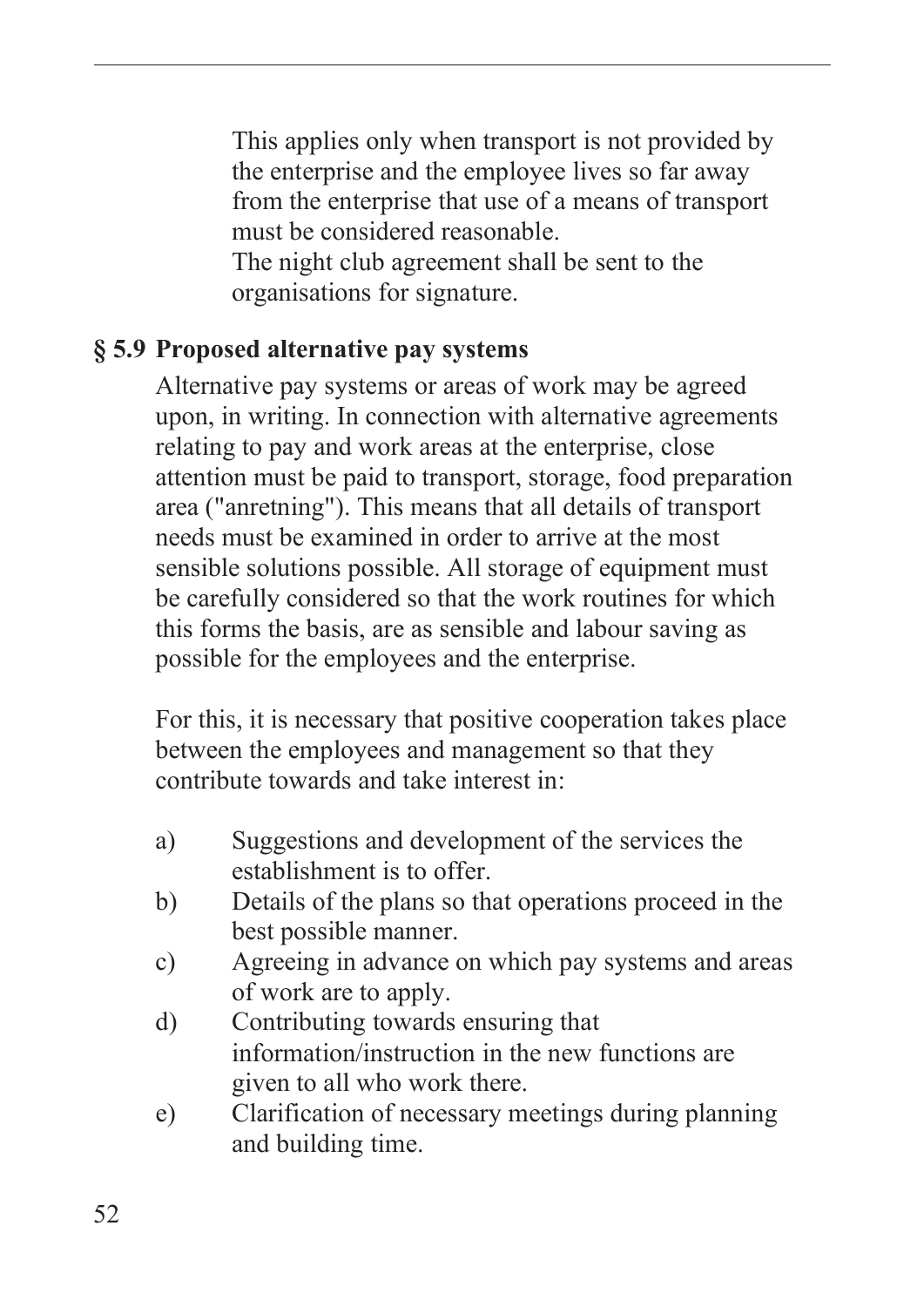This applies only when transport is not provided by the enterprise and the employee lives so far away from the enterprise that use of a means of transport must be considered reasonable. The night club agreement shall be sent to the organisations for signature.

#### **§ 5.9 Proposed alternative pay systems**

Alternative pay systems or areas of work may be agreed upon, in writing. In connection with alternative agreements relating to pay and work areas at the enterprise, close attention must be paid to transport, storage, food preparation area ("anretning"). This means that all details of transport needs must be examined in order to arrive at the most sensible solutions possible. All storage of equipment must be carefully considered so that the work routines for which this forms the basis, are as sensible and labour saving as possible for the employees and the enterprise.

For this, it is necessary that positive cooperation takes place between the employees and management so that they contribute towards and take interest in:

- a) Suggestions and development of the services the establishment is to offer.
- b) Details of the plans so that operations proceed in the best possible manner.
- c) Agreeing in advance on which pay systems and areas of work are to apply.
- d) Contributing towards ensuring that information/instruction in the new functions are given to all who work there.
- e) Clarification of necessary meetings during planning and building time.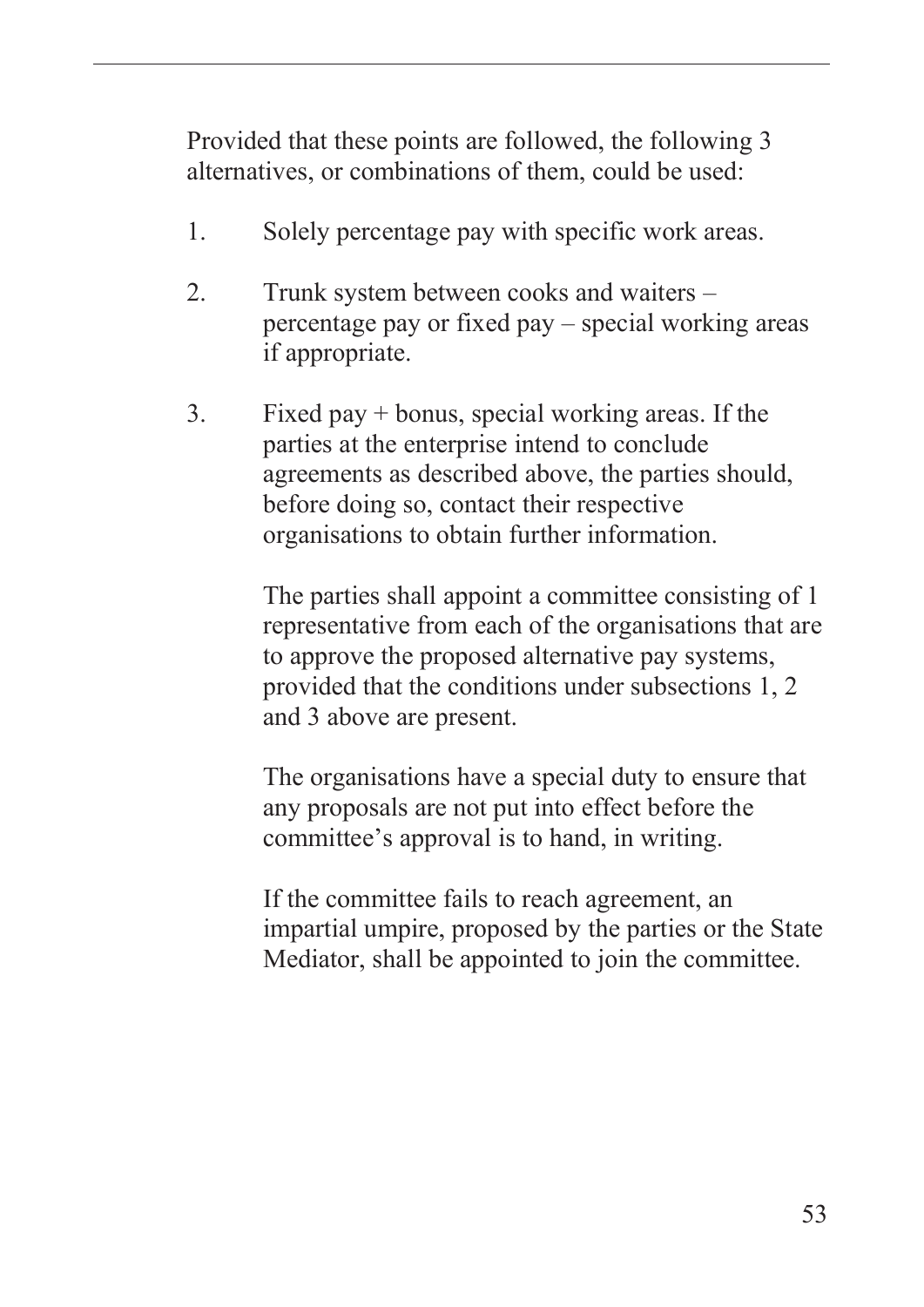Provided that these points are followed, the following 3 alternatives, or combinations of them, could be used:

- 1. Solely percentage pay with specific work areas.
- 2. Trunk system between cooks and waiters percentage pay or fixed pay – special working areas if appropriate.
- 3. Fixed pay + bonus, special working areas. If the parties at the enterprise intend to conclude agreements as described above, the parties should, before doing so, contact their respective organisations to obtain further information.

The parties shall appoint a committee consisting of 1 representative from each of the organisations that are to approve the proposed alternative pay systems, provided that the conditions under subsections 1, 2 and 3 above are present.

The organisations have a special duty to ensure that any proposals are not put into effect before the committee's approval is to hand, in writing.

If the committee fails to reach agreement, an impartial umpire, proposed by the parties or the State Mediator, shall be appointed to join the committee.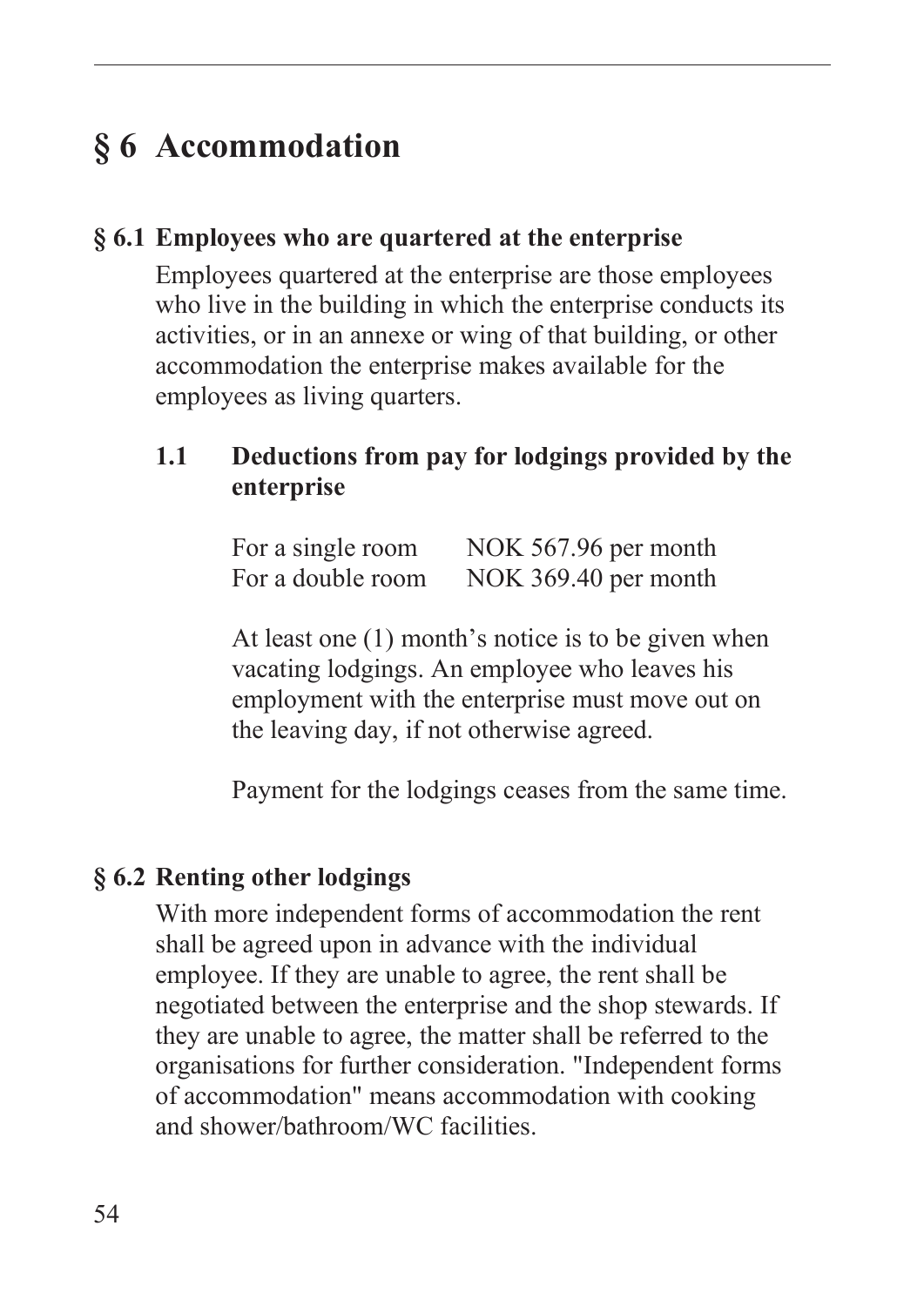## **§ 6 Accommodation**

#### **§ 6.1 Employees who are quartered at the enterprise**

Employees quartered at the enterprise are those employees who live in the building in which the enterprise conducts its activities, or in an annexe or wing of that building, or other accommodation the enterprise makes available for the employees as living quarters.

### **1.1 Deductions from pay for lodgings provided by the enterprise**

| For a single room | NOK 567.96 per month |
|-------------------|----------------------|
| For a double room | NOK 369.40 per month |

At least one (1) month's notice is to be given when vacating lodgings. An employee who leaves his employment with the enterprise must move out on the leaving day, if not otherwise agreed.

Payment for the lodgings ceases from the same time.

#### **§ 6.2 Renting other lodgings**

With more independent forms of accommodation the rent shall be agreed upon in advance with the individual employee. If they are unable to agree, the rent shall be negotiated between the enterprise and the shop stewards. If they are unable to agree, the matter shall be referred to the organisations for further consideration. "Independent forms of accommodation" means accommodation with cooking and shower/bathroom/WC facilities.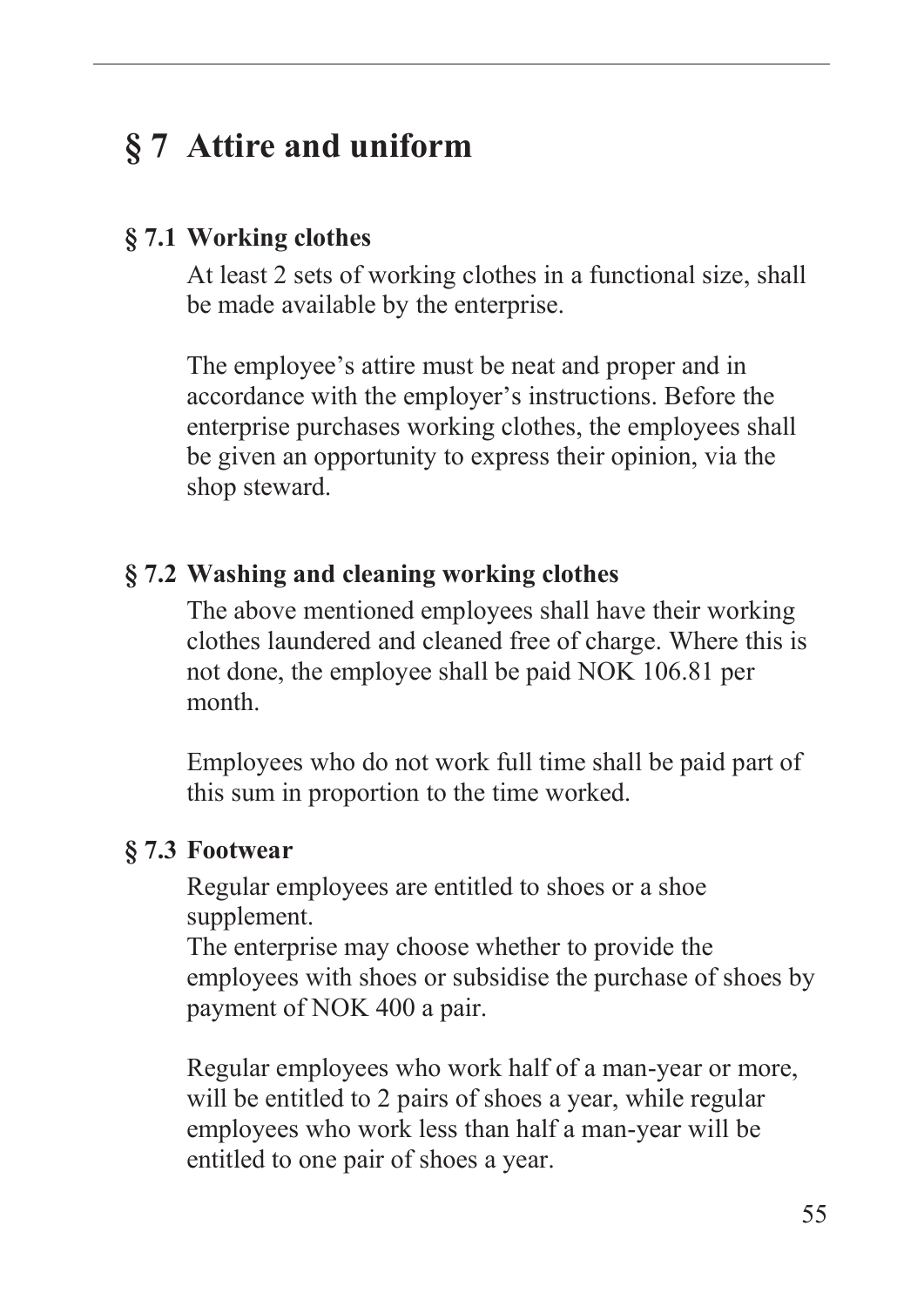## **§ 7 Attire and uniform**

#### **§ 7.1 Working clothes**

At least 2 sets of working clothes in a functional size, shall be made available by the enterprise.

The employee's attire must be neat and proper and in accordance with the employer's instructions. Before the enterprise purchases working clothes, the employees shall be given an opportunity to express their opinion, via the shop steward.

#### **§ 7.2 Washing and cleaning working clothes**

The above mentioned employees shall have their working clothes laundered and cleaned free of charge. Where this is not done, the employee shall be paid NOK 106.81 per month.

Employees who do not work full time shall be paid part of this sum in proportion to the time worked.

#### **§ 7.3 Footwear**

Regular employees are entitled to shoes or a shoe supplement.

The enterprise may choose whether to provide the employees with shoes or subsidise the purchase of shoes by payment of NOK 400 a pair.

Regular employees who work half of a man-year or more, will be entitled to 2 pairs of shoes a year, while regular employees who work less than half a man-year will be entitled to one pair of shoes a year.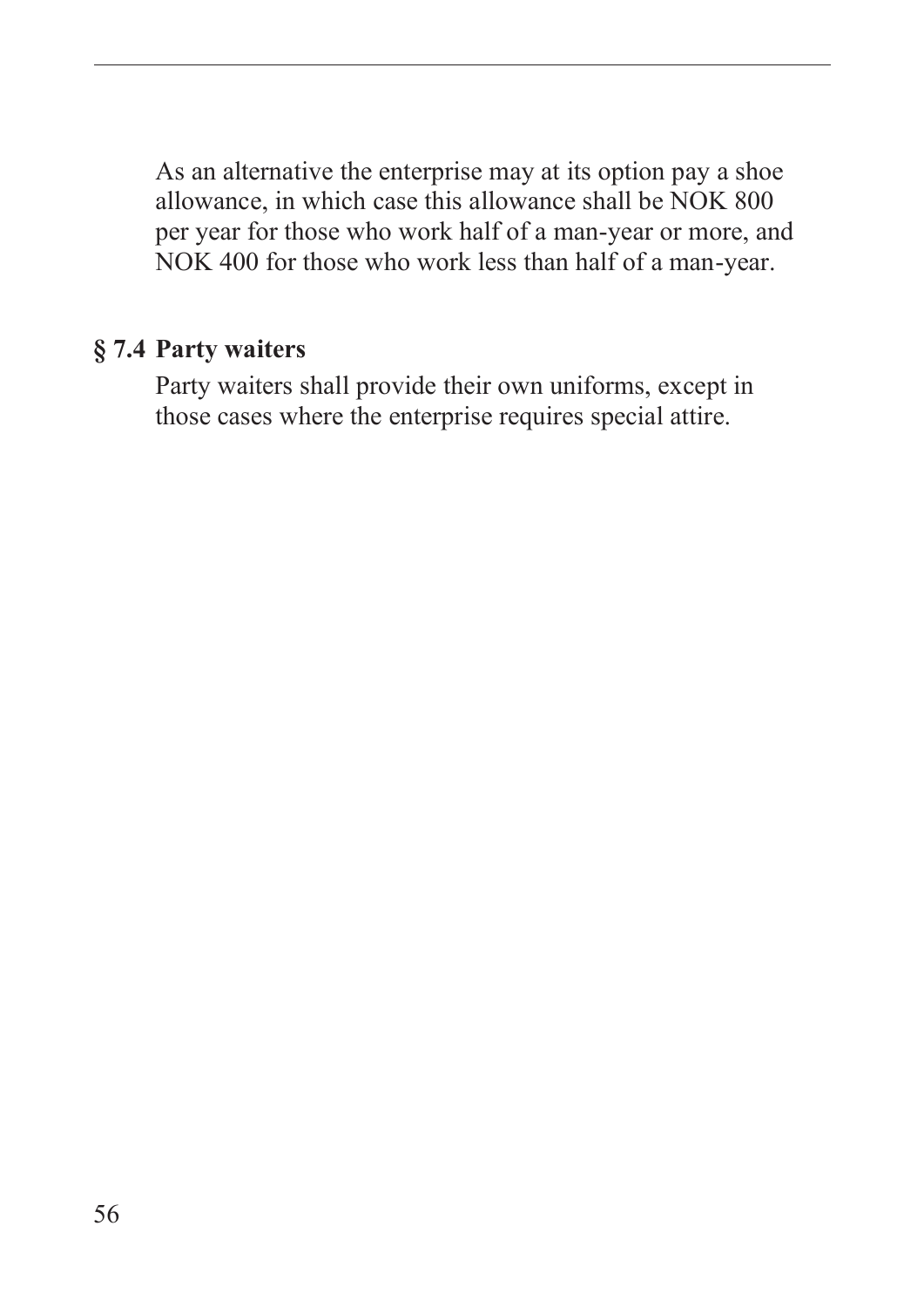As an alternative the enterprise may at its option pay a shoe allowance, in which case this allowance shall be NOK 800 per year for those who work half of a man-year or more, and NOK 400 for those who work less than half of a man-year.

#### **§ 7.4 Party waiters**

Party waiters shall provide their own uniforms, except in those cases where the enterprise requires special attire.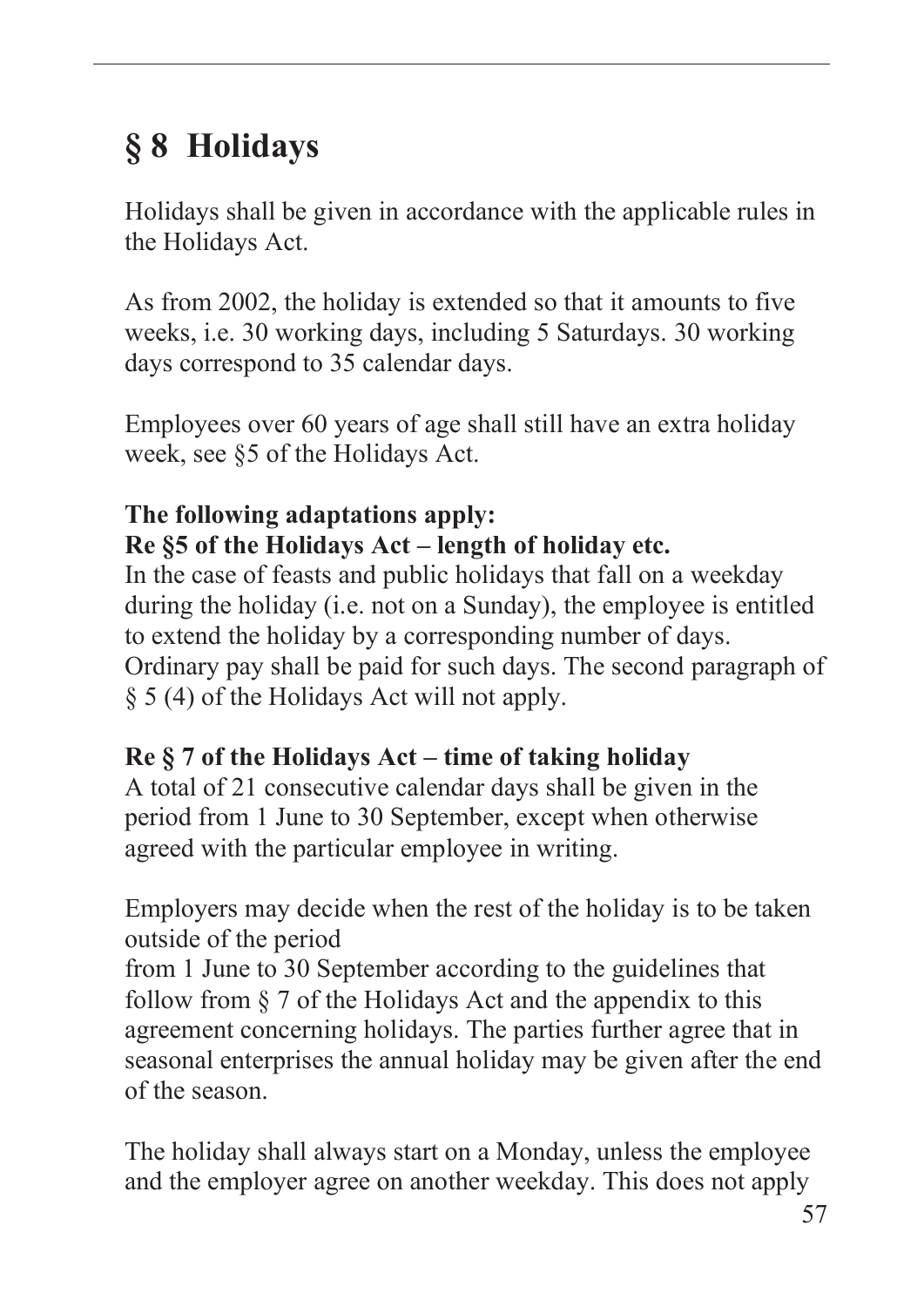# **§ 8 Holidays**

Holidays shall be given in accordance with the applicable rules in the Holidays Act.

As from 2002, the holiday is extended so that it amounts to five weeks, i.e. 30 working days, including 5 Saturdays. 30 working days correspond to 35 calendar days.

Employees over 60 years of age shall still have an extra holiday week, see §5 of the Holidays Act.

### **The following adaptations apply: Re §5 of the Holidays Act – length of holiday etc.**

In the case of feasts and public holidays that fall on a weekday during the holiday (i.e. not on a Sunday), the employee is entitled to extend the holiday by a corresponding number of days. Ordinary pay shall be paid for such days. The second paragraph of § 5 (4) of the Holidays Act will not apply.

## **Re § 7 of the Holidays Act – time of taking holiday**

A total of 21 consecutive calendar days shall be given in the period from 1 June to 30 September, except when otherwise agreed with the particular employee in writing.

Employers may decide when the rest of the holiday is to be taken outside of the period

from 1 June to 30 September according to the guidelines that follow from § 7 of the Holidays Act and the appendix to this agreement concerning holidays. The parties further agree that in seasonal enterprises the annual holiday may be given after the end of the season.

The holiday shall always start on a Monday, unless the employee and the employer agree on another weekday. This does not apply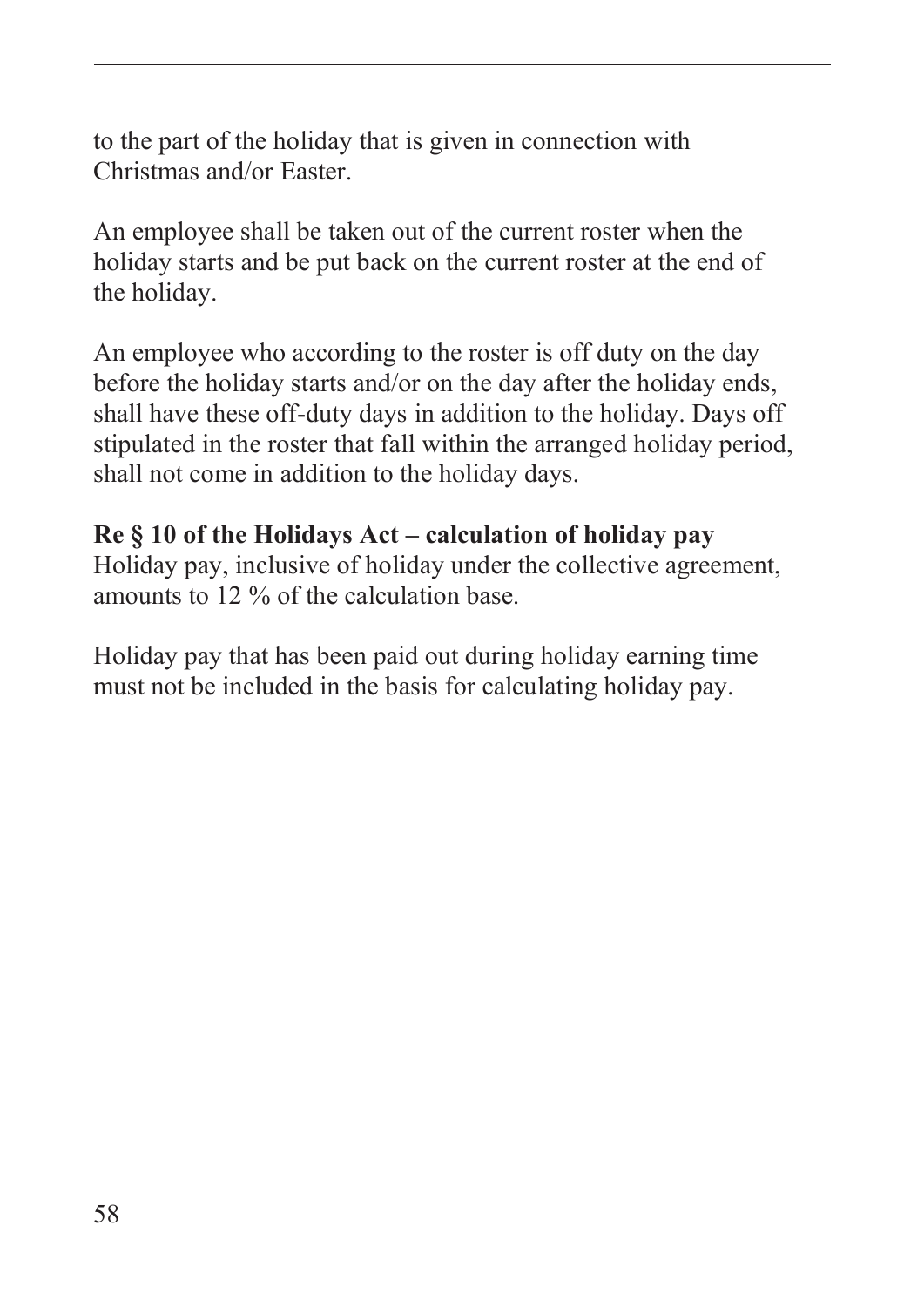to the part of the holiday that is given in connection with Christmas and/or Easter.

An employee shall be taken out of the current roster when the holiday starts and be put back on the current roster at the end of the holiday.

An employee who according to the roster is off duty on the day before the holiday starts and/or on the day after the holiday ends, shall have these off-duty days in addition to the holiday. Days off stipulated in the roster that fall within the arranged holiday period, shall not come in addition to the holiday days.

#### **Re § 10 of the Holidays Act – calculation of holiday pay**

Holiday pay, inclusive of holiday under the collective agreement, amounts to 12 % of the calculation base.

Holiday pay that has been paid out during holiday earning time must not be included in the basis for calculating holiday pay.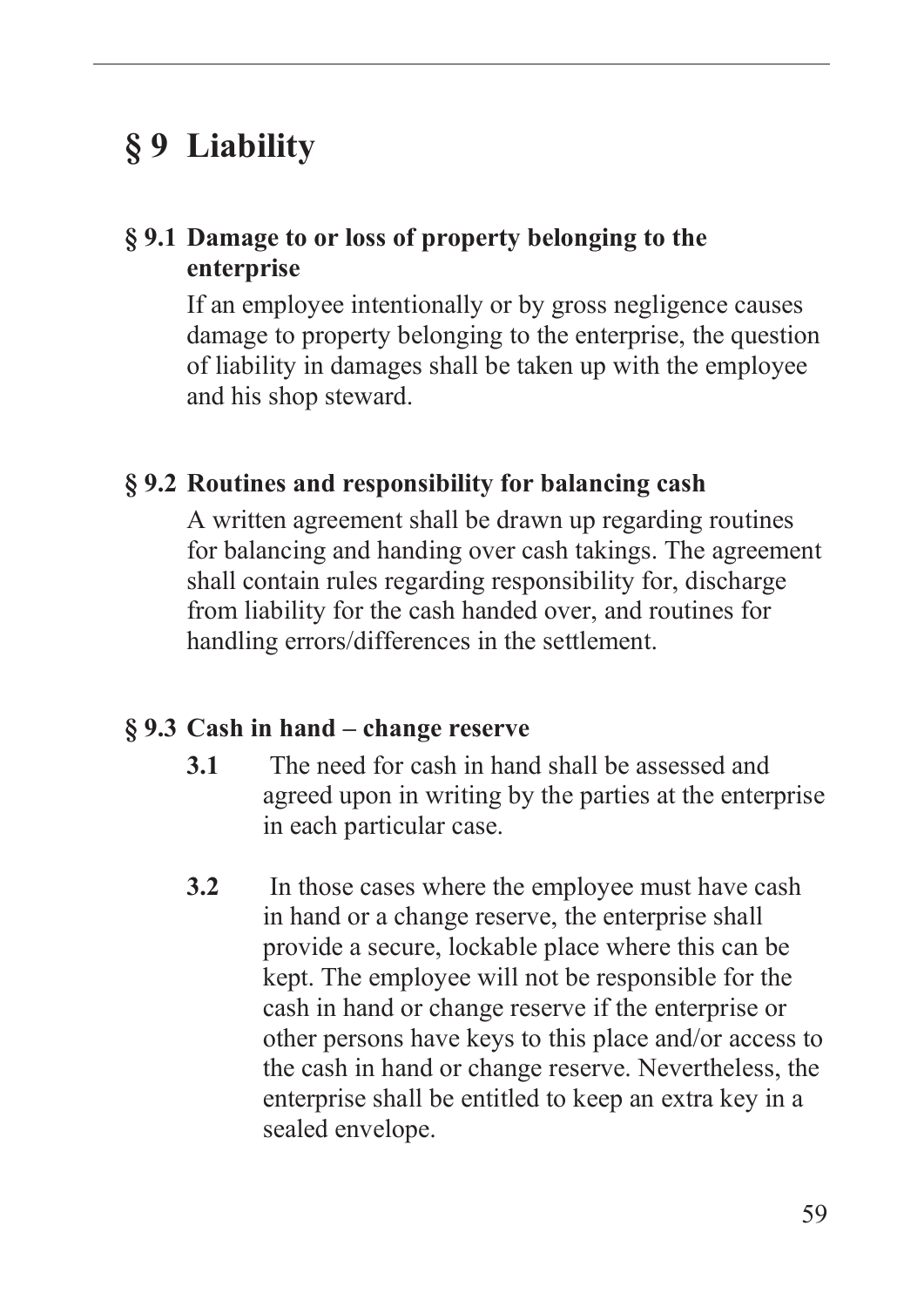## **§ 9 Liability**

#### **§ 9.1 Damage to or loss of property belonging to the enterprise**

If an employee intentionally or by gross negligence causes damage to property belonging to the enterprise, the question of liability in damages shall be taken up with the employee and his shop steward.

#### **§ 9.2 Routines and responsibility for balancing cash**

A written agreement shall be drawn up regarding routines for balancing and handing over cash takings. The agreement shall contain rules regarding responsibility for, discharge from liability for the cash handed over, and routines for handling errors/differences in the settlement.

#### **§ 9.3 Cash in hand – change reserve**

- **3.1** The need for cash in hand shall be assessed and agreed upon in writing by the parties at the enterprise in each particular case.
- **3.2** In those cases where the employee must have cash in hand or a change reserve, the enterprise shall provide a secure, lockable place where this can be kept. The employee will not be responsible for the cash in hand or change reserve if the enterprise or other persons have keys to this place and/or access to the cash in hand or change reserve. Nevertheless, the enterprise shall be entitled to keep an extra key in a sealed envelope.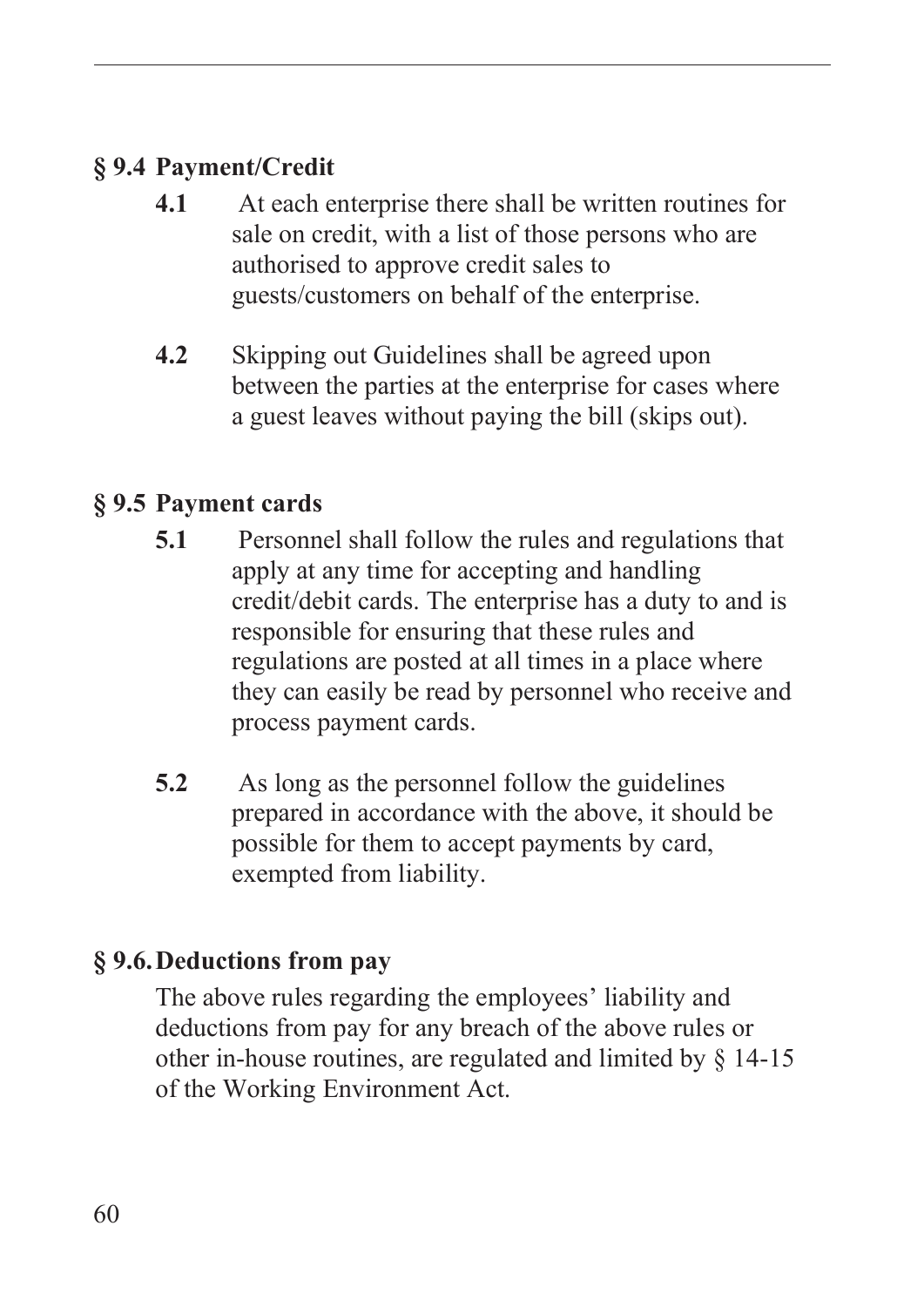## **§ 9.4 Payment/Credit**

- **4.1** At each enterprise there shall be written routines for sale on credit, with a list of those persons who are authorised to approve credit sales to guests/customers on behalf of the enterprise.
- **4.2** Skipping out Guidelines shall be agreed upon between the parties at the enterprise for cases where a guest leaves without paying the bill (skips out).

## **§ 9.5 Payment cards**

- **5.1** Personnel shall follow the rules and regulations that apply at any time for accepting and handling credit/debit cards. The enterprise has a duty to and is responsible for ensuring that these rules and regulations are posted at all times in a place where they can easily be read by personnel who receive and process payment cards.
- **5.2** As long as the personnel follow the guidelines prepared in accordance with the above, it should be possible for them to accept payments by card, exempted from liability.

## **§ 9.6.Deductions from pay**

The above rules regarding the employees' liability and deductions from pay for any breach of the above rules or other in-house routines, are regulated and limited by § 14-15 of the Working Environment Act.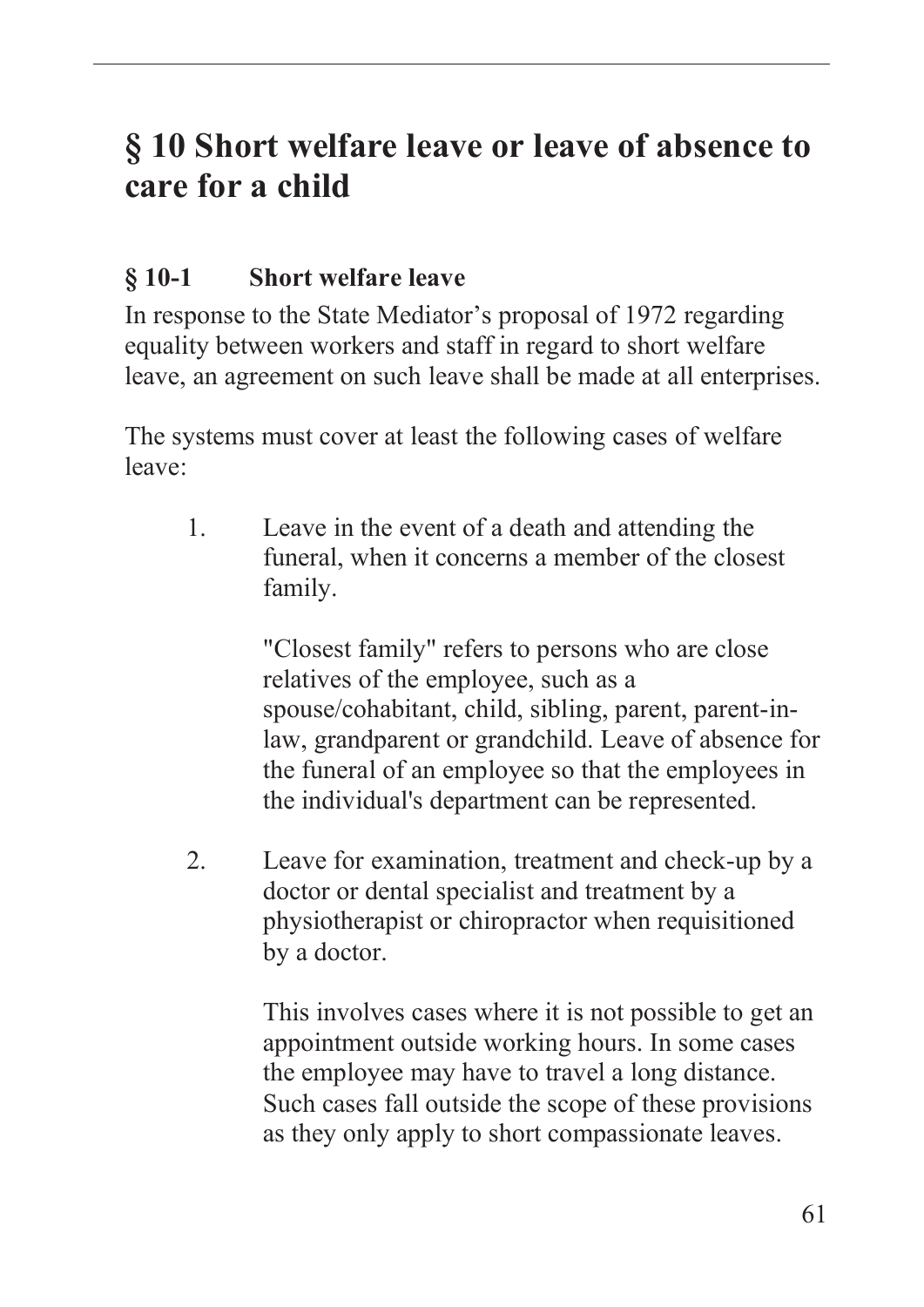## **§ 10 Short welfare leave or leave of absence to care for a child**

## **§ 10-1 Short welfare leave**

In response to the State Mediator's proposal of 1972 regarding equality between workers and staff in regard to short welfare leave, an agreement on such leave shall be made at all enterprises.

The systems must cover at least the following cases of welfare leave:

1. Leave in the event of a death and attending the funeral, when it concerns a member of the closest family.

> "Closest family" refers to persons who are close relatives of the employee, such as a spouse/cohabitant, child, sibling, parent, parent-inlaw, grandparent or grandchild. Leave of absence for the funeral of an employee so that the employees in the individual's department can be represented.

2. Leave for examination, treatment and check-up by a doctor or dental specialist and treatment by a physiotherapist or chiropractor when requisitioned by a doctor.

> This involves cases where it is not possible to get an appointment outside working hours. In some cases the employee may have to travel a long distance. Such cases fall outside the scope of these provisions as they only apply to short compassionate leaves.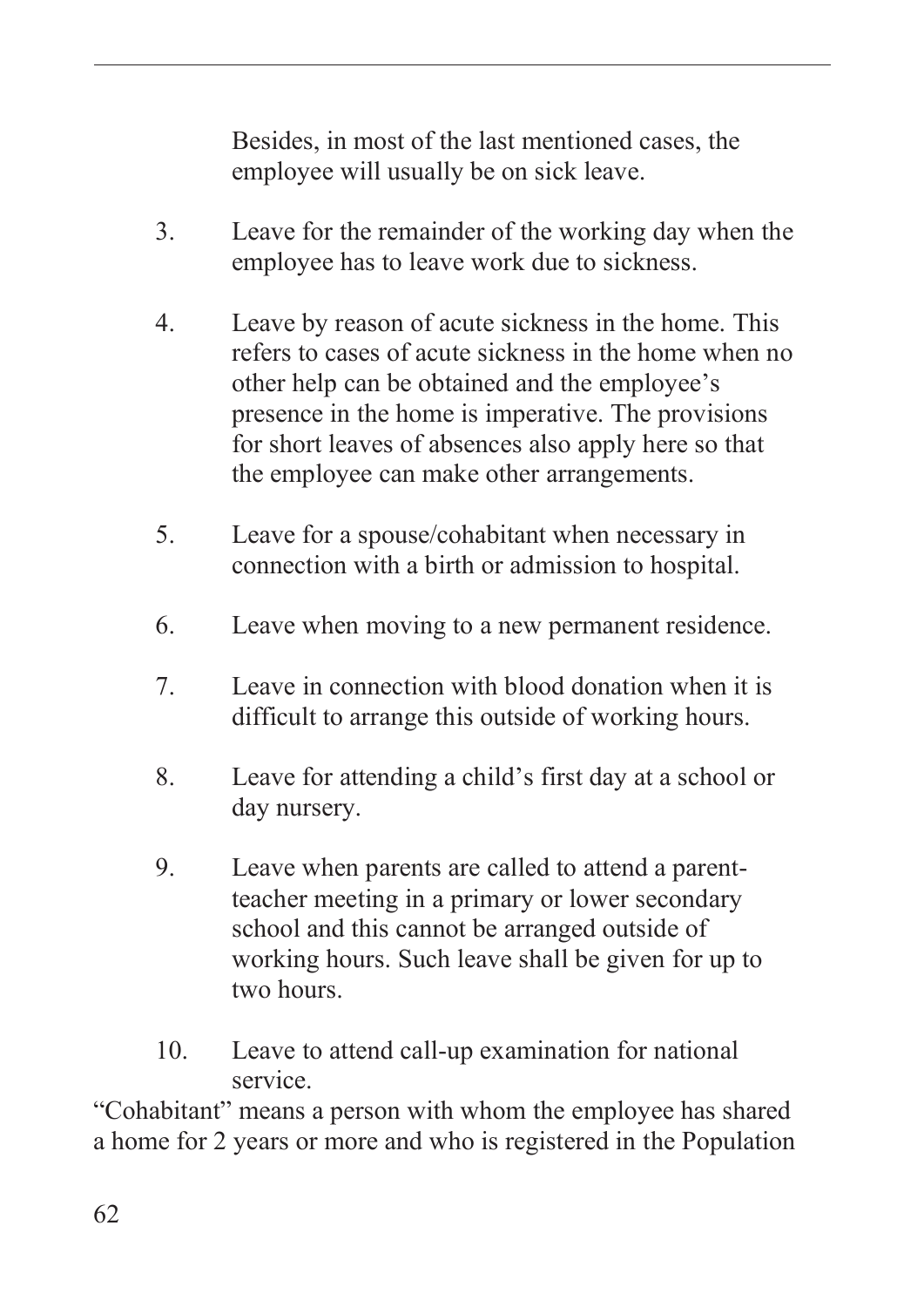Besides, in most of the last mentioned cases, the employee will usually be on sick leave.

- 3. Leave for the remainder of the working day when the employee has to leave work due to sickness.
- 4. Leave by reason of acute sickness in the home. This refers to cases of acute sickness in the home when no other help can be obtained and the employee's presence in the home is imperative. The provisions for short leaves of absences also apply here so that the employee can make other arrangements.
- 5. Leave for a spouse/cohabitant when necessary in connection with a birth or admission to hospital.
- 6. Leave when moving to a new permanent residence.
- 7. Leave in connection with blood donation when it is difficult to arrange this outside of working hours.
- 8. Leave for attending a child's first day at a school or day nursery.
- 9. Leave when parents are called to attend a parentteacher meeting in a primary or lower secondary school and this cannot be arranged outside of working hours. Such leave shall be given for up to two hours.
- 10. Leave to attend call-up examination for national service.

"Cohabitant" means a person with whom the employee has shared a home for 2 years or more and who is registered in the Population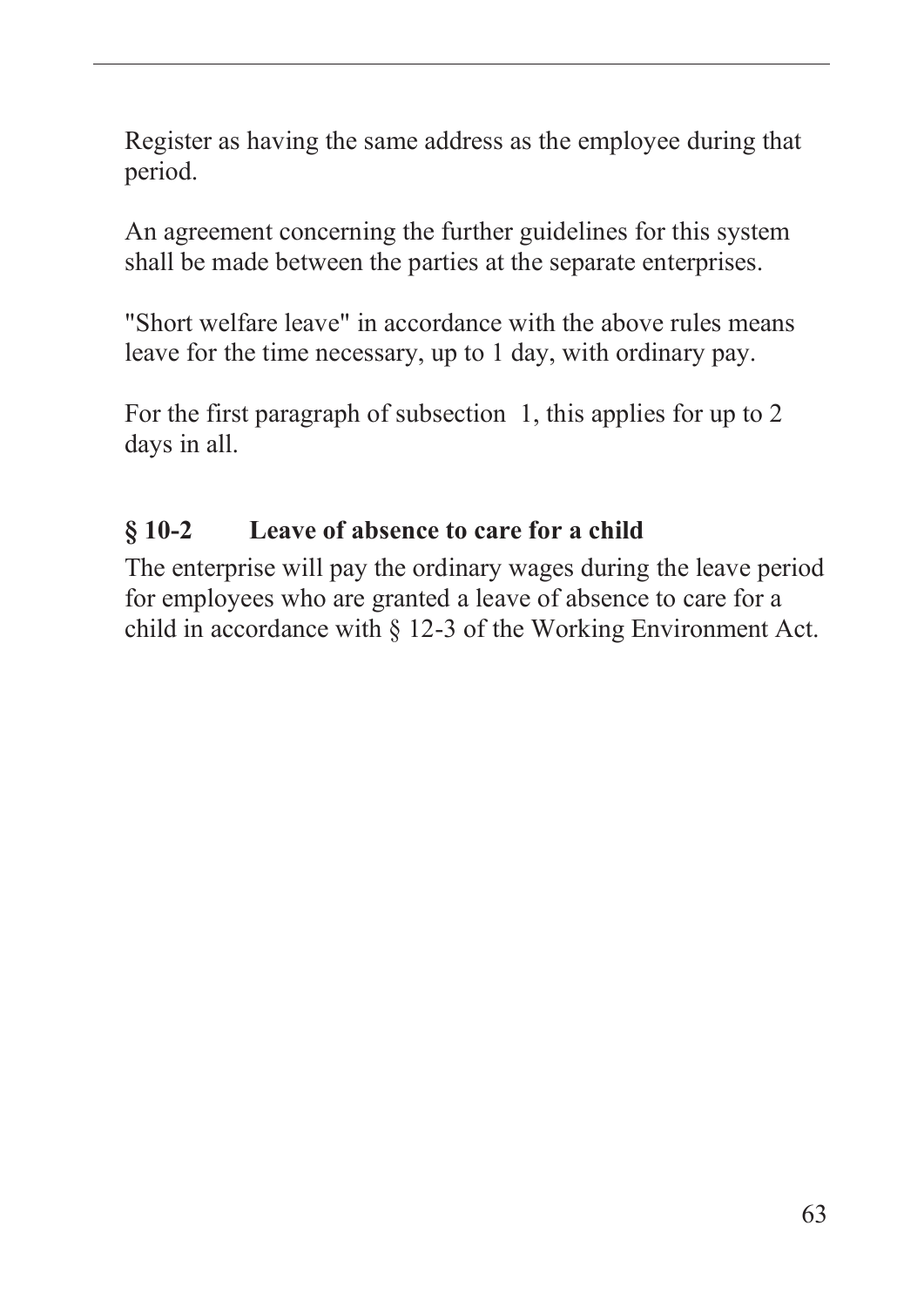Register as having the same address as the employee during that period.

An agreement concerning the further guidelines for this system shall be made between the parties at the separate enterprises.

"Short welfare leave" in accordance with the above rules means leave for the time necessary, up to 1 day, with ordinary pay.

For the first paragraph of subsection 1, this applies for up to 2 days in all.

### **§ 10-2 Leave of absence to care for a child**

The enterprise will pay the ordinary wages during the leave period for employees who are granted a leave of absence to care for a child in accordance with § 12-3 of the Working Environment Act.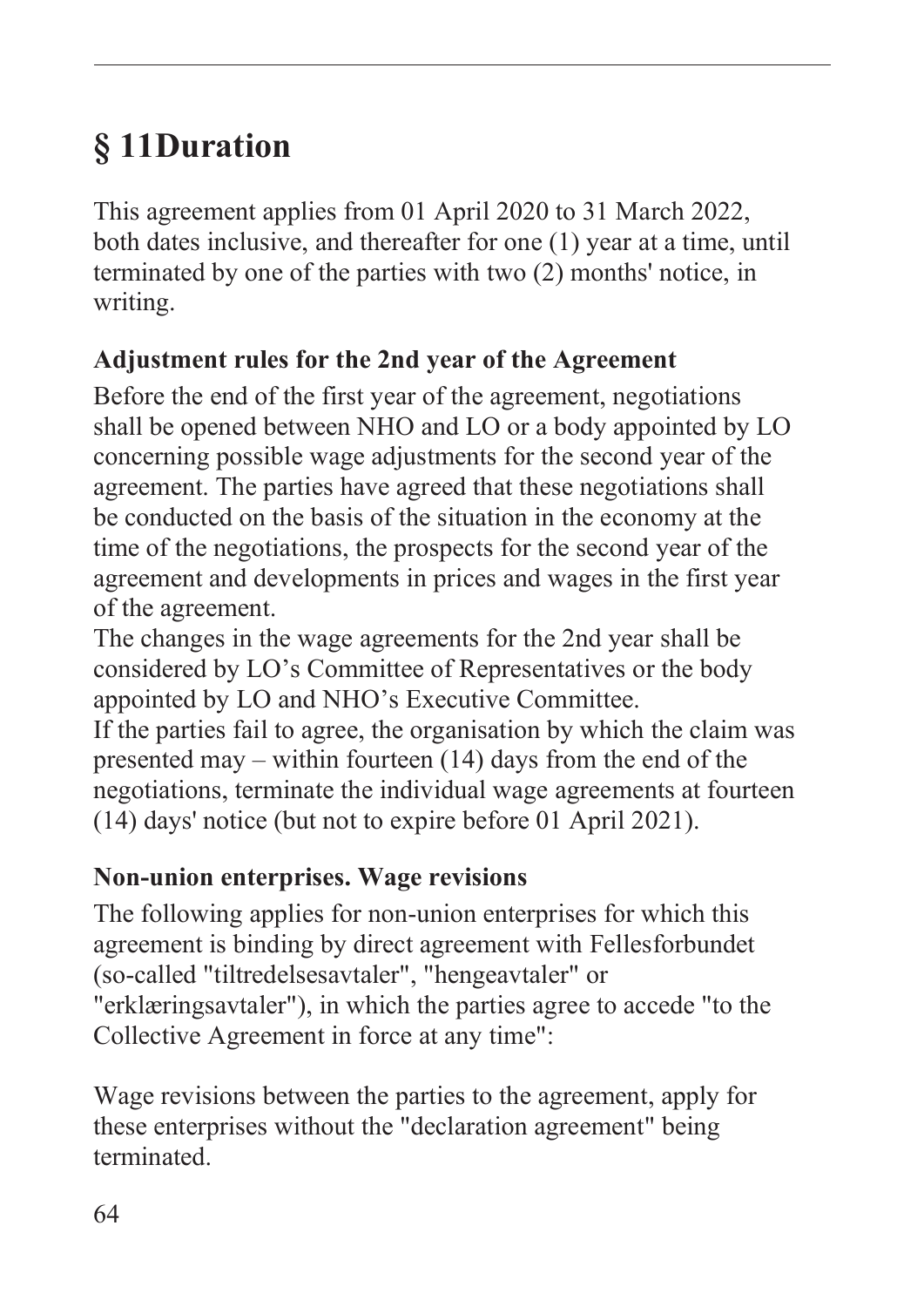# **§ 11Duration**

This agreement applies from 01 April 2020 to 31 March 2022, both dates inclusive, and thereafter for one (1) year at a time, until terminated by one of the parties with two (2) months' notice, in writing.

## **Adjustment rules for the 2nd year of the Agreement**

Before the end of the first year of the agreement, negotiations shall be opened between NHO and LO or a body appointed by LO concerning possible wage adjustments for the second year of the agreement. The parties have agreed that these negotiations shall be conducted on the basis of the situation in the economy at the time of the negotiations, the prospects for the second year of the agreement and developments in prices and wages in the first year of the agreement.

The changes in the wage agreements for the 2nd year shall be considered by LO's Committee of Representatives or the body appointed by LO and NHO's Executive Committee.

If the parties fail to agree, the organisation by which the claim was presented may – within fourteen (14) days from the end of the negotiations, terminate the individual wage agreements at fourteen (14) days' notice (but not to expire before 01 April 2021).

## **Non-union enterprises. Wage revisions**

The following applies for non-union enterprises for which this agreement is binding by direct agreement with Fellesforbundet (so-called "tiltredelsesavtaler", "hengeavtaler" or "erklæringsavtaler"), in which the parties agree to accede "to the Collective Agreement in force at any time":

Wage revisions between the parties to the agreement, apply for these enterprises without the "declaration agreement" being terminated.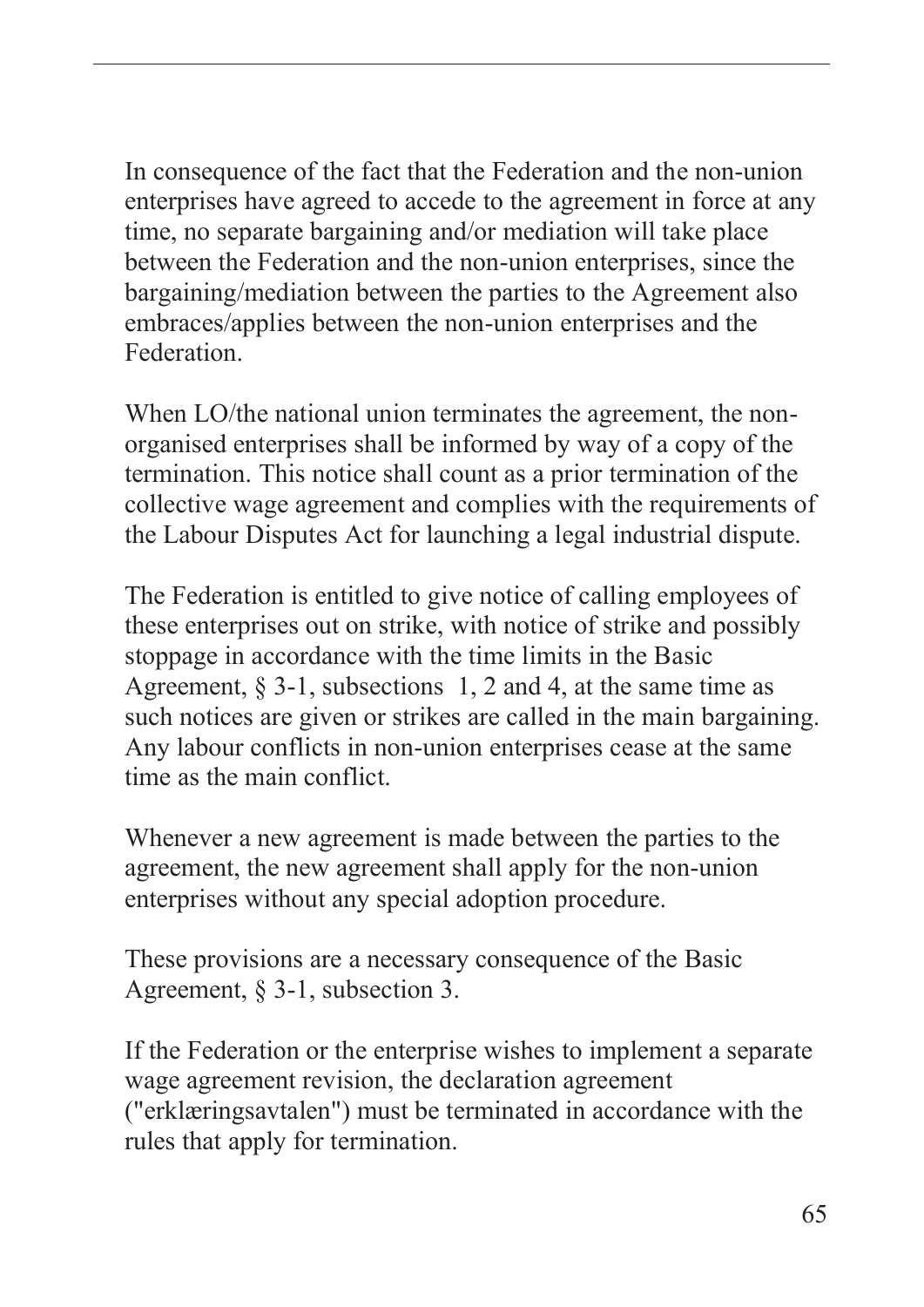In consequence of the fact that the Federation and the non-union enterprises have agreed to accede to the agreement in force at any time, no separate bargaining and/or mediation will take place between the Federation and the non-union enterprises, since the bargaining/mediation between the parties to the Agreement also embraces/applies between the non-union enterprises and the Federation.

When LO/the national union terminates the agreement, the nonorganised enterprises shall be informed by way of a copy of the termination. This notice shall count as a prior termination of the collective wage agreement and complies with the requirements of the Labour Disputes Act for launching a legal industrial dispute.

The Federation is entitled to give notice of calling employees of these enterprises out on strike, with notice of strike and possibly stoppage in accordance with the time limits in the Basic Agreement,  $\S 3-1$ , subsections 1, 2 and 4, at the same time as such notices are given or strikes are called in the main bargaining. Any labour conflicts in non-union enterprises cease at the same time as the main conflict.

Whenever a new agreement is made between the parties to the agreement, the new agreement shall apply for the non-union enterprises without any special adoption procedure.

These provisions are a necessary consequence of the Basic Agreement, § 3-1, subsection 3.

If the Federation or the enterprise wishes to implement a separate wage agreement revision, the declaration agreement ("erklæringsavtalen") must be terminated in accordance with the rules that apply for termination.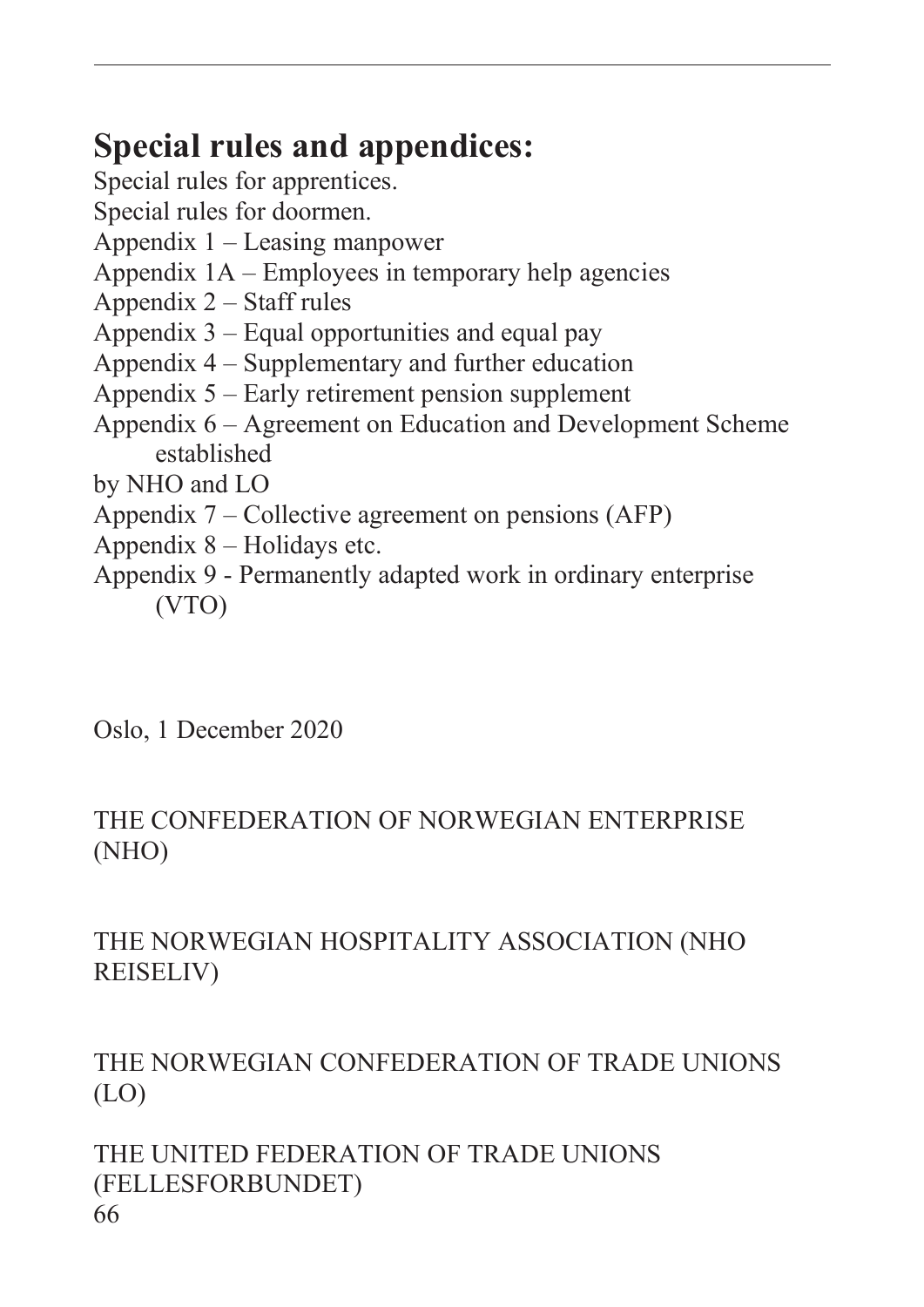## **Special rules and appendices:**

Special rules for apprentices.

Special rules for doormen.

- Appendix 1 Leasing manpower
- Appendix 1A Employees in temporary help agencies
- Appendix 2 Staff rules
- Appendix 3 Equal opportunities and equal pay
- Appendix 4 Supplementary and further education
- Appendix 5 Early retirement pension supplement
- Appendix 6 Agreement on Education and Development Scheme established

by NHO and LO

- Appendix 7 Collective agreement on pensions (AFP)
- Appendix 8 Holidays etc.
- Appendix 9 Permanently adapted work in ordinary enterprise (VTO)

Oslo, 1 December 2020

### THE CONFEDERATION OF NORWEGIAN ENTERPRISE (NHO)

## THE NORWEGIAN HOSPITALITY ASSOCIATION (NHO REISELIV)

## THE NORWEGIAN CONFEDERATION OF TRADE UNIONS (LO)

#### 66 THE UNITED FEDERATION OF TRADE UNIONS (FELLESFORBUNDET)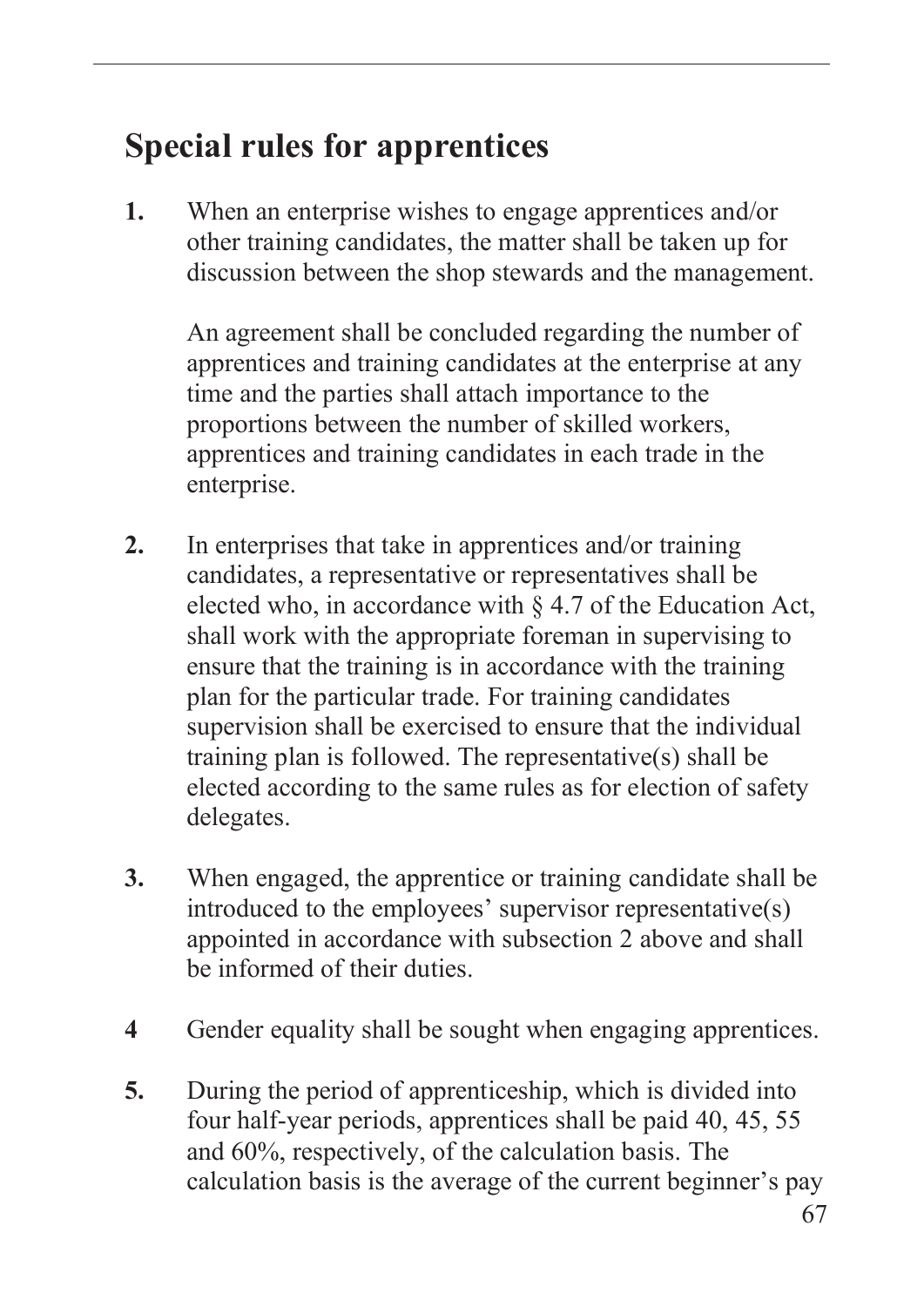## **Special rules for apprentices**

**1.** When an enterprise wishes to engage apprentices and/or other training candidates, the matter shall be taken up for discussion between the shop stewards and the management.

An agreement shall be concluded regarding the number of apprentices and training candidates at the enterprise at any time and the parties shall attach importance to the proportions between the number of skilled workers, apprentices and training candidates in each trade in the enterprise.

- **2.** In enterprises that take in apprentices and/or training candidates, a representative or representatives shall be elected who, in accordance with § 4.7 of the Education Act, shall work with the appropriate foreman in supervising to ensure that the training is in accordance with the training plan for the particular trade. For training candidates supervision shall be exercised to ensure that the individual training plan is followed. The representative(s) shall be elected according to the same rules as for election of safety delegates.
- **3.** When engaged, the apprentice or training candidate shall be introduced to the employees' supervisor representative(s) appointed in accordance with subsection 2 above and shall be informed of their duties.
- **4** Gender equality shall be sought when engaging apprentices.
- **5.** During the period of apprenticeship, which is divided into four half-year periods, apprentices shall be paid 40, 45, 55 and 60%, respectively, of the calculation basis. The calculation basis is the average of the current beginner's pay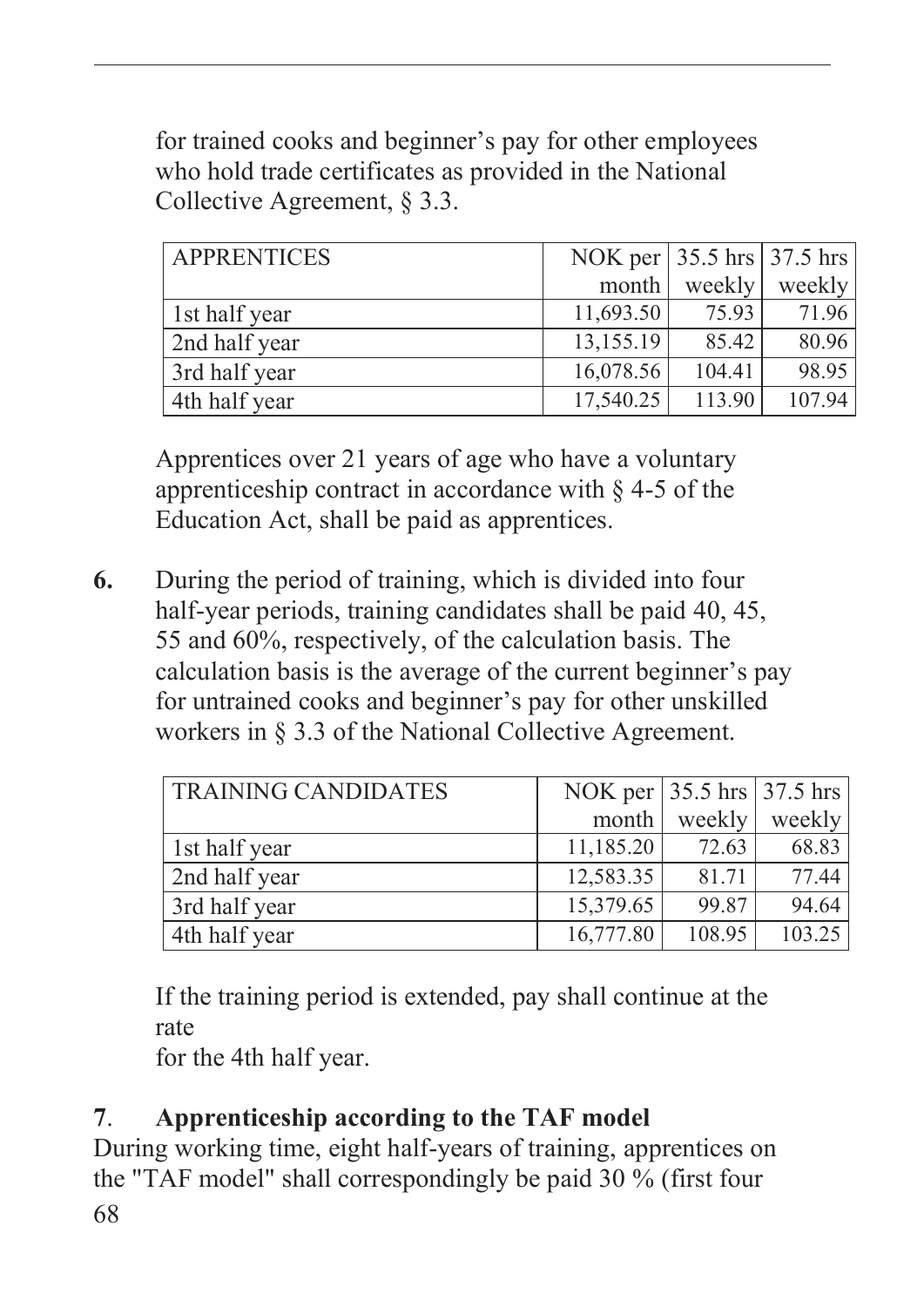for trained cooks and beginner's pay for other employees who hold trade certificates as provided in the National Collective Agreement, § 3.3.

| <b>APPRENTICES</b> | NOK per 35.5 hrs 37.5 hrs |        |        |
|--------------------|---------------------------|--------|--------|
|                    | month                     | weekly | weekly |
| 1st half year      | 11,693.50                 | 75.93  | 71.96  |
| 2nd half year      | 13,155.19                 | 85.42  | 80.96  |
| 3rd half year      | 16,078.56                 | 104.41 | 98.95  |
| 4th half year      | 17,540.25                 | 113.90 | 107.94 |

Apprentices over 21 years of age who have a voluntary apprenticeship contract in accordance with § 4-5 of the Education Act, shall be paid as apprentices.

**6.** During the period of training, which is divided into four half-year periods, training candidates shall be paid 40, 45, 55 and 60%, respectively, of the calculation basis. The calculation basis is the average of the current beginner's pay for untrained cooks and beginner's pay for other unskilled workers in § 3.3 of the National Collective Agreement.

| <b>TRAINING CANDIDATES</b> | NOK per 35.5 hrs 37.5 hrs |        |        |
|----------------------------|---------------------------|--------|--------|
|                            | month                     | weekly | weekly |
| 1st half year              | 11,185.20                 | 72.63  | 68.83  |
| 2nd half year              | 12,583.35                 | 81.71  | 77.44  |
| 3rd half year              | 15,379.65                 | 99.87  | 94.64  |
| 4th half year              | 16,777.80                 | 108.95 | 103.25 |

If the training period is extended, pay shall continue at the rate

for the 4th half year.

## **7**. **Apprenticeship according to the TAF model**

68 During working time, eight half-years of training, apprentices on the "TAF model" shall correspondingly be paid 30 % (first four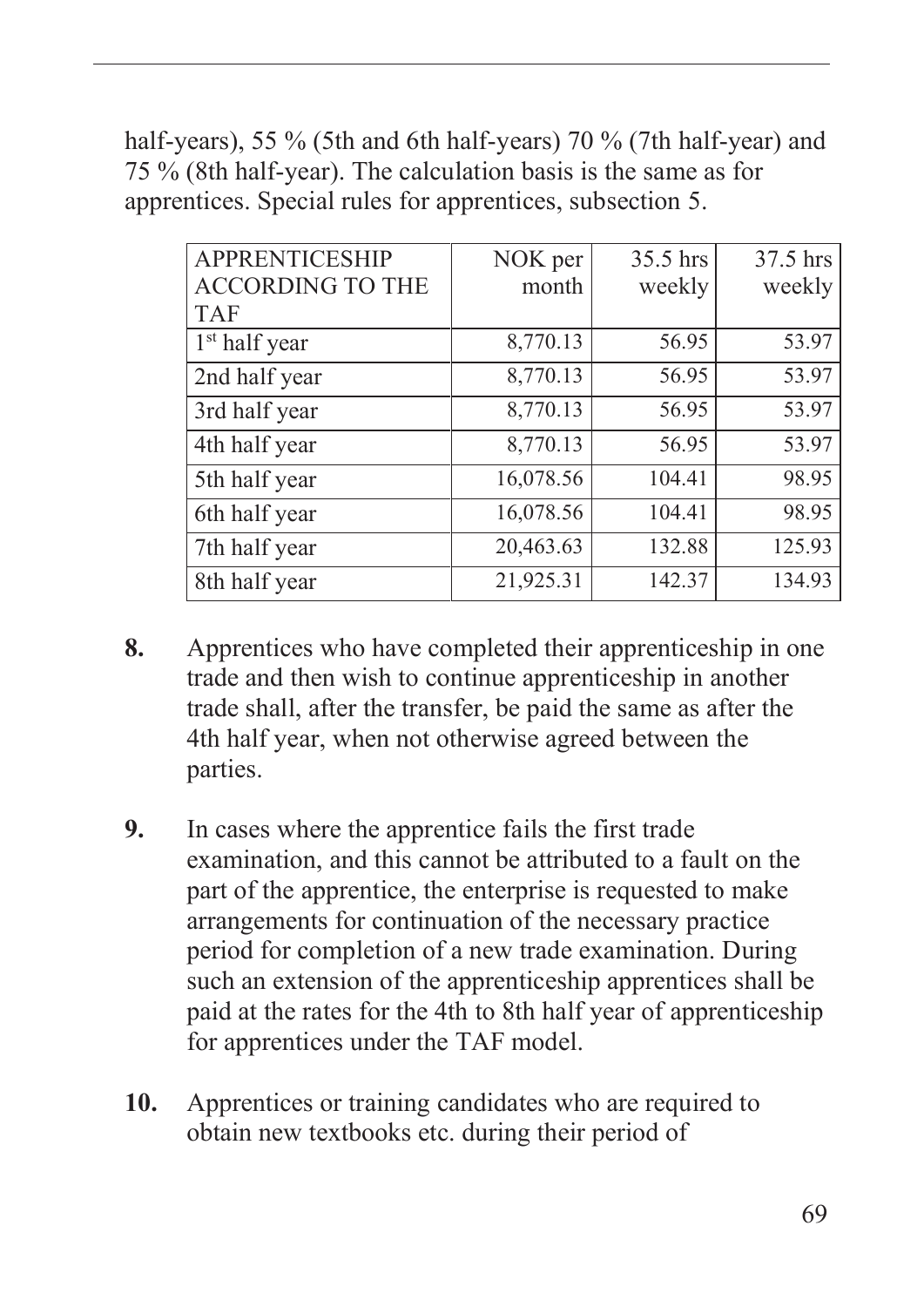half-years), 55 % (5th and 6th half-years) 70 % (7th half-year) and 75 % (8th half-year). The calculation basis is the same as for apprentices. Special rules for apprentices, subsection 5.

| <b>APPRENTICESHIP</b><br><b>ACCORDING TO THE</b> | NOK per<br>month | 35.5 hrs<br>weekly | 37.5 hrs<br>weekly |
|--------------------------------------------------|------------------|--------------------|--------------------|
| <b>TAF</b>                                       |                  |                    |                    |
| 1 <sup>st</sup> half year                        | 8,770.13         | 56.95              | 53.97              |
| 2nd half year                                    | 8,770.13         | 56.95              | 53.97              |
| 3rd half year                                    | 8,770.13         | 56.95              | 53.97              |
| 4th half year                                    | 8,770.13         | 56.95              | 53.97              |
| 5th half year                                    | 16,078.56        | 104.41             | 98.95              |
| 6th half year                                    | 16,078.56        | 104.41             | 98.95              |
| 7th half year                                    | 20,463.63        | 132.88             | 125.93             |
| 8th half year                                    | 21,925.31        | 142.37             | 134.93             |

- **8.** Apprentices who have completed their apprenticeship in one trade and then wish to continue apprenticeship in another trade shall, after the transfer, be paid the same as after the 4th half year, when not otherwise agreed between the parties.
- **9.** In cases where the apprentice fails the first trade examination, and this cannot be attributed to a fault on the part of the apprentice, the enterprise is requested to make arrangements for continuation of the necessary practice period for completion of a new trade examination. During such an extension of the apprenticeship apprentices shall be paid at the rates for the 4th to 8th half year of apprenticeship for apprentices under the TAF model.
- **10.** Apprentices or training candidates who are required to obtain new textbooks etc. during their period of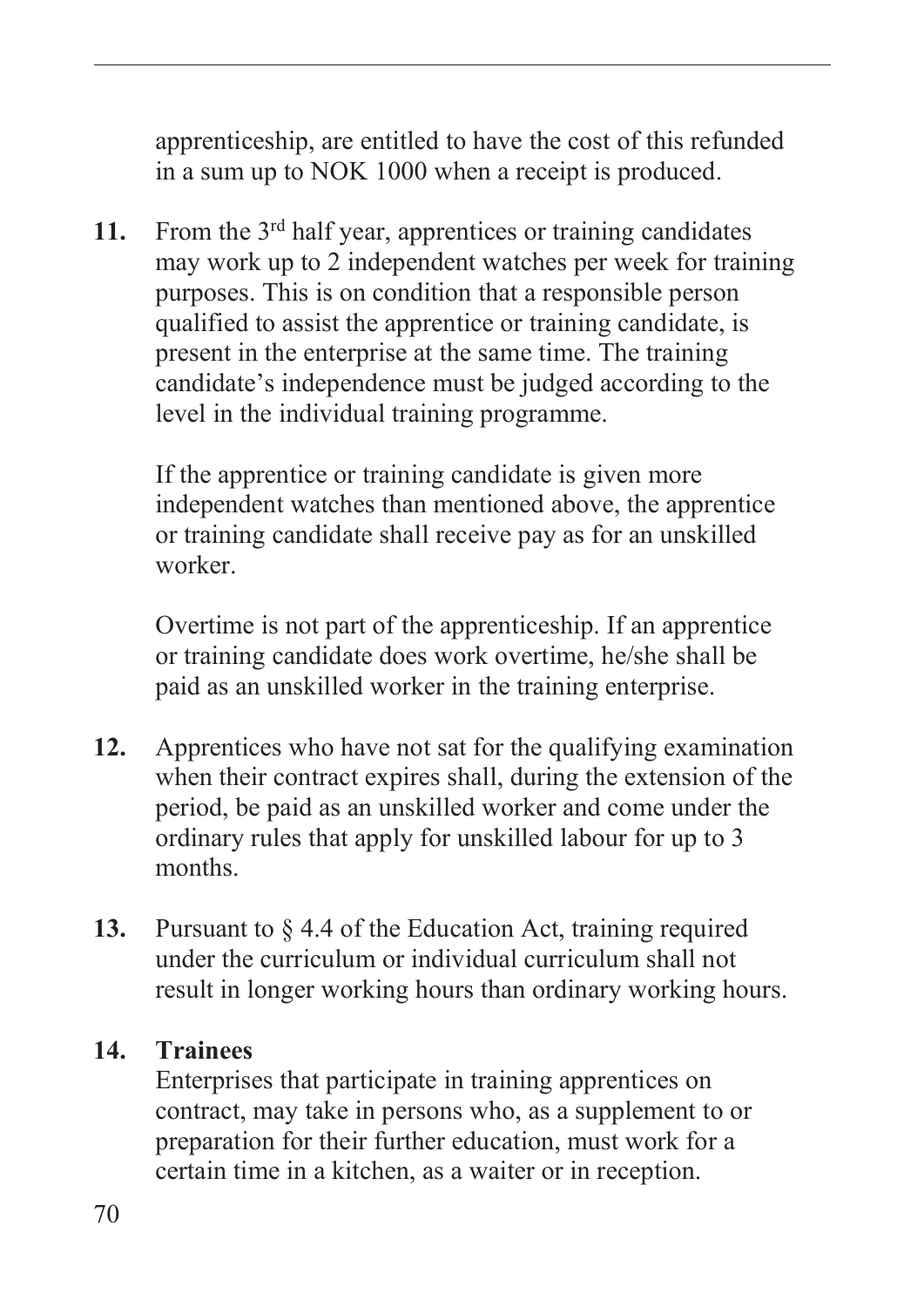apprenticeship, are entitled to have the cost of this refunded in a sum up to NOK 1000 when a receipt is produced.

**11.** From the 3rd half year, apprentices or training candidates may work up to 2 independent watches per week for training purposes. This is on condition that a responsible person qualified to assist the apprentice or training candidate, is present in the enterprise at the same time. The training candidate's independence must be judged according to the level in the individual training programme.

If the apprentice or training candidate is given more independent watches than mentioned above, the apprentice or training candidate shall receive pay as for an unskilled worker.

Overtime is not part of the apprenticeship. If an apprentice or training candidate does work overtime, he/she shall be paid as an unskilled worker in the training enterprise.

- **12.** Apprentices who have not sat for the qualifying examination when their contract expires shall, during the extension of the period, be paid as an unskilled worker and come under the ordinary rules that apply for unskilled labour for up to 3 months.
- **13.** Pursuant to § 4.4 of the Education Act, training required under the curriculum or individual curriculum shall not result in longer working hours than ordinary working hours.

#### **14. Trainees**

Enterprises that participate in training apprentices on contract, may take in persons who, as a supplement to or preparation for their further education, must work for a certain time in a kitchen, as a waiter or in reception.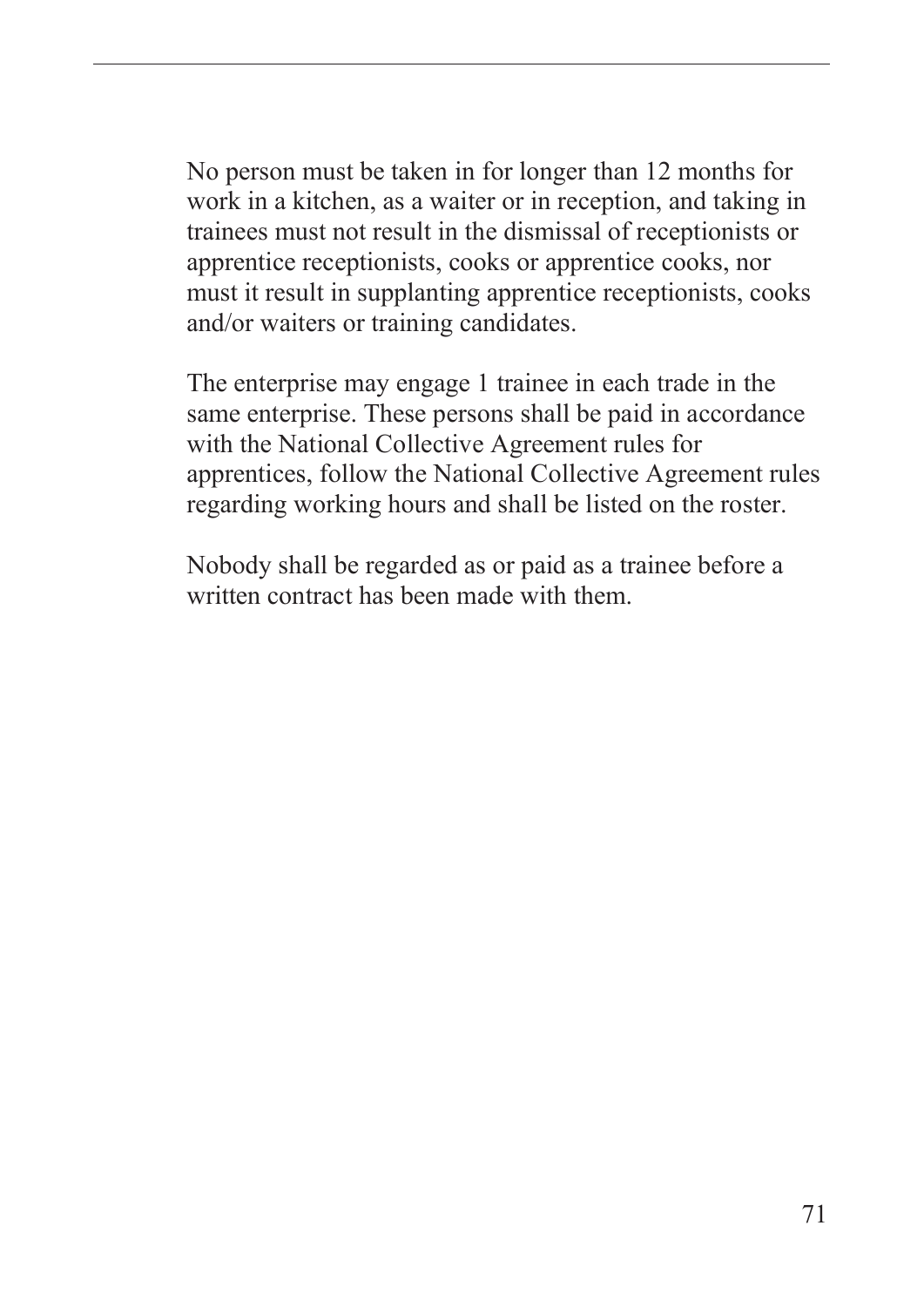No person must be taken in for longer than 12 months for work in a kitchen, as a waiter or in reception, and taking in trainees must not result in the dismissal of receptionists or apprentice receptionists, cooks or apprentice cooks, nor must it result in supplanting apprentice receptionists, cooks and/or waiters or training candidates.

The enterprise may engage 1 trainee in each trade in the same enterprise. These persons shall be paid in accordance with the National Collective Agreement rules for apprentices, follow the National Collective Agreement rules regarding working hours and shall be listed on the roster.

Nobody shall be regarded as or paid as a trainee before a written contract has been made with them.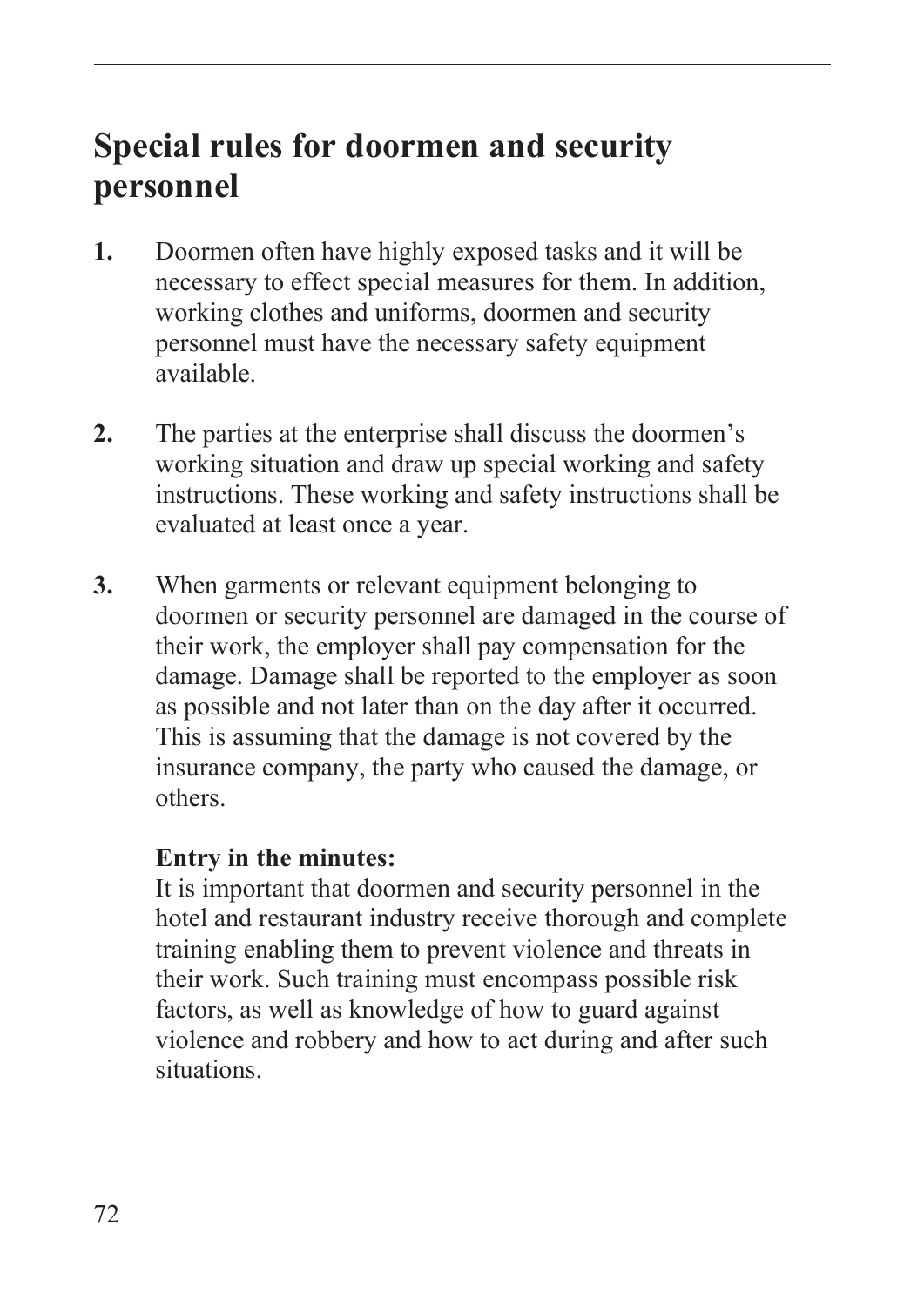# **Special rules for doormen and security personnel**

- **1.** Doormen often have highly exposed tasks and it will be necessary to effect special measures for them. In addition, working clothes and uniforms, doormen and security personnel must have the necessary safety equipment available.
- **2.** The parties at the enterprise shall discuss the doormen's working situation and draw up special working and safety instructions. These working and safety instructions shall be evaluated at least once a year.
- **3.** When garments or relevant equipment belonging to doormen or security personnel are damaged in the course of their work, the employer shall pay compensation for the damage. Damage shall be reported to the employer as soon as possible and not later than on the day after it occurred. This is assuming that the damage is not covered by the insurance company, the party who caused the damage, or others.

#### **Entry in the minutes:**

It is important that doormen and security personnel in the hotel and restaurant industry receive thorough and complete training enabling them to prevent violence and threats in their work. Such training must encompass possible risk factors, as well as knowledge of how to guard against violence and robbery and how to act during and after such situations.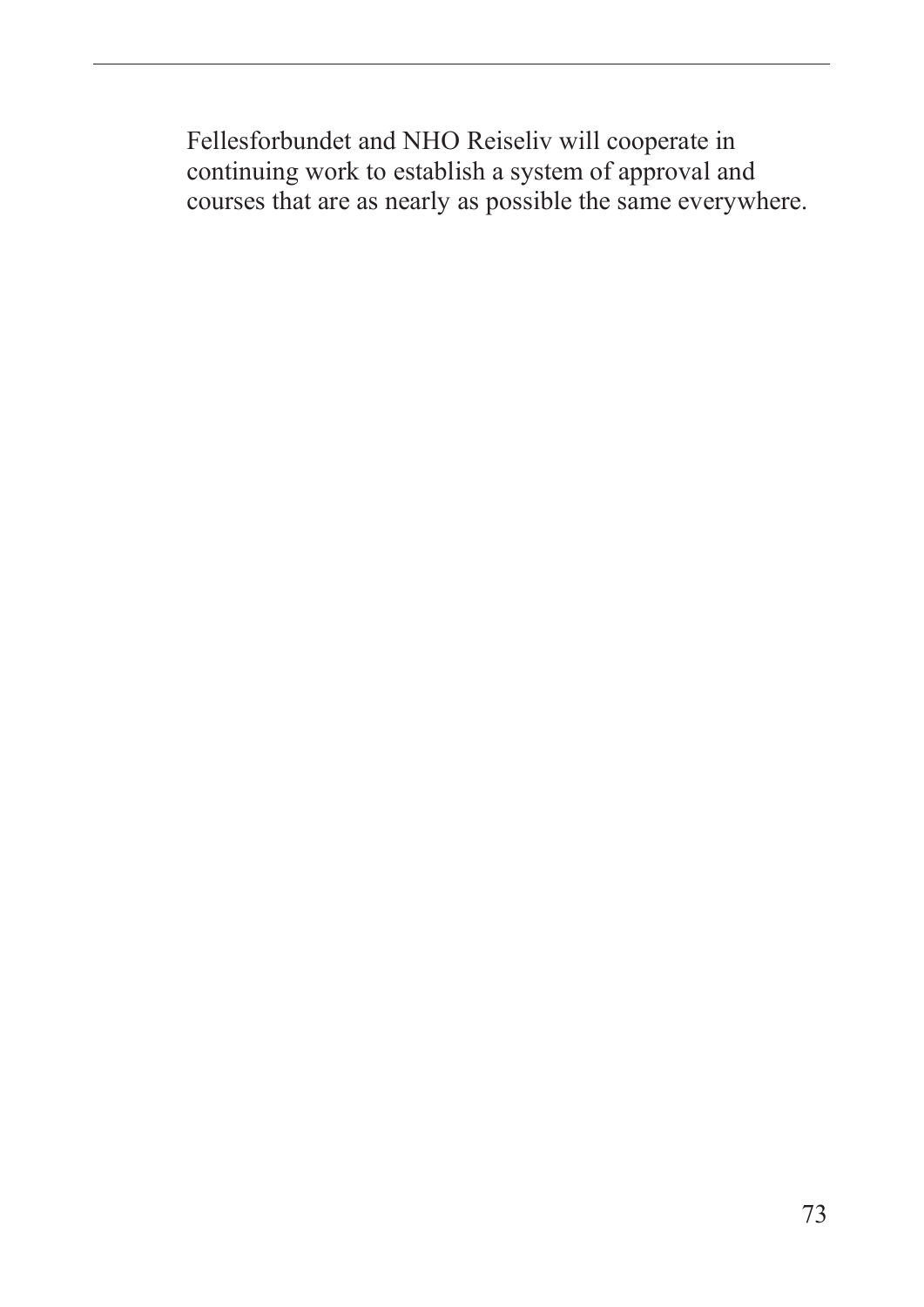Fellesforbundet and NHO Reiseliv will cooperate in continuing work to establish a system of approval and courses that are as nearly as possible the same everywhere.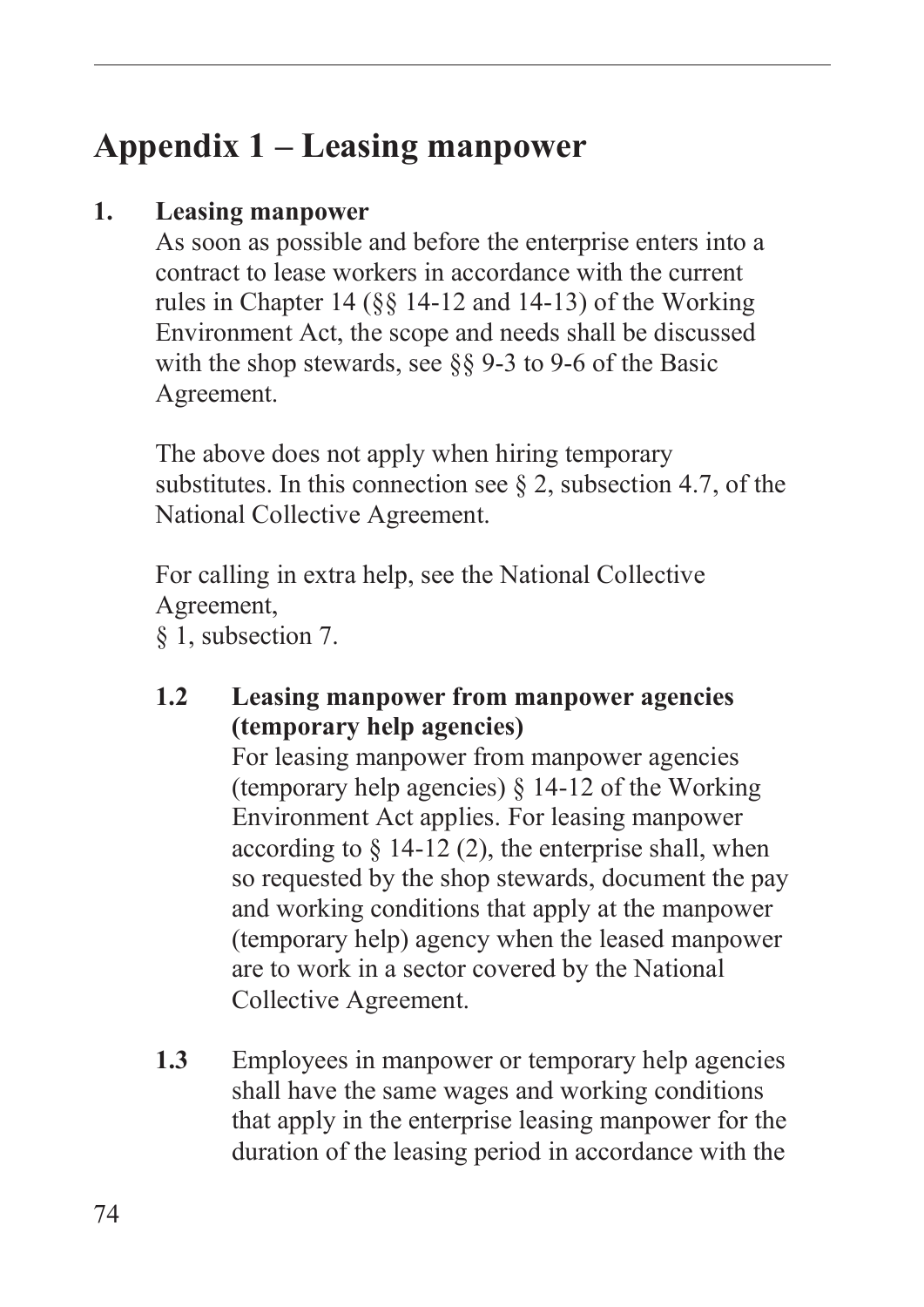# **Appendix 1 – Leasing manpower**

#### **1. Leasing manpower**

As soon as possible and before the enterprise enters into a contract to lease workers in accordance with the current rules in Chapter 14 (§§ 14-12 and 14-13) of the Working Environment Act, the scope and needs shall be discussed with the shop stewards, see  $889-3$  to 9-6 of the Basic Agreement.

The above does not apply when hiring temporary substitutes. In this connection see  $\S 2$ , subsection 4.7, of the National Collective Agreement.

For calling in extra help, see the National Collective Agreement,

§ 1, subsection 7.

#### **1.2 Leasing manpower from manpower agencies (temporary help agencies)**

For leasing manpower from manpower agencies (temporary help agencies) § 14-12 of the Working Environment Act applies. For leasing manpower according to  $\S$  14-12 (2), the enterprise shall, when so requested by the shop stewards, document the pay and working conditions that apply at the manpower (temporary help) agency when the leased manpower are to work in a sector covered by the National Collective Agreement.

**1.3** Employees in manpower or temporary help agencies shall have the same wages and working conditions that apply in the enterprise leasing manpower for the duration of the leasing period in accordance with the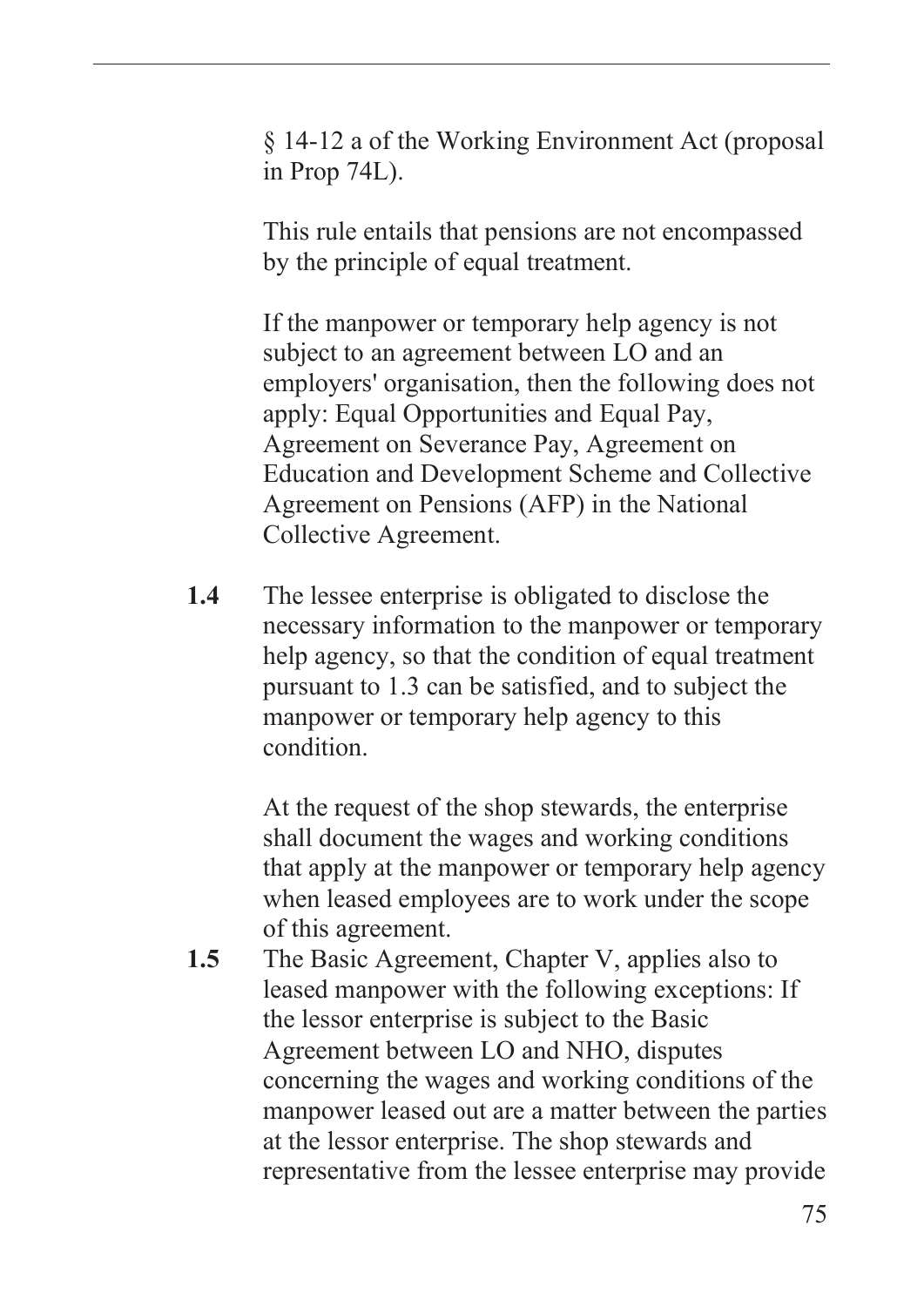§ 14-12 a of the Working Environment Act (proposal in Prop 74L).

This rule entails that pensions are not encompassed by the principle of equal treatment.

If the manpower or temporary help agency is not subject to an agreement between LO and an employers' organisation, then the following does not apply: Equal Opportunities and Equal Pay, Agreement on Severance Pay, Agreement on Education and Development Scheme and Collective Agreement on Pensions (AFP) in the National Collective Agreement.

**1.4** The lessee enterprise is obligated to disclose the necessary information to the manpower or temporary help agency, so that the condition of equal treatment pursuant to 1.3 can be satisfied, and to subject the manpower or temporary help agency to this condition.

> At the request of the shop stewards, the enterprise shall document the wages and working conditions that apply at the manpower or temporary help agency when leased employees are to work under the scope of this agreement.

**1.5** The Basic Agreement, Chapter V, applies also to leased manpower with the following exceptions: If the lessor enterprise is subject to the Basic Agreement between LO and NHO, disputes concerning the wages and working conditions of the manpower leased out are a matter between the parties at the lessor enterprise. The shop stewards and representative from the lessee enterprise may provide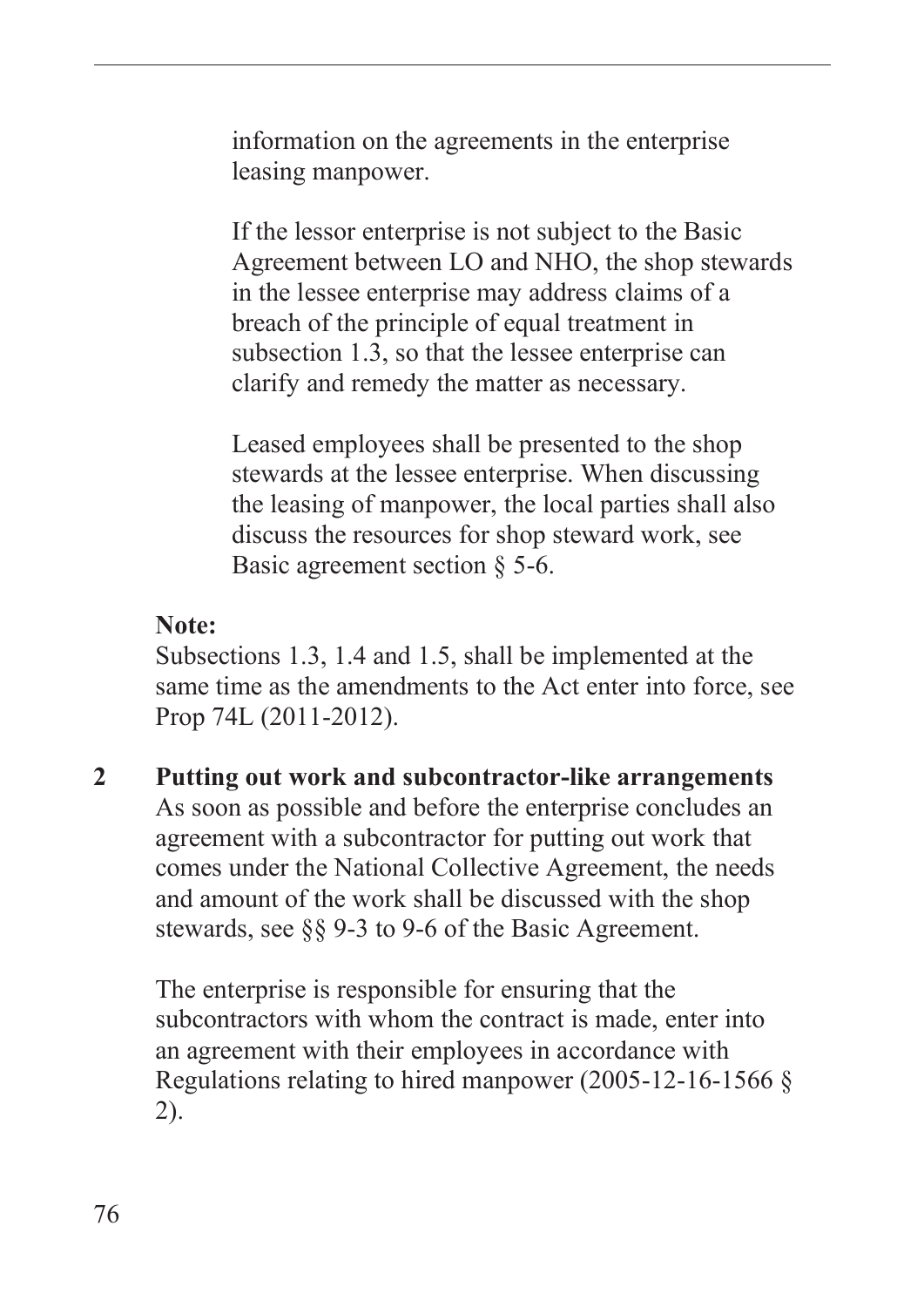information on the agreements in the enterprise leasing manpower.

If the lessor enterprise is not subject to the Basic Agreement between LO and NHO, the shop stewards in the lessee enterprise may address claims of a breach of the principle of equal treatment in subsection 1.3, so that the lessee enterprise can clarify and remedy the matter as necessary.

Leased employees shall be presented to the shop stewards at the lessee enterprise. When discussing the leasing of manpower, the local parties shall also discuss the resources for shop steward work, see Basic agreement section § 5-6.

#### **Note:**

Subsections 1.3, 1.4 and 1.5, shall be implemented at the same time as the amendments to the Act enter into force, see Prop 74L (2011-2012).

**2 Putting out work and subcontractor-like arrangements** As soon as possible and before the enterprise concludes an agreement with a subcontractor for putting out work that comes under the National Collective Agreement, the needs and amount of the work shall be discussed with the shop stewards, see §§ 9-3 to 9-6 of the Basic Agreement.

The enterprise is responsible for ensuring that the subcontractors with whom the contract is made, enter into an agreement with their employees in accordance with Regulations relating to hired manpower (2005-12-16-1566 § 2).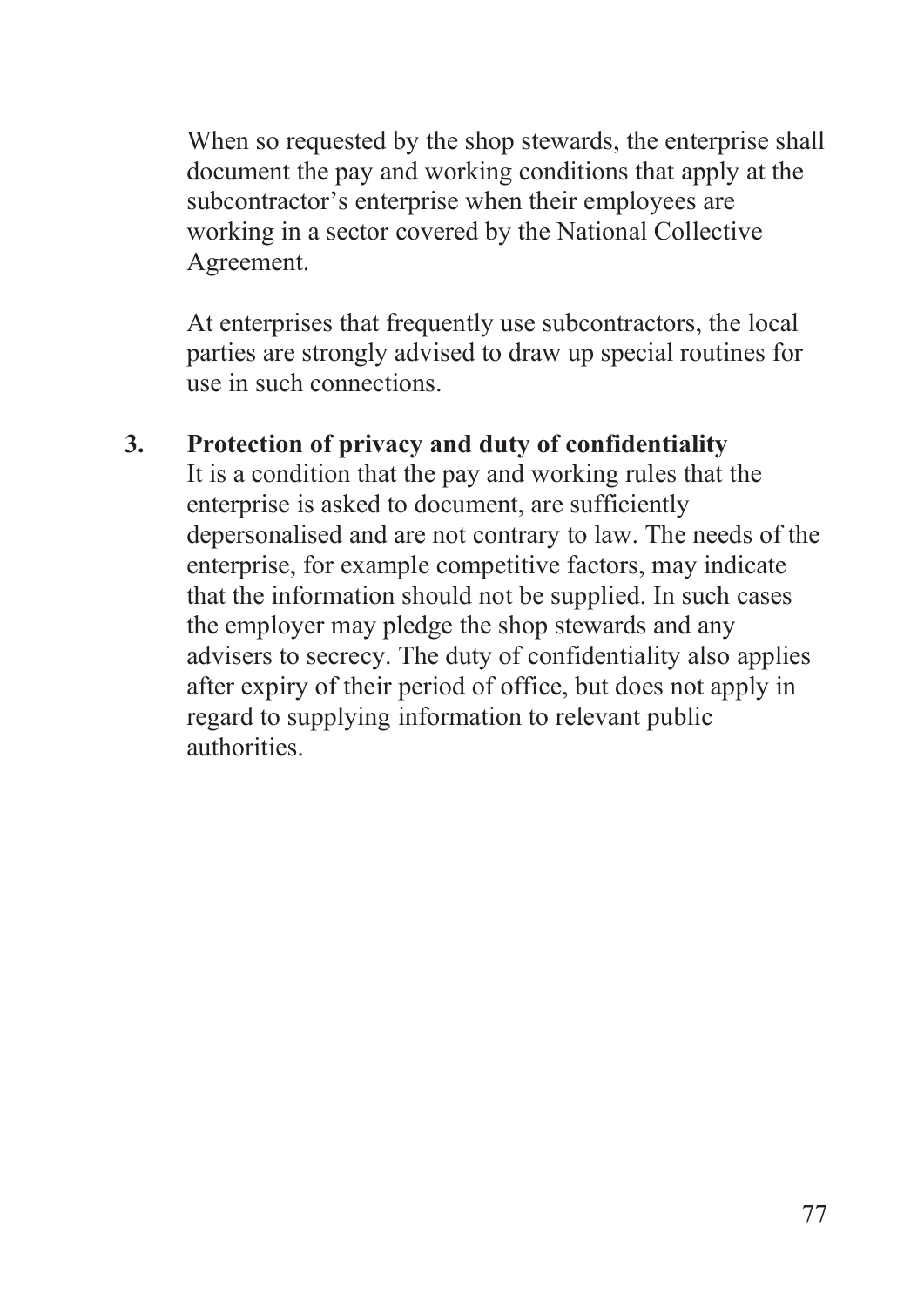When so requested by the shop stewards, the enterprise shall document the pay and working conditions that apply at the subcontractor's enterprise when their employees are working in a sector covered by the National Collective Agreement.

At enterprises that frequently use subcontractors, the local parties are strongly advised to draw up special routines for use in such connections.

### **3. Protection of privacy and duty of confidentiality**

It is a condition that the pay and working rules that the enterprise is asked to document, are sufficiently depersonalised and are not contrary to law. The needs of the enterprise, for example competitive factors, may indicate that the information should not be supplied. In such cases the employer may pledge the shop stewards and any advisers to secrecy. The duty of confidentiality also applies after expiry of their period of office, but does not apply in regard to supplying information to relevant public authorities.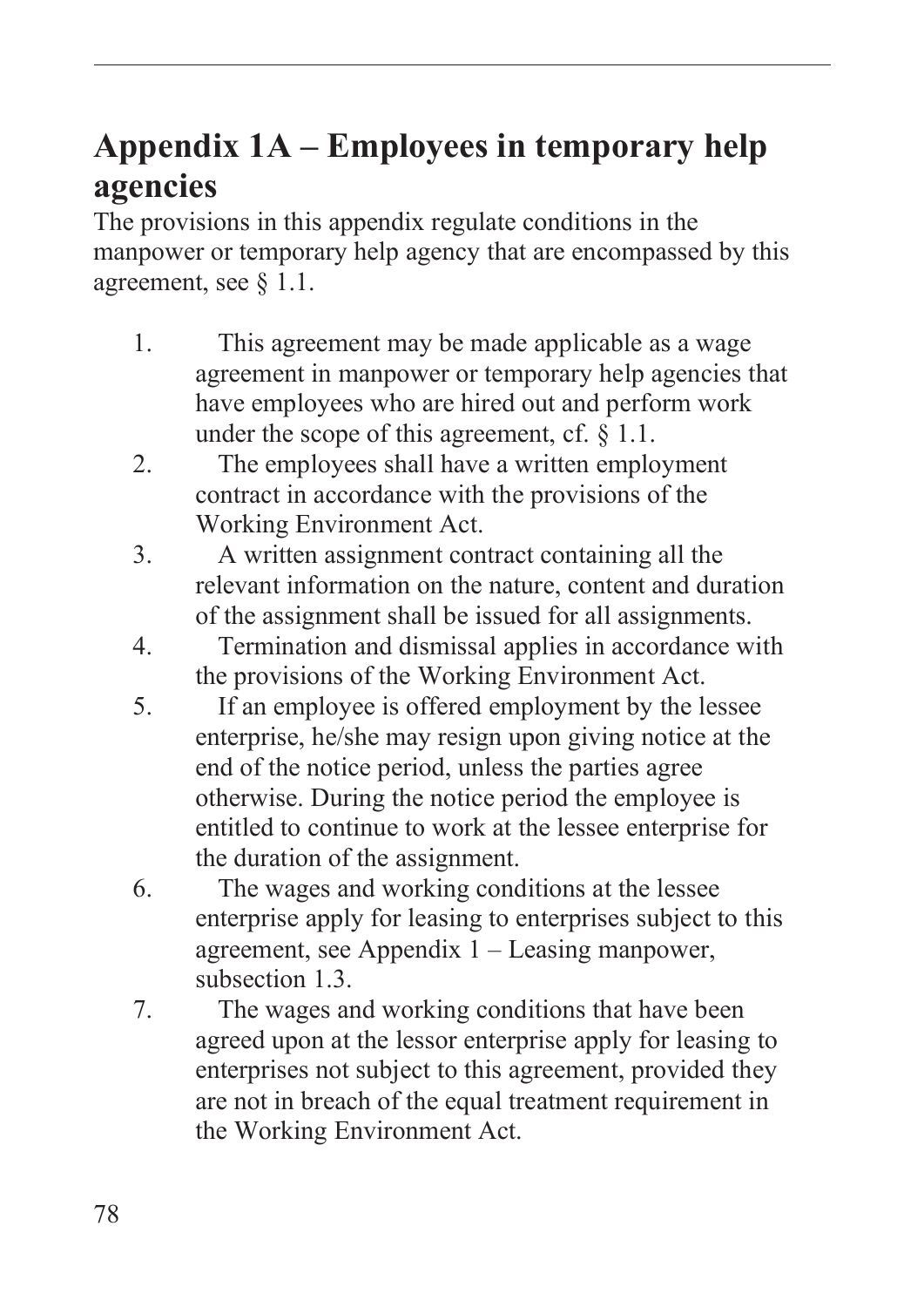# **Appendix 1A – Employees in temporary help agencies**

The provisions in this appendix regulate conditions in the manpower or temporary help agency that are encompassed by this agreement, see § 1.1.

- 1. This agreement may be made applicable as a wage agreement in manpower or temporary help agencies that have employees who are hired out and perform work under the scope of this agreement, cf.  $\S$  1.1.
- 2. The employees shall have a written employment contract in accordance with the provisions of the Working Environment Act.
- 3. A written assignment contract containing all the relevant information on the nature, content and duration of the assignment shall be issued for all assignments.
- 4. Termination and dismissal applies in accordance with the provisions of the Working Environment Act.
- 5. If an employee is offered employment by the lessee enterprise, he/she may resign upon giving notice at the end of the notice period, unless the parties agree otherwise. During the notice period the employee is entitled to continue to work at the lessee enterprise for the duration of the assignment.
- 6. The wages and working conditions at the lessee enterprise apply for leasing to enterprises subject to this agreement, see Appendix 1 – Leasing manpower, subsection 1.3.
- 7. The wages and working conditions that have been agreed upon at the lessor enterprise apply for leasing to enterprises not subject to this agreement, provided they are not in breach of the equal treatment requirement in the Working Environment Act.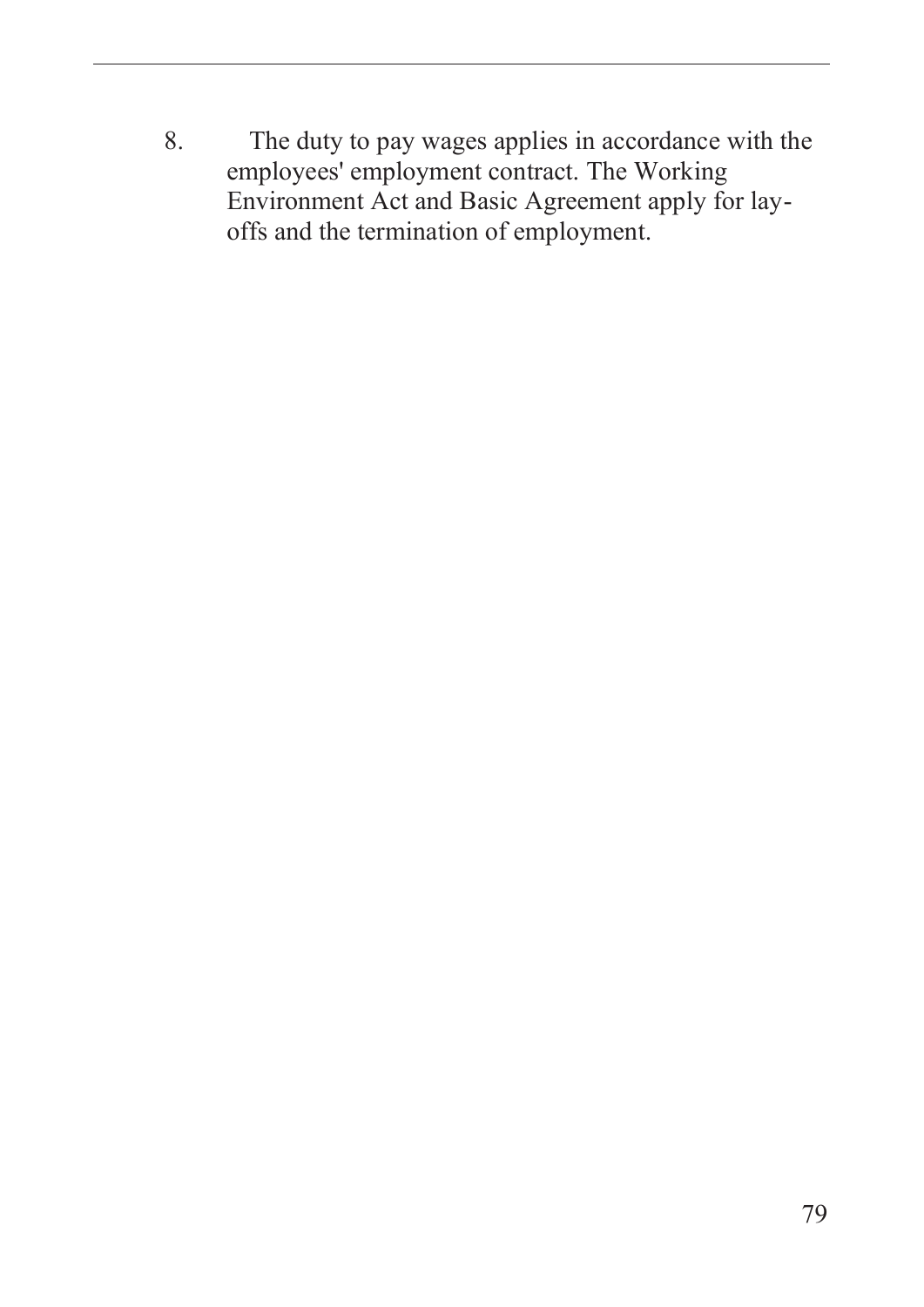8. The duty to pay wages applies in accordance with the employees' employment contract. The Working Environment Act and Basic Agreement apply for layoffs and the termination of employment.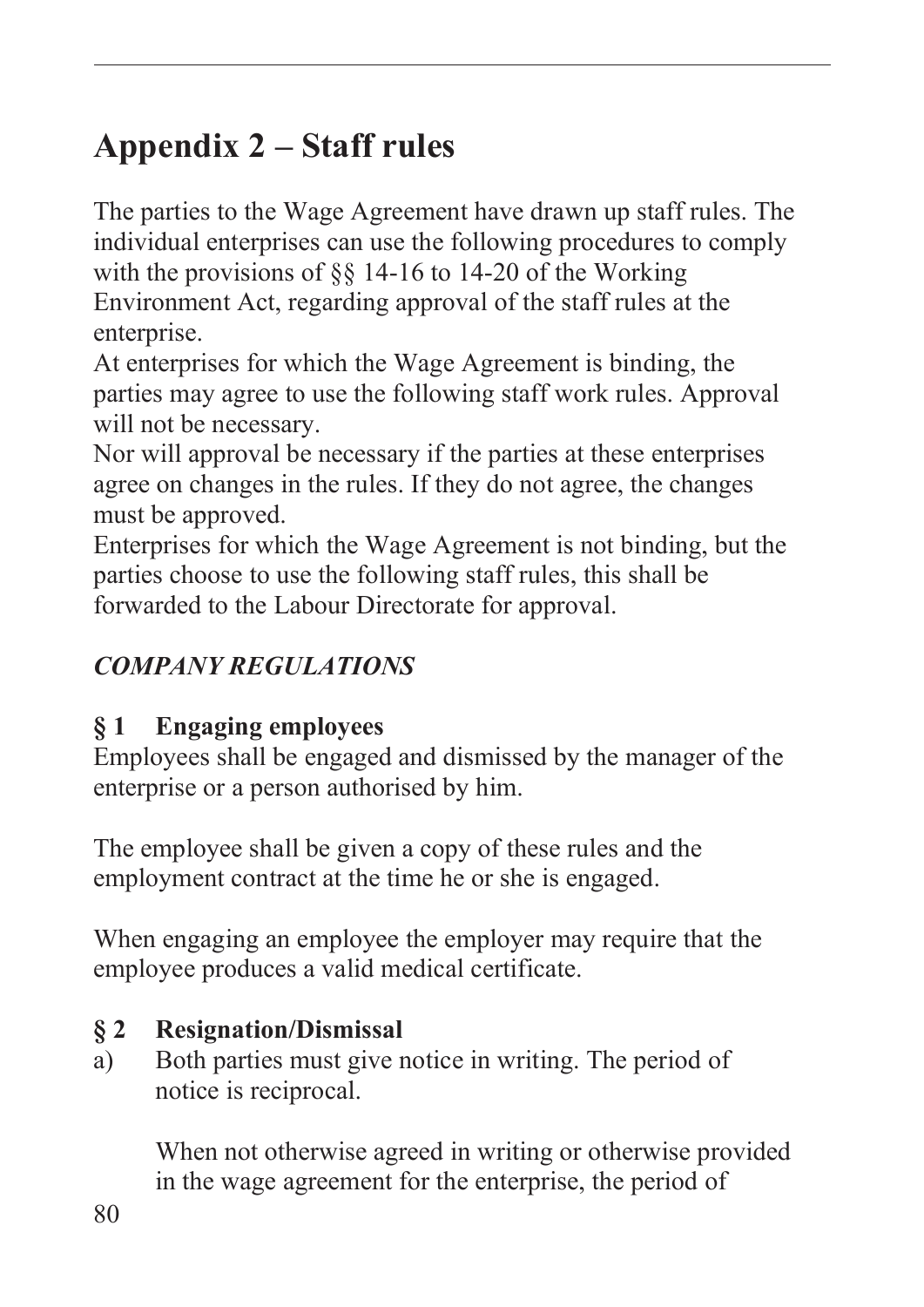# **Appendix 2 – Staff rules**

The parties to the Wage Agreement have drawn up staff rules. The individual enterprises can use the following procedures to comply with the provisions of §§ 14-16 to 14-20 of the Working Environment Act, regarding approval of the staff rules at the enterprise.

At enterprises for which the Wage Agreement is binding, the parties may agree to use the following staff work rules. Approval will not be necessary.

Nor will approval be necessary if the parties at these enterprises agree on changes in the rules. If they do not agree, the changes must be approved.

Enterprises for which the Wage Agreement is not binding, but the parties choose to use the following staff rules, this shall be forwarded to the Labour Directorate for approval.

# *COMPANY REGULATIONS*

# **§ 1 Engaging employees**

Employees shall be engaged and dismissed by the manager of the enterprise or a person authorised by him.

The employee shall be given a copy of these rules and the employment contract at the time he or she is engaged.

When engaging an employee the employer may require that the employee produces a valid medical certificate.

# **§ 2 Resignation/Dismissal**

a) Both parties must give notice in writing. The period of notice is reciprocal.

When not otherwise agreed in writing or otherwise provided in the wage agreement for the enterprise, the period of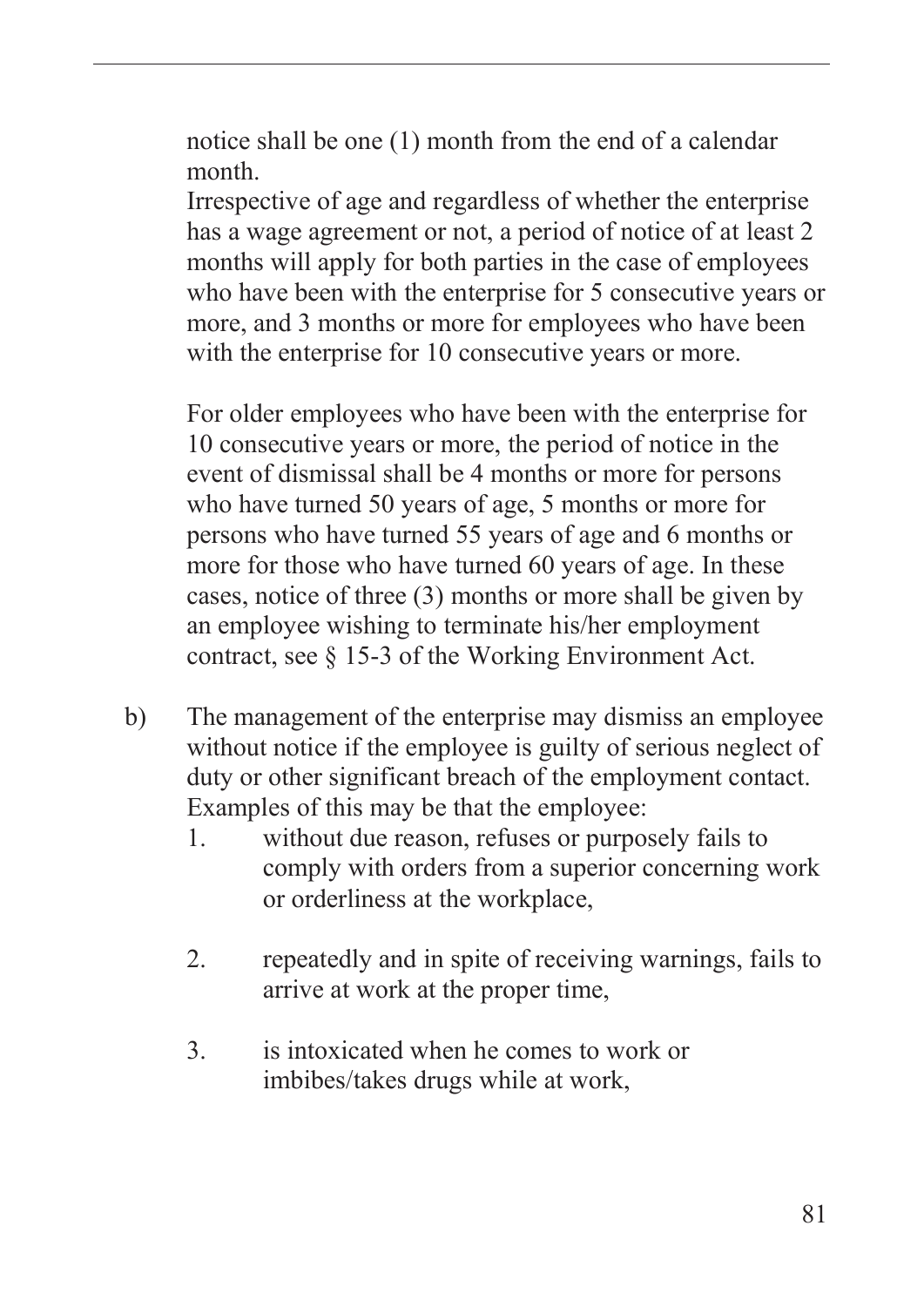notice shall be one (1) month from the end of a calendar month.

Irrespective of age and regardless of whether the enterprise has a wage agreement or not, a period of notice of at least 2 months will apply for both parties in the case of employees who have been with the enterprise for 5 consecutive years or more, and 3 months or more for employees who have been with the enterprise for 10 consecutive years or more.

For older employees who have been with the enterprise for 10 consecutive years or more, the period of notice in the event of dismissal shall be 4 months or more for persons who have turned 50 years of age, 5 months or more for persons who have turned 55 years of age and 6 months or more for those who have turned 60 years of age. In these cases, notice of three (3) months or more shall be given by an employee wishing to terminate his/her employment contract, see § 15-3 of the Working Environment Act.

- b) The management of the enterprise may dismiss an employee without notice if the employee is guilty of serious neglect of duty or other significant breach of the employment contact. Examples of this may be that the employee:
	- 1. without due reason, refuses or purposely fails to comply with orders from a superior concerning work or orderliness at the workplace,
	- 2. repeatedly and in spite of receiving warnings, fails to arrive at work at the proper time,
	- 3. is intoxicated when he comes to work or imbibes/takes drugs while at work,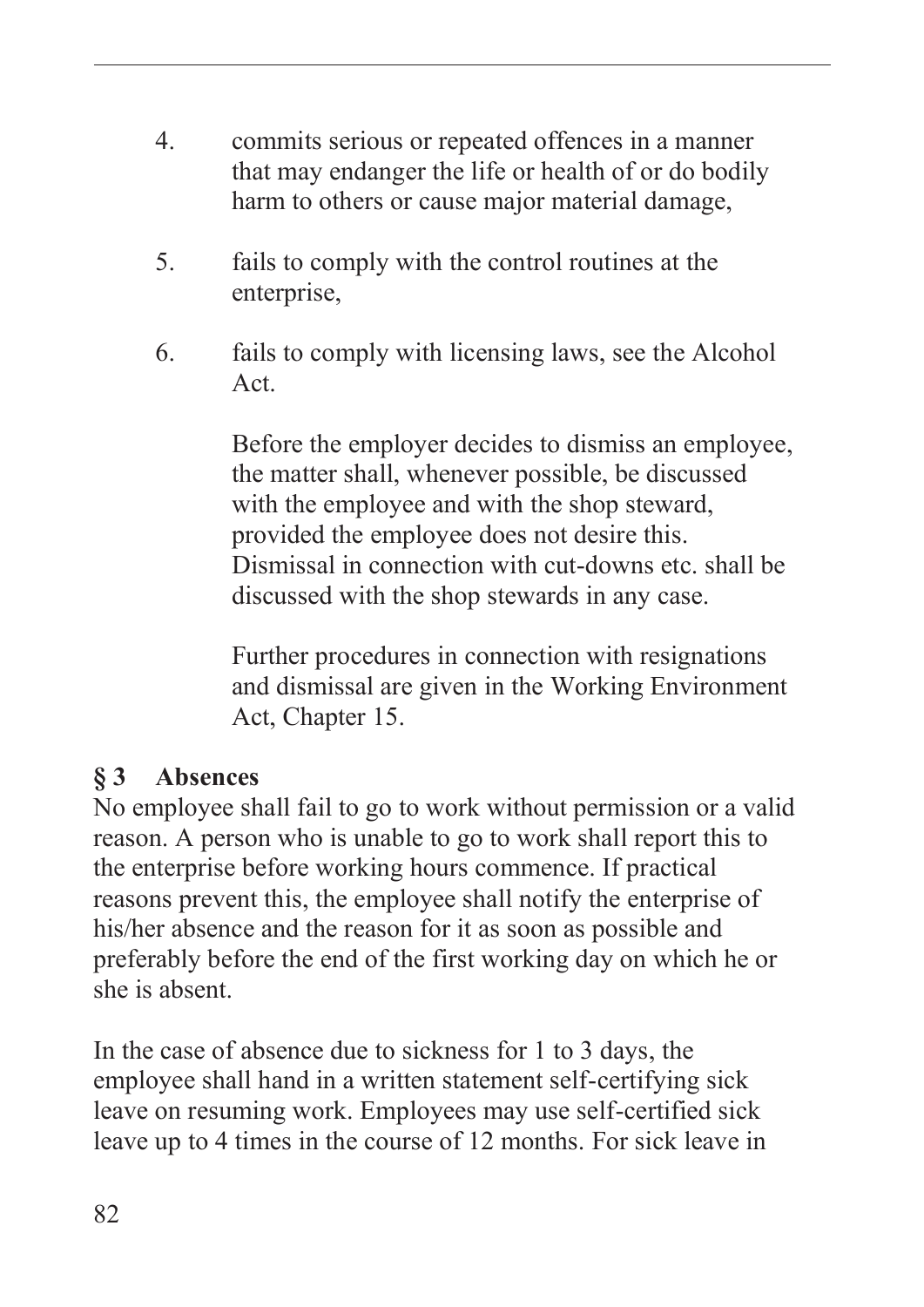- 4. commits serious or repeated offences in a manner that may endanger the life or health of or do bodily harm to others or cause major material damage,
- 5. fails to comply with the control routines at the enterprise,
- 6. fails to comply with licensing laws, see the Alcohol Act.

Before the employer decides to dismiss an employee, the matter shall, whenever possible, be discussed with the employee and with the shop steward, provided the employee does not desire this. Dismissal in connection with cut-downs etc. shall be discussed with the shop stewards in any case.

Further procedures in connection with resignations and dismissal are given in the Working Environment Act, Chapter 15.

#### **§ 3 Absences**

No employee shall fail to go to work without permission or a valid reason. A person who is unable to go to work shall report this to the enterprise before working hours commence. If practical reasons prevent this, the employee shall notify the enterprise of his/her absence and the reason for it as soon as possible and preferably before the end of the first working day on which he or she is absent.

In the case of absence due to sickness for 1 to 3 days, the employee shall hand in a written statement self-certifying sick leave on resuming work. Employees may use self-certified sick leave up to 4 times in the course of 12 months. For sick leave in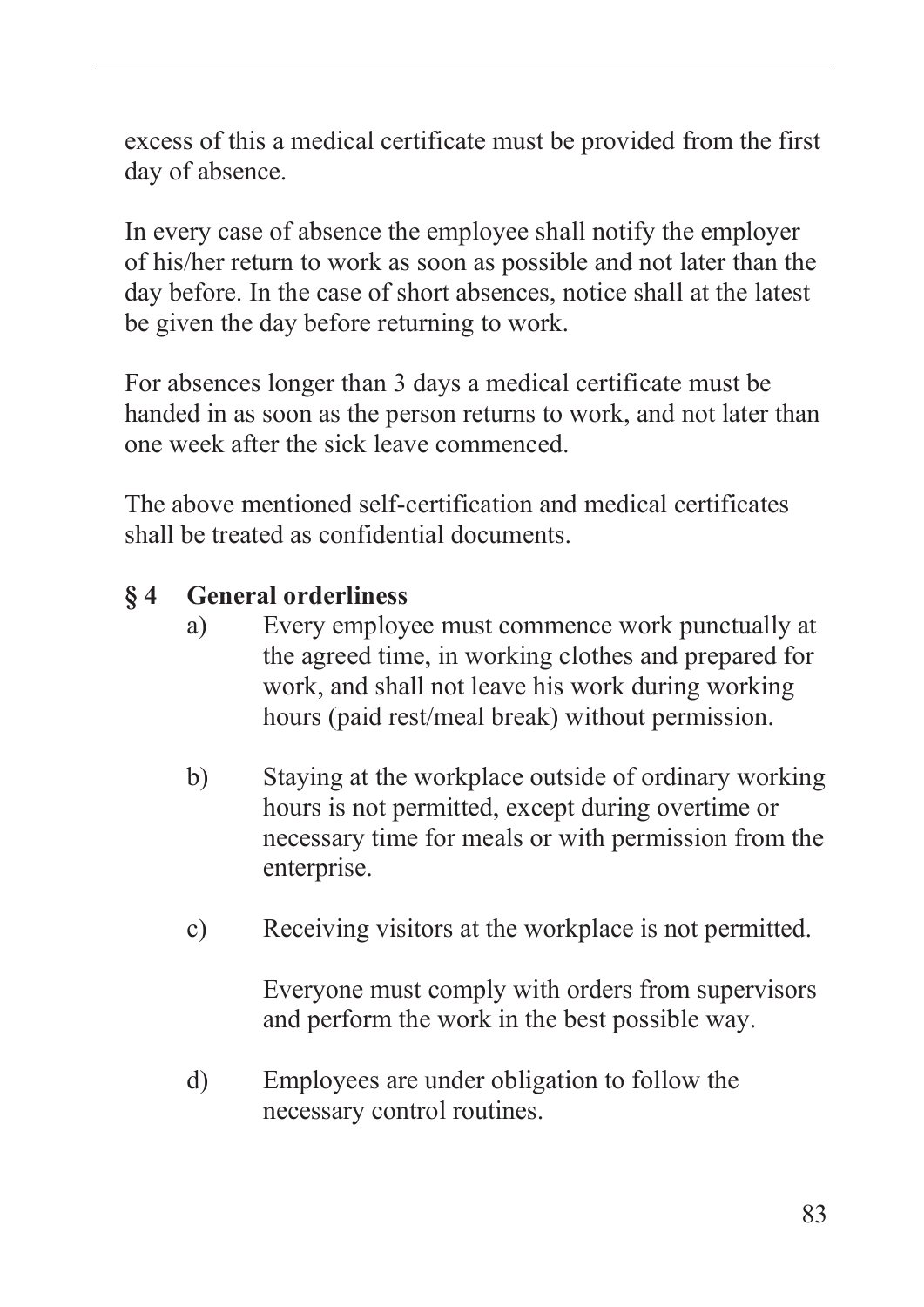excess of this a medical certificate must be provided from the first day of absence.

In every case of absence the employee shall notify the employer of his/her return to work as soon as possible and not later than the day before. In the case of short absences, notice shall at the latest be given the day before returning to work.

For absences longer than 3 days a medical certificate must be handed in as soon as the person returns to work, and not later than one week after the sick leave commenced.

The above mentioned self-certification and medical certificates shall be treated as confidential documents.

#### **§ 4 General orderliness**

- a) Every employee must commence work punctually at the agreed time, in working clothes and prepared for work, and shall not leave his work during working hours (paid rest/meal break) without permission.
- b) Staying at the workplace outside of ordinary working hours is not permitted, except during overtime or necessary time for meals or with permission from the enterprise.
- c) Receiving visitors at the workplace is not permitted.

Everyone must comply with orders from supervisors and perform the work in the best possible way.

d) Employees are under obligation to follow the necessary control routines.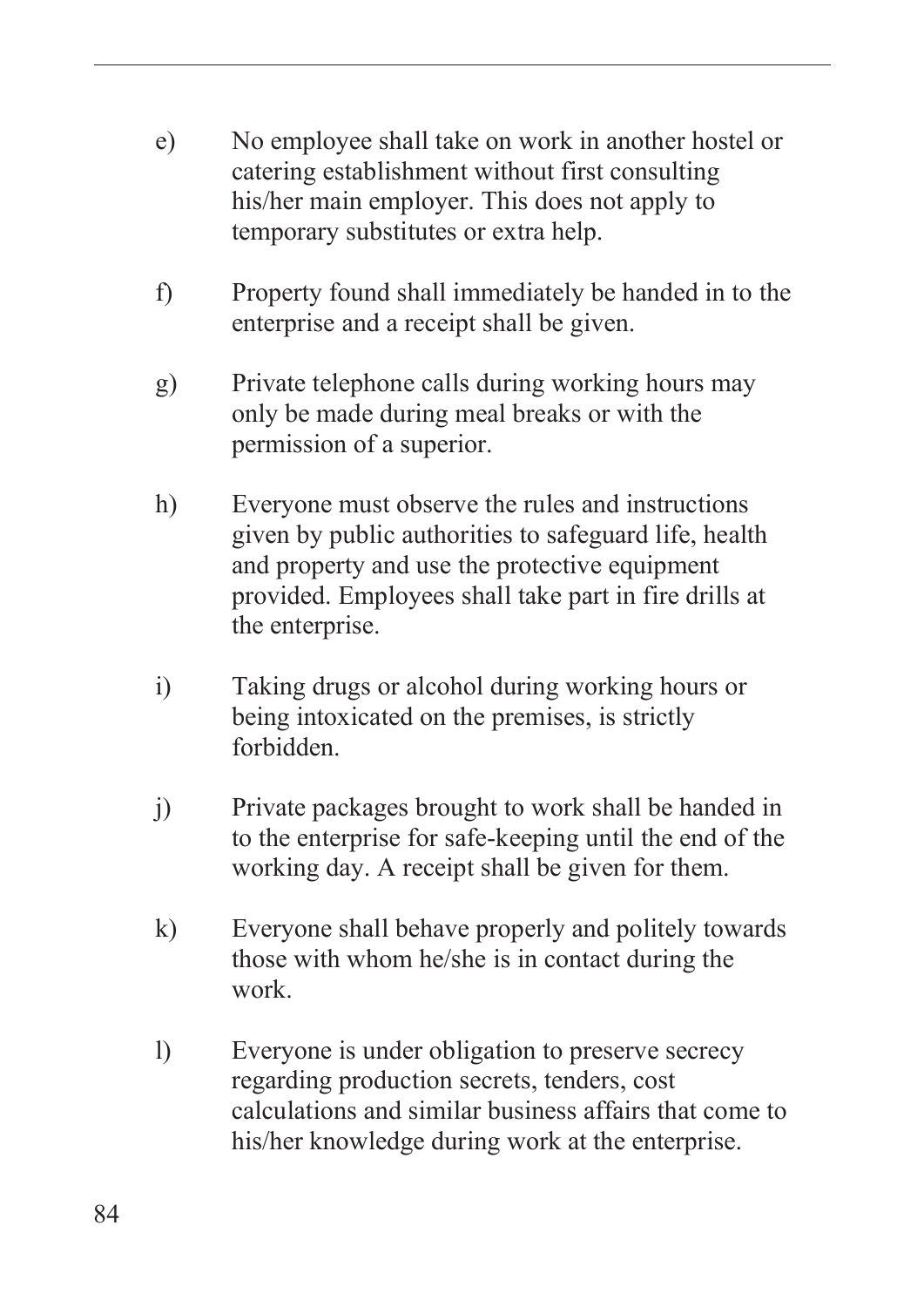- e) No employee shall take on work in another hostel or catering establishment without first consulting his/her main employer. This does not apply to temporary substitutes or extra help.
- f) Property found shall immediately be handed in to the enterprise and a receipt shall be given.
- g) Private telephone calls during working hours may only be made during meal breaks or with the permission of a superior.
- h) Everyone must observe the rules and instructions given by public authorities to safeguard life, health and property and use the protective equipment provided. Employees shall take part in fire drills at the enterprise.
- i) Taking drugs or alcohol during working hours or being intoxicated on the premises, is strictly forbidden.
- j) Private packages brought to work shall be handed in to the enterprise for safe-keeping until the end of the working day. A receipt shall be given for them.
- k) Everyone shall behave properly and politely towards those with whom he/she is in contact during the work.
- l) Everyone is under obligation to preserve secrecy regarding production secrets, tenders, cost calculations and similar business affairs that come to his/her knowledge during work at the enterprise.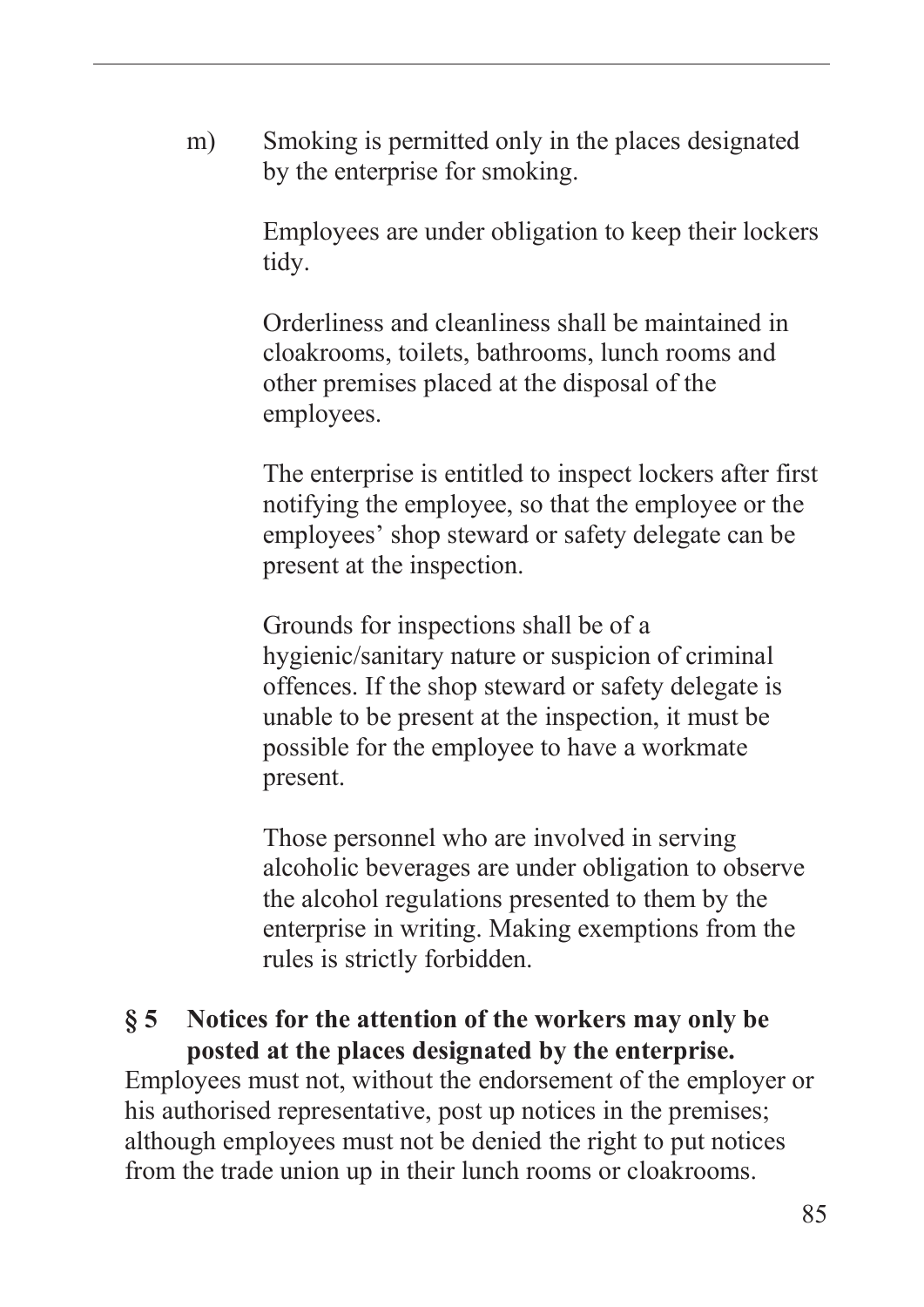m) Smoking is permitted only in the places designated by the enterprise for smoking.

> Employees are under obligation to keep their lockers tidy.

Orderliness and cleanliness shall be maintained in cloakrooms, toilets, bathrooms, lunch rooms and other premises placed at the disposal of the employees.

The enterprise is entitled to inspect lockers after first notifying the employee, so that the employee or the employees' shop steward or safety delegate can be present at the inspection.

Grounds for inspections shall be of a hygienic/sanitary nature or suspicion of criminal offences. If the shop steward or safety delegate is unable to be present at the inspection, it must be possible for the employee to have a workmate present.

Those personnel who are involved in serving alcoholic beverages are under obligation to observe the alcohol regulations presented to them by the enterprise in writing. Making exemptions from the rules is strictly forbidden.

#### **§ 5 Notices for the attention of the workers may only be posted at the places designated by the enterprise.**

Employees must not, without the endorsement of the employer or his authorised representative, post up notices in the premises; although employees must not be denied the right to put notices from the trade union up in their lunch rooms or cloakrooms.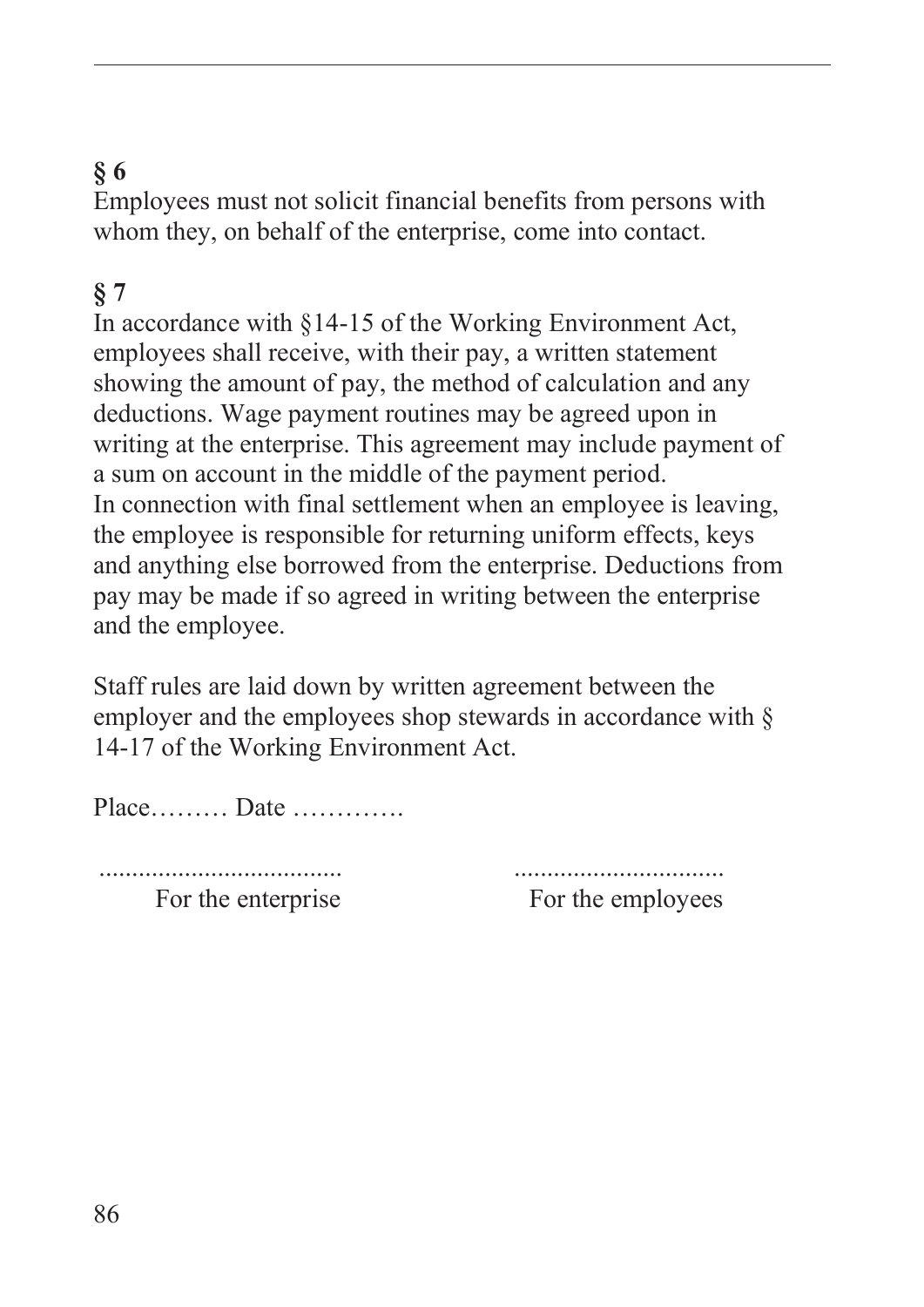# **§ 6**

Employees must not solicit financial benefits from persons with whom they, on behalf of the enterprise, come into contact.

# **§ 7**

In accordance with §14-15 of the Working Environment Act, employees shall receive, with their pay, a written statement showing the amount of pay, the method of calculation and any deductions. Wage payment routines may be agreed upon in writing at the enterprise. This agreement may include payment of a sum on account in the middle of the payment period. In connection with final settlement when an employee is leaving, the employee is responsible for returning uniform effects, keys and anything else borrowed from the enterprise. Deductions from pay may be made if so agreed in writing between the enterprise and the employee.

Staff rules are laid down by written agreement between the employer and the employees shop stewards in accordance with  $\S$ 14-17 of the Working Environment Act.

Place……… Date ………….

..................................... ................................

For the enterprise For the employees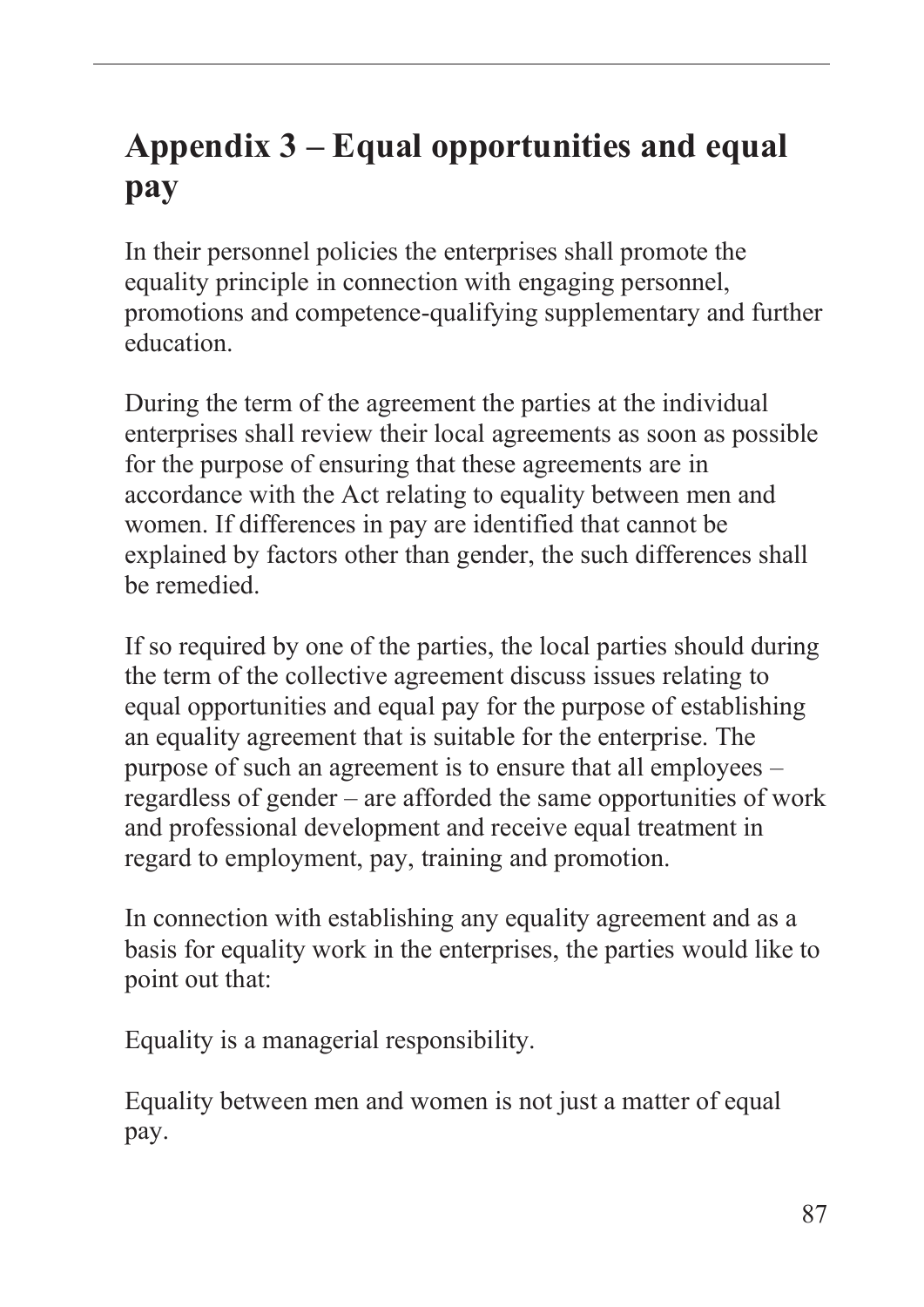# **Appendix 3 – Equal opportunities and equal pay**

In their personnel policies the enterprises shall promote the equality principle in connection with engaging personnel, promotions and competence-qualifying supplementary and further education.

During the term of the agreement the parties at the individual enterprises shall review their local agreements as soon as possible for the purpose of ensuring that these agreements are in accordance with the Act relating to equality between men and women. If differences in pay are identified that cannot be explained by factors other than gender, the such differences shall be remedied.

If so required by one of the parties, the local parties should during the term of the collective agreement discuss issues relating to equal opportunities and equal pay for the purpose of establishing an equality agreement that is suitable for the enterprise. The purpose of such an agreement is to ensure that all employees – regardless of gender – are afforded the same opportunities of work and professional development and receive equal treatment in regard to employment, pay, training and promotion.

In connection with establishing any equality agreement and as a basis for equality work in the enterprises, the parties would like to point out that:

Equality is a managerial responsibility.

Equality between men and women is not just a matter of equal pay.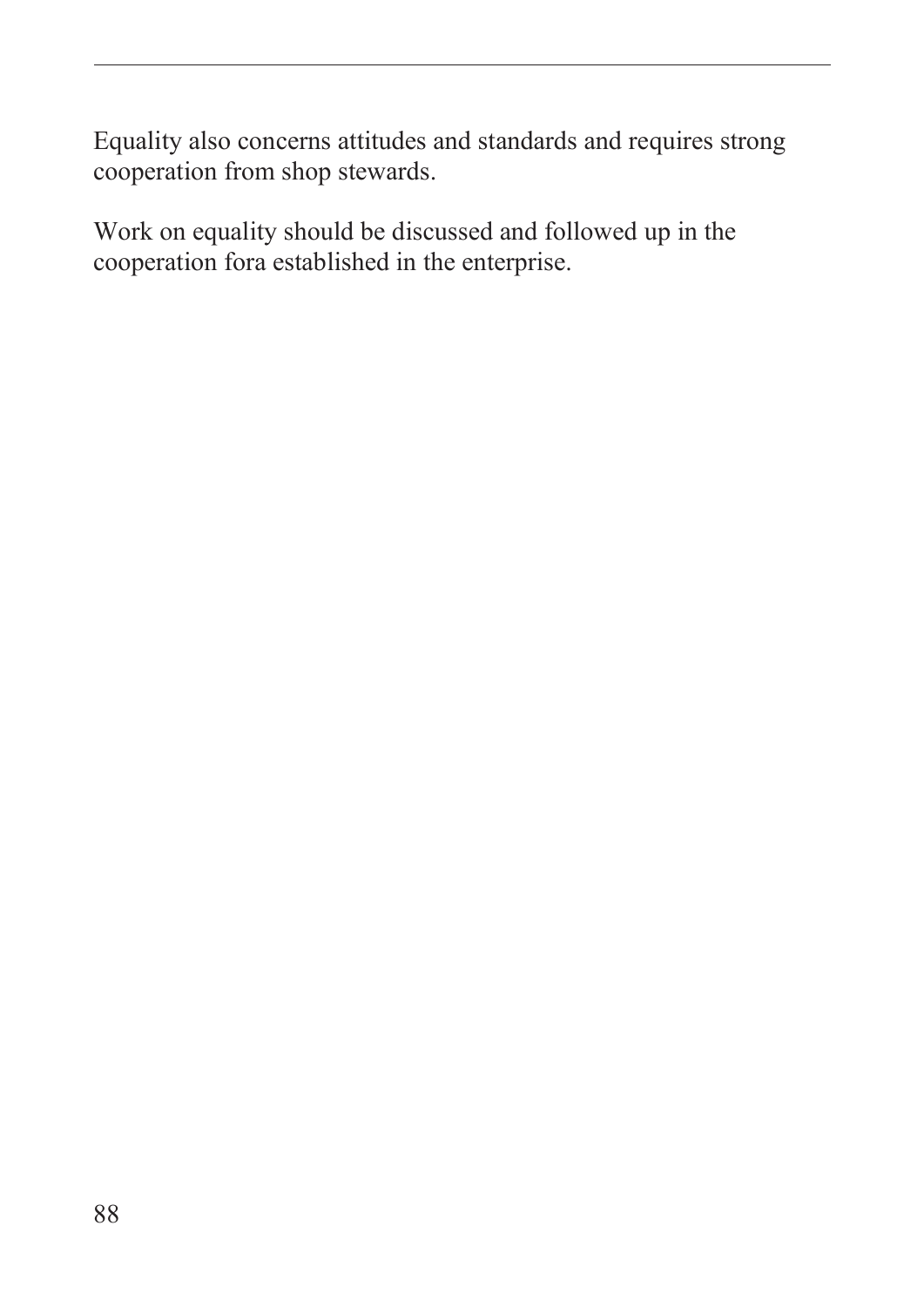Equality also concerns attitudes and standards and requires strong cooperation from shop stewards.

Work on equality should be discussed and followed up in the cooperation fora established in the enterprise.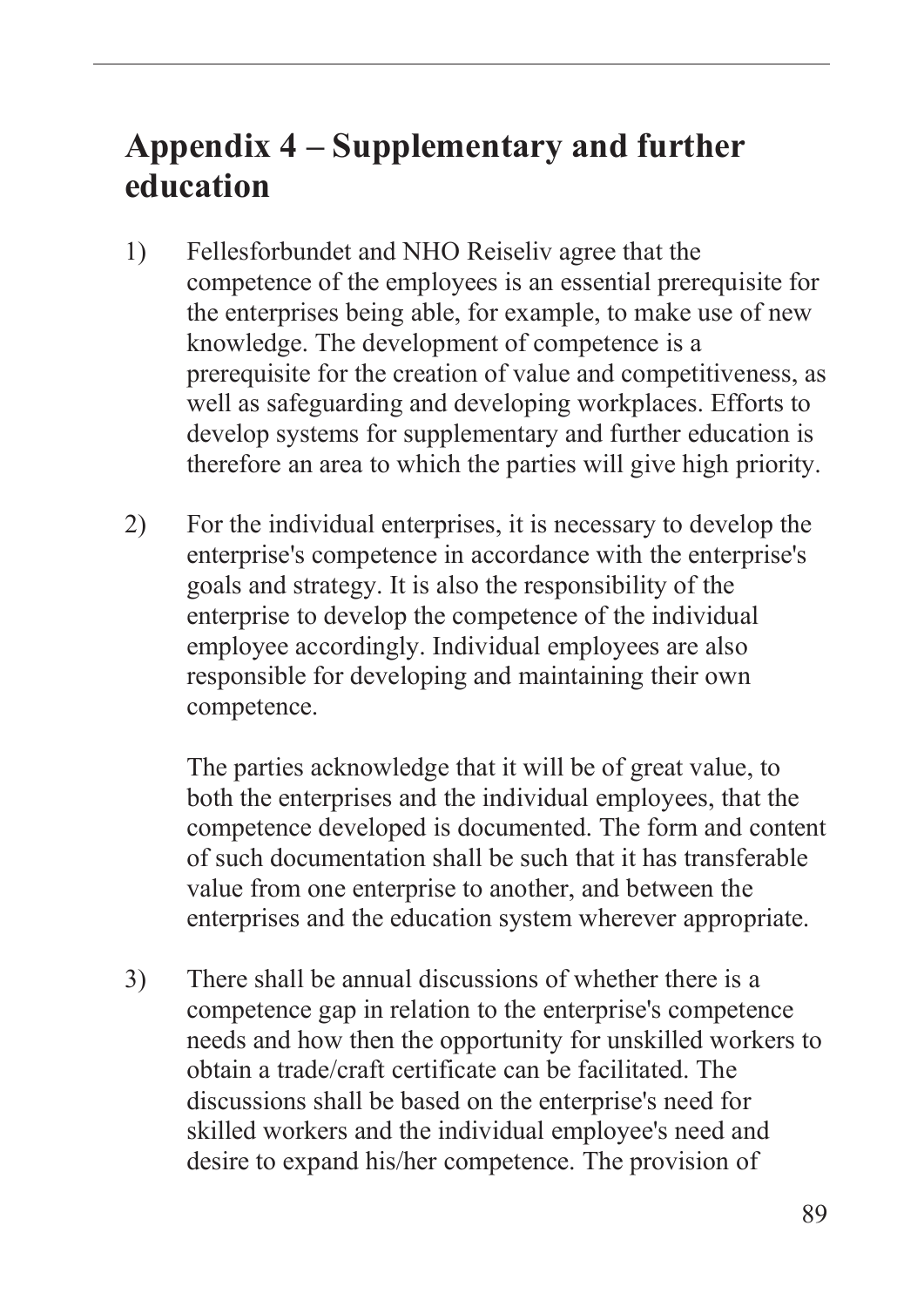# **Appendix 4 – Supplementary and further education**

- 1) Fellesforbundet and NHO Reiseliv agree that the competence of the employees is an essential prerequisite for the enterprises being able, for example, to make use of new knowledge. The development of competence is a prerequisite for the creation of value and competitiveness, as well as safeguarding and developing workplaces. Efforts to develop systems for supplementary and further education is therefore an area to which the parties will give high priority.
- 2) For the individual enterprises, it is necessary to develop the enterprise's competence in accordance with the enterprise's goals and strategy. It is also the responsibility of the enterprise to develop the competence of the individual employee accordingly. Individual employees are also responsible for developing and maintaining their own competence.

The parties acknowledge that it will be of great value, to both the enterprises and the individual employees, that the competence developed is documented. The form and content of such documentation shall be such that it has transferable value from one enterprise to another, and between the enterprises and the education system wherever appropriate.

3) There shall be annual discussions of whether there is a competence gap in relation to the enterprise's competence needs and how then the opportunity for unskilled workers to obtain a trade/craft certificate can be facilitated. The discussions shall be based on the enterprise's need for skilled workers and the individual employee's need and desire to expand his/her competence. The provision of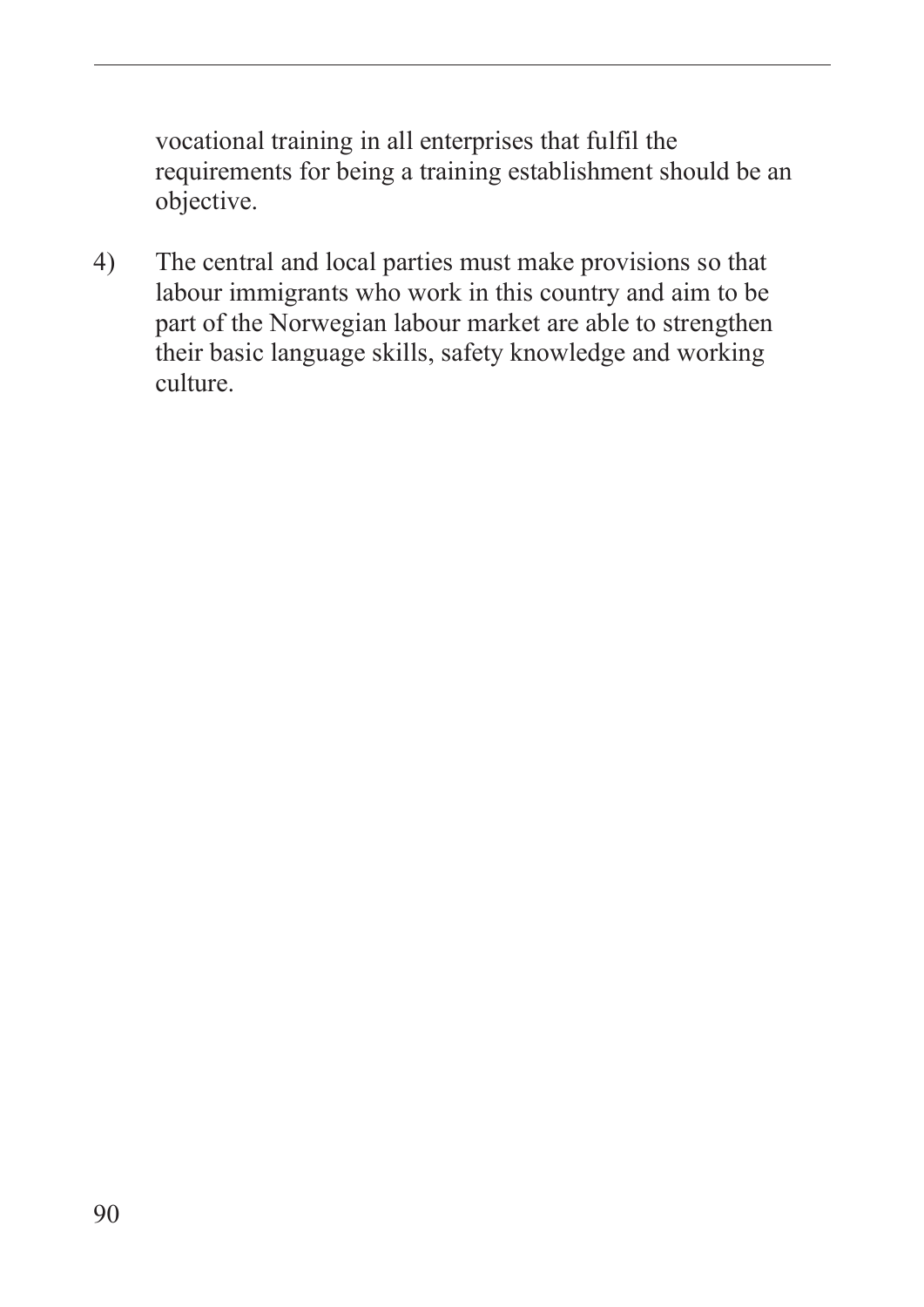vocational training in all enterprises that fulfil the requirements for being a training establishment should be an objective.

4) The central and local parties must make provisions so that labour immigrants who work in this country and aim to be part of the Norwegian labour market are able to strengthen their basic language skills, safety knowledge and working culture.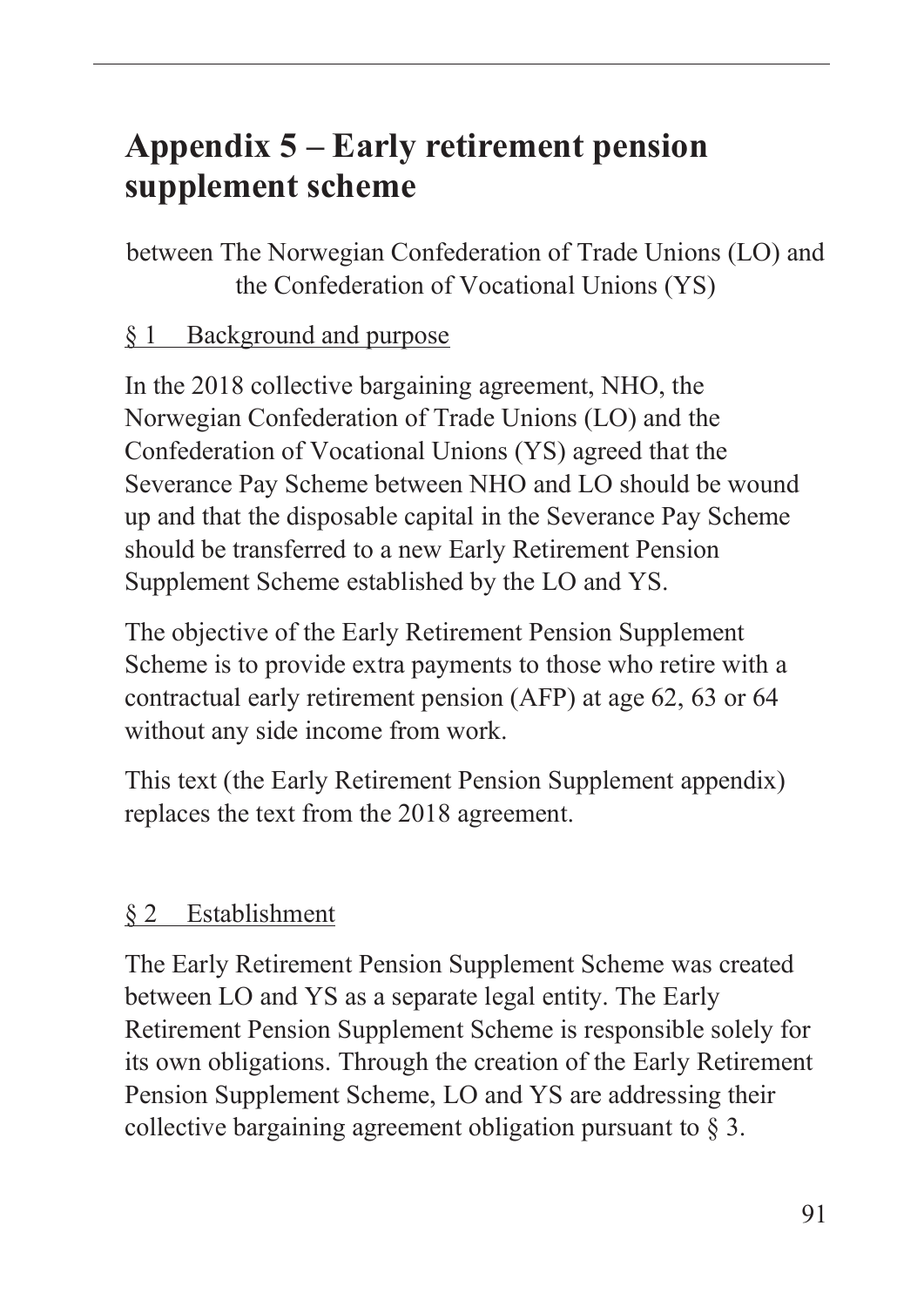# **Appendix 5 – Early retirement pension supplement scheme**

between The Norwegian Confederation of Trade Unions (LO) and the Confederation of Vocational Unions (YS)

### § 1 Background and purpose

In the 2018 collective bargaining agreement, NHO, the Norwegian Confederation of Trade Unions (LO) and the Confederation of Vocational Unions (YS) agreed that the Severance Pay Scheme between NHO and LO should be wound up and that the disposable capital in the Severance Pay Scheme should be transferred to a new Early Retirement Pension Supplement Scheme established by the LO and YS.

The objective of the Early Retirement Pension Supplement Scheme is to provide extra payments to those who retire with a contractual early retirement pension (AFP) at age 62, 63 or 64 without any side income from work.

This text (the Early Retirement Pension Supplement appendix) replaces the text from the 2018 agreement.

#### § 2 Establishment

The Early Retirement Pension Supplement Scheme was created between LO and YS as a separate legal entity. The Early Retirement Pension Supplement Scheme is responsible solely for its own obligations. Through the creation of the Early Retirement Pension Supplement Scheme, LO and YS are addressing their collective bargaining agreement obligation pursuant to § 3.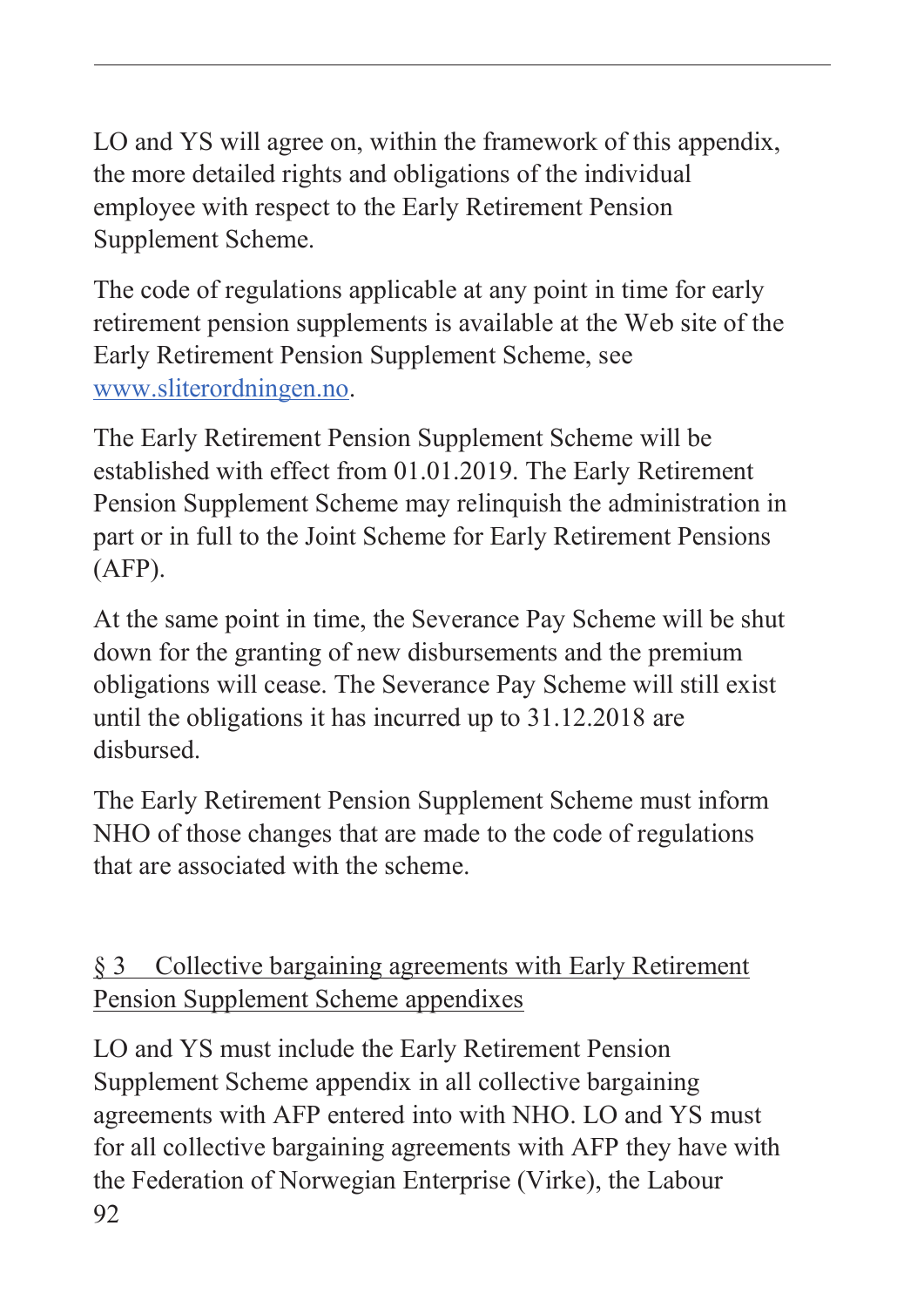LO and YS will agree on, within the framework of this appendix, the more detailed rights and obligations of the individual employee with respect to the Early Retirement Pension Supplement Scheme.

The code of regulations applicable at any point in time for early retirement pension supplements is available at the Web site of the Early Retirement Pension Supplement Scheme, see www.sliterordningen.no.

The Early Retirement Pension Supplement Scheme will be established with effect from 01.01.2019. The Early Retirement Pension Supplement Scheme may relinquish the administration in part or in full to the Joint Scheme for Early Retirement Pensions (AFP).

At the same point in time, the Severance Pay Scheme will be shut down for the granting of new disbursements and the premium obligations will cease. The Severance Pay Scheme will still exist until the obligations it has incurred up to 31.12.2018 are disbursed.

The Early Retirement Pension Supplement Scheme must inform NHO of those changes that are made to the code of regulations that are associated with the scheme.

## § 3 Collective bargaining agreements with Early Retirement Pension Supplement Scheme appendixes

92 LO and YS must include the Early Retirement Pension Supplement Scheme appendix in all collective bargaining agreements with AFP entered into with NHO. LO and YS must for all collective bargaining agreements with AFP they have with the Federation of Norwegian Enterprise (Virke), the Labour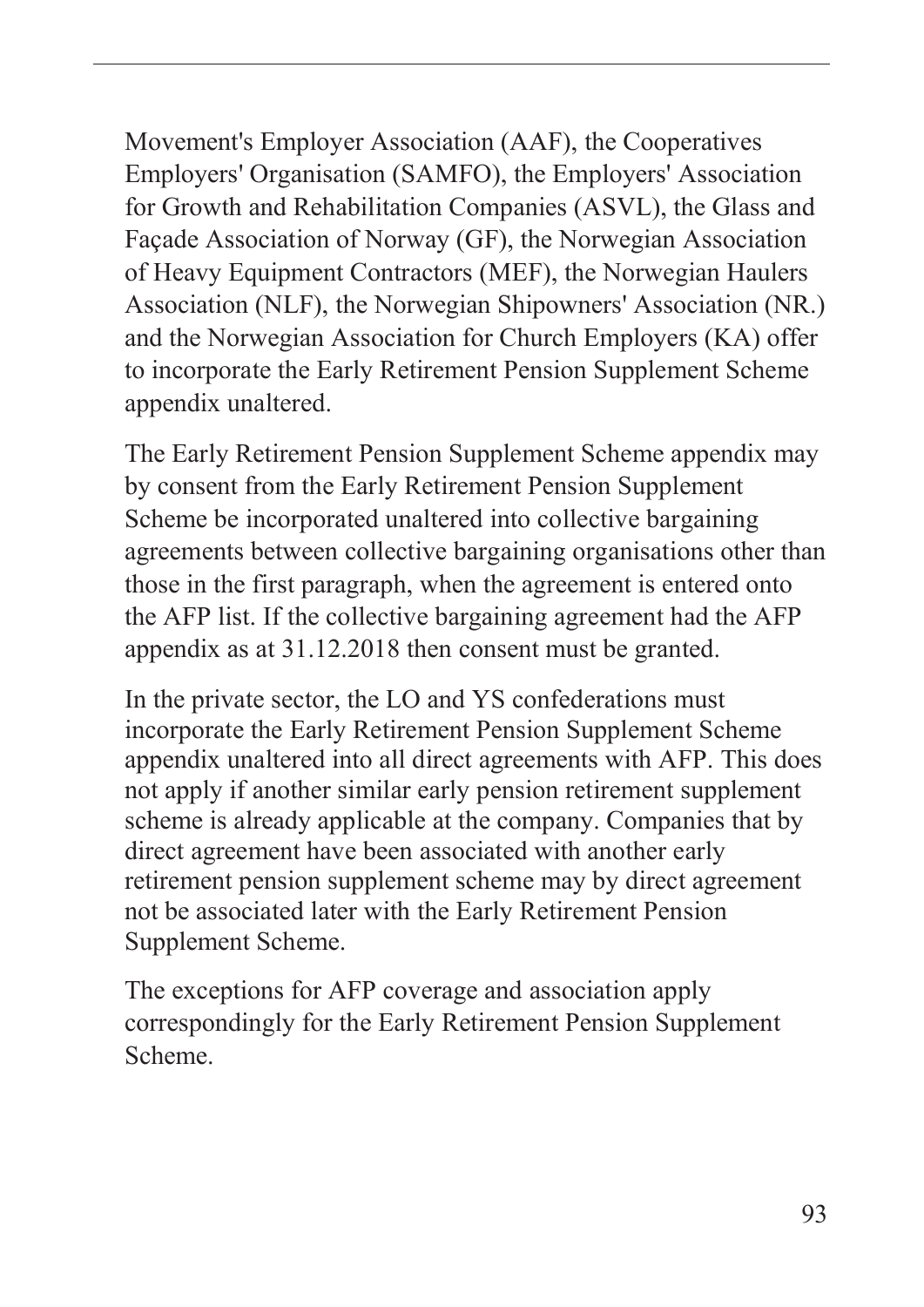Movement's Employer Association (AAF), the Cooperatives Employers' Organisation (SAMFO), the Employers' Association for Growth and Rehabilitation Companies (ASVL), the Glass and Façade Association of Norway (GF), the Norwegian Association of Heavy Equipment Contractors (MEF), the Norwegian Haulers Association (NLF), the Norwegian Shipowners' Association (NR.) and the Norwegian Association for Church Employers (KA) offer to incorporate the Early Retirement Pension Supplement Scheme appendix unaltered.

The Early Retirement Pension Supplement Scheme appendix may by consent from the Early Retirement Pension Supplement Scheme be incorporated unaltered into collective bargaining agreements between collective bargaining organisations other than those in the first paragraph, when the agreement is entered onto the AFP list. If the collective bargaining agreement had the AFP appendix as at 31.12.2018 then consent must be granted.

In the private sector, the LO and YS confederations must incorporate the Early Retirement Pension Supplement Scheme appendix unaltered into all direct agreements with AFP. This does not apply if another similar early pension retirement supplement scheme is already applicable at the company. Companies that by direct agreement have been associated with another early retirement pension supplement scheme may by direct agreement not be associated later with the Early Retirement Pension Supplement Scheme.

The exceptions for AFP coverage and association apply correspondingly for the Early Retirement Pension Supplement Scheme.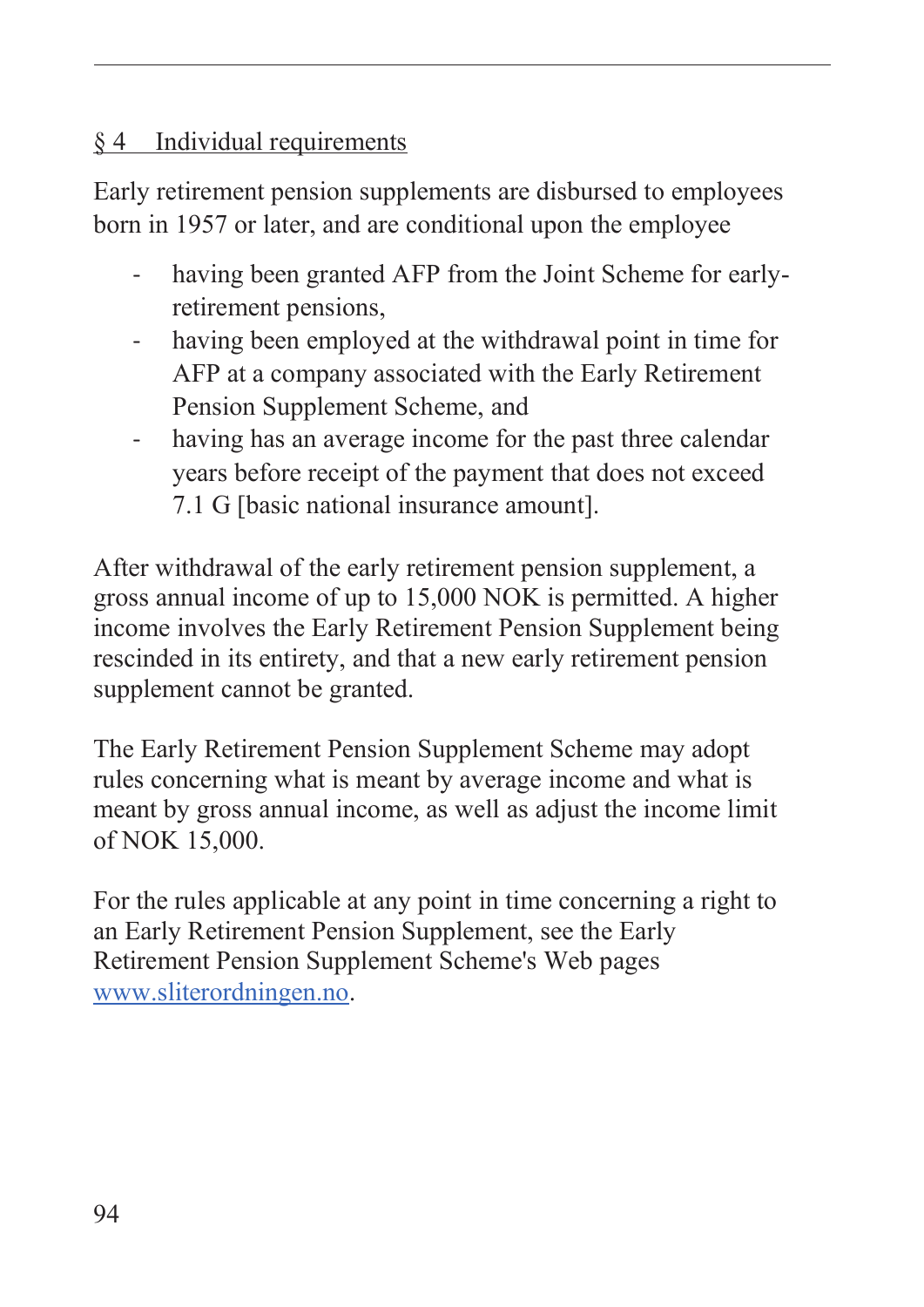### § 4 Individual requirements

Early retirement pension supplements are disbursed to employees born in 1957 or later, and are conditional upon the employee

- having been granted AFP from the Joint Scheme for earlyretirement pensions,
- having been employed at the withdrawal point in time for AFP at a company associated with the Early Retirement Pension Supplement Scheme, and
- having has an average income for the past three calendar years before receipt of the payment that does not exceed 7.1 G [basic national insurance amount].

After withdrawal of the early retirement pension supplement, a gross annual income of up to 15,000 NOK is permitted. A higher income involves the Early Retirement Pension Supplement being rescinded in its entirety, and that a new early retirement pension supplement cannot be granted.

The Early Retirement Pension Supplement Scheme may adopt rules concerning what is meant by average income and what is meant by gross annual income, as well as adjust the income limit of NOK 15,000.

For the rules applicable at any point in time concerning a right to an Early Retirement Pension Supplement, see the Early Retirement Pension Supplement Scheme's Web pages www.sliterordningen.no.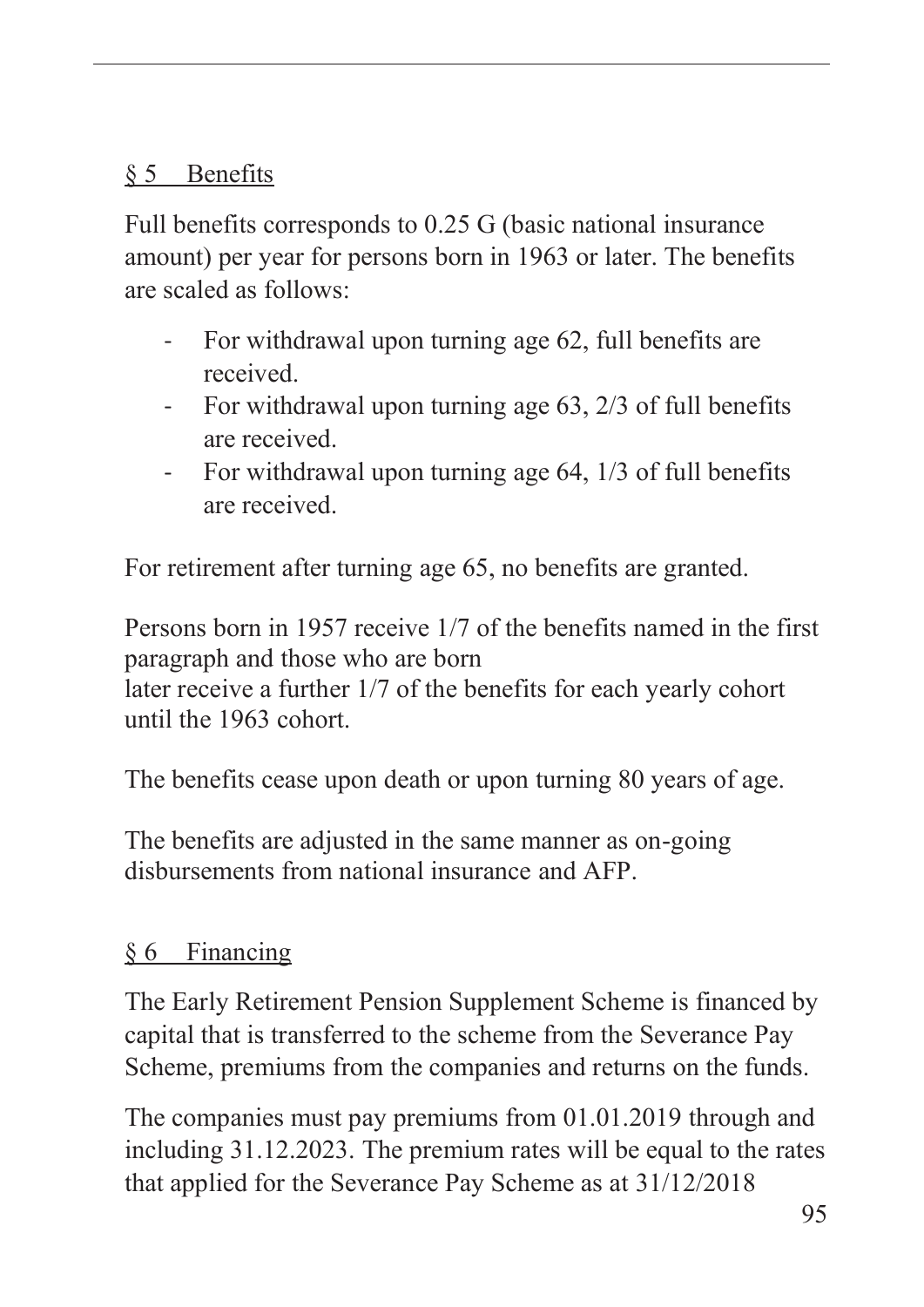### § 5 Benefits

Full benefits corresponds to 0.25 G (basic national insurance amount) per year for persons born in 1963 or later. The benefits are scaled as follows:

- For withdrawal upon turning age 62, full benefits are received.
- For withdrawal upon turning age 63, 2/3 of full benefits are received.
- For withdrawal upon turning age 64, 1/3 of full benefits are received.

For retirement after turning age 65, no benefits are granted.

Persons born in 1957 receive 1/7 of the benefits named in the first paragraph and those who are born later receive a further 1/7 of the benefits for each yearly cohort until the 1963 cohort.

The benefits cease upon death or upon turning 80 years of age.

The benefits are adjusted in the same manner as on-going disbursements from national insurance and AFP.

# § 6 Financing

The Early Retirement Pension Supplement Scheme is financed by capital that is transferred to the scheme from the Severance Pay Scheme, premiums from the companies and returns on the funds.

The companies must pay premiums from 01.01.2019 through and including 31.12.2023. The premium rates will be equal to the rates that applied for the Severance Pay Scheme as at 31/12/2018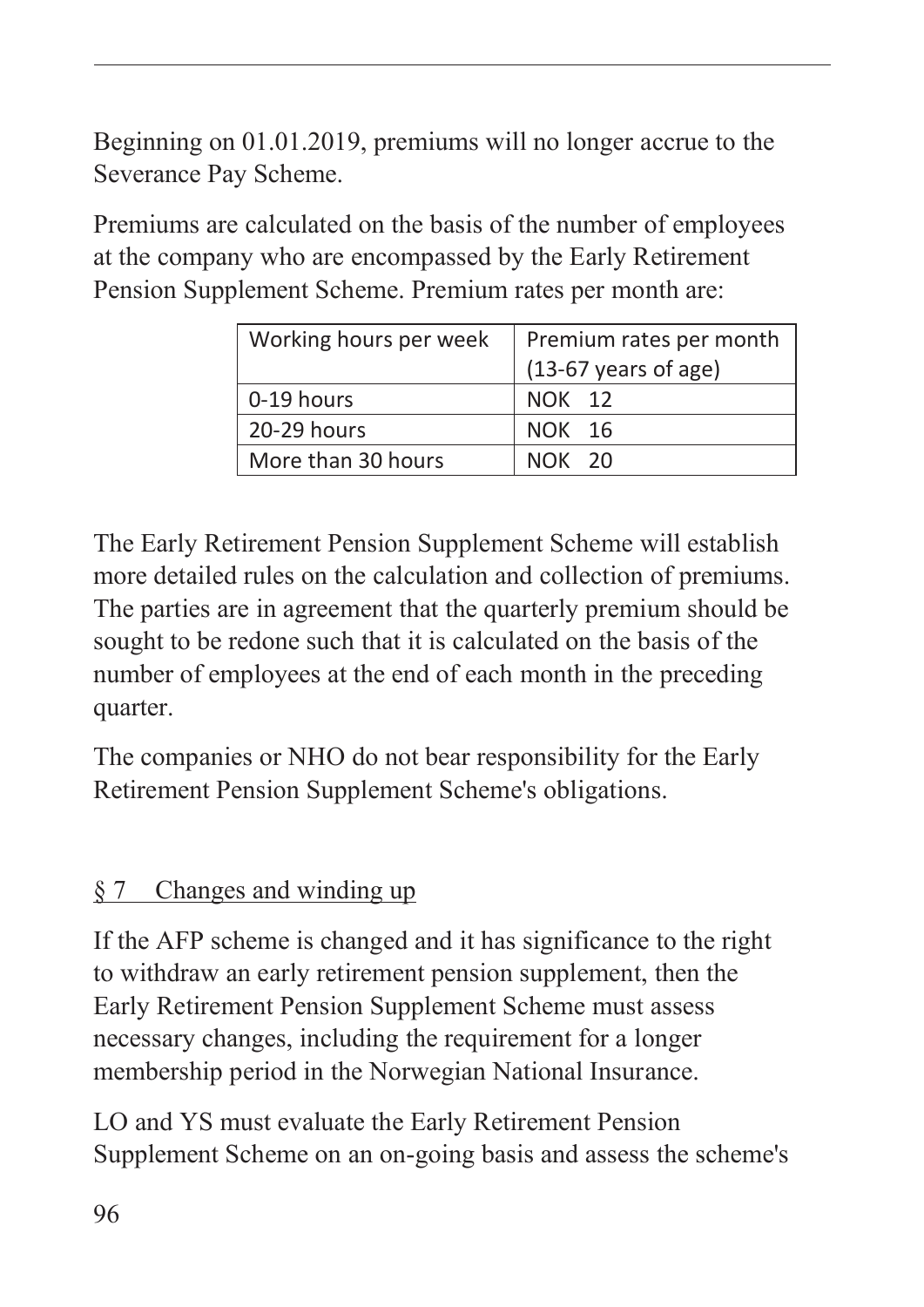Beginning on 01.01.2019, premiums will no longer accrue to the Severance Pay Scheme.

Premiums are calculated on the basis of the number of employees at the company who are encompassed by the Early Retirement Pension Supplement Scheme. Premium rates per month are:

| Working hours per week | Premium rates per month        |  |
|------------------------|--------------------------------|--|
|                        | $(13-67 \text{ years of age})$ |  |
| 0-19 hours             | NOK 12                         |  |
| 20-29 hours            | NOK 16                         |  |
| More than 30 hours     | NOK 20                         |  |

The Early Retirement Pension Supplement Scheme will establish more detailed rules on the calculation and collection of premiums. The parties are in agreement that the quarterly premium should be sought to be redone such that it is calculated on the basis of the number of employees at the end of each month in the preceding quarter.

The companies or NHO do not bear responsibility for the Early Retirement Pension Supplement Scheme's obligations.

### § 7 Changes and winding up

If the AFP scheme is changed and it has significance to the right to withdraw an early retirement pension supplement, then the Early Retirement Pension Supplement Scheme must assess necessary changes, including the requirement for a longer membership period in the Norwegian National Insurance.

LO and YS must evaluate the Early Retirement Pension Supplement Scheme on an on-going basis and assess the scheme's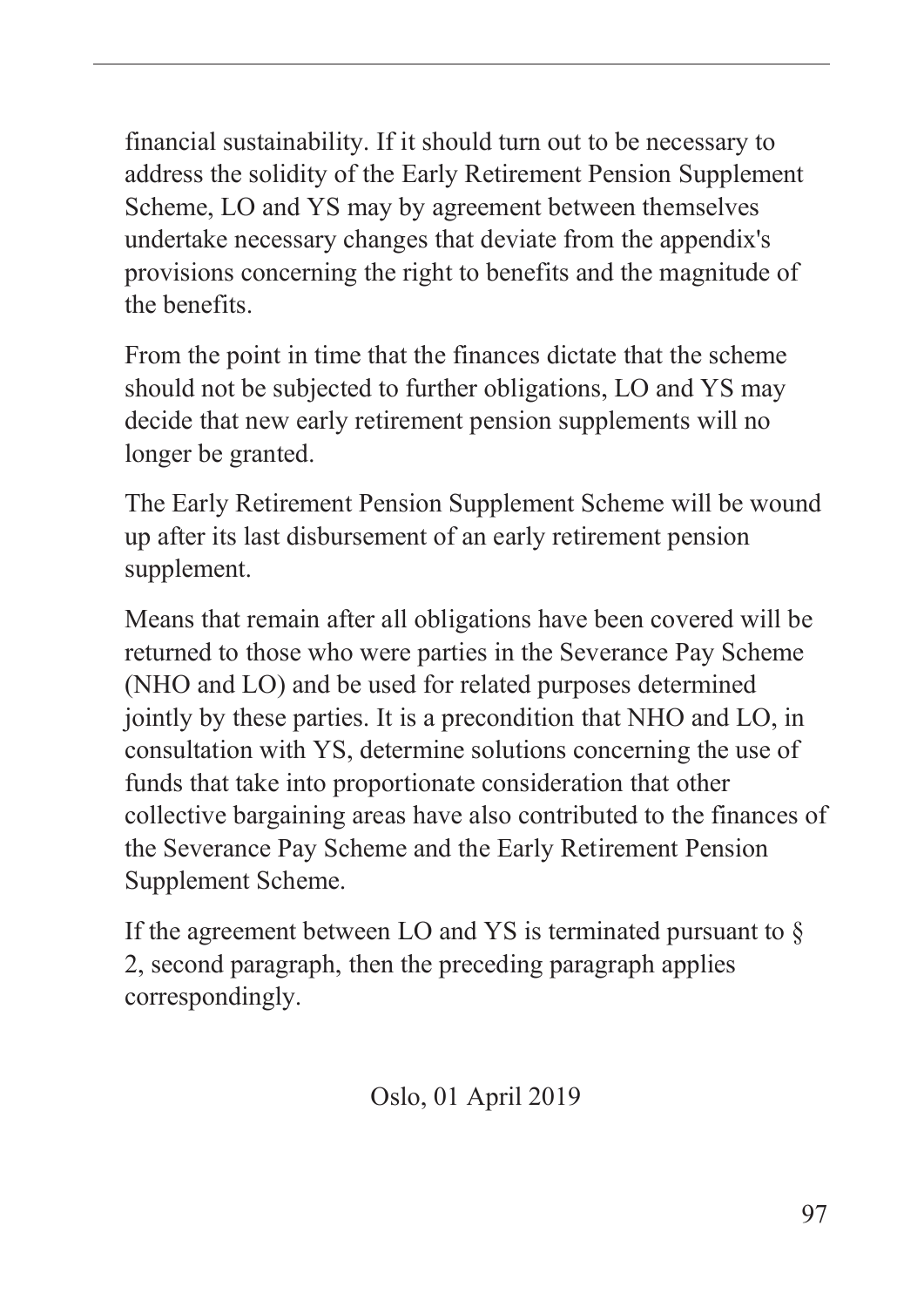financial sustainability. If it should turn out to be necessary to address the solidity of the Early Retirement Pension Supplement Scheme, LO and YS may by agreement between themselves undertake necessary changes that deviate from the appendix's provisions concerning the right to benefits and the magnitude of the benefits.

From the point in time that the finances dictate that the scheme should not be subjected to further obligations, LO and YS may decide that new early retirement pension supplements will no longer be granted.

The Early Retirement Pension Supplement Scheme will be wound up after its last disbursement of an early retirement pension supplement.

Means that remain after all obligations have been covered will be returned to those who were parties in the Severance Pay Scheme (NHO and LO) and be used for related purposes determined jointly by these parties. It is a precondition that NHO and LO, in consultation with YS, determine solutions concerning the use of funds that take into proportionate consideration that other collective bargaining areas have also contributed to the finances of the Severance Pay Scheme and the Early Retirement Pension Supplement Scheme.

If the agreement between LO and YS is terminated pursuant to  $\S$ 2, second paragraph, then the preceding paragraph applies correspondingly.

Oslo, 01 April 2019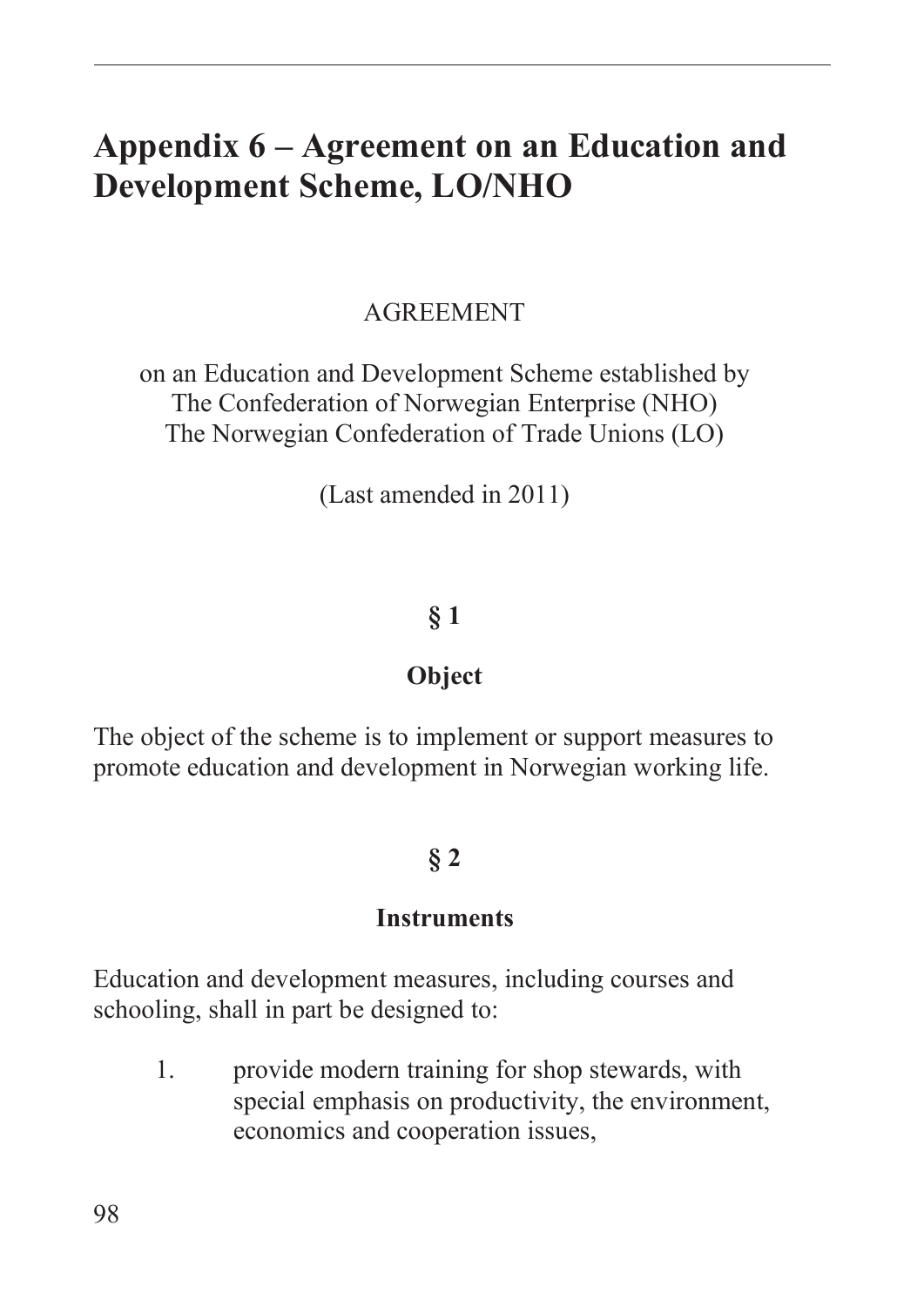# **Appendix 6 – Agreement on an Education and Development Scheme, LO/NHO**

#### AGREEMENT

on an Education and Development Scheme established by The Confederation of Norwegian Enterprise (NHO) The Norwegian Confederation of Trade Unions (LO)

(Last amended in 2011)

#### **§ 1**

#### **Object**

The object of the scheme is to implement or support measures to promote education and development in Norwegian working life.

#### **§ 2**

#### **Instruments**

Education and development measures, including courses and schooling, shall in part be designed to:

1. provide modern training for shop stewards, with special emphasis on productivity, the environment, economics and cooperation issues,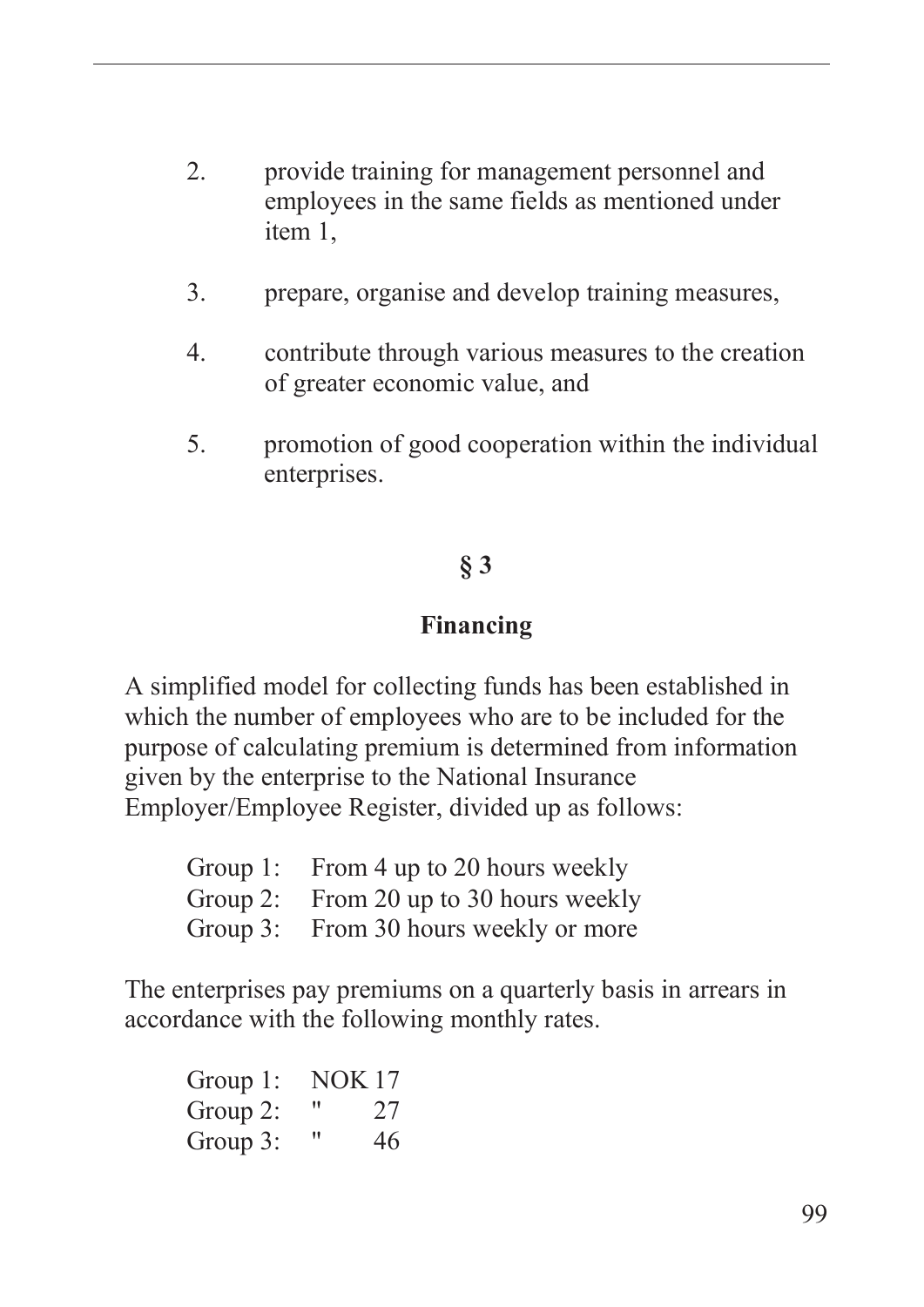- 2. provide training for management personnel and employees in the same fields as mentioned under item 1,
- 3. prepare, organise and develop training measures,
- 4. contribute through various measures to the creation of greater economic value, and
- 5. promotion of good cooperation within the individual enterprises.

## **§ 3**

#### **Financing**

A simplified model for collecting funds has been established in which the number of employees who are to be included for the purpose of calculating premium is determined from information given by the enterprise to the National Insurance Employer/Employee Register, divided up as follows:

| Group 1: From 4 up to 20 hours weekly  |
|----------------------------------------|
| Group 2: From 20 up to 30 hours weekly |
| Group 3: From 30 hours weekly or more  |

The enterprises pay premiums on a quarterly basis in arrears in accordance with the following monthly rates.

| Group 1: | <b>NOK17</b> |    |
|----------|--------------|----|
| Group 2: | 11           | 27 |
| Group 3: | "            | 46 |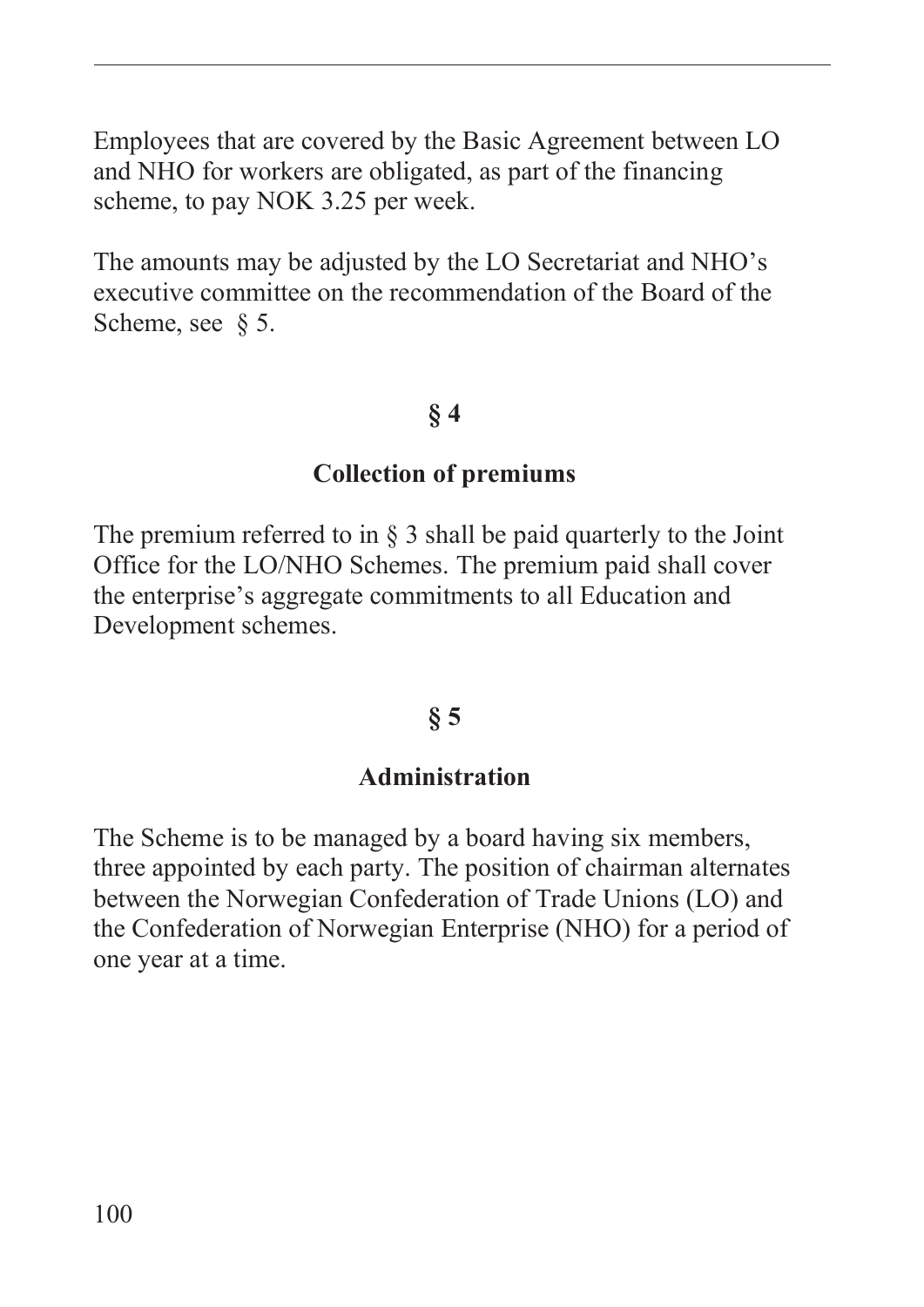Employees that are covered by the Basic Agreement between LO and NHO for workers are obligated, as part of the financing scheme, to pay NOK 3.25 per week.

The amounts may be adjusted by the LO Secretariat and NHO's executive committee on the recommendation of the Board of the Scheme, see § 5.

#### **§ 4**

#### **Collection of premiums**

The premium referred to in § 3 shall be paid quarterly to the Joint Office for the LO/NHO Schemes. The premium paid shall cover the enterprise's aggregate commitments to all Education and Development schemes.

#### **§ 5**

#### **Administration**

The Scheme is to be managed by a board having six members, three appointed by each party. The position of chairman alternates between the Norwegian Confederation of Trade Unions (LO) and the Confederation of Norwegian Enterprise (NHO) for a period of one year at a time.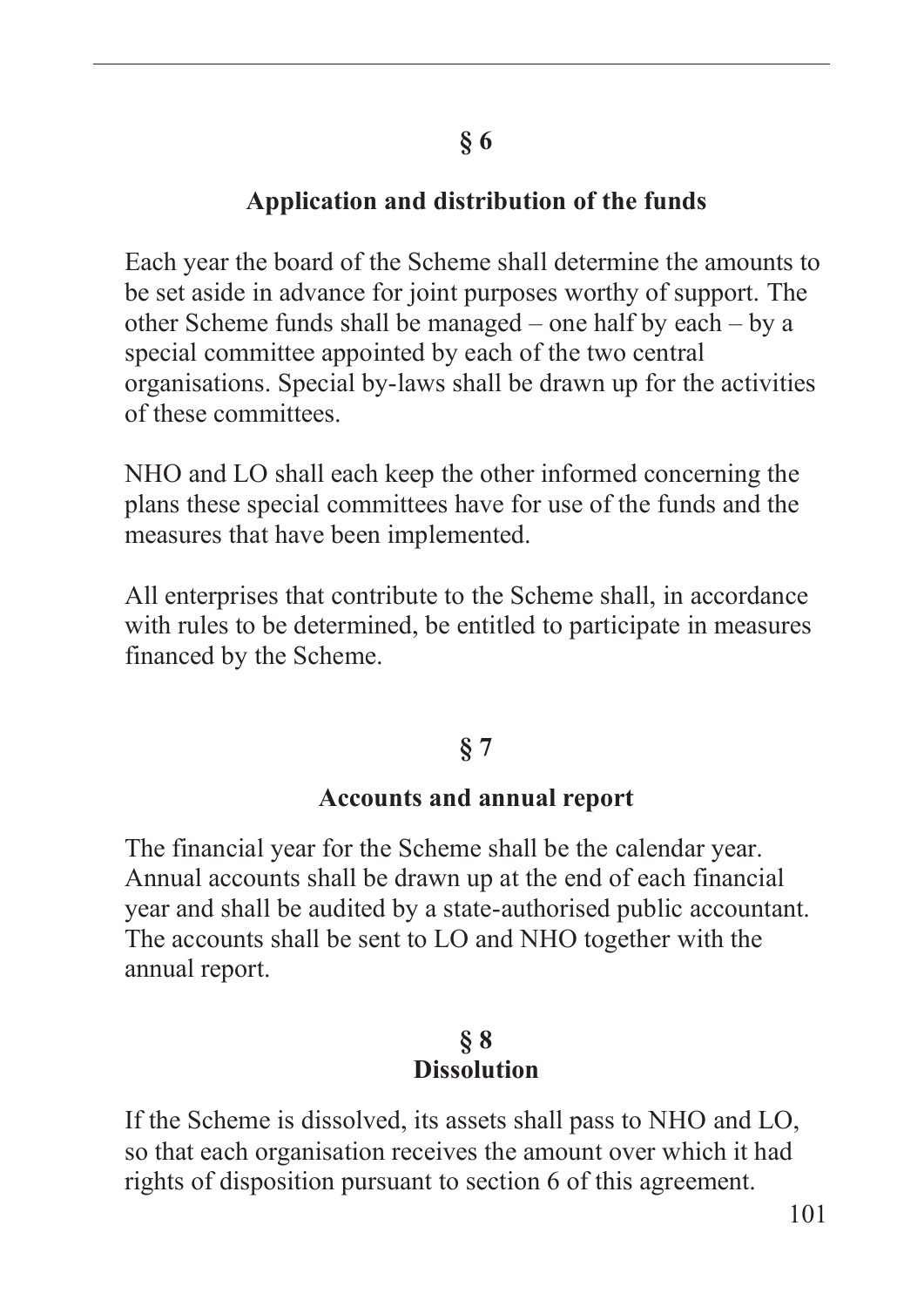#### **Application and distribution of the funds**

Each year the board of the Scheme shall determine the amounts to be set aside in advance for joint purposes worthy of support. The other Scheme funds shall be managed – one half by each – by a special committee appointed by each of the two central organisations. Special by-laws shall be drawn up for the activities of these committees.

NHO and LO shall each keep the other informed concerning the plans these special committees have for use of the funds and the measures that have been implemented.

All enterprises that contribute to the Scheme shall, in accordance with rules to be determined, be entitled to participate in measures financed by the Scheme.

# **§ 7**

#### **Accounts and annual report**

The financial year for the Scheme shall be the calendar year. Annual accounts shall be drawn up at the end of each financial year and shall be audited by a state-authorised public accountant. The accounts shall be sent to LO and NHO together with the annual report.

#### **§ 8 Dissolution**

If the Scheme is dissolved, its assets shall pass to NHO and LO, so that each organisation receives the amount over which it had rights of disposition pursuant to section 6 of this agreement.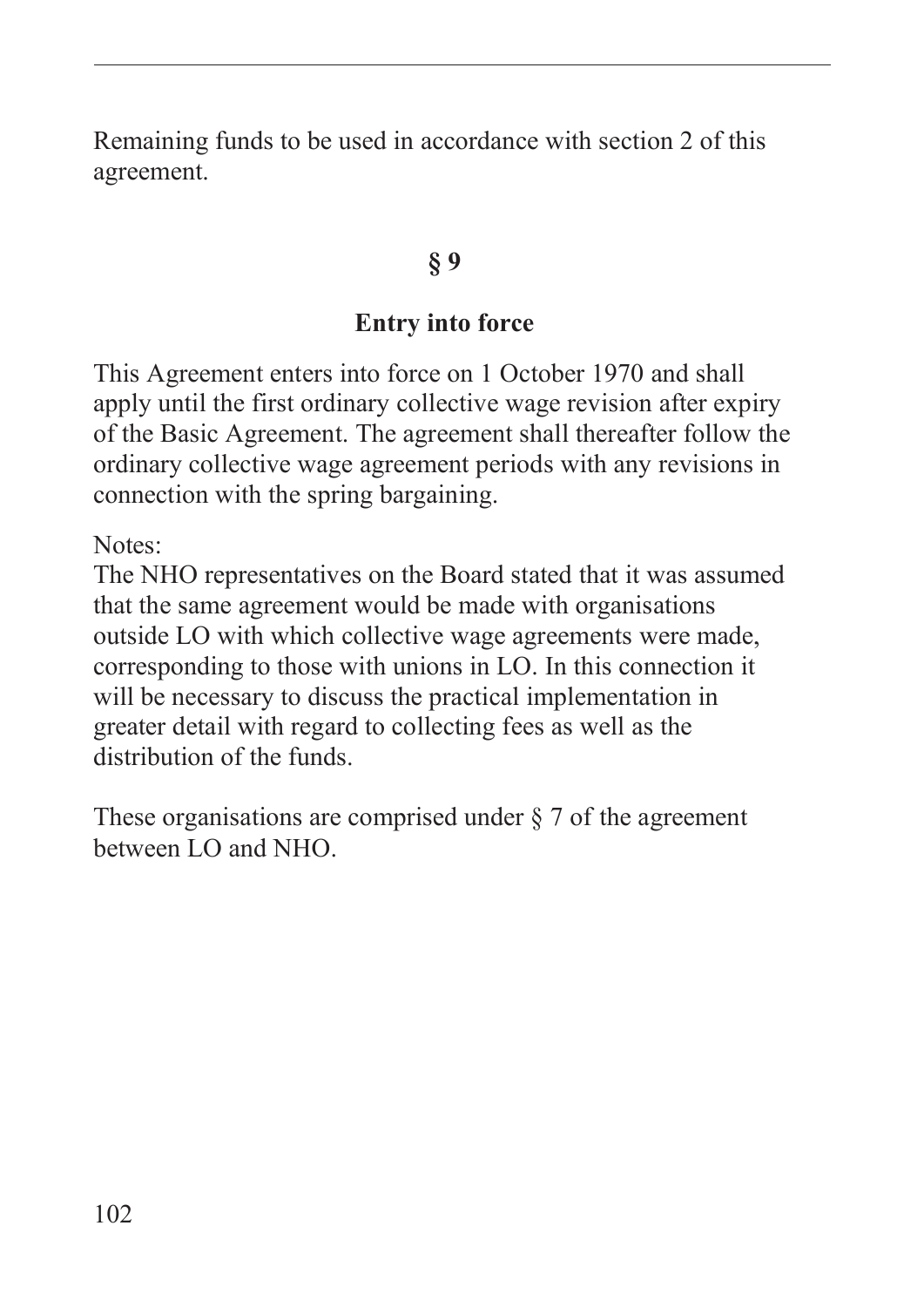Remaining funds to be used in accordance with section 2 of this agreement.

#### **§ 9**

#### **Entry into force**

This Agreement enters into force on 1 October 1970 and shall apply until the first ordinary collective wage revision after expiry of the Basic Agreement. The agreement shall thereafter follow the ordinary collective wage agreement periods with any revisions in connection with the spring bargaining.

Notes:

The NHO representatives on the Board stated that it was assumed that the same agreement would be made with organisations outside LO with which collective wage agreements were made, corresponding to those with unions in LO. In this connection it will be necessary to discuss the practical implementation in greater detail with regard to collecting fees as well as the distribution of the funds.

These organisations are comprised under § 7 of the agreement between LO and NHO.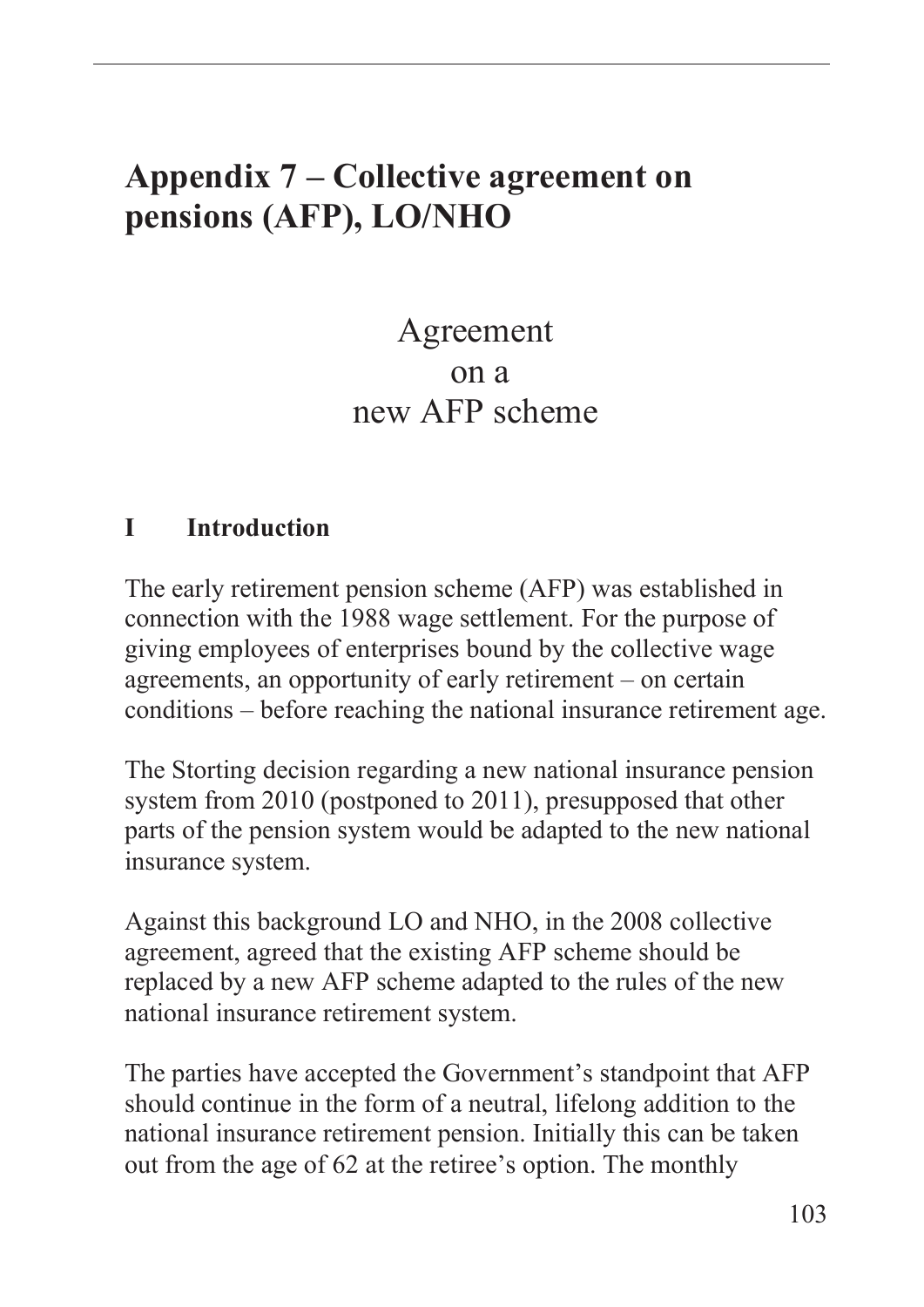# **Appendix 7 – Collective agreement on pensions (AFP), LO/NHO**

# Agreement on a new AFP scheme

#### **I Introduction**

The early retirement pension scheme (AFP) was established in connection with the 1988 wage settlement. For the purpose of giving employees of enterprises bound by the collective wage agreements, an opportunity of early retirement – on certain conditions – before reaching the national insurance retirement age.

The Storting decision regarding a new national insurance pension system from 2010 (postponed to 2011), presupposed that other parts of the pension system would be adapted to the new national insurance system.

Against this background LO and NHO, in the 2008 collective agreement, agreed that the existing AFP scheme should be replaced by a new AFP scheme adapted to the rules of the new national insurance retirement system.

The parties have accepted the Government's standpoint that AFP should continue in the form of a neutral, lifelong addition to the national insurance retirement pension. Initially this can be taken out from the age of 62 at the retiree's option. The monthly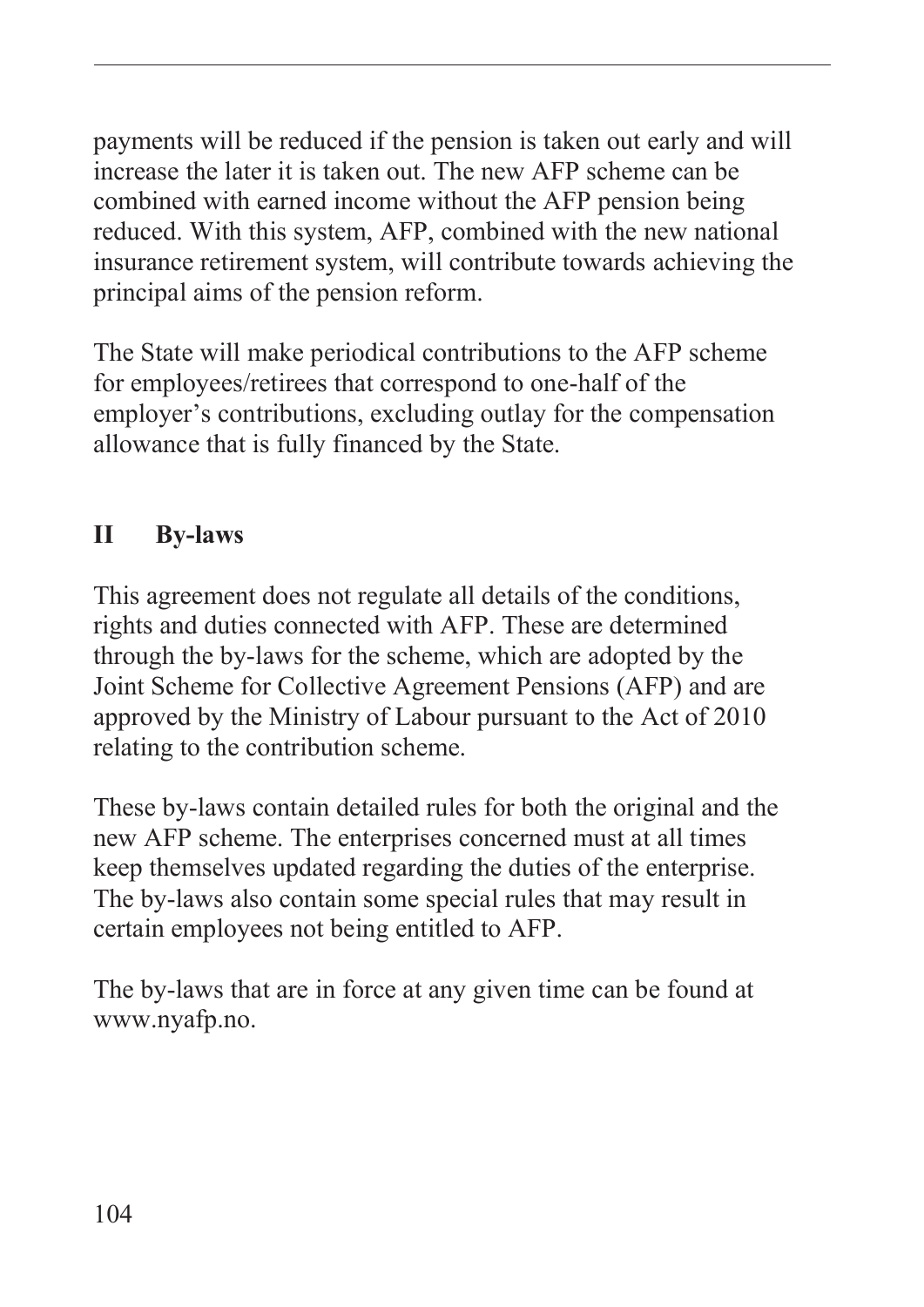payments will be reduced if the pension is taken out early and will increase the later it is taken out. The new AFP scheme can be combined with earned income without the AFP pension being reduced. With this system, AFP, combined with the new national insurance retirement system, will contribute towards achieving the principal aims of the pension reform.

The State will make periodical contributions to the AFP scheme for employees/retirees that correspond to one-half of the employer's contributions, excluding outlay for the compensation allowance that is fully financed by the State.

# **II By-laws**

This agreement does not regulate all details of the conditions, rights and duties connected with AFP. These are determined through the by-laws for the scheme, which are adopted by the Joint Scheme for Collective Agreement Pensions (AFP) and are approved by the Ministry of Labour pursuant to the Act of 2010 relating to the contribution scheme.

These by-laws contain detailed rules for both the original and the new AFP scheme. The enterprises concerned must at all times keep themselves updated regarding the duties of the enterprise. The by-laws also contain some special rules that may result in certain employees not being entitled to AFP.

The by-laws that are in force at any given time can be found at www.nyafp.no.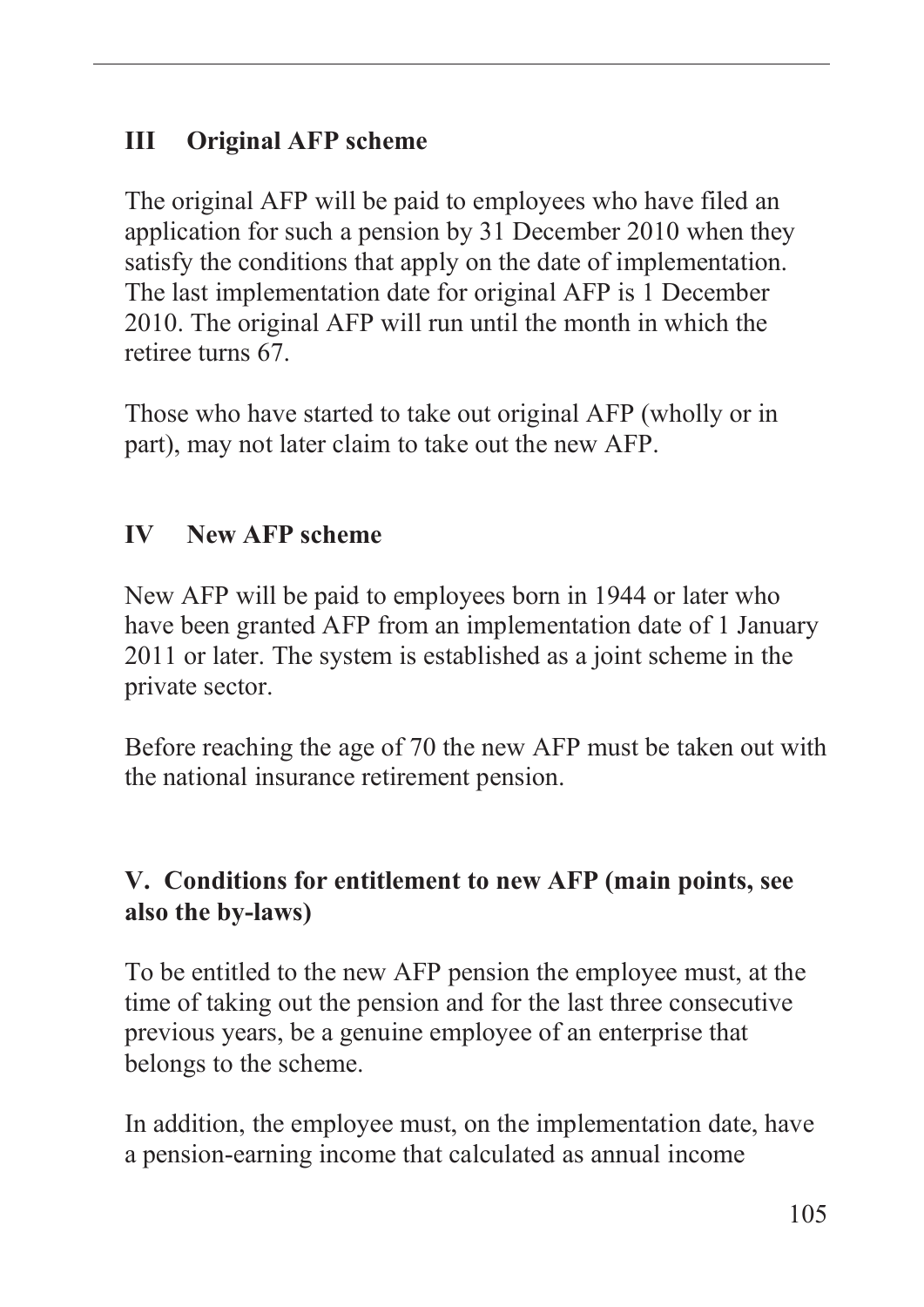### **III Original AFP scheme**

The original AFP will be paid to employees who have filed an application for such a pension by 31 December 2010 when they satisfy the conditions that apply on the date of implementation. The last implementation date for original AFP is 1 December 2010. The original AFP will run until the month in which the retiree turns 67.

Those who have started to take out original AFP (wholly or in part), may not later claim to take out the new AFP.

## **IV New AFP scheme**

New AFP will be paid to employees born in 1944 or later who have been granted AFP from an implementation date of 1 January 2011 or later. The system is established as a joint scheme in the private sector.

Before reaching the age of 70 the new AFP must be taken out with the national insurance retirement pension.

### **V. Conditions for entitlement to new AFP (main points, see also the by-laws)**

To be entitled to the new AFP pension the employee must, at the time of taking out the pension and for the last three consecutive previous years, be a genuine employee of an enterprise that belongs to the scheme.

In addition, the employee must, on the implementation date, have a pension-earning income that calculated as annual income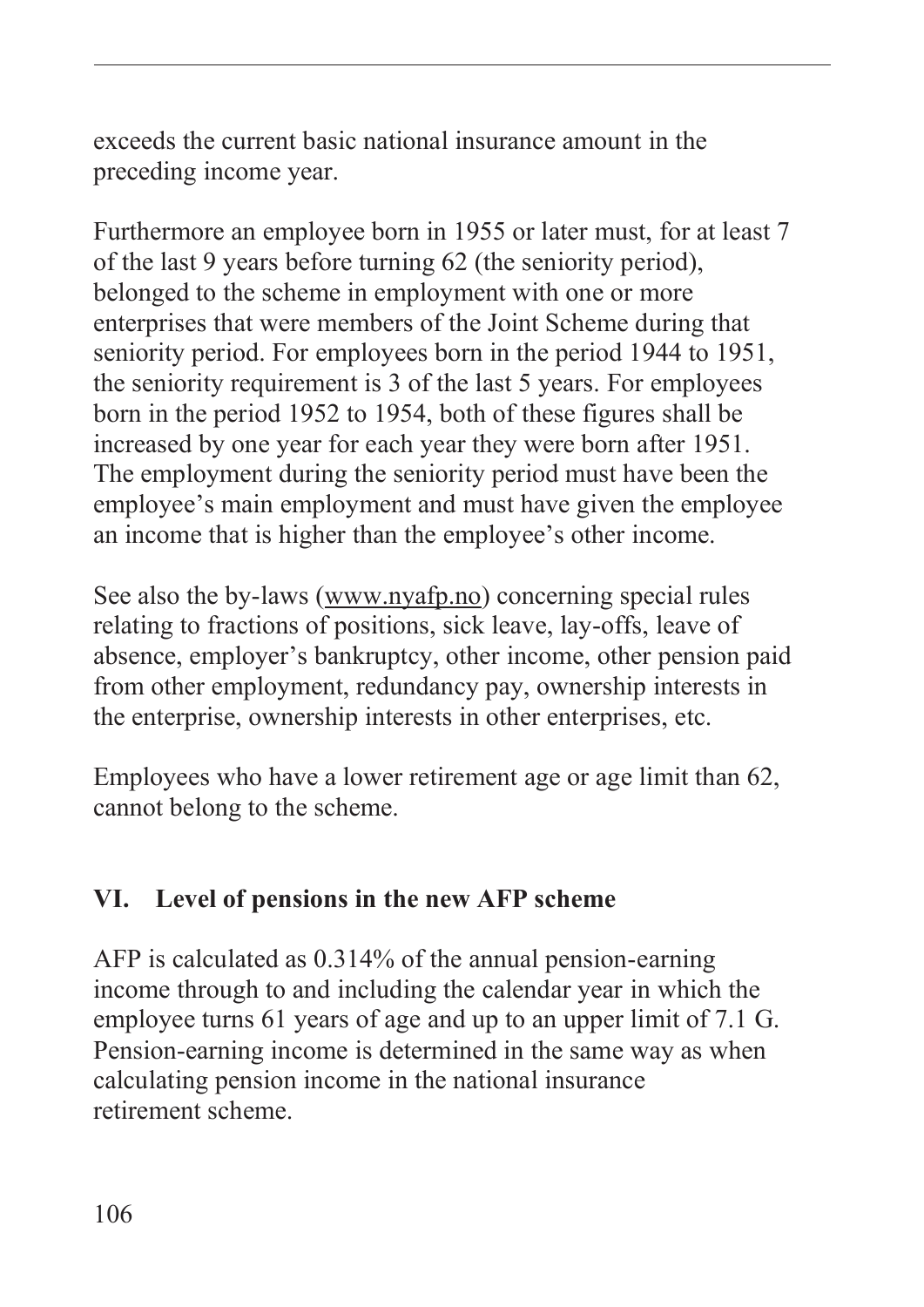exceeds the current basic national insurance amount in the preceding income year.

Furthermore an employee born in 1955 or later must, for at least 7 of the last 9 years before turning 62 (the seniority period), belonged to the scheme in employment with one or more enterprises that were members of the Joint Scheme during that seniority period. For employees born in the period 1944 to 1951, the seniority requirement is 3 of the last 5 years. For employees born in the period 1952 to 1954, both of these figures shall be increased by one year for each year they were born after 1951. The employment during the seniority period must have been the employee's main employment and must have given the employee an income that is higher than the employee's other income.

See also the by-laws (www.nyafp.no) concerning special rules relating to fractions of positions, sick leave, lay-offs, leave of absence, employer's bankruptcy, other income, other pension paid from other employment, redundancy pay, ownership interests in the enterprise, ownership interests in other enterprises, etc.

Employees who have a lower retirement age or age limit than 62, cannot belong to the scheme.

### **VI. Level of pensions in the new AFP scheme**

AFP is calculated as 0.314% of the annual pension-earning income through to and including the calendar year in which the employee turns 61 years of age and up to an upper limit of 7.1 G. Pension-earning income is determined in the same way as when calculating pension income in the national insurance retirement scheme.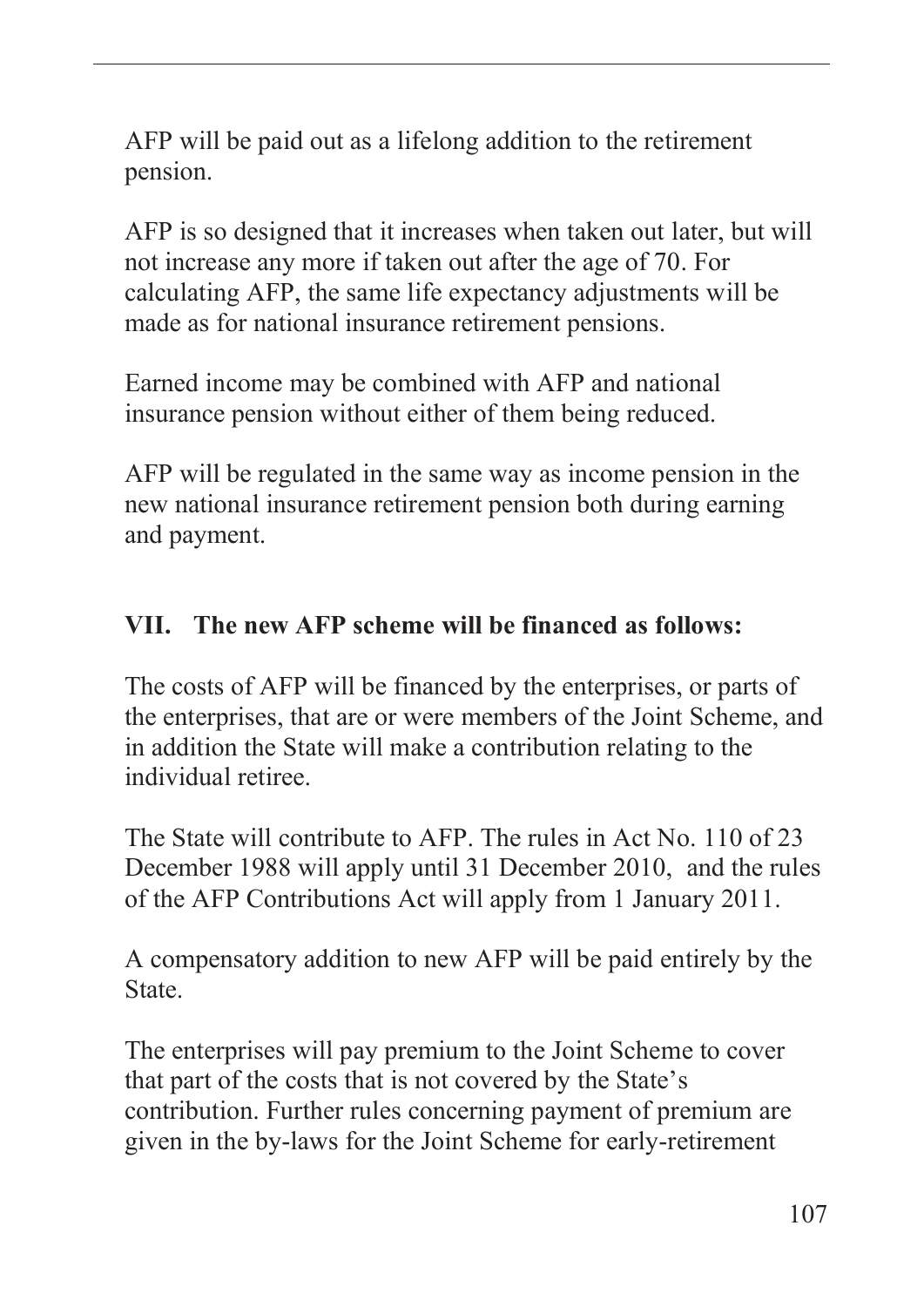AFP will be paid out as a lifelong addition to the retirement pension.

AFP is so designed that it increases when taken out later, but will not increase any more if taken out after the age of 70. For calculating AFP, the same life expectancy adjustments will be made as for national insurance retirement pensions.

Earned income may be combined with AFP and national insurance pension without either of them being reduced.

AFP will be regulated in the same way as income pension in the new national insurance retirement pension both during earning and payment.

#### **VII. The new AFP scheme will be financed as follows:**

The costs of AFP will be financed by the enterprises, or parts of the enterprises, that are or were members of the Joint Scheme, and in addition the State will make a contribution relating to the individual retiree.

The State will contribute to AFP. The rules in Act No. 110 of 23 December 1988 will apply until 31 December 2010, and the rules of the AFP Contributions Act will apply from 1 January 2011.

A compensatory addition to new AFP will be paid entirely by the **State** 

The enterprises will pay premium to the Joint Scheme to cover that part of the costs that is not covered by the State's contribution. Further rules concerning payment of premium are given in the by-laws for the Joint Scheme for early-retirement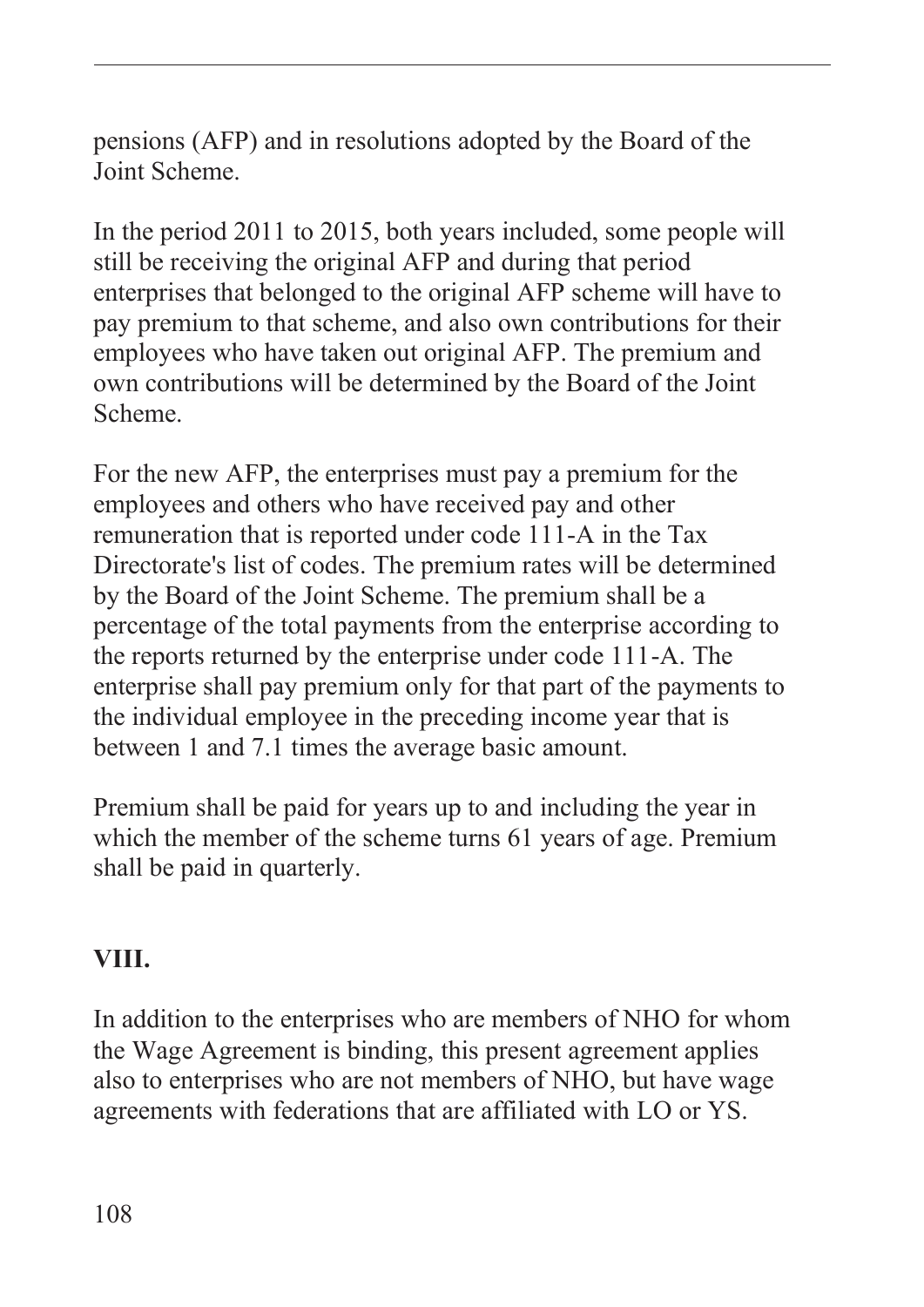pensions (AFP) and in resolutions adopted by the Board of the Joint Scheme.

In the period 2011 to 2015, both years included, some people will still be receiving the original AFP and during that period enterprises that belonged to the original AFP scheme will have to pay premium to that scheme, and also own contributions for their employees who have taken out original AFP. The premium and own contributions will be determined by the Board of the Joint Scheme.

For the new AFP, the enterprises must pay a premium for the employees and others who have received pay and other remuneration that is reported under code 111-A in the Tax Directorate's list of codes. The premium rates will be determined by the Board of the Joint Scheme. The premium shall be a percentage of the total payments from the enterprise according to the reports returned by the enterprise under code 111-A. The enterprise shall pay premium only for that part of the payments to the individual employee in the preceding income year that is between 1 and 7.1 times the average basic amount.

Premium shall be paid for years up to and including the year in which the member of the scheme turns 61 years of age. Premium shall be paid in quarterly.

#### **VIII.**

In addition to the enterprises who are members of NHO for whom the Wage Agreement is binding, this present agreement applies also to enterprises who are not members of NHO, but have wage agreements with federations that are affiliated with LO or YS.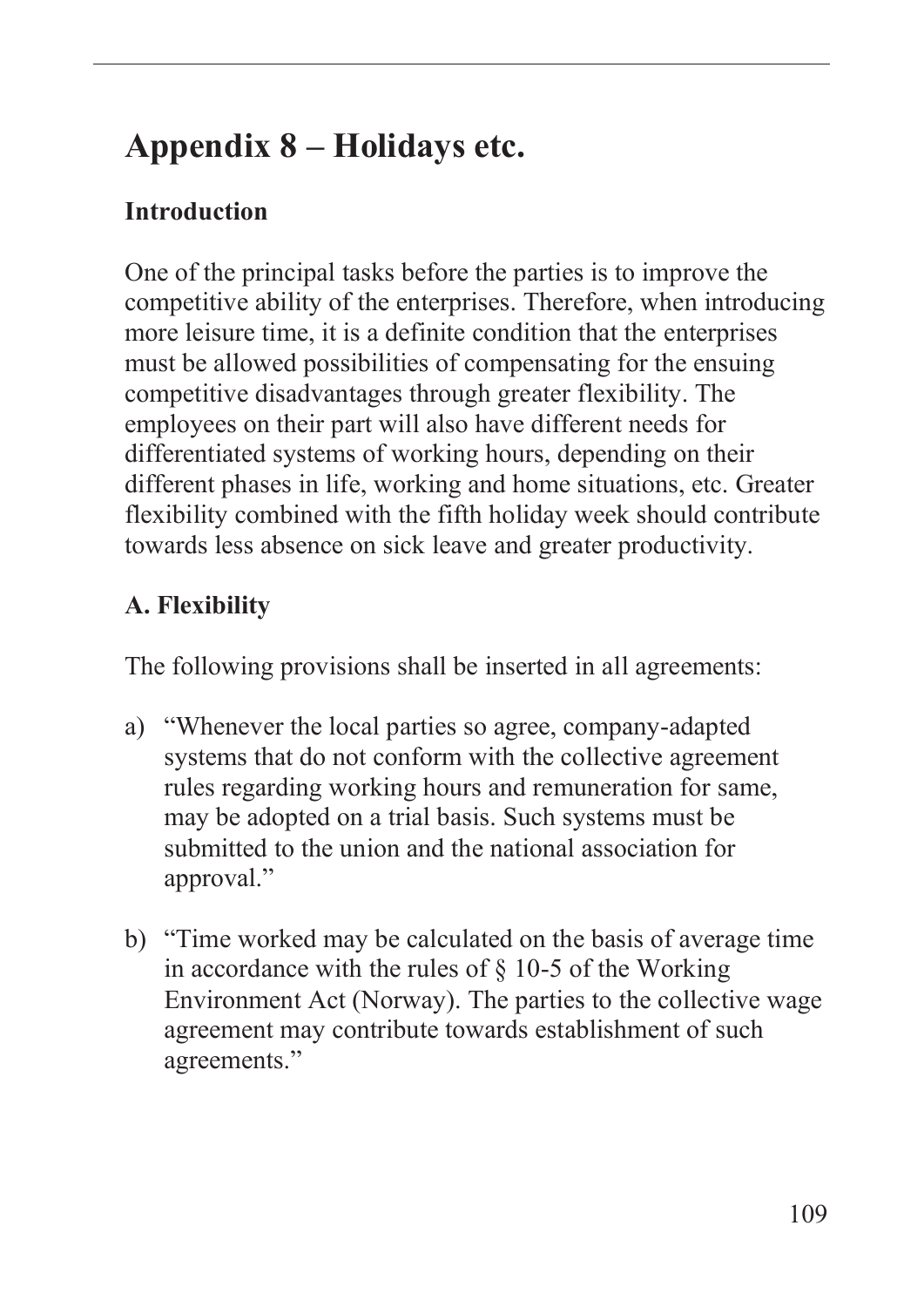# **Appendix 8 – Holidays etc.**

### **Introduction**

One of the principal tasks before the parties is to improve the competitive ability of the enterprises. Therefore, when introducing more leisure time, it is a definite condition that the enterprises must be allowed possibilities of compensating for the ensuing competitive disadvantages through greater flexibility. The employees on their part will also have different needs for differentiated systems of working hours, depending on their different phases in life, working and home situations, etc. Greater flexibility combined with the fifth holiday week should contribute towards less absence on sick leave and greater productivity.

## **A. Flexibility**

The following provisions shall be inserted in all agreements:

- a) "Whenever the local parties so agree, company-adapted systems that do not conform with the collective agreement rules regarding working hours and remuneration for same, may be adopted on a trial basis. Such systems must be submitted to the union and the national association for approval."
- b) "Time worked may be calculated on the basis of average time in accordance with the rules of  $\S$  10-5 of the Working Environment Act (Norway). The parties to the collective wage agreement may contribute towards establishment of such agreements."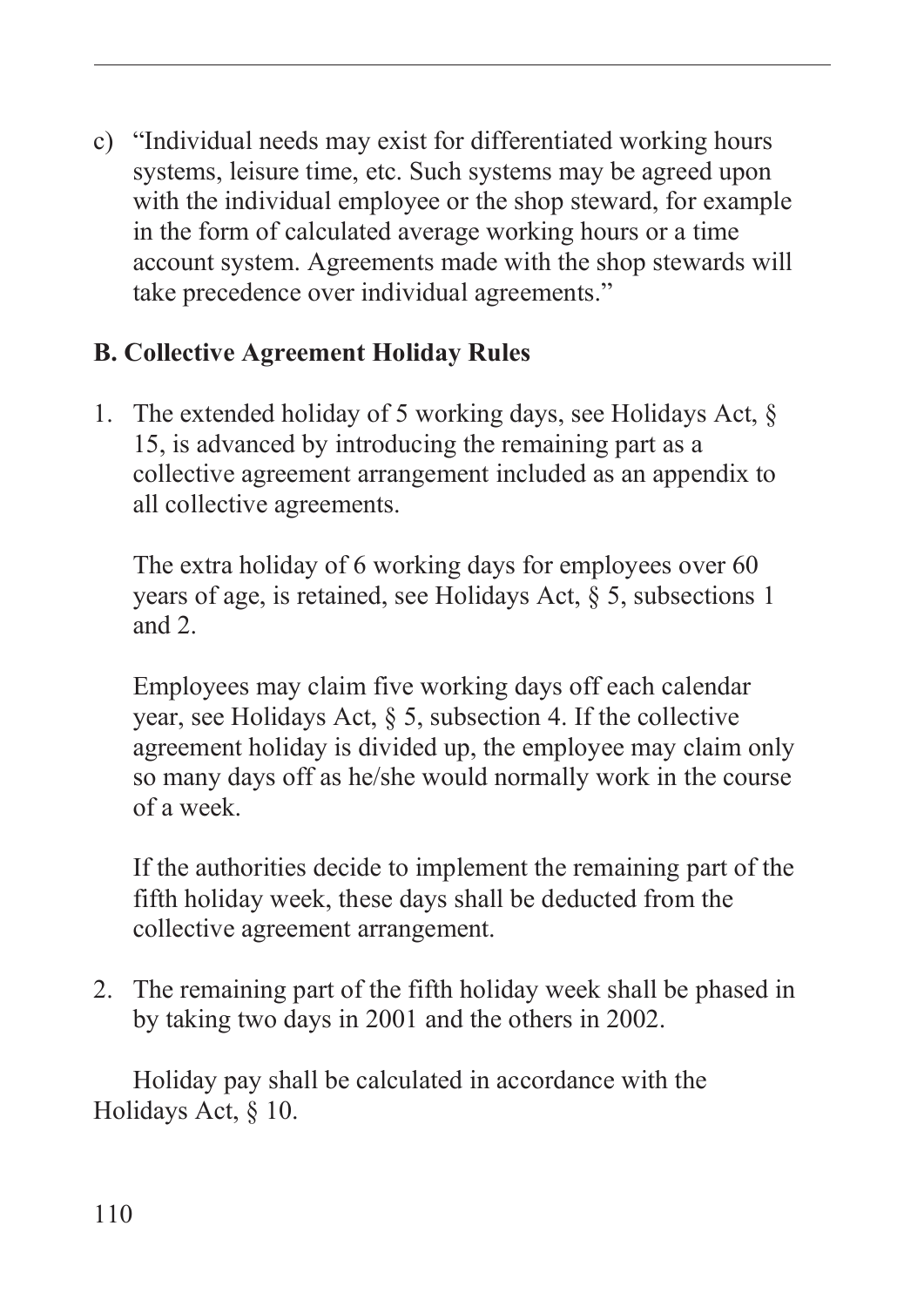c) "Individual needs may exist for differentiated working hours systems, leisure time, etc. Such systems may be agreed upon with the individual employee or the shop steward, for example in the form of calculated average working hours or a time account system. Agreements made with the shop stewards will take precedence over individual agreements."

## **B. Collective Agreement Holiday Rules**

1. The extended holiday of 5 working days, see Holidays Act, § 15, is advanced by introducing the remaining part as a collective agreement arrangement included as an appendix to all collective agreements.

The extra holiday of 6 working days for employees over 60 years of age, is retained, see Holidays Act, § 5, subsections 1 and 2.

Employees may claim five working days off each calendar year, see Holidays Act, § 5, subsection 4. If the collective agreement holiday is divided up, the employee may claim only so many days off as he/she would normally work in the course of a week.

If the authorities decide to implement the remaining part of the fifth holiday week, these days shall be deducted from the collective agreement arrangement.

2. The remaining part of the fifth holiday week shall be phased in by taking two days in 2001 and the others in 2002.

Holiday pay shall be calculated in accordance with the Holidays Act, § 10.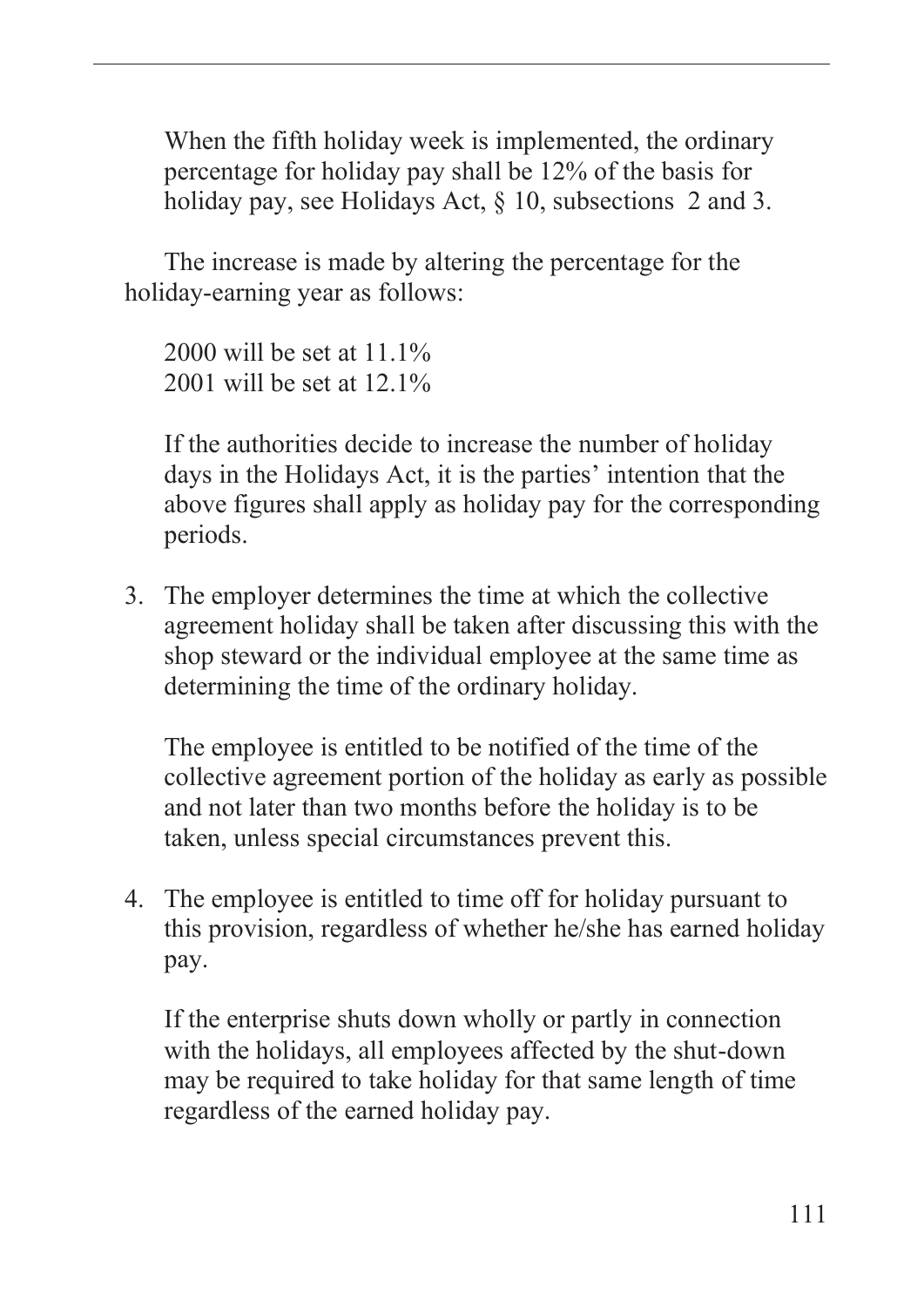When the fifth holiday week is implemented, the ordinary percentage for holiday pay shall be 12% of the basis for holiday pay, see Holidays Act,  $\S$  10, subsections 2 and 3.

The increase is made by altering the percentage for the holiday-earning year as follows:

2000 will be set at 11.1% 2001 will be set at 12.1%

If the authorities decide to increase the number of holiday days in the Holidays Act, it is the parties' intention that the above figures shall apply as holiday pay for the corresponding periods.

3. The employer determines the time at which the collective agreement holiday shall be taken after discussing this with the shop steward or the individual employee at the same time as determining the time of the ordinary holiday.

The employee is entitled to be notified of the time of the collective agreement portion of the holiday as early as possible and not later than two months before the holiday is to be taken, unless special circumstances prevent this.

4. The employee is entitled to time off for holiday pursuant to this provision, regardless of whether he/she has earned holiday pay.

If the enterprise shuts down wholly or partly in connection with the holidays, all employees affected by the shut-down may be required to take holiday for that same length of time regardless of the earned holiday pay.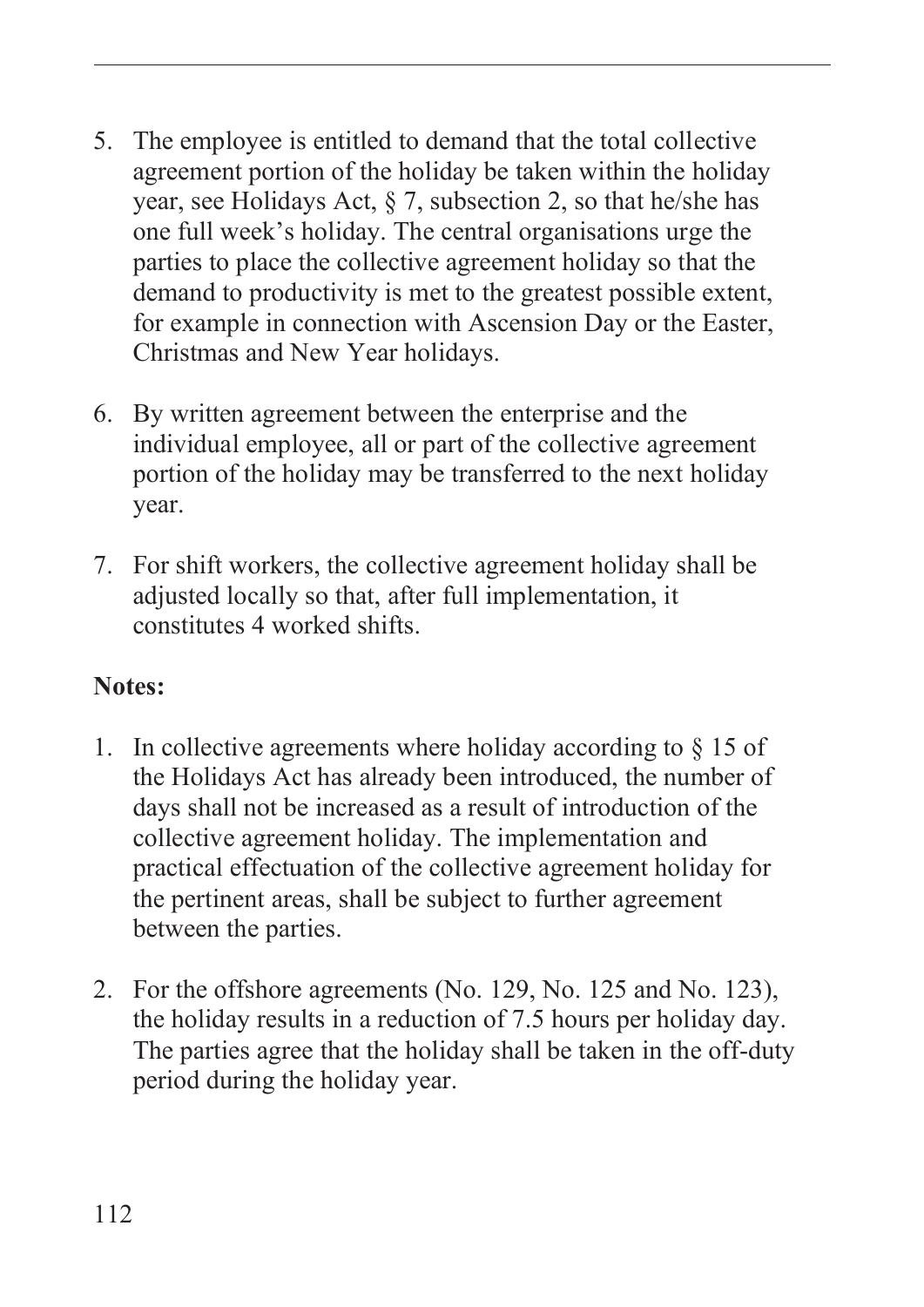- 5. The employee is entitled to demand that the total collective agreement portion of the holiday be taken within the holiday year, see Holidays Act, § 7, subsection 2, so that he/she has one full week's holiday. The central organisations urge the parties to place the collective agreement holiday so that the demand to productivity is met to the greatest possible extent, for example in connection with Ascension Day or the Easter, Christmas and New Year holidays.
- 6. By written agreement between the enterprise and the individual employee, all or part of the collective agreement portion of the holiday may be transferred to the next holiday year.
- 7. For shift workers, the collective agreement holiday shall be adjusted locally so that, after full implementation, it constitutes 4 worked shifts.

#### **Notes:**

- 1. In collective agreements where holiday according to § 15 of the Holidays Act has already been introduced, the number of days shall not be increased as a result of introduction of the collective agreement holiday. The implementation and practical effectuation of the collective agreement holiday for the pertinent areas, shall be subject to further agreement between the parties.
- 2. For the offshore agreements (No. 129, No. 125 and No. 123), the holiday results in a reduction of 7.5 hours per holiday day. The parties agree that the holiday shall be taken in the off-duty period during the holiday year.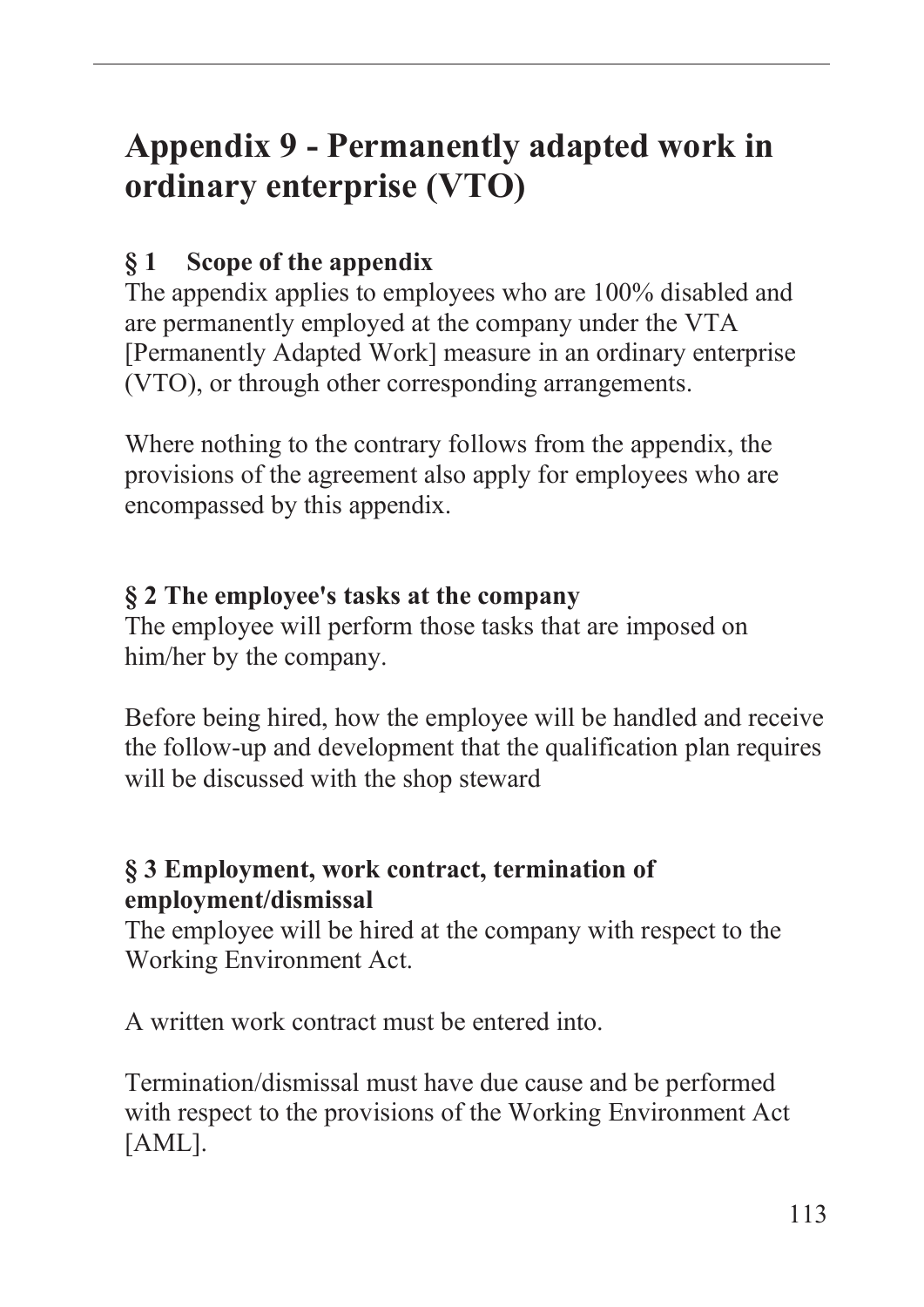# **Appendix 9 - Permanently adapted work in ordinary enterprise (VTO)**

## **§ 1 Scope of the appendix**

The appendix applies to employees who are 100% disabled and are permanently employed at the company under the VTA [Permanently Adapted Work] measure in an ordinary enterprise (VTO), or through other corresponding arrangements.

Where nothing to the contrary follows from the appendix, the provisions of the agreement also apply for employees who are encompassed by this appendix.

#### **§ 2 The employee's tasks at the company**

The employee will perform those tasks that are imposed on him/her by the company.

Before being hired, how the employee will be handled and receive the follow-up and development that the qualification plan requires will be discussed with the shop steward

#### **§ 3 Employment, work contract, termination of employment/dismissal**

The employee will be hired at the company with respect to the Working Environment Act.

A written work contract must be entered into.

Termination/dismissal must have due cause and be performed with respect to the provisions of the Working Environment Act [AML].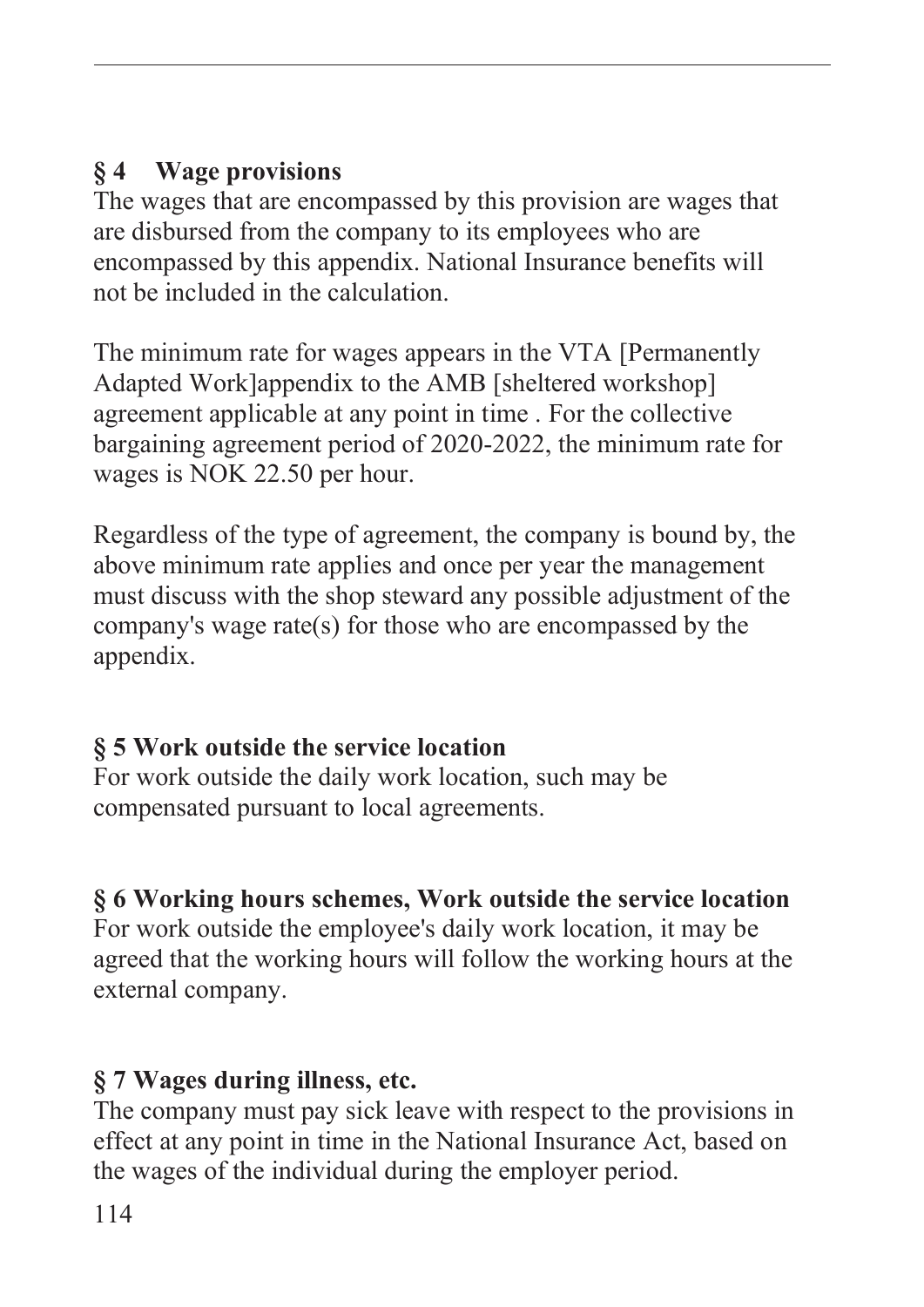## **§ 4 Wage provisions**

The wages that are encompassed by this provision are wages that are disbursed from the company to its employees who are encompassed by this appendix. National Insurance benefits will not be included in the calculation.

The minimum rate for wages appears in the VTA [Permanently Adapted Work]appendix to the AMB [sheltered workshop] agreement applicable at any point in time . For the collective bargaining agreement period of 2020-2022, the minimum rate for wages is NOK 22.50 per hour.

Regardless of the type of agreement, the company is bound by, the above minimum rate applies and once per year the management must discuss with the shop steward any possible adjustment of the company's wage rate(s) for those who are encompassed by the appendix.

# **§ 5 Work outside the service location**

For work outside the daily work location, such may be compensated pursuant to local agreements.

# **§ 6 Working hours schemes, Work outside the service location**

For work outside the employee's daily work location, it may be agreed that the working hours will follow the working hours at the external company.

# **§ 7 Wages during illness, etc.**

The company must pay sick leave with respect to the provisions in effect at any point in time in the National Insurance Act, based on the wages of the individual during the employer period.